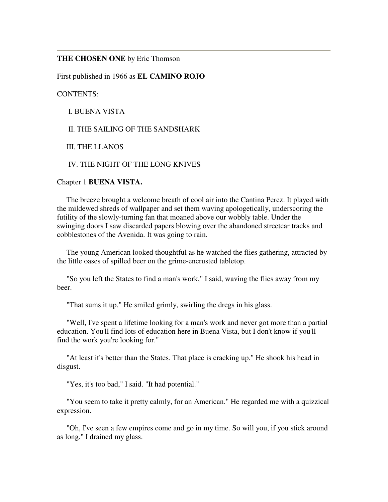## **THE CHOSEN ONE** by Eric Thomson

First published in 1966 as **EL CAMINO ROJO**

CONTENTS:

I. BUENA VISTA

II. THE SAILING OF THE SANDSHARK

III. THE LLANOS

IV. THE NIGHT OF THE LONG KNIVES

Chapter 1 **BUENA VISTA.**

 The breeze brought a welcome breath of cool air into the Cantina Perez. It played with the mildewed shreds of wallpaper and set them waving apologetically, underscoring the futility of the slowly-turning fan that moaned above our wobbly table. Under the swinging doors I saw discarded papers blowing over the abandoned streetcar tracks and cobblestones of the Avenida. It was going to rain.

 The young American looked thoughtful as he watched the flies gathering, attracted by the little oases of spilled beer on the grime-encrusted tabletop.

 "So you left the States to find a man's work," I said, waving the flies away from my beer.

"That sums it up." He smiled grimly, swirling the dregs in his glass.

 "Well, I've spent a lifetime looking for a man's work and never got more than a partial education. You'll find lots of education here in Buena Vista, but I don't know if you'll find the work you're looking for."

 "At least it's better than the States. That place is cracking up." He shook his head in disgust.

"Yes, it's too bad," I said. "It had potential."

 "You seem to take it pretty calmly, for an American." He regarded me with a quizzical expression.

 "Oh, I've seen a few empires come and go in my time. So will you, if you stick around as long." I drained my glass.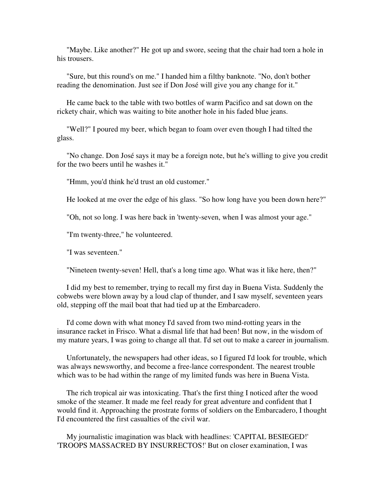"Maybe. Like another?" He got up and swore, seeing that the chair had torn a hole in his trousers.

 "Sure, but this round's on me." I handed him a filthy banknote. "No, don't bother reading the denomination. Just see if Don José will give you any change for it."

 He came back to the table with two bottles of warm Pacifico and sat down on the rickety chair, which was waiting to bite another hole in his faded blue jeans.

 "Well?" I poured my beer, which began to foam over even though I had tilted the glass.

 "No change. Don José says it may be a foreign note, but he's willing to give you credit for the two beers until he washes it."

"Hmm, you'd think he'd trust an old customer."

He looked at me over the edge of his glass. "So how long have you been down here?"

"Oh, not so long. I was here back in 'twenty-seven, when I was almost your age."

"I'm twenty-three," he volunteered.

"I was seventeen."

"Nineteen twenty-seven! Hell, that's a long time ago. What was it like here, then?"

 I did my best to remember, trying to recall my first day in Buena Vista. Suddenly the cobwebs were blown away by a loud clap of thunder, and I saw myself, seventeen years old, stepping off the mail boat that had tied up at the Embarcadero.

 I'd come down with what money I'd saved from two mind-rotting years in the insurance racket in Frisco. What a dismal life that had been! But now, in the wisdom of my mature years, I was going to change all that. I'd set out to make a career in journalism.

 Unfortunately, the newspapers had other ideas, so I figured I'd look for trouble, which was always newsworthy, and become a free-lance correspondent. The nearest trouble which was to be had within the range of my limited funds was here in Buena Vista.

 The rich tropical air was intoxicating. That's the first thing I noticed after the wood smoke of the steamer. It made me feel ready for great adventure and confident that I would find it. Approaching the prostrate forms of soldiers on the Embarcadero, I thought I'd encountered the first casualties of the civil war.

 My journalistic imagination was black with headlines: 'CAPITAL BESIEGED!' 'TROOPS MASSACRED BY INSURRECTOS!' But on closer examination, I was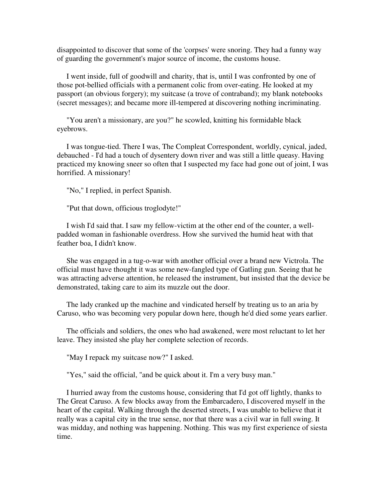disappointed to discover that some of the 'corpses' were snoring. They had a funny way of guarding the government's major source of income, the customs house.

 I went inside, full of goodwill and charity, that is, until I was confronted by one of those pot-bellied officials with a permanent colic from over-eating. He looked at my passport (an obvious forgery); my suitcase (a trove of contraband); my blank notebooks (secret messages); and became more ill-tempered at discovering nothing incriminating.

 "You aren't a missionary, are you?" he scowled, knitting his formidable black eyebrows.

 I was tongue-tied. There I was, The Compleat Correspondent, worldly, cynical, jaded, debauched - I'd had a touch of dysentery down river and was still a little queasy. Having practiced my knowing sneer so often that I suspected my face had gone out of joint, I was horrified. A missionary!

"No," I replied, in perfect Spanish.

"Put that down, officious troglodyte!"

 I wish I'd said that. I saw my fellow-victim at the other end of the counter, a wellpadded woman in fashionable overdress. How she survived the humid heat with that feather boa, I didn't know.

 She was engaged in a tug-o-war with another official over a brand new Victrola. The official must have thought it was some new-fangled type of Gatling gun. Seeing that he was attracting adverse attention, he released the instrument, but insisted that the device be demonstrated, taking care to aim its muzzle out the door.

 The lady cranked up the machine and vindicated herself by treating us to an aria by Caruso, who was becoming very popular down here, though he'd died some years earlier.

 The officials and soldiers, the ones who had awakened, were most reluctant to let her leave. They insisted she play her complete selection of records.

"May I repack my suitcase now?" I asked.

"Yes," said the official, "and be quick about it. I'm a very busy man."

 I hurried away from the customs house, considering that I'd got off lightly, thanks to The Great Caruso. A few blocks away from the Embarcadero, I discovered myself in the heart of the capital. Walking through the deserted streets, I was unable to believe that it really was a capital city in the true sense, nor that there was a civil war in full swing. It was midday, and nothing was happening. Nothing. This was my first experience of siesta time.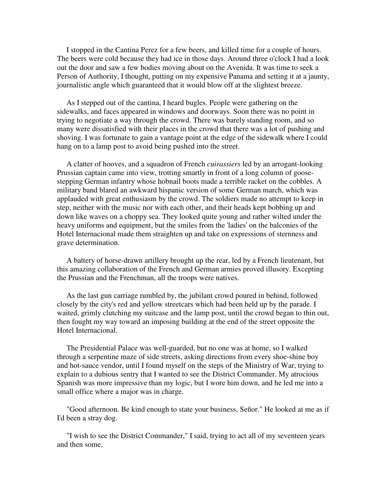I stopped in the Cantina Perez for a few beers, and killed time for a couple of hours. The beers were cold because they had ice in those days. Around three o'clock I had a look out the door and saw a few bodies moving about on the Avenida. It was time to seek a Person of Authority, I thought, putting on my expensive Panama and setting it at a jaunty, journalistic angle which guaranteed that it would blow off at the slightest breeze.

 As I stepped out of the cantina, I heard bugles. People were gathering on the sidewalks, and faces appeared in windows and doorways. Soon there was no point in trying to negotiate a way through the crowd. There was barely standing room, and so many were dissatisfied with their places in the crowd that there was a lot of pushing and shoving. I was fortunate to gain a vantage point at the edge of the sidewalk where I could hang on to a lamp post to avoid being pushed into the street.

 A clatter of hooves, and a squadron of French *cuirassiers* led by an arrogant-looking Prussian captain came into view, trotting smartly in front of a long column of goosestepping German infantry whose hobnail boots made a terrible racket on the cobbles. A military band blared an awkward hispanic version of some German march, which was applauded with great enthusiasm by the crowd. The soldiers made no attempt to keep in step, neither with the music nor with each other, and their heads kept bobbing up and down like waves on a choppy sea. They looked quite young and rather wilted under the heavy uniforms and equipment, but the smiles from the 'ladies' on the balconies of the Hotel Internacional made them straighten up and take on expressions of sternness and grave determination.

 A battery of horse-drawn artillery brought up the rear, led by a French lieutenant, but this amazing collaboration of the French and German armies proved illusory. Excepting the Prussian and the Frenchman, all the troops were natives.

 As the last gun carriage rumbled by, the jubilant crowd poured in behind, followed closely by the city's red and yellow streetcars which had been held up by the parade. I waited, grimly clutching my suitcase and the lamp post, until the crowd began to thin out, then fought my way toward an imposing building at the end of the street opposite the Hotel Internacional.

 The Presidential Palace was well-guarded, but no one was at home, so I walked through a serpentine maze of side streets, asking directions from every shoe-shine boy and hot-sauce vendor, until I found myself on the steps of the Ministry of War, trying to explain to a dubious sentry that I wanted to see the District Commander. My atrocious Spanish was more impressive than my logic, but I wore him down, and he led me into a small office where a major was in charge.

 "Good afternoon. Be kind enough to state your business, Señor." He looked at me as if I'd been a stray dog.

 "I wish to see the District Commander," I said, trying to act all of my seventeen years and then some.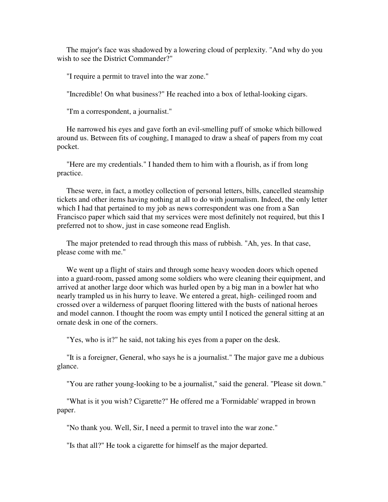The major's face was shadowed by a lowering cloud of perplexity. "And why do you wish to see the District Commander?"

"I require a permit to travel into the war zone."

"Incredible! On what business?" He reached into a box of lethal-looking cigars.

"I'm a correspondent, a journalist."

 He narrowed his eyes and gave forth an evil-smelling puff of smoke which billowed around us. Between fits of coughing, I managed to draw a sheaf of papers from my coat pocket.

 "Here are my credentials." I handed them to him with a flourish, as if from long practice.

 These were, in fact, a motley collection of personal letters, bills, cancelled steamship tickets and other items having nothing at all to do with journalism. Indeed, the only letter which I had that pertained to my job as news correspondent was one from a San Francisco paper which said that my services were most definitely not required, but this I preferred not to show, just in case someone read English.

 The major pretended to read through this mass of rubbish. "Ah, yes. In that case, please come with me."

 We went up a flight of stairs and through some heavy wooden doors which opened into a guard-room, passed among some soldiers who were cleaning their equipment, and arrived at another large door which was hurled open by a big man in a bowler hat who nearly trampled us in his hurry to leave. We entered a great, high- ceilinged room and crossed over a wilderness of parquet flooring littered with the busts of national heroes and model cannon. I thought the room was empty until I noticed the general sitting at an ornate desk in one of the corners.

"Yes, who is it?" he said, not taking his eyes from a paper on the desk.

 "It is a foreigner, General, who says he is a journalist." The major gave me a dubious glance.

"You are rather young-looking to be a journalist," said the general. "Please sit down."

 "What is it you wish? Cigarette?" He offered me a 'Formidable' wrapped in brown paper.

"No thank you. Well, Sir, I need a permit to travel into the war zone."

"Is that all?" He took a cigarette for himself as the major departed.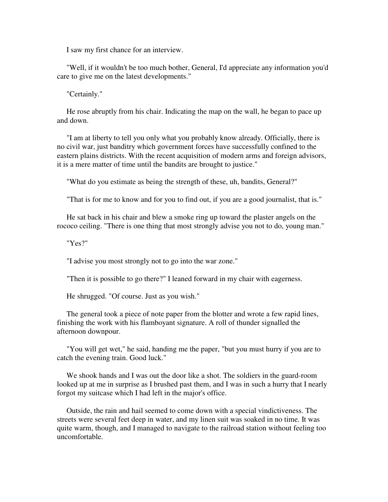I saw my first chance for an interview.

 "Well, if it wouldn't be too much bother, General, I'd appreciate any information you'd care to give me on the latest developments."

"Certainly."

 He rose abruptly from his chair. Indicating the map on the wall, he began to pace up and down.

 "I am at liberty to tell you only what you probably know already. Officially, there is no civil war, just banditry which government forces have successfully confined to the eastern plains districts. With the recent acquisition of modern arms and foreign advisors, it is a mere matter of time until the bandits are brought to justice."

"What do you estimate as being the strength of these, uh, bandits, General?"

"That is for me to know and for you to find out, if you are a good journalist, that is."

 He sat back in his chair and blew a smoke ring up toward the plaster angels on the rococo ceiling. "There is one thing that most strongly advise you not to do, young man."

"Yes?"

"I advise you most strongly not to go into the war zone."

"Then it is possible to go there?" I leaned forward in my chair with eagerness.

He shrugged. "Of course. Just as you wish."

 The general took a piece of note paper from the blotter and wrote a few rapid lines, finishing the work with his flamboyant signature. A roll of thunder signalled the afternoon downpour.

 "You will get wet," he said, handing me the paper, "but you must hurry if you are to catch the evening train. Good luck."

 We shook hands and I was out the door like a shot. The soldiers in the guard-room looked up at me in surprise as I brushed past them, and I was in such a hurry that I nearly forgot my suitcase which I had left in the major's office.

 Outside, the rain and hail seemed to come down with a special vindictiveness. The streets were several feet deep in water, and my linen suit was soaked in no time. It was quite warm, though, and I managed to navigate to the railroad station without feeling too uncomfortable.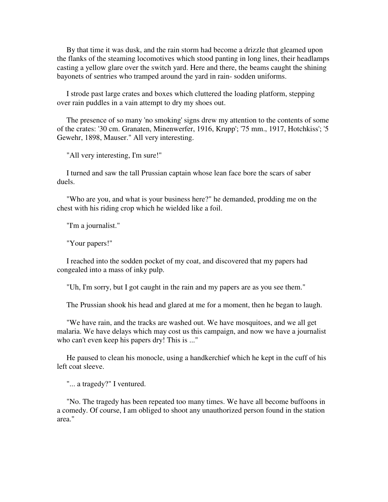By that time it was dusk, and the rain storm had become a drizzle that gleamed upon the flanks of the steaming locomotives which stood panting in long lines, their headlamps casting a yellow glare over the switch yard. Here and there, the beams caught the shining bayonets of sentries who tramped around the yard in rain- sodden uniforms.

 I strode past large crates and boxes which cluttered the loading platform, stepping over rain puddles in a vain attempt to dry my shoes out.

 The presence of so many 'no smoking' signs drew my attention to the contents of some of the crates: '30 cm. Granaten, Minenwerfer, 1916, Krupp'; '75 mm., 1917, Hotchkiss'; '5 Gewehr, 1898, Mauser." All very interesting.

"All very interesting, I'm sure!"

 I turned and saw the tall Prussian captain whose lean face bore the scars of saber duels.

 "Who are you, and what is your business here?" he demanded, prodding me on the chest with his riding crop which he wielded like a foil.

"I'm a journalist."

"Your papers!"

 I reached into the sodden pocket of my coat, and discovered that my papers had congealed into a mass of inky pulp.

"Uh, I'm sorry, but I got caught in the rain and my papers are as you see them."

The Prussian shook his head and glared at me for a moment, then he began to laugh.

 "We have rain, and the tracks are washed out. We have mosquitoes, and we all get malaria. We have delays which may cost us this campaign, and now we have a journalist who can't even keep his papers dry! This is ..."

 He paused to clean his monocle, using a handkerchief which he kept in the cuff of his left coat sleeve.

"... a tragedy?" I ventured.

 "No. The tragedy has been repeated too many times. We have all become buffoons in a comedy. Of course, I am obliged to shoot any unauthorized person found in the station area."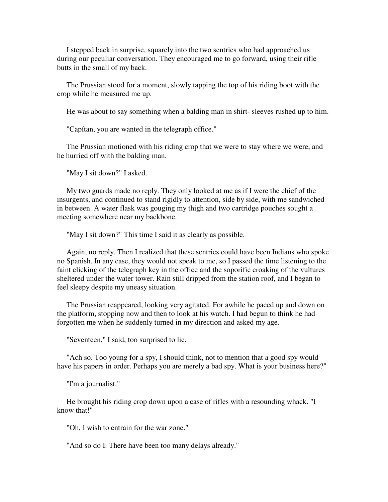I stepped back in surprise, squarely into the two sentries who had approached us during our peculiar conversation. They encouraged me to go forward, using their rifle butts in the small of my back.

 The Prussian stood for a moment, slowly tapping the top of his riding boot with the crop while he measured me up.

He was about to say something when a balding man in shirt- sleeves rushed up to him.

"Capítan, you are wanted in the telegraph office."

 The Prussian motioned with his riding crop that we were to stay where we were, and he hurried off with the balding man.

"May I sit down?" I asked.

 My two guards made no reply. They only looked at me as if I were the chief of the insurgents, and continued to stand rigidly to attention, side by side, with me sandwiched in between. A water flask was gouging my thigh and two cartridge pouches sought a meeting somewhere near my backbone.

"May I sit down?" This time I said it as clearly as possible.

 Again, no reply. Then I realized that these sentries could have been Indians who spoke no Spanish. In any case, they would not speak to me, so I passed the time listening to the faint clicking of the telegraph key in the office and the soporific croaking of the vultures sheltered under the water tower. Rain still dripped from the station roof, and I began to feel sleepy despite my uneasy situation.

 The Prussian reappeared, looking very agitated. For awhile he paced up and down on the platform, stopping now and then to look at his watch. I had begun to think he had forgotten me when he suddenly turned in my direction and asked my age.

"Seventeen," I said, too surprised to lie.

 "Ach so. Too young for a spy, I should think, not to mention that a good spy would have his papers in order. Perhaps you are merely a bad spy. What is your business here?"

"I'm a journalist."

 He brought his riding crop down upon a case of rifles with a resounding whack. "I know that!"

"Oh, I wish to entrain for the war zone."

"And so do I. There have been too many delays already."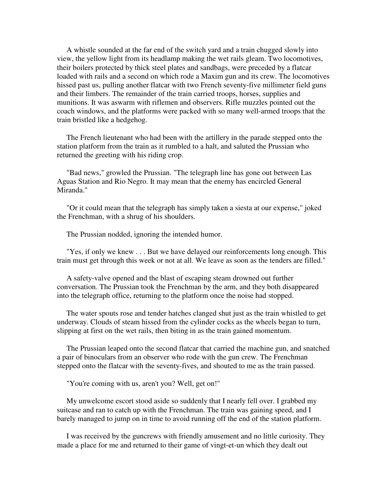A whistle sounded at the far end of the switch yard and a train chugged slowly into view, the yellow light from its headlamp making the wet rails gleam. Two locomotives, their boilers protected by thick steel plates and sandbags, were preceded by a flatcar loaded with rails and a second on which rode a Maxim gun and its crew. The locomotives hissed past us, pulling another flatcar with two French seventy-five millimeter field guns and their limbers. The remainder of the train carried troops, horses, supplies and munitions. It was aswarm with riflemen and observers. Rifle muzzles pointed out the coach windows, and the platforms were packed with so many well-armed troops that the train bristled like a hedgehog.

 The French lieutenant who had been with the artillery in the parade stepped onto the station platform from the train as it rumbled to a halt, and saluted the Prussian who returned the greeting with his riding crop.

 "Bad news," growled the Prussian. "The telegraph line has gone out between Las Aguas Station and Rio Negro. It may mean that the enemy has encircled General Miranda."

 "Or it could mean that the telegraph has simply taken a siesta at our expense," joked the Frenchman, with a shrug of his shoulders.

The Prussian nodded, ignoring the intended humor.

 "Yes, if only we knew . . . But we have delayed our reinforcements long enough. This train must get through this week or not at all. We leave as soon as the tenders are filled."

 A safety-valve opened and the blast of escaping steam drowned out further conversation. The Prussian took the Frenchman by the arm, and they both disappeared into the telegraph office, returning to the platform once the noise had stopped.

 The water spouts rose and tender hatches clanged shut just as the train whistled to get underway. Clouds of steam hissed from the cylinder cocks as the wheels began to turn, slipping at first on the wet rails, then biting in as the train gained momentum.

 The Prussian leaped onto the second flatcar that carried the machine gun, and snatched a pair of binoculars from an observer who rode with the gun crew. The Frenchman stepped onto the flatcar with the seventy-fives, and shouted to me as the train passed.

"You're coming with us, aren't you? Well, get on!"

 My unwelcome escort stood aside so suddenly that I nearly fell over. I grabbed my suitcase and ran to catch up with the Frenchman. The train was gaining speed, and I barely managed to jump on in time to avoid running off the end of the station platform.

 I was received by the guncrews with friendly amusement and no little curiosity. They made a place for me and returned to their game of vingt-et-un which they dealt out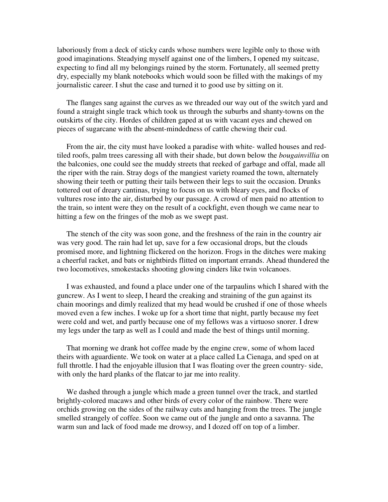laboriously from a deck of sticky cards whose numbers were legible only to those with good imaginations. Steadying myself against one of the limbers, I opened my suitcase, expecting to find all my belongings ruined by the storm. Fortunately, all seemed pretty dry, especially my blank notebooks which would soon be filled with the makings of my journalistic career. I shut the case and turned it to good use by sitting on it.

 The flanges sang against the curves as we threaded our way out of the switch yard and found a straight single track which took us through the suburbs and shanty-towns on the outskirts of the city. Hordes of children gaped at us with vacant eyes and chewed on pieces of sugarcane with the absent-mindedness of cattle chewing their cud.

 From the air, the city must have looked a paradise with white- walled houses and redtiled roofs, palm trees caressing all with their shade, but down below the *bougainvillia* on the balconies, one could see the muddy streets that reeked of garbage and offal, made all the riper with the rain. Stray dogs of the mangiest variety roamed the town, alternately showing their teeth or putting their tails between their legs to suit the occasion. Drunks tottered out of dreary cantinas, trying to focus on us with bleary eyes, and flocks of vultures rose into the air, disturbed by our passage. A crowd of men paid no attention to the train, so intent were they on the result of a cockfight, even though we came near to hitting a few on the fringes of the mob as we swept past.

 The stench of the city was soon gone, and the freshness of the rain in the country air was very good. The rain had let up, save for a few occasional drops, but the clouds promised more, and lightning flickered on the horizon. Frogs in the ditches were making a cheerful racket, and bats or nightbirds flitted on important errands. Ahead thundered the two locomotives, smokestacks shooting glowing cinders like twin volcanoes.

 I was exhausted, and found a place under one of the tarpaulins which I shared with the guncrew. As I went to sleep, I heard the creaking and straining of the gun against its chain moorings and dimly realized that my head would be crushed if one of those wheels moved even a few inches. I woke up for a short time that night, partly because my feet were cold and wet, and partly because one of my fellows was a virtuoso snorer. I drew my legs under the tarp as well as I could and made the best of things until morning.

 That morning we drank hot coffee made by the engine crew, some of whom laced theirs with aguardiente. We took on water at a place called La Cienaga, and sped on at full throttle. I had the enjoyable illusion that I was floating over the green country- side, with only the hard planks of the flatcar to jar me into reality.

 We dashed through a jungle which made a green tunnel over the track, and startled brightly-colored macaws and other birds of every color of the rainbow. There were orchids growing on the sides of the railway cuts and hanging from the trees. The jungle smelled strangely of coffee. Soon we came out of the jungle and onto a savanna. The warm sun and lack of food made me drowsy, and I dozed off on top of a limber.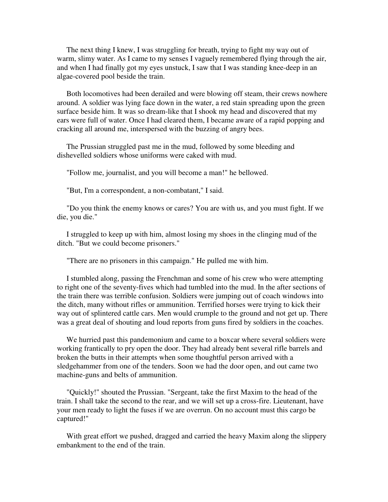The next thing I knew, I was struggling for breath, trying to fight my way out of warm, slimy water. As I came to my senses I vaguely remembered flying through the air, and when I had finally got my eyes unstuck, I saw that I was standing knee-deep in an algae-covered pool beside the train.

 Both locomotives had been derailed and were blowing off steam, their crews nowhere around. A soldier was lying face down in the water, a red stain spreading upon the green surface beside him. It was so dream-like that I shook my head and discovered that my ears were full of water. Once I had cleared them, I became aware of a rapid popping and cracking all around me, interspersed with the buzzing of angry bees.

 The Prussian struggled past me in the mud, followed by some bleeding and dishevelled soldiers whose uniforms were caked with mud.

"Follow me, journalist, and you will become a man!" he bellowed.

"But, I'm a correspondent, a non-combatant," I said.

 "Do you think the enemy knows or cares? You are with us, and you must fight. If we die, you die."

 I struggled to keep up with him, almost losing my shoes in the clinging mud of the ditch. "But we could become prisoners."

"There are no prisoners in this campaign." He pulled me with him.

 I stumbled along, passing the Frenchman and some of his crew who were attempting to right one of the seventy-fives which had tumbled into the mud. In the after sections of the train there was terrible confusion. Soldiers were jumping out of coach windows into the ditch, many without rifles or ammunition. Terrified horses were trying to kick their way out of splintered cattle cars. Men would crumple to the ground and not get up. There was a great deal of shouting and loud reports from guns fired by soldiers in the coaches.

 We hurried past this pandemonium and came to a boxcar where several soldiers were working frantically to pry open the door. They had already bent several rifle barrels and broken the butts in their attempts when some thoughtful person arrived with a sledgehammer from one of the tenders. Soon we had the door open, and out came two machine-guns and belts of ammunition.

 "Quickly!" shouted the Prussian. "Sergeant, take the first Maxim to the head of the train. I shall take the second to the rear, and we will set up a cross-fire. Lieutenant, have your men ready to light the fuses if we are overrun. On no account must this cargo be captured!"

 With great effort we pushed, dragged and carried the heavy Maxim along the slippery embankment to the end of the train.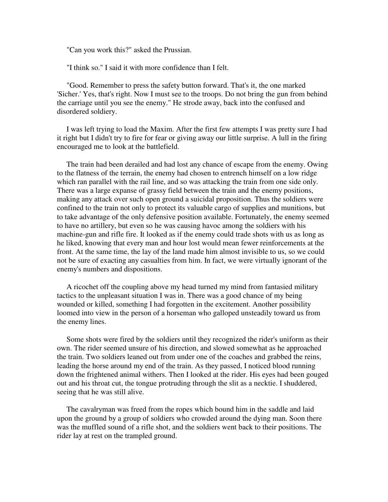"Can you work this?" asked the Prussian.

"I think so." I said it with more confidence than I felt.

 "Good. Remember to press the safety button forward. That's it, the one marked 'Sicher.' Yes, that's right. Now I must see to the troops. Do not bring the gun from behind the carriage until you see the enemy." He strode away, back into the confused and disordered soldiery.

 I was left trying to load the Maxim. After the first few attempts I was pretty sure I had it right but I didn't try to fire for fear or giving away our little surprise. A lull in the firing encouraged me to look at the battlefield.

 The train had been derailed and had lost any chance of escape from the enemy. Owing to the flatness of the terrain, the enemy had chosen to entrench himself on a low ridge which ran parallel with the rail line, and so was attacking the train from one side only. There was a large expanse of grassy field between the train and the enemy positions, making any attack over such open ground a suicidal proposition. Thus the soldiers were confined to the train not only to protect its valuable cargo of supplies and munitions, but to take advantage of the only defensive position available. Fortunately, the enemy seemed to have no artillery, but even so he was causing havoc among the soldiers with his machine-gun and rifle fire. It looked as if the enemy could trade shots with us as long as he liked, knowing that every man and hour lost would mean fewer reinforcements at the front. At the same time, the lay of the land made him almost invisible to us, so we could not be sure of exacting any casualties from him. In fact, we were virtually ignorant of the enemy's numbers and dispositions.

 A ricochet off the coupling above my head turned my mind from fantasied military tactics to the unpleasant situation I was in. There was a good chance of my being wounded or killed, something I had forgotten in the excitement. Another possibility loomed into view in the person of a horseman who galloped unsteadily toward us from the enemy lines.

 Some shots were fired by the soldiers until they recognized the rider's uniform as their own. The rider seemed unsure of his direction, and slowed somewhat as he approached the train. Two soldiers leaned out from under one of the coaches and grabbed the reins, leading the horse around my end of the train. As they passed, I noticed blood running down the frightened animal withers. Then I looked at the rider. His eyes had been gouged out and his throat cut, the tongue protruding through the slit as a necktie. I shuddered, seeing that he was still alive.

 The cavalryman was freed from the ropes which bound him in the saddle and laid upon the ground by a group of soldiers who crowded around the dying man. Soon there was the muffled sound of a rifle shot, and the soldiers went back to their positions. The rider lay at rest on the trampled ground.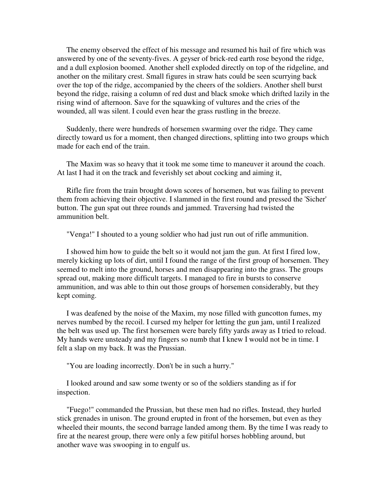The enemy observed the effect of his message and resumed his hail of fire which was answered by one of the seventy-fives. A geyser of brick-red earth rose beyond the ridge, and a dull explosion boomed. Another shell exploded directly on top of the ridgeline, and another on the military crest. Small figures in straw hats could be seen scurrying back over the top of the ridge, accompanied by the cheers of the soldiers. Another shell burst beyond the ridge, raising a column of red dust and black smoke which drifted lazily in the rising wind of afternoon. Save for the squawking of vultures and the cries of the wounded, all was silent. I could even hear the grass rustling in the breeze.

 Suddenly, there were hundreds of horsemen swarming over the ridge. They came directly toward us for a moment, then changed directions, splitting into two groups which made for each end of the train.

 The Maxim was so heavy that it took me some time to maneuver it around the coach. At last I had it on the track and feverishly set about cocking and aiming it,

 Rifle fire from the train brought down scores of horsemen, but was failing to prevent them from achieving their objective. I slammed in the first round and pressed the 'Sicher' button. The gun spat out three rounds and jammed. Traversing had twisted the ammunition belt.

"Venga!" I shouted to a young soldier who had just run out of rifle ammunition.

 I showed him how to guide the belt so it would not jam the gun. At first I fired low, merely kicking up lots of dirt, until I found the range of the first group of horsemen. They seemed to melt into the ground, horses and men disappearing into the grass. The groups spread out, making more difficult targets. I managed to fire in bursts to conserve ammunition, and was able to thin out those groups of horsemen considerably, but they kept coming.

 I was deafened by the noise of the Maxim, my nose filled with guncotton fumes, my nerves numbed by the recoil. I cursed my helper for letting the gun jam, until I realized the belt was used up. The first horsemen were barely fifty yards away as I tried to reload. My hands were unsteady and my fingers so numb that I knew I would not be in time. I felt a slap on my back. It was the Prussian.

"You are loading incorrectly. Don't be in such a hurry."

 I looked around and saw some twenty or so of the soldiers standing as if for inspection.

 "Fuego!" commanded the Prussian, but these men had no rifles. Instead, they hurled stick grenades in unison. The ground erupted in front of the horsemen, but even as they wheeled their mounts, the second barrage landed among them. By the time I was ready to fire at the nearest group, there were only a few pitiful horses hobbling around, but another wave was swooping in to engulf us.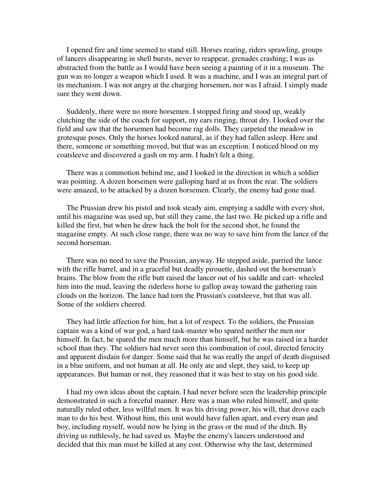I opened fire and time seemed to stand still. Horses rearing, riders sprawling, groups of lancers disappearing in shell bursts, never to reappear, grenades crashing; I was as abstracted from the battle as I would have been seeing a painting of it in a museum. The gun was no longer a weapon which I used. It was a machine, and I was an integral part of its mechanism. I was not angry at the charging horsemen, nor was I afraid. I simply made sure they went down.

 Suddenly, there were no more horsemen. I stopped firing and stood up, weakly clutching the side of the coach for support, my ears ringing, throat dry. I looked over the field and saw that the horsemen had become rag dolls. They carpeted the meadow in grotesque poses. Only the horses looked natural, as if they had fallen asleep. Here and there, someone or something moved, but that was an exception. I noticed blood on my coatsleeve and discovered a gash on my arm. I hadn't felt a thing.

 There was a commotion behind me, and I looked in the direction in which a soldier was pointing. A dozen horsemen were galloping hard at us from the rear. The soldiers were amazed, to be attacked by a dozen horsemen. Clearly, the enemy had gone mad.

 The Prussian drew his pistol and took steady aim, emptying a saddle with every shot, until his magazine was used up, but still they came, the last two. He picked up a rifle and killed the first, but when he drew hack the bolt for the second shot, he found the magazine empty. At such close range, there was no way to save him from the lance of the second horseman.

 There was no need to save the Prussian, anyway. He stepped aside, parried the lance with the rifle barrel, and in a graceful but deadly pirouette, dashed out the horseman's brains. The blow from the rifle butt raised the lancer out of his saddle and cart- wheeled him into the mud, leaving the riderless horse to gallop away toward the gathering rain clouds on the horizon. The lance had torn the Prussian's coatsleeve, but that was all. Some of the soldiers cheered.

 They had little affection for him, but a lot of respect. To the soldiers, the Prussian captain was a kind of war god, a hard task-master who spared neither the men nor himself. In fact, he spared the men much more than himself, but he was raised in a harder school than they. The soldiers had never seen this combination of cool, directed ferocity and apparent disdain for danger. Some said that he was really the angel of death disguised in a blue uniform, and not human at all. He only ate and slept, they said, to keep up appearances. But human or not, they reasoned that it was best to stay on his good side.

 I had my own ideas about the captain. I had never before seen the leadership principle demonstrated in such a forceful manner. Here was a man who ruled himself, and quite naturally ruled other, less willful men. It was his driving power, his will, that drove each man to do his best. Without him, this unit would have fallen apart, and every man and boy, including myself, would now be lying in the grass or the mud of the ditch. By driving us ruthlessly, he had saved us. Maybe the enemy's lancers understood and decided that this man must be killed at any cost. Otherwise why the last, determined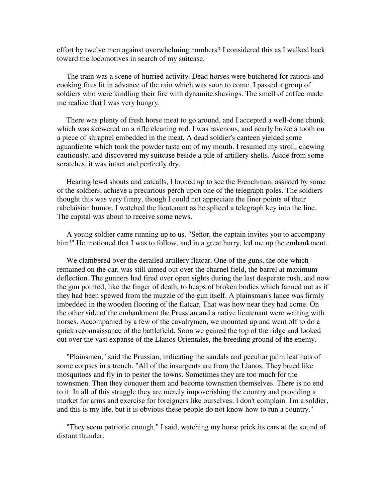effort by twelve men against overwhelming numbers? I considered this as I walked back toward the locomotives in search of my suitcase.

 The train was a scene of hurried activity. Dead horses were butchered for rations and cooking fires lit in advance of the rain which was soon to come. I passed a group of soldiers who were kindling their fire with dynamite shavings. The smell of coffee made me realize that I was very hungry.

 There was plenty of fresh horse meat to go around, and I accepted a well-done chunk which was skewered on a rifle cleaning rod. I was ravenous, and nearly broke a tooth on a piece of shrapnel embedded in the meat. A dead soldier's canteen yielded some aguardiente which took the powder taste out of my mouth. I resumed my stroll, chewing cautiously, and discovered my suitcase beside a pile of artillery shells. Aside from some scratches, it was intact and perfectly dry.

 Hearing lewd shouts and catcalls, I looked up to see the Frenchman, assisted by some of the soldiers, achieve a precarious perch upon one of the telegraph poles. The soldiers thought this was very funny, though I could not appreciate the finer points of their rabelaisian humor. I watched the lieutenant as he spliced a telegraph key into the line. The capital was about to receive some news.

 A young soldier came running up to us. "Señor, the captain invites you to accompany him!" He motioned that I was to follow, and in a great hurry, led me up the embankment.

 We clambered over the derailed artillery flatcar. One of the guns, the one which remained on the car, was still aimed out over the charnel field, the barrel at maximum deflection. The gunners had fired over open sights during the last desperate rush, and now the gun pointed, like the finger of death, to heaps of broken bodies which fanned out as if they had been spewed from the muzzle of the gun itself. A plainsman's lance was firmly imbedded in the wooden flooring of the flatcar. That was how near they had come. On the other side of the embankment the Prussian and a native lieutenant were waiting with horses. Accompanied by a few of the cavalrymen, we mounted up and went off to do a quick reconnaissance of the battlefield. Soon we gained the top of the ridge and looked out over the vast expanse of the Llanos Orientales, the breeding ground of the enemy.

 "Plainsmen," said the Prussian, indicating the sandals and peculiar palm leaf hats of some corpses in a trench. "All of the insurgents are from the Llanos. They breed like mosquitoes and fly in to pester the towns. Sometimes they are too much for the townsmen. Then they conquer them and become townsmen themselves. There is no end to it. In all of this struggle they are merely impoverishing the country and providing a market for arms and exercise for foreigners like ourselves. I don't complain. I'm a soldier, and this is my life, but it is obvious these people do not know how to run a country."

 "They seem patriotic enough," I said, watching my horse prick its ears at the sound of distant thunder.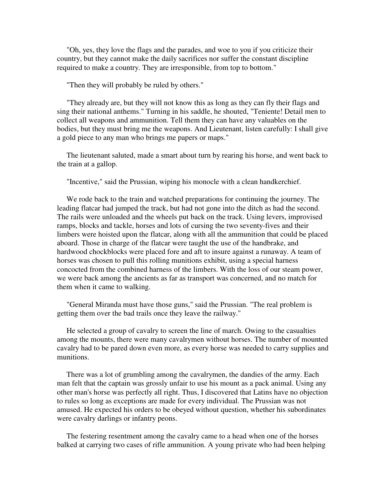"Oh, yes, they love the flags and the parades, and woe to you if you criticize their country, but they cannot make the daily sacrifices nor suffer the constant discipline required to make a country. They are irresponsible, from top to bottom."

"Then they will probably be ruled by others."

 "They already are, but they will not know this as long as they can fly their flags and sing their national anthems." Turning in his saddle, he shouted, "Teniente! Detail men to collect all weapons and ammunition. Tell them they can have any valuables on the bodies, but they must bring me the weapons. And Lieutenant, listen carefully: I shall give a gold piece to any man who brings me papers or maps."

 The lieutenant saluted, made a smart about turn by rearing his horse, and went back to the train at a gallop.

"Incentive," said the Prussian, wiping his monocle with a clean handkerchief.

 We rode back to the train and watched preparations for continuing the journey. The leading flatcar had jumped the track, but had not gone into the ditch as had the second. The rails were unloaded and the wheels put back on the track. Using levers, improvised ramps, blocks and tackle, horses and lots of cursing the two seventy-fives and their limbers were hoisted upon the flatcar, along with all the ammunition that could be placed aboard. Those in charge of the flatcar were taught the use of the handbrake, and hardwood chockblocks were placed fore and aft to insure against a runaway. A team of horses was chosen to pull this rolling munitions exhibit, using a special harness concocted from the combined harness of the limbers. With the loss of our steam power, we were back among the ancients as far as transport was concerned, and no match for them when it came to walking.

 "General Miranda must have those guns," said the Prussian. "The real problem is getting them over the bad trails once they leave the railway."

 He selected a group of cavalry to screen the line of march. Owing to the casualties among the mounts, there were many cavalrymen without horses. The number of mounted cavalry had to be pared down even more, as every horse was needed to carry supplies and munitions.

 There was a lot of grumbling among the cavalrymen, the dandies of the army. Each man felt that the captain was grossly unfair to use his mount as a pack animal. Using any other man's horse was perfectly all right. Thus, I discovered that Latins have no objection to rules so long as exceptions are made for every individual. The Prussian was not amused. He expected his orders to be obeyed without question, whether his subordinates were cavalry darlings or infantry peons.

 The festering resentment among the cavalry came to a head when one of the horses balked at carrying two cases of rifle ammunition. A young private who had been helping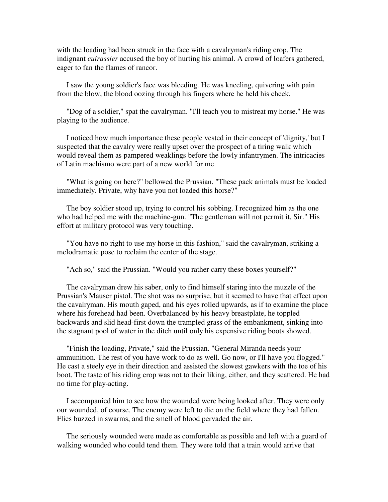with the loading had been struck in the face with a cavalryman's riding crop. The indignant *cuirassier* accused the boy of hurting his animal. A crowd of loafers gathered, eager to fan the flames of rancor.

 I saw the young soldier's face was bleeding. He was kneeling, quivering with pain from the blow, the blood oozing through his fingers where he held his cheek.

 "Dog of a soldier," spat the cavalryman. "I'll teach you to mistreat my horse." He was playing to the audience.

 I noticed how much importance these people vested in their concept of 'dignity,' but I suspected that the cavalry were really upset over the prospect of a tiring walk which would reveal them as pampered weaklings before the lowly infantrymen. The intricacies of Latin machismo were part of a new world for me.

 "What is going on here?" bellowed the Prussian. "These pack animals must be loaded immediately. Private, why have you not loaded this horse?"

 The boy soldier stood up, trying to control his sobbing. I recognized him as the one who had helped me with the machine-gun. "The gentleman will not permit it, Sir." His effort at military protocol was very touching.

 "You have no right to use my horse in this fashion," said the cavalryman, striking a melodramatic pose to reclaim the center of the stage.

"Ach so," said the Prussian. "Would you rather carry these boxes yourself?"

 The cavalryman drew his saber, only to find himself staring into the muzzle of the Prussian's Mauser pistol. The shot was no surprise, but it seemed to have that effect upon the cavalryman. His mouth gaped, and his eyes rolled upwards, as if to examine the place where his forehead had been. Overbalanced by his heavy breastplate, he toppled backwards and slid head-first down the trampled grass of the embankment, sinking into the stagnant pool of water in the ditch until only his expensive riding boots showed.

 "Finish the loading, Private," said the Prussian. "General Miranda needs your ammunition. The rest of you have work to do as well. Go now, or I'll have you flogged." He cast a steely eye in their direction and assisted the slowest gawkers with the toe of his boot. The taste of his riding crop was not to their liking, either, and they scattered. He had no time for play-acting.

 I accompanied him to see how the wounded were being looked after. They were only our wounded, of course. The enemy were left to die on the field where they had fallen. Flies buzzed in swarms, and the smell of blood pervaded the air.

 The seriously wounded were made as comfortable as possible and left with a guard of walking wounded who could tend them. They were told that a train would arrive that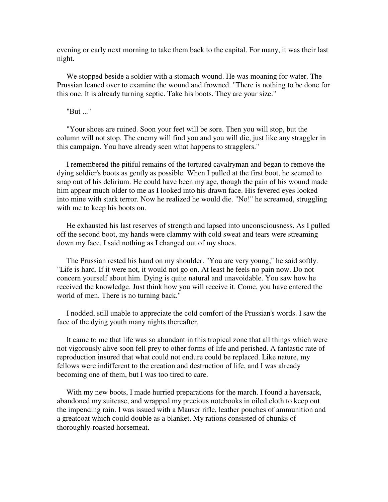evening or early next morning to take them back to the capital. For many, it was their last night.

 We stopped beside a soldier with a stomach wound. He was moaning for water. The Prussian leaned over to examine the wound and frowned. "There is nothing to be done for this one. It is already turning septic. Take his boots. They are your size."

"But ..."

 "Your shoes are ruined. Soon your feet will be sore. Then you will stop, but the column will not stop. The enemy will find you and you will die, just like any straggler in this campaign. You have already seen what happens to stragglers."

 I remembered the pitiful remains of the tortured cavalryman and began to remove the dying soldier's boots as gently as possible. When I pulled at the first boot, he seemed to snap out of his delirium. He could have been my age, though the pain of his wound made him appear much older to me as I looked into his drawn face. His fevered eyes looked into mine with stark terror. Now he realized he would die. "No!" he screamed, struggling with me to keep his boots on.

 He exhausted his last reserves of strength and lapsed into unconsciousness. As I pulled off the second boot, my hands were clammy with cold sweat and tears were streaming down my face. I said nothing as I changed out of my shoes.

 The Prussian rested his hand on my shoulder. "You are very young," he said softly. "Life is hard. If it were not, it would not go on. At least he feels no pain now. Do not concern yourself about him. Dying is quite natural and unavoidable. You saw how he received the knowledge. Just think how you will receive it. Come, you have entered the world of men. There is no turning back."

 I nodded, still unable to appreciate the cold comfort of the Prussian's words. I saw the face of the dying youth many nights thereafter.

 It came to me that life was so abundant in this tropical zone that all things which were not vigorously alive soon fell prey to other forms of life and perished. A fantastic rate of reproduction insured that what could not endure could be replaced. Like nature, my fellows were indifferent to the creation and destruction of life, and I was already becoming one of them, but I was too tired to care.

With my new boots, I made hurried preparations for the march. I found a haversack, abandoned my suitcase, and wrapped my precious notebooks in oiled cloth to keep out the impending rain. I was issued with a Mauser rifle, leather pouches of ammunition and a greatcoat which could double as a blanket. My rations consisted of chunks of thoroughly-roasted horsemeat.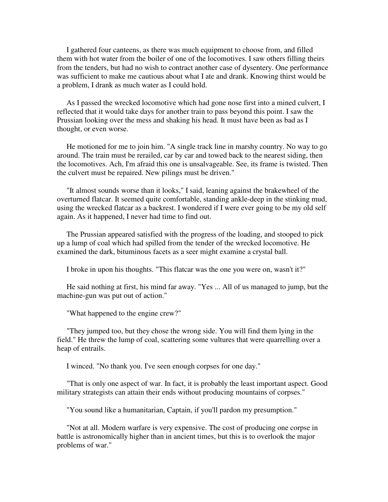I gathered four canteens, as there was much equipment to choose from, and filled them with hot water from the boiler of one of the locomotives. I saw others filling theirs from the tenders, but had no wish to contract another case of dysentery. One performance was sufficient to make me cautious about what I ate and drank. Knowing thirst would be a problem, I drank as much water as I could hold.

 As I passed the wrecked locomotive which had gone nose first into a mined culvert, I reflected that it would take days for another train to pass beyond this point. I saw the Prussian looking over the mess and shaking his head. It must have been as bad as I thought, or even worse.

 He motioned for me to join him. "A single track line in marshy country. No way to go around. The train must be rerailed, car by car and towed back to the nearest siding, then the locomotives. Ach, I'm afraid this one is unsalvageable. See, its frame is twisted. Then the culvert must be repaired. New pilings must be driven."

 "It almost sounds worse than it looks," I said, leaning against the brakewheel of the overturned flatcar. It seemed quite comfortable, standing ankle-deep in the stinking mud, using the wrecked flatcar as a backrest. I wondered if I were ever going to be my old self again. As it happened, I never had time to find out.

 The Prussian appeared satisfied with the progress of the loading, and stooped to pick up a lump of coal which had spilled from the tender of the wrecked locomotive. He examined the dark, bituminous facets as a seer might examine a crystal ball.

I broke in upon his thoughts. "This flatcar was the one you were on, wasn't it?"

 He said nothing at first, his mind far away. "Yes ... All of us managed to jump, but the machine-gun was put out of action."

"What happened to the engine crew?"

 "They jumped too, but they chose the wrong side. You will find them lying in the field." He threw the lump of coal, scattering some vultures that were quarrelling over a heap of entrails.

I winced. "No thank you. I've seen enough corpses for one day."

 "That is only one aspect of war. In fact, it is probably the least important aspect. Good military strategists can attain their ends without producing mountains of corpses."

"You sound like a humanitarian, Captain, if you'll pardon my presumption."

 "Not at all. Modern warfare is very expensive. The cost of producing one corpse in battle is astronomically higher than in ancient times, but this is to overlook the major problems of war."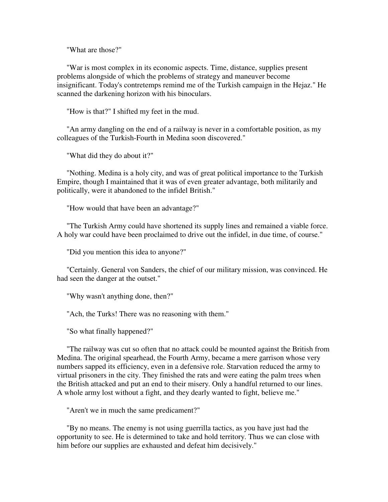"What are those?"

 "War is most complex in its economic aspects. Time, distance, supplies present problems alongside of which the problems of strategy and maneuver become insignificant. Today's contretemps remind me of the Turkish campaign in the Hejaz." He scanned the darkening horizon with his binoculars.

"How is that?" I shifted my feet in the mud.

 "An army dangling on the end of a railway is never in a comfortable position, as my colleagues of the Turkish-Fourth in Medina soon discovered."

"What did they do about it?"

 "Nothing. Medina is a holy city, and was of great political importance to the Turkish Empire, though I maintained that it was of even greater advantage, both militarily and politically, were it abandoned to the infidel British."

"How would that have been an advantage?"

 "The Turkish Army could have shortened its supply lines and remained a viable force. A holy war could have been proclaimed to drive out the infidel, in due time, of course."

"Did you mention this idea to anyone?"

 "Certainly. General von Sanders, the chief of our military mission, was convinced. He had seen the danger at the outset."

"Why wasn't anything done, then?"

"Ach, the Turks! There was no reasoning with them."

"So what finally happened?"

 "The railway was cut so often that no attack could be mounted against the British from Medina. The original spearhead, the Fourth Army, became a mere garrison whose very numbers sapped its efficiency, even in a defensive role. Starvation reduced the army to virtual prisoners in the city. They finished the rats and were eating the palm trees when the British attacked and put an end to their misery. Only a handful returned to our lines. A whole army lost without a fight, and they dearly wanted to fight, believe me."

"Aren't we in much the same predicament?"

 "By no means. The enemy is not using guerrilla tactics, as you have just had the opportunity to see. He is determined to take and hold territory. Thus we can close with him before our supplies are exhausted and defeat him decisively."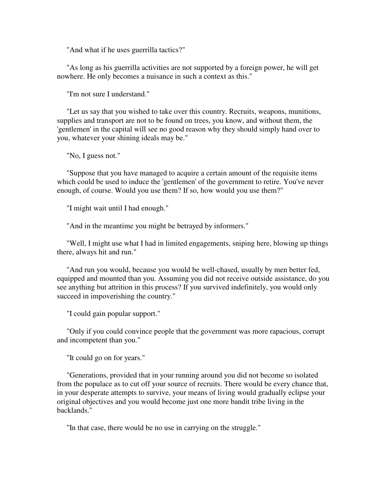"And what if he uses guerrilla tactics?"

 "As long as his guerrilla activities are not supported by a foreign power, he will get nowhere. He only becomes a nuisance in such a context as this."

"I'm not sure I understand."

 "Let us say that you wished to take over this country. Recruits, weapons, munitions, supplies and transport are not to be found on trees, you know, and without them, the 'gentlemen' in the capital will see no good reason why they should simply hand over to you, whatever your shining ideals may be."

"No, I guess not."

 "Suppose that you have managed to acquire a certain amount of the requisite items which could be used to induce the 'gentlemen' of the government to retire. You've never enough, of course. Would you use them? If so, how would you use them?"

"I might wait until I had enough."

"And in the meantime you might be betrayed by informers."

 "Well, I might use what I had in limited engagements, sniping here, blowing up things there, always hit and run."

 "And run you would, because you would be well-chased, usually by men better fed, equipped and mounted than you. Assuming you did not receive outside assistance, do you see anything but attrition in this process? If you survived indefinitely, you would only succeed in impoverishing the country."

"I could gain popular support."

 "Only if you could convince people that the government was more rapacious, corrupt and incompetent than you."

"It could go on for years."

 "Generations, provided that in your running around you did not become so isolated from the populace as to cut off your source of recruits. There would be every chance that, in your desperate attempts to survive, your means of living would gradually eclipse your original objectives and you would become just one more bandit tribe living in the backlands."

"In that case, there would be no use in carrying on the struggle."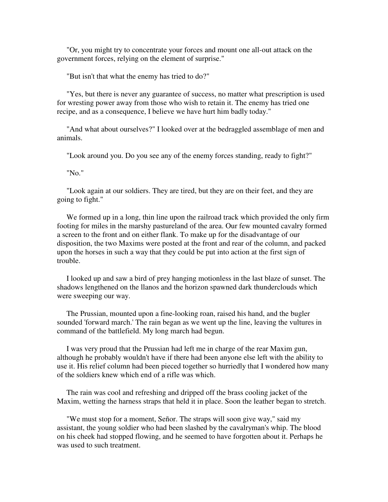"Or, you might try to concentrate your forces and mount one all-out attack on the government forces, relying on the element of surprise."

"But isn't that what the enemy has tried to do?"

 "Yes, but there is never any guarantee of success, no matter what prescription is used for wresting power away from those who wish to retain it. The enemy has tried one recipe, and as a consequence, I believe we have hurt him badly today."

 "And what about ourselves?" I looked over at the bedraggled assemblage of men and animals.

"Look around you. Do you see any of the enemy forces standing, ready to fight?"

"No."

 "Look again at our soldiers. They are tired, but they are on their feet, and they are going to fight."

 We formed up in a long, thin line upon the railroad track which provided the only firm footing for miles in the marshy pastureland of the area. Our few mounted cavalry formed a screen to the front and on either flank. To make up for the disadvantage of our disposition, the two Maxims were posted at the front and rear of the column, and packed upon the horses in such a way that they could be put into action at the first sign of trouble.

 I looked up and saw a bird of prey hanging motionless in the last blaze of sunset. The shadows lengthened on the llanos and the horizon spawned dark thunderclouds which were sweeping our way.

 The Prussian, mounted upon a fine-looking roan, raised his hand, and the bugler sounded 'forward march.' The rain began as we went up the line, leaving the vultures in command of the battlefield. My long march had begun.

 I was very proud that the Prussian had left me in charge of the rear Maxim gun, although he probably wouldn't have if there had been anyone else left with the ability to use it. His relief column had been pieced together so hurriedly that I wondered how many of the soldiers knew which end of a rifle was which.

 The rain was cool and refreshing and dripped off the brass cooling jacket of the Maxim, wetting the harness straps that held it in place. Soon the leather began to stretch.

 "We must stop for a moment, Señor. The straps will soon give way," said my assistant, the young soldier who had been slashed by the cavalryman's whip. The blood on his cheek had stopped flowing, and he seemed to have forgotten about it. Perhaps he was used to such treatment.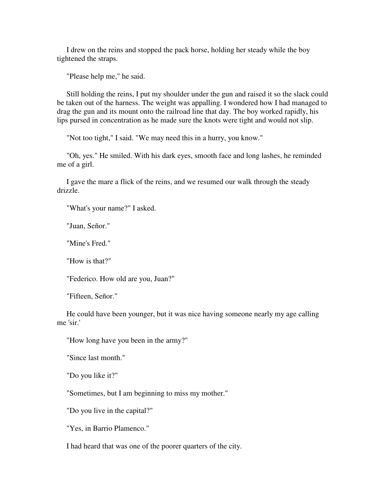I drew on the reins and stopped the pack horse, holding her steady while the boy tightened the straps.

"Please help me," he said.

 Still holding the reins, I put my shoulder under the gun and raised it so the slack could be taken out of the harness. The weight was appalling. I wondered how I had managed to drag the gun and its mount onto the railroad line that day. The boy worked rapidly, his lips pursed in concentration as he made sure the knots were tight and would not slip.

"Not too tight," I said. "We may need this in a hurry, you know."

 "Oh, yes." He smiled. With his dark eyes, smooth face and long lashes, he reminded me of a girl.

 I gave the mare a flick of the reins, and we resumed our walk through the steady drizzle.

"What's your name?" I asked.

"Juan, Señor."

"Mine's Fred."

"How is that?"

"Federico. How old are you, Juan?"

"Fifteen, Señor."

 He could have been younger, but it was nice having someone nearly my age calling me 'sir.'

"How long have you been in the army?"

"Since last month."

"Do you like it?"

"Sometimes, but I am beginning to miss my mother."

"Do you live in the capital?"

"Yes, in Barrio Plamenco."

I had heard that was one of the poorer quarters of the city.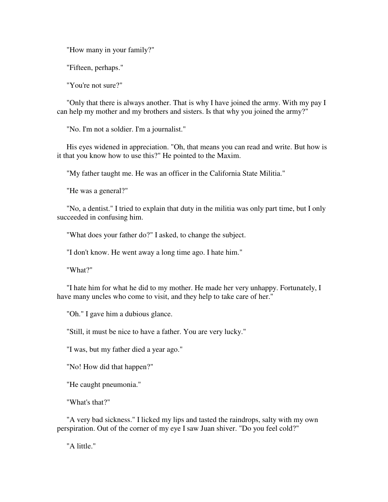"How many in your family?"

"Fifteen, perhaps."

"You're not sure?"

 "Only that there is always another. That is why I have joined the army. With my pay I can help my mother and my brothers and sisters. Is that why you joined the army?"

"No. I'm not a soldier. I'm a journalist."

 His eyes widened in appreciation. "Oh, that means you can read and write. But how is it that you know how to use this?" He pointed to the Maxim.

"My father taught me. He was an officer in the California State Militia."

"He was a general?"

 "No, a dentist." I tried to explain that duty in the militia was only part time, but I only succeeded in confusing him.

"What does your father do?" I asked, to change the subject.

"I don't know. He went away a long time ago. I hate him."

"What?"

 "I hate him for what he did to my mother. He made her very unhappy. Fortunately, I have many uncles who come to visit, and they help to take care of her."

"Oh." I gave him a dubious glance.

"Still, it must be nice to have a father. You are very lucky."

"I was, but my father died a year ago."

"No! How did that happen?"

"He caught pneumonia."

"What's that?"

 "A very bad sickness." I licked my lips and tasted the raindrops, salty with my own perspiration. Out of the corner of my eye I saw Juan shiver. "Do you feel cold?"

"A little."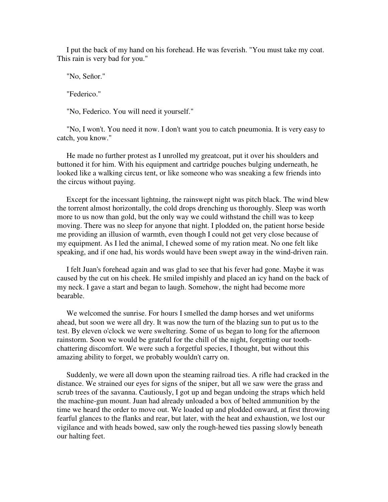I put the back of my hand on his forehead. He was feverish. "You must take my coat. This rain is very bad for you."

"No, Señor."

"Federico."

"No, Federico. You will need it yourself."

 "No, I won't. You need it now. I don't want you to catch pneumonia. It is very easy to catch, you know."

 He made no further protest as I unrolled my greatcoat, put it over his shoulders and buttoned it for him. With his equipment and cartridge pouches bulging underneath, he looked like a walking circus tent, or like someone who was sneaking a few friends into the circus without paying.

 Except for the incessant lightning, the rainswept night was pitch black. The wind blew the torrent almost horizontally, the cold drops drenching us thoroughly. Sleep was worth more to us now than gold, but the only way we could withstand the chill was to keep moving. There was no sleep for anyone that night. I plodded on, the patient horse beside me providing an illusion of warmth, even though I could not get very close because of my equipment. As I led the animal, I chewed some of my ration meat. No one felt like speaking, and if one had, his words would have been swept away in the wind-driven rain.

 I felt Juan's forehead again and was glad to see that his fever had gone. Maybe it was caused by the cut on his cheek. He smiled impishly and placed an icy hand on the back of my neck. I gave a start and began to laugh. Somehow, the night had become more bearable.

 We welcomed the sunrise. For hours I smelled the damp horses and wet uniforms ahead, but soon we were all dry. It was now the turn of the blazing sun to put us to the test. By eleven o'clock we were sweltering. Some of us began to long for the afternoon rainstorm. Soon we would be grateful for the chill of the night, forgetting our toothchattering discomfort. We were such a forgetful species, I thought, but without this amazing ability to forget, we probably wouldn't carry on.

 Suddenly, we were all down upon the steaming railroad ties. A rifle had cracked in the distance. We strained our eyes for signs of the sniper, but all we saw were the grass and scrub trees of the savanna. Cautiously, I got up and began undoing the straps which held the machine-gun mount. Juan had already unloaded a box of belted ammunition by the time we heard the order to move out. We loaded up and plodded onward, at first throwing fearful glances to the flanks and rear, but later, with the heat and exhaustion, we lost our vigilance and with heads bowed, saw only the rough-hewed ties passing slowly beneath our halting feet.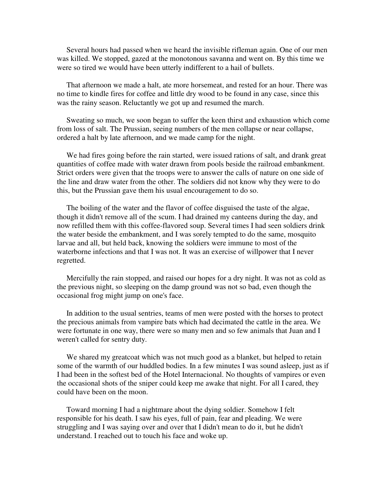Several hours had passed when we heard the invisible rifleman again. One of our men was killed. We stopped, gazed at the monotonous savanna and went on. By this time we were so tired we would have been utterly indifferent to a hail of bullets.

 That afternoon we made a halt, ate more horsemeat, and rested for an hour. There was no time to kindle fires for coffee and little dry wood to be found in any case, since this was the rainy season. Reluctantly we got up and resumed the march.

 Sweating so much, we soon began to suffer the keen thirst and exhaustion which come from loss of salt. The Prussian, seeing numbers of the men collapse or near collapse, ordered a halt by late afternoon, and we made camp for the night.

 We had fires going before the rain started, were issued rations of salt, and drank great quantities of coffee made with water drawn from pools beside the railroad embankment. Strict orders were given that the troops were to answer the calls of nature on one side of the line and draw water from the other. The soldiers did not know why they were to do this, but the Prussian gave them his usual encouragement to do so.

 The boiling of the water and the flavor of coffee disguised the taste of the algae, though it didn't remove all of the scum. I had drained my canteens during the day, and now refilled them with this coffee-flavored soup. Several times I had seen soldiers drink the water beside the embankment, and I was sorely tempted to do the same, mosquito larvae and all, but held back, knowing the soldiers were immune to most of the waterborne infections and that I was not. It was an exercise of willpower that I never regretted.

 Mercifully the rain stopped, and raised our hopes for a dry night. It was not as cold as the previous night, so sleeping on the damp ground was not so bad, even though the occasional frog might jump on one's face.

 In addition to the usual sentries, teams of men were posted with the horses to protect the precious animals from vampire bats which had decimated the cattle in the area. We were fortunate in one way, there were so many men and so few animals that Juan and I weren't called for sentry duty.

 We shared my greatcoat which was not much good as a blanket, but helped to retain some of the warmth of our huddled bodies. In a few minutes I was sound asleep, just as if I had been in the softest bed of the Hotel Internacional. No thoughts of vampires or even the occasional shots of the sniper could keep me awake that night. For all I cared, they could have been on the moon.

 Toward morning I had a nightmare about the dying soldier. Somehow I felt responsible for his death. I saw his eyes, full of pain, fear and pleading. We were struggling and I was saying over and over that I didn't mean to do it, but he didn't understand. I reached out to touch his face and woke up.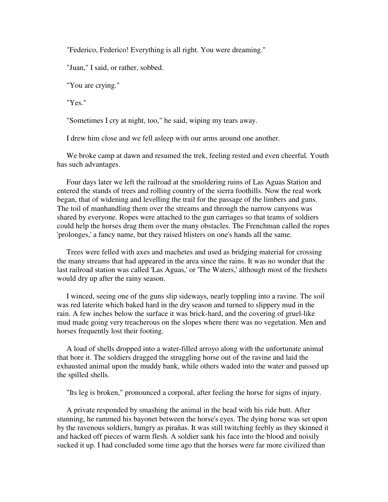"Federico, Federico! Everything is all right. You were dreaming."

"Juan," I said, or rather, sobbed.

"You are crying."

"Yes."

"Sometimes I cry at night, too," he said, wiping my tears away.

I drew him close and we fell asleep with our arms around one another.

 We broke camp at dawn and resumed the trek, feeling rested and even cheerful. Youth has such advantages.

 Four days later we left the railroad at the smoldering ruins of Las Aguas Station and entered the stands of trees and rolling country of the sierra foothills. Now the real work began, that of widening and levelling the trail for the passage of the limbers and guns. The toil of manhandling them over the streams and through the narrow canyons was shared by everyone. Ropes were attached to the gun carriages so that teams of soldiers could help the horses drag them over the many obstacles. The Frenchman called the ropes 'prolonges,' a fancy name, but they raised blisters on one's hands all the same.

 Trees were felled with axes and machetes and used as bridging material for crossing the many streams that had appeared in the area since the rains. It was no wonder that the last railroad station was called 'Las Aguas,' or 'The Waters,' although most of the freshets would dry up after the rainy season.

 I winced, seeing one of the guns slip sideways, nearly toppling into a ravine. The soil was red laterite which baked hard in the dry season and turned to slippery mud in the rain. A few inches below the surface it was brick-hard, and the covering of gruel-like mud made going very treacherous on the slopes where there was no vegetation. Men and horses frequently lost their footing.

 A load of shells dropped into a water-filled arroyo along with the unfortunate animal that bore it. The soldiers dragged the struggling horse out of the ravine and laid the exhausted animal upon the muddy bank, while others waded into the water and passed up the spilled shells.

"Its leg is broken," pronounced a corporal, after feeling the horse for signs of injury.

 A private responded by smashing the animal in the head with his ride butt. After stunning, he rammed his bayonet between the horse's eyes. The dying horse was set upon by the ravenous soldiers, hungry as pirañas. It was still twitching feebly as they skinned it and hacked off pieces of warm flesh. A soldier sank his face into the blood and noisily sucked it up. I had concluded some time ago that the horses were far more civilized than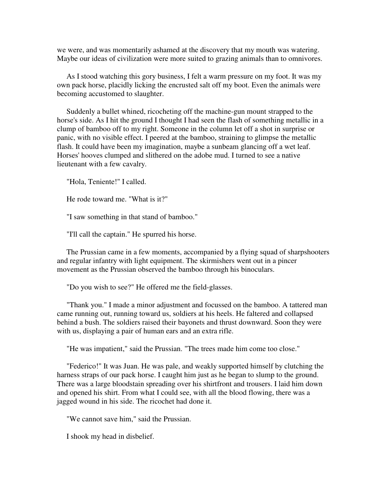we were, and was momentarily ashamed at the discovery that my mouth was watering. Maybe our ideas of civilization were more suited to grazing animals than to omnivores.

 As I stood watching this gory business, I felt a warm pressure on my foot. It was my own pack horse, placidly licking the encrusted salt off my boot. Even the animals were becoming accustomed to slaughter.

 Suddenly a bullet whined, ricocheting off the machine-gun mount strapped to the horse's side. As I hit the ground I thought I had seen the flash of something metallic in a clump of bamboo off to my right. Someone in the column let off a shot in surprise or panic, with no visible effect. I peered at the bamboo, straining to glimpse the metallic flash. It could have been my imagination, maybe a sunbeam glancing off a wet leaf. Horses' hooves clumped and slithered on the adobe mud. I turned to see a native lieutenant with a few cavalry.

"Hola, Teniente!" I called.

He rode toward me. "What is it?"

"I saw something in that stand of bamboo."

"I'll call the captain." He spurred his horse.

 The Prussian came in a few moments, accompanied by a flying squad of sharpshooters and regular infantry with light equipment. The skirmishers went out in a pincer movement as the Prussian observed the bamboo through his binoculars.

"Do you wish to see?" He offered me the field-glasses.

 "Thank you." I made a minor adjustment and focussed on the bamboo. A tattered man came running out, running toward us, soldiers at his heels. He faltered and collapsed behind a bush. The soldiers raised their bayonets and thrust downward. Soon they were with us, displaying a pair of human ears and an extra rifle.

"He was impatient," said the Prussian. "The trees made him come too close."

 "Federico!" It was Juan. He was pale, and weakly supported himself by clutching the harness straps of our pack horse. I caught him just as he began to slump to the ground. There was a large bloodstain spreading over his shirtfront and trousers. I laid him down and opened his shirt. From what I could see, with all the blood flowing, there was a jagged wound in his side. The ricochet had done it.

"We cannot save him," said the Prussian.

I shook my head in disbelief.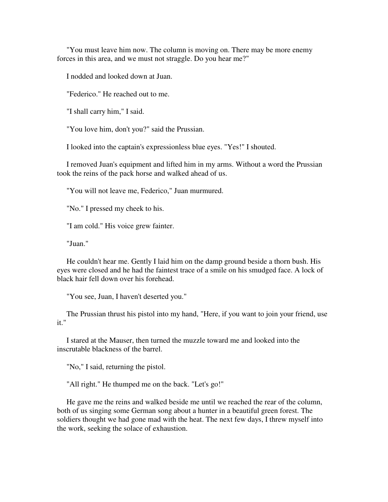"You must leave him now. The column is moving on. There may be more enemy forces in this area, and we must not straggle. Do you hear me?"

I nodded and looked down at Juan.

"Federico." He reached out to me.

"I shall carry him," I said.

"You love him, don't you?" said the Prussian.

I looked into the captain's expressionless blue eyes. "Yes!" I shouted.

 I removed Juan's equipment and lifted him in my arms. Without a word the Prussian took the reins of the pack horse and walked ahead of us.

"You will not leave me, Federico," Juan murmured.

"No." I pressed my cheek to his.

"I am cold." His voice grew fainter.

"Juan."

 He couldn't hear me. Gently I laid him on the damp ground beside a thorn bush. His eyes were closed and he had the faintest trace of a smile on his smudged face. A lock of black hair fell down over his forehead.

"You see, Juan, I haven't deserted you."

 The Prussian thrust his pistol into my hand, "Here, if you want to join your friend, use it."

 I stared at the Mauser, then turned the muzzle toward me and looked into the inscrutable blackness of the barrel.

"No," I said, returning the pistol.

"All right." He thumped me on the back. "Let's go!"

 He gave me the reins and walked beside me until we reached the rear of the column, both of us singing some German song about a hunter in a beautiful green forest. The soldiers thought we had gone mad with the heat. The next few days, I threw myself into the work, seeking the solace of exhaustion.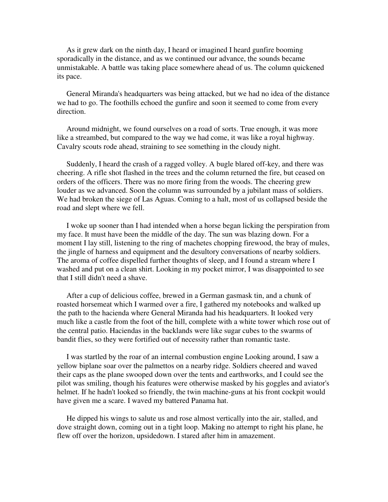As it grew dark on the ninth day, I heard or imagined I heard gunfire booming sporadically in the distance, and as we continued our advance, the sounds became unmistakable. A battle was taking place somewhere ahead of us. The column quickened its pace.

 General Miranda's headquarters was being attacked, but we had no idea of the distance we had to go. The foothills echoed the gunfire and soon it seemed to come from every direction.

 Around midnight, we found ourselves on a road of sorts. True enough, it was more like a streambed, but compared to the way we had come, it was like a royal highway. Cavalry scouts rode ahead, straining to see something in the cloudy night.

 Suddenly, I heard the crash of a ragged volley. A bugle blared off-key, and there was cheering. A rifle shot flashed in the trees and the column returned the fire, but ceased on orders of the officers. There was no more firing from the woods. The cheering grew louder as we advanced. Soon the column was surrounded by a jubilant mass of soldiers. We had broken the siege of Las Aguas. Coming to a halt, most of us collapsed beside the road and slept where we fell.

 I woke up sooner than I had intended when a horse began licking the perspiration from my face. It must have been the middle of the day. The sun was blazing down. For a moment I lay still, listening to the ring of machetes chopping firewood, the bray of mules, the jingle of harness and equipment and the desultory conversations of nearby soldiers. The aroma of coffee dispelled further thoughts of sleep, and I found a stream where I washed and put on a clean shirt. Looking in my pocket mirror, I was disappointed to see that I still didn't need a shave.

 After a cup of delicious coffee, brewed in a German gasmask tin, and a chunk of roasted horsemeat which I warmed over a fire, I gathered my notebooks and walked up the path to the hacienda where General Miranda had his headquarters. It looked very much like a castle from the foot of the hill, complete with a white tower which rose out of the central patio. Haciendas in the backlands were like sugar cubes to the swarms of bandit flies, so they were fortified out of necessity rather than romantic taste.

 I was startled by the roar of an internal combustion engine Looking around, I saw a yellow biplane soar over the palmettos on a nearby ridge. Soldiers cheered and waved their caps as the plane swooped down over the tents and earthworks, and I could see the pilot was smiling, though his features were otherwise masked by his goggles and aviator's helmet. If he hadn't looked so friendly, the twin machine-guns at his front cockpit would have given me a scare. I waved my battered Panama hat.

 He dipped his wings to salute us and rose almost vertically into the air, stalled, and dove straight down, coming out in a tight loop. Making no attempt to right his plane, he flew off over the horizon, upsidedown. I stared after him in amazement.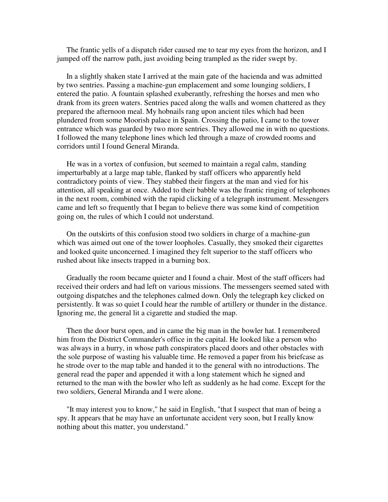The frantic yells of a dispatch rider caused me to tear my eyes from the horizon, and I jumped off the narrow path, just avoiding being trampled as the rider swept by.

 In a slightly shaken state I arrived at the main gate of the hacienda and was admitted by two sentries. Passing a machine-gun emplacement and some lounging soldiers, I entered the patio. A fountain splashed exuberantly, refreshing the horses and men who drank from its green waters. Sentries paced along the walls and women chattered as they prepared the afternoon meal. My hobnails rang upon ancient tiles which had been plundered from some Moorish palace in Spain. Crossing the patio, I came to the tower entrance which was guarded by two more sentries. They allowed me in with no questions. I followed the many telephone lines which led through a maze of crowded rooms and corridors until I found General Miranda.

 He was in a vortex of confusion, but seemed to maintain a regal calm, standing imperturbably at a large map table, flanked by staff officers who apparently held contradictory points of view. They stabbed their fingers at the man and vied for his attention, all speaking at once. Added to their babble was the frantic ringing of telephones in the next room, combined with the rapid clicking of a telegraph instrument. Messengers came and left so frequently that I began to believe there was some kind of competition going on, the rules of which I could not understand.

 On the outskirts of this confusion stood two soldiers in charge of a machine-gun which was aimed out one of the tower loopholes. Casually, they smoked their cigarettes and looked quite unconcerned. I imagined they felt superior to the staff officers who rushed about like insects trapped in a burning box.

 Gradually the room became quieter and I found a chair. Most of the staff officers had received their orders and had left on various missions. The messengers seemed sated with outgoing dispatches and the telephones calmed down. Only the telegraph key clicked on persistently. It was so quiet I could hear the rumble of artillery or thunder in the distance. Ignoring me, the general lit a cigarette and studied the map.

 Then the door burst open, and in came the big man in the bowler hat. I remembered him from the District Commander's office in the capital. He looked like a person who was always in a hurry, in whose path conspirators placed doors and other obstacles with the sole purpose of wasting his valuable time. He removed a paper from his briefcase as he strode over to the map table and handed it to the general with no introductions. The general read the paper and appended it with a long statement which he signed and returned to the man with the bowler who left as suddenly as he had come. Except for the two soldiers, General Miranda and I were alone.

 "It may interest you to know," he said in English, "that I suspect that man of being a spy. It appears that he may have an unfortunate accident very soon, but I really know nothing about this matter, you understand."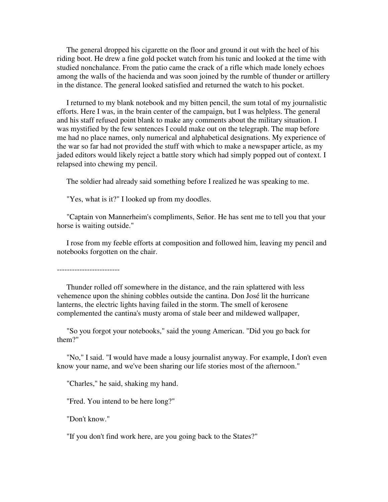The general dropped his cigarette on the floor and ground it out with the heel of his riding boot. He drew a fine gold pocket watch from his tunic and looked at the time with studied nonchalance. From the patio came the crack of a rifle which made lonely echoes among the walls of the hacienda and was soon joined by the rumble of thunder or artillery in the distance. The general looked satisfied and returned the watch to his pocket.

 I returned to my blank notebook and my bitten pencil, the sum total of my journalistic efforts. Here I was, in the brain center of the campaign, but I was helpless. The general and his staff refused point blank to make any comments about the military situation. I was mystified by the few sentences I could make out on the telegraph. The map before me had no place names, only numerical and alphabetical designations. My experience of the war so far had not provided the stuff with which to make a newspaper article, as my jaded editors would likely reject a battle story which had simply popped out of context. I relapsed into chewing my pencil.

The soldier had already said something before I realized he was speaking to me.

"Yes, what is it?" I looked up from my doodles.

 "Captain von Mannerheim's compliments, Señor. He has sent me to tell you that your horse is waiting outside."

 I rose from my feeble efforts at composition and followed him, leaving my pencil and notebooks forgotten on the chair.

-------------------------

 Thunder rolled off somewhere in the distance, and the rain splattered with less vehemence upon the shining cobbles outside the cantina. Don José lit the hurricane lanterns, the electric lights having failed in the storm. The smell of kerosene complemented the cantina's musty aroma of stale beer and mildewed wallpaper,

 "So you forgot your notebooks," said the young American. "Did you go back for them?"

 "No," I said. "I would have made a lousy journalist anyway. For example, I don't even know your name, and we've been sharing our life stories most of the afternoon."

"Charles," he said, shaking my hand.

"Fred. You intend to be here long?"

"Don't know."

"If you don't find work here, are you going back to the States?"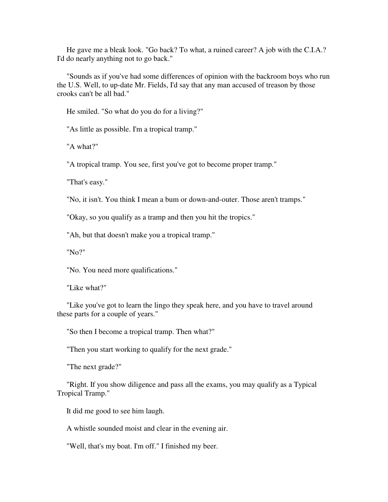He gave me a bleak look. "Go back? To what, a ruined career? A job with the C.I.A.? I'd do nearly anything not to go back."

 "Sounds as if you've had some differences of opinion with the backroom boys who run the U.S. Well, to up-date Mr. Fields, I'd say that any man accused of treason by those crooks can't be all bad."

He smiled. "So what do you do for a living?"

"As little as possible. I'm a tropical tramp."

"A what?"

"A tropical tramp. You see, first you've got to become proper tramp."

"That's easy."

"No, it isn't. You think I mean a bum or down-and-outer. Those aren't tramps."

"Okay, so you qualify as a tramp and then you hit the tropics."

"Ah, but that doesn't make you a tropical tramp."

"No?"

"No. You need more qualifications."

"Like what?"

 "Like you've got to learn the lingo they speak here, and you have to travel around these parts for a couple of years."

"So then I become a tropical tramp. Then what?"

"Then you start working to qualify for the next grade."

"The next grade?"

 "Right. If you show diligence and pass all the exams, you may qualify as a Typical Tropical Tramp."

It did me good to see him laugh.

A whistle sounded moist and clear in the evening air.

"Well, that's my boat. I'm off." I finished my beer.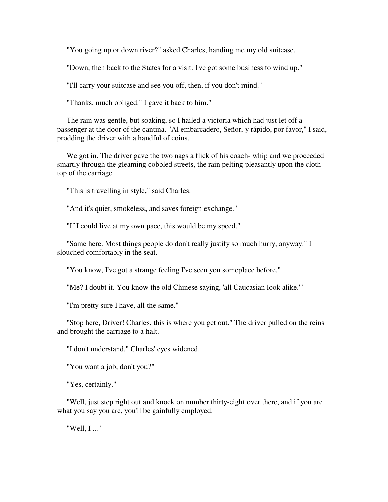"You going up or down river?" asked Charles, handing me my old suitcase.

"Down, then back to the States for a visit. I've got some business to wind up."

"I'll carry your suitcase and see you off, then, if you don't mind."

"Thanks, much obliged." I gave it back to him."

 The rain was gentle, but soaking, so I hailed a victoria which had just let off a passenger at the door of the cantina. "Al embarcadero, Señor, y rápido, por favor," I said, prodding the driver with a handful of coins.

We got in. The driver gave the two nags a flick of his coach- whip and we proceeded smartly through the gleaming cobbled streets, the rain pelting pleasantly upon the cloth top of the carriage.

"This is travelling in style," said Charles.

"And it's quiet, smokeless, and saves foreign exchange."

"If I could live at my own pace, this would be my speed."

 "Same here. Most things people do don't really justify so much hurry, anyway." I slouched comfortably in the seat.

"You know, I've got a strange feeling I've seen you someplace before."

"Me? I doubt it. You know the old Chinese saying, 'all Caucasian look alike.'"

"I'm pretty sure I have, all the same."

 "Stop here, Driver! Charles, this is where you get out." The driver pulled on the reins and brought the carriage to a halt.

"I don't understand." Charles' eyes widened.

"You want a job, don't you?"

"Yes, certainly."

 "Well, just step right out and knock on number thirty-eight over there, and if you are what you say you are, you'll be gainfully employed.

"Well, I ..."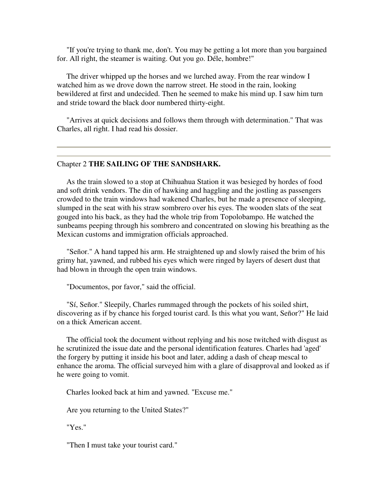"If you're trying to thank me, don't. You may be getting a lot more than you bargained for. All right, the steamer is waiting. Out you go. Déle, hombre!"

The driver whipped up the horses and we lurched away. From the rear window I watched him as we drove down the narrow street. He stood in the rain, looking bewildered at first and undecided. Then he seemed to make his mind up. I saw him turn and stride toward the black door numbered thirty-eight.

 "Arrives at quick decisions and follows them through with determination." That was Charles, all right. I had read his dossier.

## Chapter 2 **THE SAILING OF THE SANDSHARK.**

 As the train slowed to a stop at Chihuahua Station it was besieged by hordes of food and soft drink vendors. The din of hawking and haggling and the jostling as passengers crowded to the train windows had wakened Charles, but he made a presence of sleeping, slumped in the seat with his straw sombrero over his eyes. The wooden slats of the seat gouged into his back, as they had the whole trip from Topolobampo. He watched the sunbeams peeping through his sombrero and concentrated on slowing his breathing as the Mexican customs and immigration officials approached.

 "Señor." A hand tapped his arm. He straightened up and slowly raised the brim of his grimy hat, yawned, and rubbed his eyes which were ringed by layers of desert dust that had blown in through the open train windows.

"Documentos, por favor," said the official.

 "Sí, Señor." Sleepily, Charles rummaged through the pockets of his soiled shirt, discovering as if by chance his forged tourist card. Is this what you want, Señor?" He laid on a thick American accent.

 The official took the document without replying and his nose twitched with disgust as he scrutinized the issue date and the personal identification features. Charles had 'aged' the forgery by putting it inside his boot and later, adding a dash of cheap mescal to enhance the aroma. The official surveyed him with a glare of disapproval and looked as if he were going to vomit.

Charles looked back at him and yawned. "Excuse me."

Are you returning to the United States?"

"Yes."

"Then I must take your tourist card."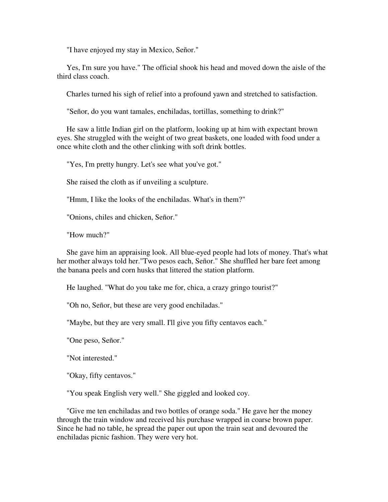"I have enjoyed my stay in Mexico, Señor."

 Yes, I'm sure you have." The official shook his head and moved down the aisle of the third class coach.

Charles turned his sigh of relief into a profound yawn and stretched to satisfaction.

"Señor, do you want tamales, enchiladas, tortillas, something to drink?"

 He saw a little Indian girl on the platform, looking up at him with expectant brown eyes. She struggled with the weight of two great baskets, one loaded with food under a once white cloth and the other clinking with soft drink bottles.

"Yes, I'm pretty hungry. Let's see what you've got."

She raised the cloth as if unveiling a sculpture.

"Hmm, I like the looks of the enchiladas. What's in them?"

"Onions, chiles and chicken, Señor."

"How much?"

 She gave him an appraising look. All blue-eyed people had lots of money. That's what her mother always told her."Two pesos each, Señor." She shuffled her bare feet among the banana peels and corn husks that littered the station platform.

He laughed. "What do you take me for, chica, a crazy gringo tourist?"

"Oh no, Señor, but these are very good enchiladas."

"Maybe, but they are very small. I'll give you fifty centavos each."

"One peso, Señor."

"Not interested."

"Okay, fifty centavos."

"You speak English very well." She giggled and looked coy.

 "Give me ten enchiladas and two bottles of orange soda." He gave her the money through the train window and received his purchase wrapped in coarse brown paper. Since he had no table, he spread the paper out upon the train seat and devoured the enchiladas picnic fashion. They were very hot.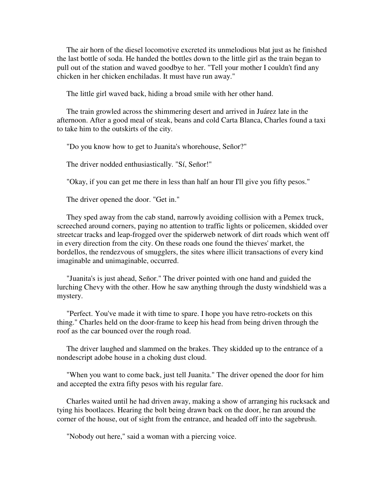The air horn of the diesel locomotive excreted its unmelodious blat just as he finished the last bottle of soda. He handed the bottles down to the little girl as the train began to pull out of the station and waved goodbye to her. "Tell your mother I couldn't find any chicken in her chicken enchiladas. It must have run away."

The little girl waved back, hiding a broad smile with her other hand.

 The train growled across the shimmering desert and arrived in Juárez late in the afternoon. After a good meal of steak, beans and cold Carta Blanca, Charles found a taxi to take him to the outskirts of the city.

"Do you know how to get to Juanita's whorehouse, Señor?"

The driver nodded enthusiastically. "Sí, Señor!"

"Okay, if you can get me there in less than half an hour I'll give you fifty pesos."

The driver opened the door. "Get in."

 They sped away from the cab stand, narrowly avoiding collision with a Pemex truck, screeched around corners, paying no attention to traffic lights or policemen, skidded over streetcar tracks and leap-frogged over the spiderweb network of dirt roads which went off in every direction from the city. On these roads one found the thieves' market, the bordellos, the rendezvous of smugglers, the sites where illicit transactions of every kind imaginable and unimaginable, occurred.

 "Juanita's is just ahead, Señor." The driver pointed with one hand and guided the lurching Chevy with the other. How he saw anything through the dusty windshield was a mystery.

 "Perfect. You've made it with time to spare. I hope you have retro-rockets on this thing." Charles held on the door-frame to keep his head from being driven through the roof as the car bounced over the rough road.

 The driver laughed and slammed on the brakes. They skidded up to the entrance of a nondescript adobe house in a choking dust cloud.

 "When you want to come back, just tell Juanita." The driver opened the door for him and accepted the extra fifty pesos with his regular fare.

 Charles waited until he had driven away, making a show of arranging his rucksack and tying his bootlaces. Hearing the bolt being drawn back on the door, he ran around the corner of the house, out of sight from the entrance, and headed off into the sagebrush.

"Nobody out here," said a woman with a piercing voice.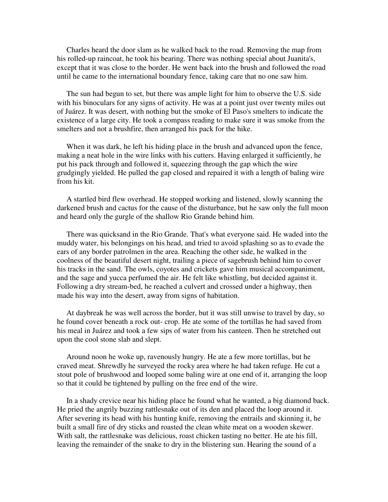Charles heard the door slam as he walked back to the road. Removing the map from his rolled-up raincoat, he took his bearing. There was nothing special about Juanita's, except that it was close to the border. He went back into the brush and followed the road until he came to the international boundary fence, taking care that no one saw him.

 The sun had begun to set, but there was ample light for him to observe the U.S. side with his binoculars for any signs of activity. He was at a point just over twenty miles out of Juárez. It was desert, with nothing but the smoke of El Paso's smelters to indicate the existence of a large city. He took a compass reading to make sure it was smoke from the smelters and not a brushfire, then arranged his pack for the hike.

 When it was dark, he left his hiding place in the brush and advanced upon the fence, making a neat hole in the wire links with his cutters. Having enlarged it sufficiently, he put his pack through and followed it, squeezing through the gap which the wire grudgingly yielded. He pulled the gap closed and repaired it with a length of baling wire from his kit.

 A startled bird flew overhead. He stopped working and listened, slowly scanning the darkened brush and cactus for the cause of the disturbance, but he saw only the full moon and heard only the gurgle of the shallow Rio Grande behind him.

 There was quicksand in the Rio Grande. That's what everyone said. He waded into the muddy water, his belongings on his head, and tried to avoid splashing so as to evade the ears of any border patrolmen in the area. Reaching the other side, he walked in the coolness of the beautiful desert night, trailing a piece of sagebrush behind him to cover his tracks in the sand. The owls, coyotes and crickets gave him musical accompaniment, and the sage and yucca perfumed the air. He felt like whistling, but decided against it. Following a dry stream-bed, he reached a culvert and crossed under a highway, then made his way into the desert, away from signs of habitation.

 At daybreak he was well across the border, but it was still unwise to travel by day, so he found cover beneath a rock out- crop. He ate some of the tortillas he had saved from his meal in Juárez and took a few sips of water from his canteen. Then he stretched out upon the cool stone slab and slept.

 Around noon he woke up, ravenously hungry. He ate a few more tortillas, but he craved meat. Shrewdly he surveyed the rocky area where he had taken refuge. He cut a stout pole of brushwood and looped some baling wire at one end of it, arranging the loop so that it could be tightened by pulling on the free end of the wire.

 In a shady crevice near his hiding place he found what he wanted, a big diamond back. He pried the angrily buzzing rattlesnake out of its den and placed the loop around it. After severing its head with his hunting knife, removing the entrails and skinning it, he built a small fire of dry sticks and roasted the clean white meat on a wooden skewer. With salt, the rattlesnake was delicious, roast chicken tasting no better. He ate his fill, leaving the remainder of the snake to dry in the blistering sun. Hearing the sound of a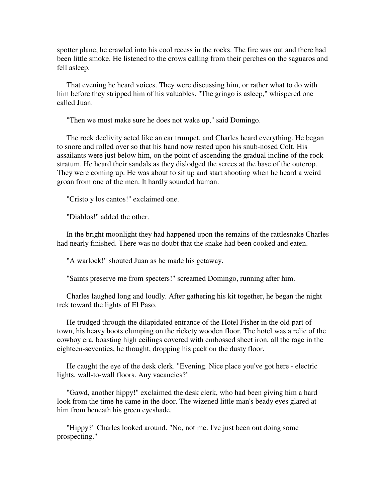spotter plane, he crawled into his cool recess in the rocks. The fire was out and there had been little smoke. He listened to the crows calling from their perches on the saguaros and fell asleep.

 That evening he heard voices. They were discussing him, or rather what to do with him before they stripped him of his valuables. "The gringo is asleep," whispered one called Juan.

"Then we must make sure he does not wake up," said Domingo.

 The rock declivity acted like an ear trumpet, and Charles heard everything. He began to snore and rolled over so that his hand now rested upon his snub-nosed Colt. His assailants were just below him, on the point of ascending the gradual incline of the rock stratum. He heard their sandals as they dislodged the screes at the base of the outcrop. They were coming up. He was about to sit up and start shooting when he heard a weird groan from one of the men. It hardly sounded human.

"Cristo y los cantos!" exclaimed one.

"Diablos!" added the other.

 In the bright moonlight they had happened upon the remains of the rattlesnake Charles had nearly finished. There was no doubt that the snake had been cooked and eaten.

"A warlock!" shouted Juan as he made his getaway.

"Saints preserve me from specters!" screamed Domingo, running after him.

 Charles laughed long and loudly. After gathering his kit together, he began the night trek toward the lights of El Paso.

 He trudged through the dilapidated entrance of the Hotel Fisher in the old part of town, his heavy boots clumping on the rickety wooden floor. The hotel was a relic of the cowboy era, boasting high ceilings covered with embossed sheet iron, all the rage in the eighteen-seventies, he thought, dropping his pack on the dusty floor.

 He caught the eye of the desk clerk. "Evening. Nice place you've got here - electric lights, wall-to-wall floors. Any vacancies?"

 "Gawd, another hippy!" exclaimed the desk clerk, who had been giving him a hard look from the time he came in the door. The wizened little man's beady eyes glared at him from beneath his green eyeshade.

 "Hippy?" Charles looked around. "No, not me. I've just been out doing some prospecting."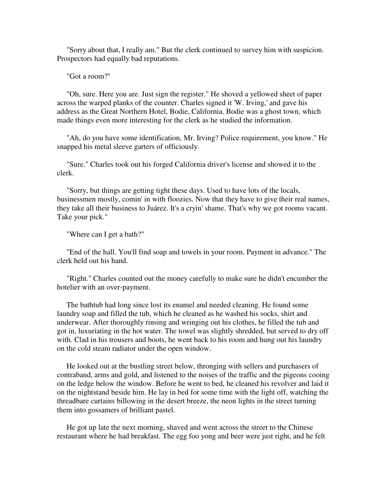"Sorry about that, I really am." But the clerk continued to survey him with suspicion. Prospectors had equally bad reputations.

"Got a room?''

 "Oh, sure. Here you are. Just sign the register." He shoved a yellowed sheet of paper across the warped planks of the counter. Charles signed it 'W. Irving,' and gave his address as the Great Northern Hotel, Bodie, California. Bodie was a ghost town, which made things even more interesting for the clerk as he studied the information.

 "Ah, do you have some identification, Mr. Irving? Police requirement, you know." He snapped his metal sleeve garters of officiously.

 "Sure." Charles took out his forged California driver's license and showed it to the clerk.

 "Sorry, but things are getting tight these days. Used to have lots of the locals, businessmen mostly, comin' in with floozies. Now that they have to give their real names, they take all their business to Juárez. It's a cryin' shame. That's why we got rooms vacant. Take your pick."

"Where can I get a bath?"

 "End of the hall. You'll find soap and towels in your room. Payment in advance." The clerk held out his hand.

 "Right." Charles counted out the money carefully to make sure he didn't encumber the hotelier with an over-payment.

 The bathtub had long since lost its enamel and needed cleaning. He found some laundry soap and filled the tub, which he cleaned as he washed his socks, shirt and underwear. After thoroughly rinsing and wringing out his clothes, he filled the tub and got in, luxuriating in the hot water. The towel was slightly shredded, but served to dry off with. Clad in his trousers and boots, he went back to his room and hung out his laundry on the cold steam radiator under the open window.

 He looked out at the bustling street below, thronging with sellers and purchasers of contraband, arms and gold, and listened to the noises of the traffic and the pigeons cooing on the ledge below the window. Before he went to bed, he cleaned his revolver and laid it on the nightstand beside him. He lay in bed for some time with the light off, watching the threadbare curtains billowing in the desert breeze, the neon lights in the street turning them into gossamers of brilliant pastel.

 He got up late the next morning, shaved and went across the street to the Chinese restaurant where he had breakfast. The egg foo yong and beer were just right, and he felt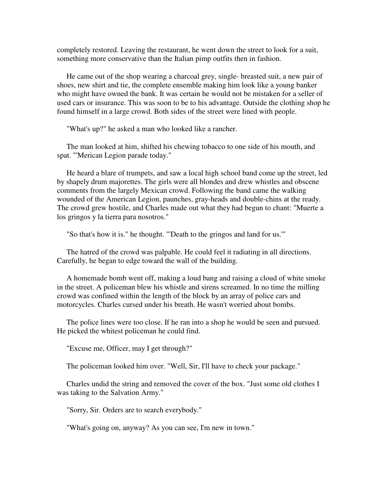completely restored. Leaving the restaurant, he went down the street to look for a suit, something more conservative than the Italian pimp outfits then in fashion.

 He came out of the shop wearing a charcoal grey, single- breasted suit, a new pair of shoes, new shirt and tie, the complete ensemble making him look like a young banker who might have owned the bank. It was certain he would not be mistaken for a seller of used cars or insurance. This was soon to be to his advantage. Outside the clothing shop he found himself in a large crowd. Both sides of the street were lined with people.

"What's up?" he asked a man who looked like a rancher.

 The man looked at him, shifted his chewing tobacco to one side of his mouth, and spat. "'Merican Legion parade today."

 He heard a blare of trumpets, and saw a local high school band come up the street, led by shapely drum majorettes. The girls were all blondes and drew whistles and obscene comments from the largely Mexican crowd. Following the band came the walking wounded of the American Legion, paunches, gray-heads and double-chins at the ready. The crowd grew hostile, and Charles made out what they had begun to chant: "Muerte a los gringos y la tierra para nosotros."

"So that's how it is." he thought. "'Death to the gringos and land for us.'"

 The hatred of the crowd was palpable. He could feel it radiating in all directions. Carefully, he began to edge toward the wall of the building.

 A homemade bomb went off, making a loud bang and raising a cloud of white smoke in the street. A policeman blew his whistle and sirens screamed. In no time the milling crowd was confined within the length of the block by an array of police cars and motorcycles. Charles cursed under his breath. He wasn't worried about bombs.

 The police lines were too close. If he ran into a shop he would be seen and pursued. He picked the whitest policeman he could find.

"Excuse me, Officer, may I get through?"

The policeman looked him over. "Well, Sir, I'll have to check your package."

 Charles undid the string and removed the cover of the box. "Just some old clothes I was taking to the Salvation Army."

"Sorry, Sir. Orders are to search everybody."

"What's going on, anyway? As you can see, I'm new in town."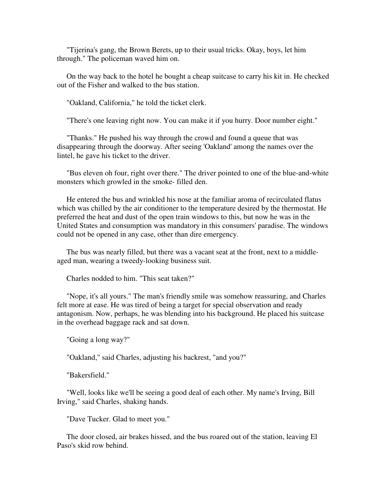"Tijerina's gang, the Brown Berets, up to their usual tricks. Okay, boys, let him through." The policeman waved him on.

 On the way back to the hotel he bought a cheap suitcase to carry his kit in. He checked out of the Fisher and walked to the bus station.

"Oakland, California," he told the ticket clerk.

"There's one leaving right now. You can make it if you hurry. Door number eight."

 "Thanks." He pushed his way through the crowd and found a queue that was disappearing through the doorway. After seeing 'Oakland' among the names over the lintel, he gave his ticket to the driver.

 "Bus eleven oh four, right over there." The driver pointed to one of the blue-and-white monsters which growled in the smoke- filled den.

 He entered the bus and wrinkled his nose at the familiar aroma of recirculated flatus which was chilled by the air conditioner to the temperature desired by the thermostat. He preferred the heat and dust of the open train windows to this, but now he was in the United States and consumption was mandatory in this consumers' paradise. The windows could not be opened in any case, other than dire emergency.

 The bus was nearly filled, but there was a vacant seat at the front, next to a middleaged man, wearing a tweedy-looking business suit.

Charles nodded to him. "This seat taken?"

 "Nope, it's all yours." The man's friendly smile was somehow reassuring, and Charles felt more at ease. He was tired of being a target for special observation and ready antagonism. Now, perhaps, he was blending into his background. He placed his suitcase in the overhead baggage rack and sat down.

"Going a long way?"

"Oakland," said Charles, adjusting his backrest, "and you?"

"Bakersfield."

 "Well, looks like we'll be seeing a good deal of each other. My name's Irving, Bill Irving," said Charles, shaking hands.

"Dave Tucker. Glad to meet you."

 The door closed, air brakes hissed, and the bus roared out of the station, leaving El Paso's skid row behind.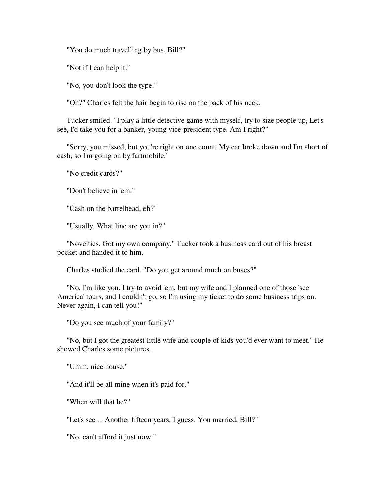"You do much travelling by bus, Bill?"

"Not if I can help it."

"No, you don't look the type."

"Oh?" Charles felt the hair begin to rise on the back of his neck.

 Tucker smiled. "I play a little detective game with myself, try to size people up, Let's see, I'd take you for a banker, young vice-president type. Am I right?"

 "Sorry, you missed, but you're right on one count. My car broke down and I'm short of cash, so I'm going on by fartmobile."

"No credit cards?"

"Don't believe in 'em."

"Cash on the barrelhead, eh?"

"Usually. What line are you in?"

 "Novelties. Got my own company." Tucker took a business card out of his breast pocket and handed it to him.

Charles studied the card. "Do you get around much on buses?"

 "No, I'm like you. I try to avoid 'em, but my wife and I planned one of those 'see America' tours, and I couldn't go, so I'm using my ticket to do some business trips on. Never again, I can tell you!"

"Do you see much of your family?"

 "No, but I got the greatest little wife and couple of kids you'd ever want to meet." He showed Charles some pictures.

"Umm, nice house."

"And it'll be all mine when it's paid for."

"When will that be?"

"Let's see ... Another fifteen years, I guess. You married, Bill?"

"No, can't afford it just now."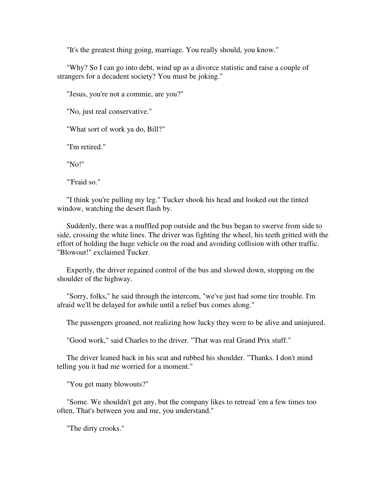"It's the greatest thing going, marriage. You really should, you know."

 "Why? So I can go into debt, wind up as a divorce statistic and raise a couple of strangers for a decadent society? You must be joking."

"Jesus, you're not a commie, are you?"

"No, just real conservative."

"What sort of work ya do, Bill?"

"I'm retired."

"No!"

"'Fraid so."

 "I think you're pulling my leg." Tucker shook his head and looked out the tinted window, watching the desert flash by.

 Suddenly, there was a muffled pop outside and the bus began to swerve from side to side, crossing the white lines. The driver was fighting the wheel, his teeth gritted with the effort of holding the huge vehicle on the road and avoiding collision with other traffic. "Blowout!" exclaimed Tucker.

 Expertly, the driver regained control of the bus and slowed down, stopping on the shoulder of the highway.

 "Sorry, folks," he said through the intercom, "we've just had some tire trouble. I'm afraid we'll be delayed for awhile until a relief bus comes along."

The passengers groaned, not realizing how lucky they were to be alive and uninjured.

"Good work," said Charles to the driver. "That was real Grand Prix stuff."

 The driver leaned back in his seat and rubbed his shoulder. "Thanks. I don't mind telling you it had me worried for a moment."

"You get many blowouts?"

 "Some. We shouldn't get any, but the company likes to retread 'em a few times too often, That's between you and me, you understand."

"The dirty crooks."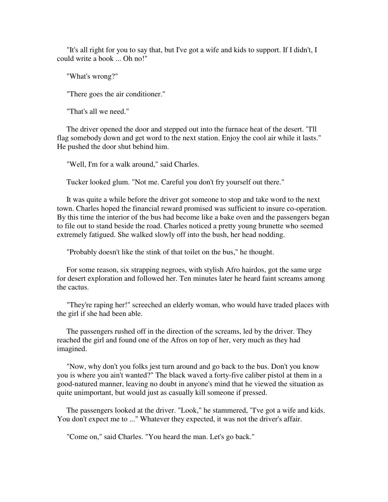"It's all right for you to say that, but I've got a wife and kids to support. If I didn't, I could write a book ... Oh no!"

"What's wrong?"

"There goes the air conditioner."

"That's all we need."

 The driver opened the door and stepped out into the furnace heat of the desert. "I'll flag somebody down and get word to the next station. Enjoy the cool air while it lasts." He pushed the door shut behind him.

"Well, I'm for a walk around," said Charles.

Tucker looked glum. "Not me. Careful you don't fry yourself out there."

 It was quite a while before the driver got someone to stop and take word to the next town. Charles hoped the financial reward promised was sufficient to insure co-operation. By this time the interior of the bus had become like a bake oven and the passengers began to file out to stand beside the road. Charles noticed a pretty young brunette who seemed extremely fatigued. She walked slowly off into the bush, her head nodding.

"Probably doesn't like the stink of that toilet on the bus," he thought.

 For some reason, six strapping negroes, with stylish Afro hairdos, got the same urge for desert exploration and followed her. Ten minutes later he heard faint screams among the cactus.

 "They're raping her!" screeched an elderly woman, who would have traded places with the girl if she had been able.

 The passengers rushed off in the direction of the screams, led by the driver. They reached the girl and found one of the Afros on top of her, very much as they had imagined.

 "Now, why don't you folks jest turn around and go back to the bus. Don't you know you is where you ain't wanted?" The black waved a forty-five caliber pistol at them in a good-natured manner, leaving no doubt in anyone's mind that he viewed the situation as quite unimportant, but would just as casually kill someone if pressed.

 The passengers looked at the driver. "Look," he stammered, "I've got a wife and kids. You don't expect me to ..." Whatever they expected, it was not the driver's affair.

"Come on," said Charles. "You heard the man. Let's go back."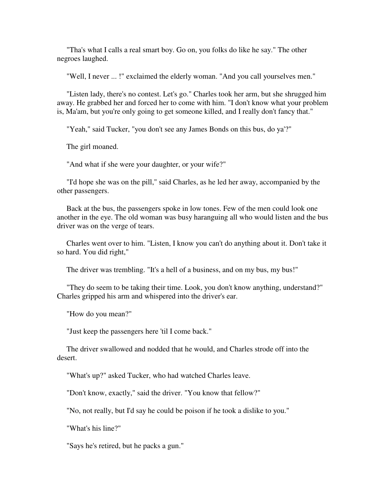"Tha's what I calls a real smart boy. Go on, you folks do like he say." The other negroes laughed.

"Well, I never ... !" exclaimed the elderly woman. "And you call yourselves men."

 "Listen lady, there's no contest. Let's go." Charles took her arm, but she shrugged him away. He grabbed her and forced her to come with him. "I don't know what your problem is, Ma'am, but you're only going to get someone killed, and I really don't fancy that."

"Yeah," said Tucker, "you don't see any James Bonds on this bus, do ya'?"

The girl moaned.

"And what if she were your daughter, or your wife?"

 "I'd hope she was on the pill," said Charles, as he led her away, accompanied by the other passengers.

 Back at the bus, the passengers spoke in low tones. Few of the men could look one another in the eye. The old woman was busy haranguing all who would listen and the bus driver was on the verge of tears.

 Charles went over to him. "Listen, I know you can't do anything about it. Don't take it so hard. You did right,"

The driver was trembling. "It's a hell of a business, and on my bus, my bus!"

 "They do seem to be taking their time. Look, you don't know anything, understand?" Charles gripped his arm and whispered into the driver's ear.

"How do you mean?"

"Just keep the passengers here 'til I come back."

 The driver swallowed and nodded that he would, and Charles strode off into the desert.

"What's up?" asked Tucker, who had watched Charles leave.

"Don't know, exactly," said the driver. "You know that fellow?"

"No, not really, but I'd say he could be poison if he took a dislike to you."

"What's his line?"

"Says he's retired, but he packs a gun."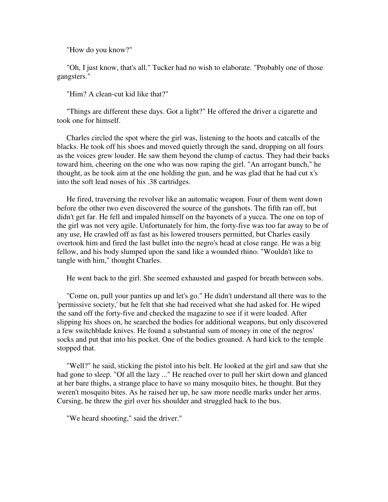"How do you know?"

 "Oh, I just know, that's all." Tucker had no wish to elaborate. "Probably one of those gangsters."

"Him? A clean-cut kid like that?"

 "Things are different these days. Got a light?" He offered the driver a cigarette and took one for himself.

 Charles circled the spot where the girl was, listening to the hoots and catcalls of the blacks. He took off his shoes and moved quietly through the sand, dropping on all fours as the voices grew louder. He saw them beyond the clump of cactus. They had their backs toward him, cheering on the one who was now raping the girl. "An arrogant bunch," he thought, as he took aim at the one holding the gun, and he was glad that he had cut x's into the soft lead noses of his .38 cartridges.

 He fired, traversing the revolver like an automatic weapon. Four of them went down before the other two even discovered the source of the gunshots. The fifth ran off, but didn't get far. He fell and impaled himself on the bayonets of a yucca. The one on top of the girl was not very agile. Unfortunately for him, the forty-five was too far away to be of any use, He crawled off as fast as his lowered trousers permitted, but Charles easily overtook him and fired the last bullet into the negro's head at close range. He was a big fellow, and his body slumped upon the sand like a wounded rhino. "Wouldn't like to tangle with him," thought Charles.

He went back to the girl. She seemed exhausted and gasped for breath between sobs.

 "Come on, pull your panties up and let's go." He didn't understand all there was to the 'permissive society,' but he felt that she had received what she had asked for. He wiped the sand off the forty-five and checked the magazine to see if it were loaded. After slipping his shoes on, he searched the bodies for additional weapons, but only discovered a few switchblade knives. He found a substantial sum of money in one of the negros' socks and put that into his pocket. One of the bodies groaned. A hard kick to the temple stopped that.

 "Well?" he said, sticking the pistol into his belt. He looked at the girl and saw that she had gone to sleep. "Of all the lazy ..." He reached over to pull her skirt down and glanced at her bare thighs, a strange place to have so many mosquito bites, he thought. But they weren't mosquito bites. As he raised her up, he saw more needle marks under her arms. Cursing, he threw the girl over his shoulder and struggled back to the bus.

"We heard shooting," said the driver."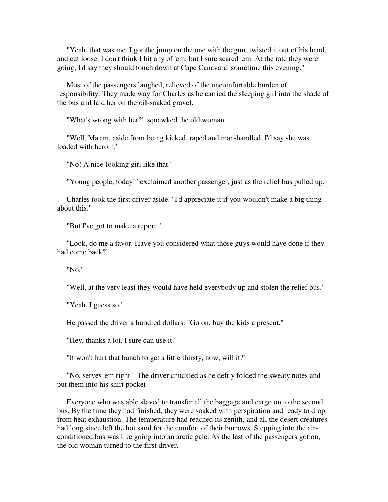"Yeah, that was me. I got the jump on the one with the gun, twisted it out of his hand, and cut loose. I don't think I hit any of 'em, but I sure scared 'em. At the rate they were going, I'd say they should touch down at Cape Canavaral sometime this evening."

 Most of the passengers laughed, relieved of the uncomfortable burden of responsibility. They made way for Charles as he carried the sleeping girl into the shade of the bus and laid her on the oil-soaked gravel.

"What's wrong with her?" squawked the old woman.

 "Well, Ma'am, aside from being kicked, raped and man-handled, I'd say she was loaded with heroin."

"No! A nice-looking girl like that."

"Young people, today!" exclaimed another passenger, just as the relief bus pulled up.

 Charles took the first driver aside. "I'd appreciate it if you wouldn't make a big thing about this."

"But I've got to make a report."

 "Look, do me a favor. Have you considered what those guys would have done if they had come back?"

"No."

"Well, at the very least they would have held everybody up and stolen the relief bus."

"Yeah, I guess so."

He passed the driver a hundred dollars. "Go on, buy the kids a present."

"Hey, thanks a lot. I sure can use it."

"It won't hurt that bunch to get a little thirsty, now, will it?"

 "No, serves 'em right." The driver chuckled as he deftly folded the sweaty notes and put them into his shirt pocket.

 Everyone who was able slaved to transfer all the baggage and cargo on to the second bus. By the time they had finished, they were soaked with perspiration and ready to drop from heat exhaustion. The temperature had reached its zenith, and all the desert creatures had long since left the hot sand for the comfort of their burrows. Stepping into the airconditioned bus was like going into an arctic gale. As the last of the passengers got on, the old woman turned to the first driver.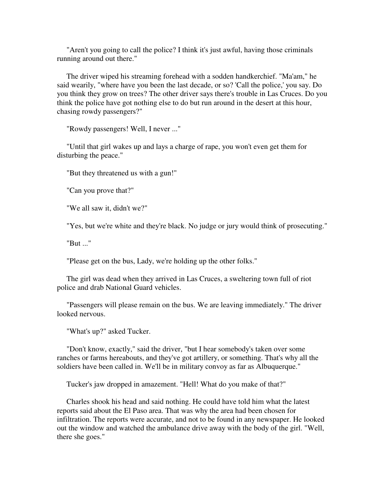"Aren't you going to call the police? I think it's just awful, having those criminals running around out there."

 The driver wiped his streaming forehead with a sodden handkerchief. "Ma'am," he said wearily, "where have you been the last decade, or so? 'Call the police,' you say. Do you think they grow on trees? The other driver says there's trouble in Las Cruces. Do you think the police have got nothing else to do but run around in the desert at this hour, chasing rowdy passengers?"

"Rowdy passengers! Well, I never ..."

 "Until that girl wakes up and lays a charge of rape, you won't even get them for disturbing the peace."

"But they threatened us with a gun!"

"Can you prove that?"

"We all saw it, didn't we?"

"Yes, but we're white and they're black. No judge or jury would think of prosecuting."

"But ..."

"Please get on the bus, Lady, we're holding up the other folks."

 The girl was dead when they arrived in Las Cruces, a sweltering town full of riot police and drab National Guard vehicles.

 "Passengers will please remain on the bus. We are leaving immediately." The driver looked nervous.

"What's up?" asked Tucker.

 "Don't know, exactly," said the driver, "but I hear somebody's taken over some ranches or farms hereabouts, and they've got artillery, or something. That's why all the soldiers have been called in. We'll be in military convoy as far as Albuquerque."

Tucker's jaw dropped in amazement. "Hell! What do you make of that?"

 Charles shook his head and said nothing. He could have told him what the latest reports said about the El Paso area. That was why the area had been chosen for infiltration. The reports were accurate, and not to be found in any newspaper. He looked out the window and watched the ambulance drive away with the body of the girl. "Well, there she goes."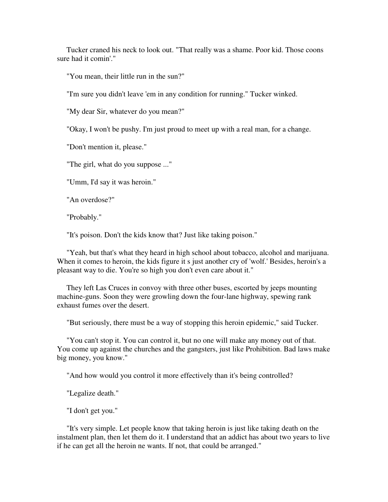Tucker craned his neck to look out. "That really was a shame. Poor kid. Those coons sure had it comin'."

"You mean, their little run in the sun?"

"I'm sure you didn't leave 'em in any condition for running." Tucker winked.

"My dear Sir, whatever do you mean?"

"Okay, I won't be pushy. I'm just proud to meet up with a real man, for a change.

"Don't mention it, please."

"The girl, what do you suppose ..."

"Umm, I'd say it was heroin."

"An overdose?"

"Probably."

"It's poison. Don't the kids know that? Just like taking poison."

 "Yeah, but that's what they heard in high school about tobacco, alcohol and marijuana. When it comes to heroin, the kids figure it s just another cry of 'wolf.' Besides, heroin's a pleasant way to die. You're so high you don't even care about it."

 They left Las Cruces in convoy with three other buses, escorted by jeeps mounting machine-guns. Soon they were growling down the four-lane highway, spewing rank exhaust fumes over the desert.

"But seriously, there must be a way of stopping this heroin epidemic," said Tucker.

 "You can't stop it. You can control it, but no one will make any money out of that. You come up against the churches and the gangsters, just like Prohibition. Bad laws make big money, you know."

"And how would you control it more effectively than it's being controlled?

"Legalize death."

"I don't get you."

 "It's very simple. Let people know that taking heroin is just like taking death on the instalment plan, then let them do it. I understand that an addict has about two years to live if he can get all the heroin ne wants. If not, that could be arranged."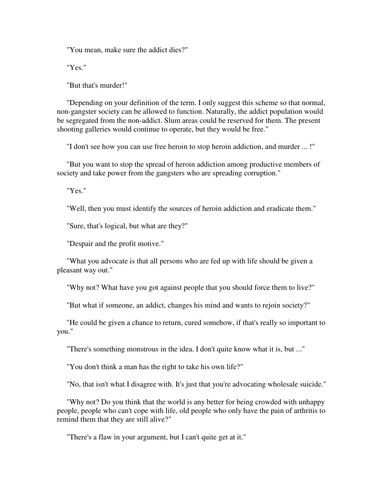"You mean, make sure the addict dies?"

"Yes."

"But that's murder!"

 "Depending on your definition of the term. I only suggest this scheme so that normal, non-gangster society can be allowed to function. Naturally, the addict population would be segregated from the non-addict. Slum areas could be reserved for them. The present shooting galleries would continue to operate, but they would be free."

"I don't see how you can use free heroin to stop heroin addiction, and murder ... !"

 "But you want to stop the spread of heroin addiction among productive members of society and take power from the gangsters who are spreading corruption."

"Yes."

"Well, then you must identify the sources of heroin addiction and eradicate them."

"Sure, that's logical, but what are they?"

"Despair and the profit motive."

 "What you advocate is that all persons who are fed up with life should be given a pleasant way out."

"Why not? What have you got against people that you should force them to live?"

"But what if someone, an addict, changes his mind and wants to rejoin society?"

 "He could be given a chance to return, cured somehow, if that's really so important to you."

"There's something monstrous in the idea. I don't quite know what it is, but ..."

"You don't think a man has the right to take his own life?"

"No, that isn't what I disagree with. It's just that you're advocating wholesale suicide."

 "Why not? Do you think that the world is any better for being crowded with unhappy people, people who can't cope with life, old people who only have the pain of arthritis to remind them that they are still alive?"

"There's a flaw in your argument, but I can't quite get at it."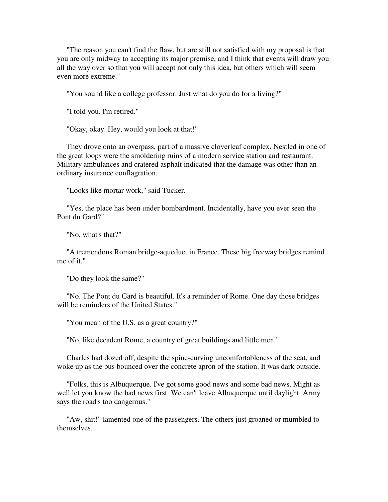"The reason you can't find the flaw, but are still not satisfied with my proposal is that you are only midway to accepting its major premise, and I think that events will draw you all the way over so that you will accept not only this idea, but others which will seem even more extreme."

"You sound like a college professor. Just what do you do for a living?"

"I told you. I'm retired."

"Okay, okay. Hey, would you look at that!"

 They drove onto an overpass, part of a massive cloverleaf complex. Nestled in one of the great loops were the smoldering ruins of a modern service station and restaurant. Military ambulances and cratered asphalt indicated that the damage was other than an ordinary insurance conflagration.

"Looks like mortar work," said Tucker.

 "Yes, the place has been under bombardment. Incidentally, have you ever seen the Pont du Gard?"

"No, what's that?"

 "A tremendous Roman bridge-aqueduct in France. These big freeway bridges remind me of it."

"Do they look the same?"

 "No. The Pont du Gard is beautiful. It's a reminder of Rome. One day those bridges will be reminders of the United States."

"You mean of the U.S. as a great country?"

"No, like decadent Rome, a country of great buildings and little men."

 Charles had dozed off, despite the spine-curving uncomfortableness of the seat, and woke up as the bus bounced over the concrete apron of the station. It was dark outside.

 "Folks, this is Albuquerque. I've got some good news and some bad news. Might as well let you know the bad news first. We can't leave Albuquerque until daylight. Army says the road's too dangerous."

 "Aw, shit!" lamented one of the passengers. The others just groaned or mumbled to themselves.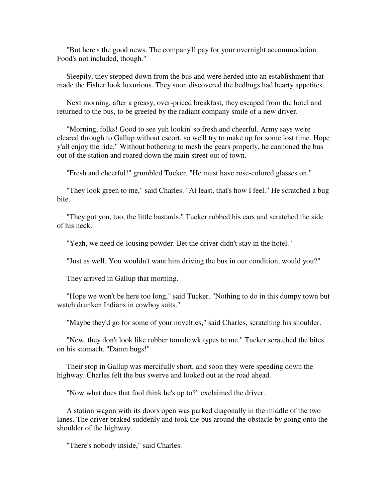"But here's the good news. The company'll pay for your overnight accommodation. Food's not included, though."

 Sleepily, they stepped down from the bus and were herded into an establishment that made the Fisher look luxurious. They soon discovered the bedbugs had hearty appetites.

 Next morning, after a greasy, over-priced breakfast, they escaped from the hotel and returned to the bus, to be greeted by the radiant company smile of a new driver.

 "Morning, folks! Good to see yuh lookin' so fresh and cheerful. Army says we're cleared through to Gallup without escort, so we'll try to make up for some lost time. Hope y'all enjoy the ride." Without bothering to mesh the gears properly, he cannoned the bus out of the station and roared down the main street out of town.

"Fresh and cheerful!" grumbled Tucker. "He must have rose-colored glasses on."

 "They look green to me," said Charles. "At least, that's how I feel." He scratched a bug bite.

 "They got you, too, the little bastards." Tucker rubbed his ears and scratched the side of his neck.

"Yeah, we need de-lousing powder. Bet the driver didn't stay in the hotel."

"Just as well. You wouldn't want him driving the bus in our condition, would you?"

They arrived in Gallup that morning.

 "Hope we won't be here too long," said Tucker. "Nothing to do in this dumpy town but watch drunken Indians in cowboy suits."

"Maybe they'd go for some of your novelties," said Charles, scratching his shoulder.

 "New, they don't look like rubber tomahawk types to me." Tucker scratched the bites on his stomach. "Damn bugs!"

 Their stop in Gallup was mercifully short, and soon they were speeding down the highway. Charles felt the bus swerve and looked out at the road ahead.

"Now what does that fool think he's up to?" exclaimed the driver.

 A station wagon with its doors open was parked diagonally in the middle of the two lanes. The driver braked suddenly and took the bus around the obstacle by going onto the shoulder of the highway.

"There's nobody inside," said Charles.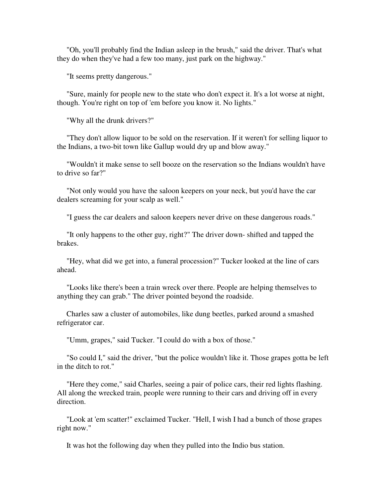"Oh, you'll probably find the Indian asleep in the brush," said the driver. That's what they do when they've had a few too many, just park on the highway."

"It seems pretty dangerous."

 "Sure, mainly for people new to the state who don't expect it. It's a lot worse at night, though. You're right on top of 'em before you know it. No lights."

"Why all the drunk drivers?"

 "They don't allow liquor to be sold on the reservation. If it weren't for selling liquor to the Indians, a two-bit town like Gallup would dry up and blow away."

 "Wouldn't it make sense to sell booze on the reservation so the Indians wouldn't have to drive so far?"

 "Not only would you have the saloon keepers on your neck, but you'd have the car dealers screaming for your scalp as well."

"I guess the car dealers and saloon keepers never drive on these dangerous roads."

 "It only happens to the other guy, right?" The driver down- shifted and tapped the brakes.

 "Hey, what did we get into, a funeral procession?" Tucker looked at the line of cars ahead.

 "Looks like there's been a train wreck over there. People are helping themselves to anything they can grab." The driver pointed beyond the roadside.

 Charles saw a cluster of automobiles, like dung beetles, parked around a smashed refrigerator car.

"Umm, grapes," said Tucker. "I could do with a box of those."

 "So could I," said the driver, "but the police wouldn't like it. Those grapes gotta be left in the ditch to rot."

 "Here they come," said Charles, seeing a pair of police cars, their red lights flashing. All along the wrecked train, people were running to their cars and driving off in every direction.

 "Look at 'em scatter!" exclaimed Tucker. "Hell, I wish I had a bunch of those grapes right now."

It was hot the following day when they pulled into the Indio bus station.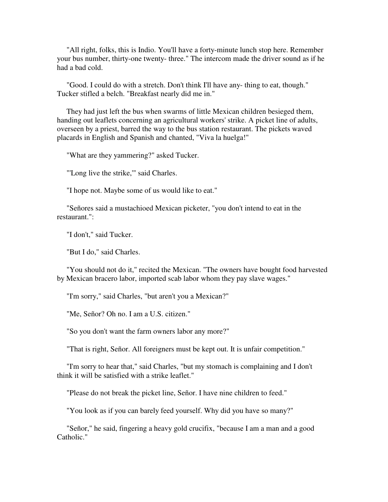"All right, folks, this is Indio. You'll have a forty-minute lunch stop here. Remember your bus number, thirty-one twenty- three." The intercom made the driver sound as if he had a bad cold.

 "Good. I could do with a stretch. Don't think I'll have any- thing to eat, though." Tucker stifled a belch. "Breakfast nearly did me in."

 They had just left the bus when swarms of little Mexican children besieged them, handing out leaflets concerning an agricultural workers' strike. A picket line of adults, overseen by a priest, barred the way to the bus station restaurant. The pickets waved placards in English and Spanish and chanted, "Viva la huelga!"

"What are they yammering?" asked Tucker.

"'Long live the strike,'" said Charles.

"I hope not. Maybe some of us would like to eat."

 "Señores said a mustachioed Mexican picketer, "you don't intend to eat in the restaurant.":

"I don't," said Tucker.

"But I do," said Charles.

 "You should not do it," recited the Mexican. "The owners have bought food harvested by Mexican bracero labor, imported scab labor whom they pay slave wages."

"I'm sorry," said Charles, "but aren't you a Mexican?"

"Me, Señor? Oh no. I am a U.S. citizen."

"So you don't want the farm owners labor any more?"

"That is right, Señor. All foreigners must be kept out. It is unfair competition."

 "I'm sorry to hear that," said Charles, "but my stomach is complaining and I don't think it will be satisfied with a strike leaflet."

"Please do not break the picket line, Señor. I have nine children to feed."

"You look as if you can barely feed yourself. Why did you have so many?"

 "Señor," he said, fingering a heavy gold crucifix, "because I am a man and a good Catholic."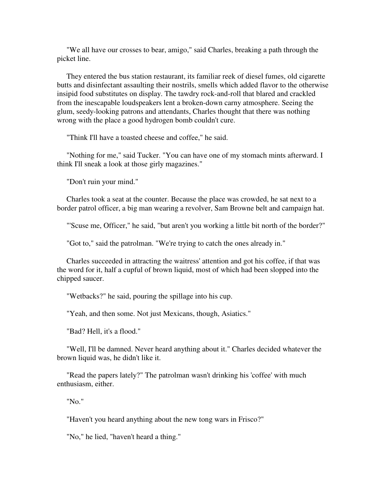"We all have our crosses to bear, amigo," said Charles, breaking a path through the picket line.

 They entered the bus station restaurant, its familiar reek of diesel fumes, old cigarette butts and disinfectant assaulting their nostrils, smells which added flavor to the otherwise insipid food substitutes on display. The tawdry rock-and-roll that blared and crackled from the inescapable loudspeakers lent a broken-down carny atmosphere. Seeing the glum, seedy-looking patrons and attendants, Charles thought that there was nothing wrong with the place a good hydrogen bomb couldn't cure.

"Think I'll have a toasted cheese and coffee," he said.

 "Nothing for me," said Tucker. "You can have one of my stomach mints afterward. I think I'll sneak a look at those girly magazines."

"Don't ruin your mind."

 Charles took a seat at the counter. Because the place was crowded, he sat next to a border patrol officer, a big man wearing a revolver, Sam Browne belt and campaign hat.

"'Scuse me, Officer," he said, "but aren't you working a little bit north of the border?"

"Got to," said the patrolman. "We're trying to catch the ones already in."

 Charles succeeded in attracting the waitress' attention and got his coffee, if that was the word for it, half a cupful of brown liquid, most of which had been slopped into the chipped saucer.

"Wetbacks?" he said, pouring the spillage into his cup.

"Yeah, and then some. Not just Mexicans, though, Asiatics."

"Bad? Hell, it's a flood."

 "Well, I'll be damned. Never heard anything about it." Charles decided whatever the brown liquid was, he didn't like it.

 "Read the papers lately?" The patrolman wasn't drinking his 'coffee' with much enthusiasm, either.

"No."

"Haven't you heard anything about the new tong wars in Frisco?"

"No," he lied, "haven't heard a thing."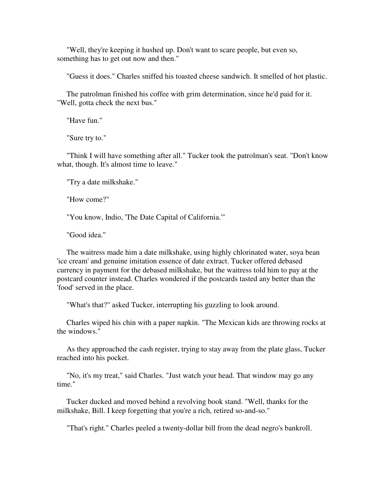"Well, they're keeping it hushed up. Don't want to scare people, but even so, something has to get out now and then."

"Guess it does." Charles sniffed his toasted cheese sandwich. It smelled of hot plastic.

 The patrolman finished his coffee with grim determination, since he'd paid for it. "Well, gotta check the next bus."

"Have fun."

"Sure try to."

 "Think I will have something after all." Tucker took the patrolman's seat. "Don't know what, though. It's almost time to leave."

"Try a date milkshake."

"How come?"

"You know, Indio, 'The Date Capital of California.'"

"Good idea."

 The waitress made him a date milkshake, using highly chlorinated water, soya bean 'ice cream' and genuine imitation essence of date extract. Tucker offered debased currency in payment for the debased milkshake, but the waitress told him to pay at the postcard counter instead. Charles wondered if the postcards tasted any better than the 'food' served in the place.

"What's that?" asked Tucker, interrupting his guzzling to look around.

 Charles wiped his chin with a paper napkin. "The Mexican kids are throwing rocks at the windows."

 As they approached the cash register, trying to stay away from the plate glass, Tucker reached into his pocket.

 "No, it's my treat," said Charles. "Just watch your head. That window may go any time."

 Tucker ducked and moved behind a revolving book stand. "Well, thanks for the milkshake, Bill. I keep forgetting that you're a rich, retired so-and-so."

"That's right." Charles peeled a twenty-dollar bill from the dead negro's bankroll.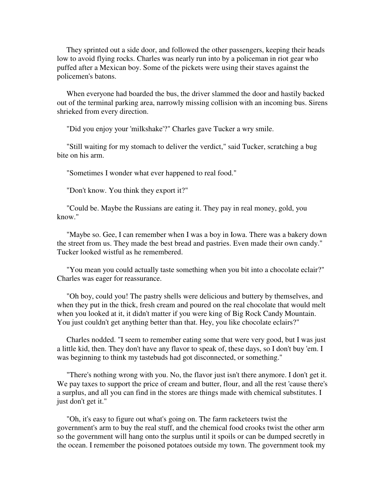They sprinted out a side door, and followed the other passengers, keeping their heads low to avoid flying rocks. Charles was nearly run into by a policeman in riot gear who puffed after a Mexican boy. Some of the pickets were using their staves against the policemen's batons.

 When everyone had boarded the bus, the driver slammed the door and hastily backed out of the terminal parking area, narrowly missing collision with an incoming bus. Sirens shrieked from every direction.

"Did you enjoy your 'milkshake'?" Charles gave Tucker a wry smile.

 "Still waiting for my stomach to deliver the verdict," said Tucker, scratching a bug bite on his arm.

"Sometimes I wonder what ever happened to real food."

"Don't know. You think they export it?"

 "Could be. Maybe the Russians are eating it. They pay in real money, gold, you know."

 "Maybe so. Gee, I can remember when I was a boy in Iowa. There was a bakery down the street from us. They made the best bread and pastries. Even made their own candy." Tucker looked wistful as he remembered.

 "You mean you could actually taste something when you bit into a chocolate eclair?" Charles was eager for reassurance.

 "Oh boy, could you! The pastry shells were delicious and buttery by themselves, and when they put in the thick, fresh cream and poured on the real chocolate that would melt when you looked at it, it didn't matter if you were king of Big Rock Candy Mountain. You just couldn't get anything better than that. Hey, you like chocolate eclairs?"

 Charles nodded. "I seem to remember eating some that were very good, but I was just a little kid, then. They don't have any flavor to speak of, these days, so I don't buy 'em. I was beginning to think my tastebuds had got disconnected, or something."

 "There's nothing wrong with you. No, the flavor just isn't there anymore. I don't get it. We pay taxes to support the price of cream and butter, flour, and all the rest 'cause there's a surplus, and all you can find in the stores are things made with chemical substitutes. I just don't get it."

 "Oh, it's easy to figure out what's going on. The farm racketeers twist the government's arm to buy the real stuff, and the chemical food crooks twist the other arm so the government will hang onto the surplus until it spoils or can be dumped secretly in the ocean. I remember the poisoned potatoes outside my town. The government took my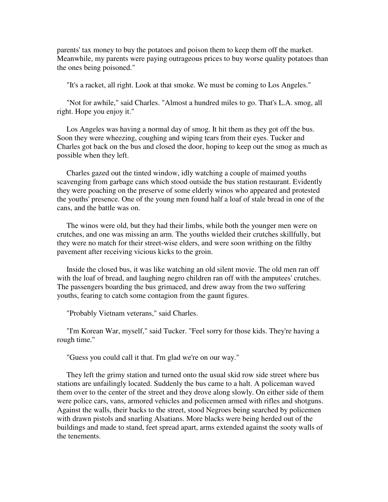parents' tax money to buy the potatoes and poison them to keep them off the market. Meanwhile, my parents were paying outrageous prices to buy worse quality potatoes than the ones being poisoned."

"It's a racket, all right. Look at that smoke. We must be coming to Los Angeles."

 "Not for awhile," said Charles. "Almost a hundred miles to go. That's L.A. smog, all right. Hope you enjoy it."

 Los Angeles was having a normal day of smog. It hit them as they got off the bus. Soon they were wheezing, coughing and wiping tears from their eyes. Tucker and Charles got back on the bus and closed the door, hoping to keep out the smog as much as possible when they left.

 Charles gazed out the tinted window, idly watching a couple of maimed youths scavenging from garbage cans which stood outside the bus station restaurant. Evidently they were poaching on the preserve of some elderly winos who appeared and protested the youths' presence. One of the young men found half a loaf of stale bread in one of the cans, and the battle was on.

 The winos were old, but they had their limbs, while both the younger men were on crutches, and one was missing an arm. The youths wielded their crutches skillfully, but they were no match for their street-wise elders, and were soon writhing on the filthy pavement after receiving vicious kicks to the groin.

 Inside the closed bus, it was like watching an old silent movie. The old men ran off with the loaf of bread, and laughing negro children ran off with the amputees' crutches. The passengers boarding the bus grimaced, and drew away from the two suffering youths, fearing to catch some contagion from the gaunt figures.

"Probably Vietnam veterans," said Charles.

 "I'm Korean War, myself," said Tucker. "Feel sorry for those kids. They're having a rough time."

"Guess you could call it that. I'm glad we're on our way."

 They left the grimy station and turned onto the usual skid row side street where bus stations are unfailingly located. Suddenly the bus came to a halt. A policeman waved them over to the center of the street and they drove along slowly. On either side of them were police cars, vans, armored vehicles and policemen armed with rifles and shotguns. Against the walls, their backs to the street, stood Negroes being searched by policemen with drawn pistols and snarling Alsatians. More blacks were being herded out of the buildings and made to stand, feet spread apart, arms extended against the sooty walls of the tenements.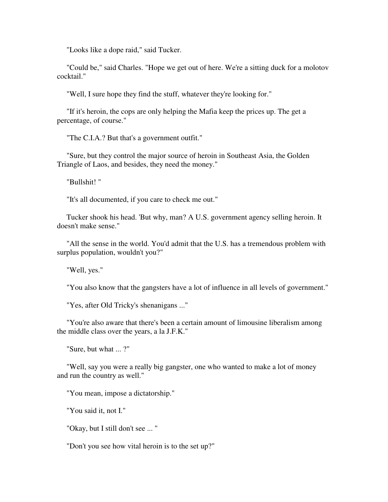"Looks like a dope raid," said Tucker.

 "Could be," said Charles. "Hope we get out of here. We're a sitting duck for a molotov cocktail."

"Well, I sure hope they find the stuff, whatever they're looking for."

 "If it's heroin, the cops are only helping the Mafia keep the prices up. The get a percentage, of course."

"The C.I.A.? But that's a government outfit."

 "Sure, but they control the major source of heroin in Southeast Asia, the Golden Triangle of Laos, and besides, they need the money."

"Bullshit! "

"It's all documented, if you care to check me out."

 Tucker shook his head. 'But why, man? A U.S. government agency selling heroin. It doesn't make sense."

 "All the sense in the world. You'd admit that the U.S. has a tremendous problem with surplus population, wouldn't you?"

"Well, yes."

"You also know that the gangsters have a lot of influence in all levels of government."

"Yes, after Old Tricky's shenanigans ..."

 "You're also aware that there's been a certain amount of limousine liberalism among the middle class over the years, a la J.F.K."

"Sure, but what ... ?"

 "Well, say you were a really big gangster, one who wanted to make a lot of money and run the country as well."

"You mean, impose a dictatorship."

"You said it, not I."

"Okay, but I still don't see ... "

"Don't you see how vital heroin is to the set up?"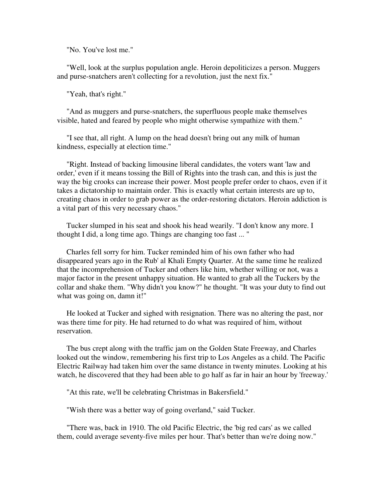"No. You've lost me."

 "Well, look at the surplus population angle. Heroin depoliticizes a person. Muggers and purse-snatchers aren't collecting for a revolution, just the next fix."

"Yeah, that's right."

 "And as muggers and purse-snatchers, the superfluous people make themselves visible, hated and feared by people who might otherwise sympathize with them."

 "I see that, all right. A lump on the head doesn't bring out any milk of human kindness, especially at election time."

 "Right. Instead of backing limousine liberal candidates, the voters want 'law and order,' even if it means tossing the Bill of Rights into the trash can, and this is just the way the big crooks can increase their power. Most people prefer order to chaos, even if it takes a dictatorship to maintain order. This is exactly what certain interests are up to, creating chaos in order to grab power as the order-restoring dictators. Heroin addiction is a vital part of this very necessary chaos."

 Tucker slumped in his seat and shook his head wearily. "I don't know any more. I thought I did, a long time ago. Things are changing too fast ... "

 Charles fell sorry for him. Tucker reminded him of his own father who had disappeared years ago in the Rub' al Khali Empty Quarter. At the same time he realized that the incomprehension of Tucker and others like him, whether willing or not, was a major factor in the present unhappy situation. He wanted to grab all the Tuckers by the collar and shake them. "Why didn't you know?" he thought. "It was your duty to find out what was going on, damn it!"

 He looked at Tucker and sighed with resignation. There was no altering the past, nor was there time for pity. He had returned to do what was required of him, without reservation.

 The bus crept along with the traffic jam on the Golden State Freeway, and Charles looked out the window, remembering his first trip to Los Angeles as a child. The Pacific Electric Railway had taken him over the same distance in twenty minutes. Looking at his watch, he discovered that they had been able to go half as far in hair an hour by 'freeway.'

"At this rate, we'll be celebrating Christmas in Bakersfield."

"Wish there was a better way of going overland," said Tucker.

 "There was, back in 1910. The old Pacific Electric, the 'big red cars' as we called them, could average seventy-five miles per hour. That's better than we're doing now."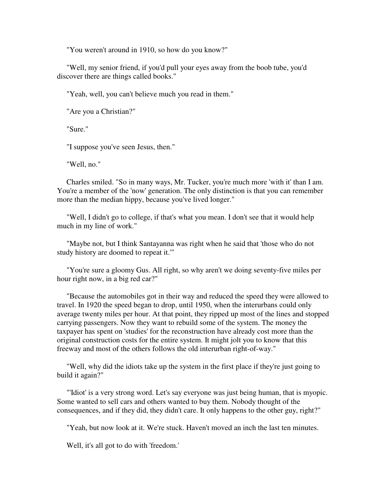"You weren't around in 1910, so how do you know?"

 "Well, my senior friend, if you'd pull your eyes away from the boob tube, you'd discover there are things called books."

"Yeah, well, you can't believe much you read in them."

"Are you a Christian?"

"Sure."

"I suppose you've seen Jesus, then."

"Well, no."

 Charles smiled. "So in many ways, Mr. Tucker, you're much more 'with it' than I am. You're a member of the 'now' generation. The only distinction is that you can remember more than the median hippy, because you've lived longer."

 "Well, I didn't go to college, if that's what you mean. I don't see that it would help much in my line of work."

 "Maybe not, but I think Santayanna was right when he said that 'those who do not study history are doomed to repeat it.'"

 "You're sure a gloomy Gus. All right, so why aren't we doing seventy-five miles per hour right now, in a big red car?"

 "Because the automobiles got in their way and reduced the speed they were allowed to travel. In 1920 the speed began to drop, until 1950, when the interurbans could only average twenty miles per hour. At that point, they ripped up most of the lines and stopped carrying passengers. Now they want to rebuild some of the system. The money the taxpayer has spent on 'studies' for the reconstruction have already cost more than the original construction costs for the entire system. It might jolt you to know that this freeway and most of the others follows the old interurban right-of-way."

 "Well, why did the idiots take up the system in the first place if they're just going to build it again?"

 "'Idiot' is a very strong word. Let's say everyone was just being human, that is myopic. Some wanted to sell cars and others wanted to buy them. Nobody thought of the consequences, and if they did, they didn't care. It only happens to the other guy, right?"

"Yeah, but now look at it. We're stuck. Haven't moved an inch the last ten minutes.

Well, it's all got to do with 'freedom.'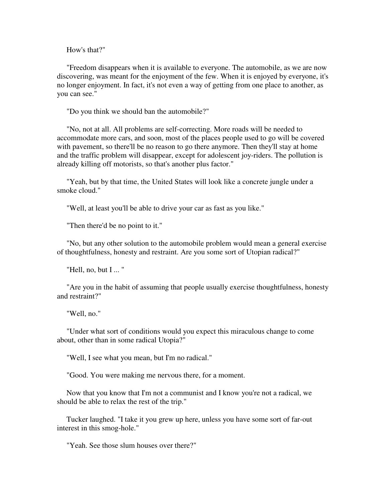How's that?"

 "Freedom disappears when it is available to everyone. The automobile, as we are now discovering, was meant for the enjoyment of the few. When it is enjoyed by everyone, it's no longer enjoyment. In fact, it's not even a way of getting from one place to another, as you can see."

"Do you think we should ban the automobile?"

 "No, not at all. All problems are self-correcting. More roads will be needed to accommodate more cars, and soon, most of the places people used to go will be covered with pavement, so there'll be no reason to go there anymore. Then they'll stay at home and the traffic problem will disappear, except for adolescent joy-riders. The pollution is already killing off motorists, so that's another plus factor."

 "Yeah, but by that time, the United States will look like a concrete jungle under a smoke cloud."

"Well, at least you'll be able to drive your car as fast as you like."

"Then there'd be no point to it."

 "No, but any other solution to the automobile problem would mean a general exercise of thoughtfulness, honesty and restraint. Are you some sort of Utopian radical?"

"Hell, no, but I ... "

 "Are you in the habit of assuming that people usually exercise thoughtfulness, honesty and restraint?"

"Well, no."

 "Under what sort of conditions would you expect this miraculous change to come about, other than in some radical Utopia?"

"Well, I see what you mean, but I'm no radical."

"Good. You were making me nervous there, for a moment.

 Now that you know that I'm not a communist and I know you're not a radical, we should be able to relax the rest of the trip."

 Tucker laughed. "I take it you grew up here, unless you have some sort of far-out interest in this smog-hole."

"Yeah. See those slum houses over there?"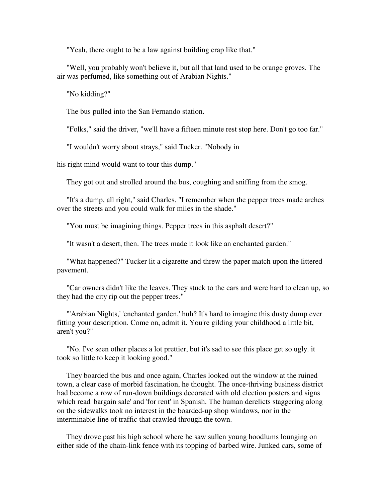"Yeah, there ought to be a law against building crap like that."

 "Well, you probably won't believe it, but all that land used to be orange groves. The air was perfumed, like something out of Arabian Nights."

"No kidding?"

The bus pulled into the San Fernando station.

"Folks," said the driver, "we'll have a fifteen minute rest stop here. Don't go too far."

"I wouldn't worry about strays," said Tucker. "Nobody in

his right mind would want to tour this dump."

They got out and strolled around the bus, coughing and sniffing from the smog.

 "It's a dump, all right," said Charles. "I remember when the pepper trees made arches over the streets and you could walk for miles in the shade."

"You must be imagining things. Pepper trees in this asphalt desert?"

"It wasn't a desert, then. The trees made it look like an enchanted garden."

 "What happened?" Tucker lit a cigarette and threw the paper match upon the littered pavement.

 "Car owners didn't like the leaves. They stuck to the cars and were hard to clean up, so they had the city rip out the pepper trees."

 "'Arabian Nights,' 'enchanted garden,' huh? It's hard to imagine this dusty dump ever fitting your description. Come on, admit it. You're gilding your childhood a little bit, aren't you?"

 "No. I've seen other places a lot prettier, but it's sad to see this place get so ugly. it took so little to keep it looking good."

 They boarded the bus and once again, Charles looked out the window at the ruined town, a clear case of morbid fascination, he thought. The once-thriving business district had become a row of run-down buildings decorated with old election posters and signs which read 'bargain sale' and 'for rent' in Spanish. The human derelicts staggering along on the sidewalks took no interest in the boarded-up shop windows, nor in the interminable line of traffic that crawled through the town.

 They drove past his high school where he saw sullen young hoodlums lounging on either side of the chain-link fence with its topping of barbed wire. Junked cars, some of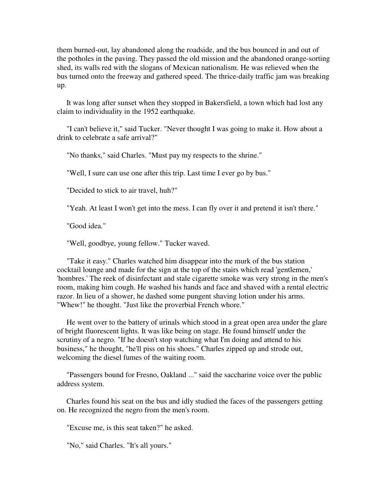them burned-out, lay abandoned along the roadside, and the bus bounced in and out of the potholes in the paving. They passed the old mission and the abandoned orange-sorting shed, its walls red with the slogans of Mexican nationalism. He was relieved when the bus turned onto the freeway and gathered speed. The thrice-daily traffic jam was breaking up.

 It was long after sunset when they stopped in Bakersfield, a town which had lost any claim to individuality in the 1952 earthquake.

 "I can't believe it," said Tucker. "Never thought I was going to make it. How about a drink to celebrate a safe arrival?"

"No thanks," said Charles. "Must pay my respects to the shrine."

"Well, I sure can use one after this trip. Last time I ever go by bus."

"Decided to stick to air travel, huh?"

"Yeah. At least I won't get into the mess. I can fly over it and pretend it isn't there."

"Good idea."

"Well, goodbye, young fellow." Tucker waved.

 "Take it easy." Charles watched him disappear into the murk of the bus station cocktail lounge and made for the sign at the top of the stairs which read 'gentlemen,' 'hombres.' The reek of disinfectant and stale cigarette smoke was very strong in the men's room, making him cough. He washed his hands and face and shaved with a rental electric razor. In lieu of a shower, he dashed some pungent shaving lotion under his arms. "Whew!" he thought. "Just like the proverbial French whore."

 He went over to the battery of urinals which stood in a great open area under the glare of bright fluorescent lights. It was like being on stage. He found himself under the scrutiny of a negro. "If he doesn't stop watching what I'm doing and attend to his business," he thought, "he'll piss on his shoes." Charles zipped up and strode out, welcoming the diesel fumes of the waiting room.

 "Passengers bound for Fresno, Oakland ..." said the saccharine voice over the public address system.

 Charles found his seat on the bus and idly studied the faces of the passengers getting on. He recognized the negro from the men's room.

"Excuse me, is this seat taken?" he asked.

"No," said Charles. "It's all yours."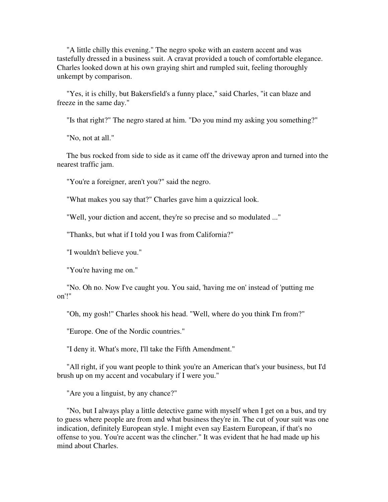"A little chilly this evening." The negro spoke with an eastern accent and was tastefully dressed in a business suit. A cravat provided a touch of comfortable elegance. Charles looked down at his own graying shirt and rumpled suit, feeling thoroughly unkempt by comparison.

 "Yes, it is chilly, but Bakersfield's a funny place," said Charles, "it can blaze and freeze in the same day."

"Is that right?" The negro stared at him. "Do you mind my asking you something?"

"No, not at all."

 The bus rocked from side to side as it came off the driveway apron and turned into the nearest traffic jam.

"You're a foreigner, aren't you?" said the negro.

"What makes you say that?" Charles gave him a quizzical look.

"Well, your diction and accent, they're so precise and so modulated ..."

"Thanks, but what if I told you I was from California?"

"I wouldn't believe you."

"You're having me on."

 "No. Oh no. Now I've caught you. You said, 'having me on' instead of 'putting me on'!"

"Oh, my gosh!" Charles shook his head. "Well, where do you think I'm from?"

"Europe. One of the Nordic countries."

"I deny it. What's more, I'll take the Fifth Amendment."

 "All right, if you want people to think you're an American that's your business, but I'd brush up on my accent and vocabulary if I were you."

"Are you a linguist, by any chance?"

 "No, but I always play a little detective game with myself when I get on a bus, and try to guess where people are from and what business they're in. The cut of your suit was one indication, definitely European style. I might even say Eastern European, if that's no offense to you. You're accent was the clincher." It was evident that he had made up his mind about Charles.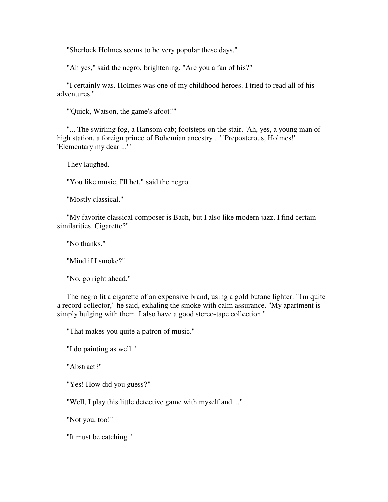"Sherlock Holmes seems to be very popular these days."

"Ah yes," said the negro, brightening. "Are you a fan of his?"

 "I certainly was. Holmes was one of my childhood heroes. I tried to read all of his adventures."

"'Quick, Watson, the game's afoot!'"

 "... The swirling fog, a Hansom cab; footsteps on the stair. 'Ah, yes, a young man of high station, a foreign prince of Bohemian ancestry ...' 'Preposterous, Holmes!' 'Elementary my dear ...'"

They laughed.

"You like music, I'll bet," said the negro.

"Mostly classical."

 "My favorite classical composer is Bach, but I also like modern jazz. I find certain similarities. Cigarette?"

"No thanks."

"Mind if I smoke?"

"No, go right ahead."

 The negro lit a cigarette of an expensive brand, using a gold butane lighter. "I'm quite a record collector," he said, exhaling the smoke with calm assurance. "My apartment is simply bulging with them. I also have a good stereo-tape collection."

"That makes you quite a patron of music."

"I do painting as well."

"Abstract?"

"Yes! How did you guess?"

"Well, I play this little detective game with myself and ..."

"Not you, too!"

"It must be catching."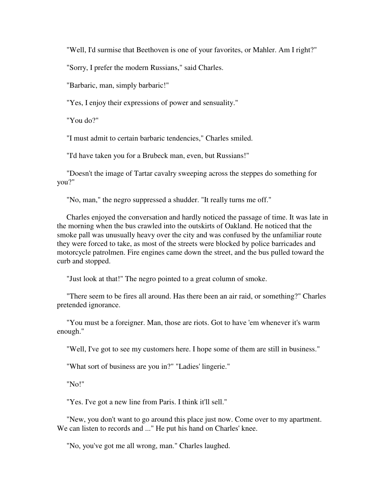"Well, I'd surmise that Beethoven is one of your favorites, or Mahler. Am I right?"

"Sorry, I prefer the modern Russians," said Charles.

"Barbaric, man, simply barbaric!"

"Yes, I enjoy their expressions of power and sensuality."

"You do?"

"I must admit to certain barbaric tendencies," Charles smiled.

"I'd have taken you for a Brubeck man, even, but Russians!"

 "Doesn't the image of Tartar cavalry sweeping across the steppes do something for you?"

"No, man," the negro suppressed a shudder. "It really turns me off."

 Charles enjoyed the conversation and hardly noticed the passage of time. It was late in the morning when the bus crawled into the outskirts of Oakland. He noticed that the smoke pall was unusually heavy over the city and was confused by the unfamiliar route they were forced to take, as most of the streets were blocked by police barricades and motorcycle patrolmen. Fire engines came down the street, and the bus pulled toward the curb and stopped.

"Just look at that!" The negro pointed to a great column of smoke.

 "There seem to be fires all around. Has there been an air raid, or something?" Charles pretended ignorance.

 "You must be a foreigner. Man, those are riots. Got to have 'em whenever it's warm enough."

"Well, I've got to see my customers here. I hope some of them are still in business."

"What sort of business are you in?" "Ladies' lingerie."

"No!"

"Yes. I've got a new line from Paris. I think it'll sell."

 "New, you don't want to go around this place just now. Come over to my apartment. We can listen to records and ..." He put his hand on Charles' knee.

"No, you've got me all wrong, man." Charles laughed.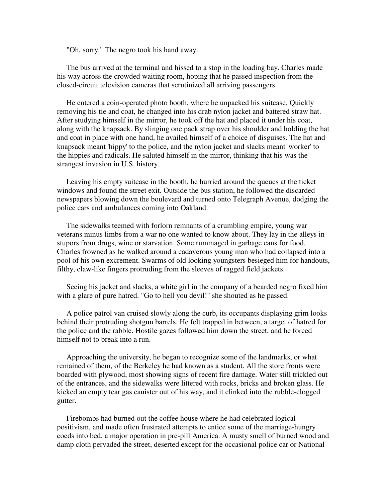"Oh, sorry." The negro took his hand away.

 The bus arrived at the terminal and hissed to a stop in the loading bay. Charles made his way across the crowded waiting room, hoping that he passed inspection from the closed-circuit television cameras that scrutinized all arriving passengers.

 He entered a coin-operated photo booth, where he unpacked his suitcase. Quickly removing his tie and coat, he changed into his drab nylon jacket and battered straw hat. After studying himself in the mirror, he took off the hat and placed it under his coat, along with the knapsack. By slinging one pack strap over his shoulder and holding the hat and coat in place with one hand, he availed himself of a choice of disguises. The hat and knapsack meant 'hippy' to the police, and the nylon jacket and slacks meant 'worker' to the hippies and radicals. He saluted himself in the mirror, thinking that his was the strangest invasion in U.S. history.

 Leaving his empty suitcase in the booth, he hurried around the queues at the ticket windows and found the street exit. Outside the bus station, he followed the discarded newspapers blowing down the boulevard and turned onto Telegraph Avenue, dodging the police cars and ambulances coming into Oakland.

 The sidewalks teemed with forlorn remnants of a crumbling empire, young war veterans minus limbs from a war no one wanted to know about. They lay in the alleys in stupors from drugs, wine or starvation. Some rummaged in garbage cans for food. Charles frowned as he walked around a cadaverous young man who had collapsed into a pool of his own excrement. Swarms of old looking youngsters besieged him for handouts, filthy, claw-like fingers protruding from the sleeves of ragged field jackets.

 Seeing his jacket and slacks, a white girl in the company of a bearded negro fixed him with a glare of pure hatred. "Go to hell you devil!" she shouted as he passed.

 A police patrol van cruised slowly along the curb, its occupants displaying grim looks behind their protruding shotgun barrels. He felt trapped in between, a target of hatred for the police and the rabble. Hostile gazes followed him down the street, and he forced himself not to break into a run.

 Approaching the university, he began to recognize some of the landmarks, or what remained of them, of the Berkeley he had known as a student. All the store fronts were boarded with plywood, most showing signs of recent fire damage. Water still trickled out of the entrances, and the sidewalks were littered with rocks, bricks and broken glass. He kicked an empty tear gas canister out of his way, and it clinked into the rubble-clogged gutter.

 Firebombs had burned out the coffee house where he had celebrated logical positivism, and made often frustrated attempts to entice some of the marriage-hungry coeds into bed, a major operation in pre-pill America. A musty smell of burned wood and damp cloth pervaded the street, deserted except for the occasional police car or National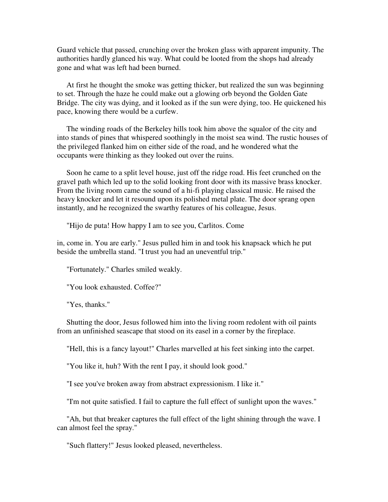Guard vehicle that passed, crunching over the broken glass with apparent impunity. The authorities hardly glanced his way. What could be looted from the shops had already gone and what was left had been burned.

 At first he thought the smoke was getting thicker, but realized the sun was beginning to set. Through the haze he could make out a glowing orb beyond the Golden Gate Bridge. The city was dying, and it looked as if the sun were dying, too. He quickened his pace, knowing there would be a curfew.

 The winding roads of the Berkeley hills took him above the squalor of the city and into stands of pines that whispered soothingly in the moist sea wind. The rustic houses of the privileged flanked him on either side of the road, and he wondered what the occupants were thinking as they looked out over the ruins.

 Soon he came to a split level house, just off the ridge road. His feet crunched on the gravel path which led up to the solid looking front door with its massive brass knocker. From the living room came the sound of a hi-fi playing classical music. He raised the heavy knocker and let it resound upon its polished metal plate. The door sprang open instantly, and he recognized the swarthy features of his colleague, Jesus.

"Hijo de puta! How happy I am to see you, Carlitos. Come

in, come in. You are early." Jesus pulled him in and took his knapsack which he put beside the umbrella stand. "I trust you had an uneventful trip."

"Fortunately." Charles smiled weakly.

"You look exhausted. Coffee?"

"Yes, thanks."

 Shutting the door, Jesus followed him into the living room redolent with oil paints from an unfinished seascape that stood on its easel in a corner by the fireplace.

"Hell, this is a fancy layout!" Charles marvelled at his feet sinking into the carpet.

"You like it, huh? With the rent I pay, it should look good."

"I see you've broken away from abstract expressionism. I like it."

"I'm not quite satisfied. I fail to capture the full effect of sunlight upon the waves."

 "Ah, but that breaker captures the full effect of the light shining through the wave. I can almost feel the spray."

"Such flattery!" Jesus looked pleased, nevertheless.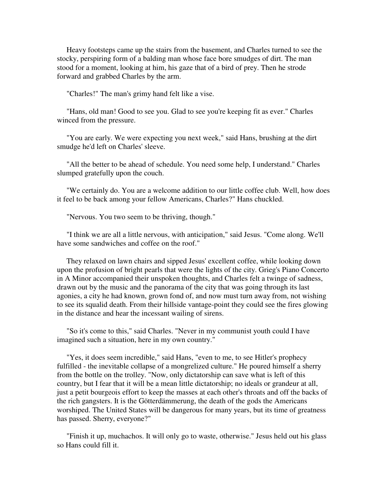Heavy footsteps came up the stairs from the basement, and Charles turned to see the stocky, perspiring form of a balding man whose face bore smudges of dirt. The man stood for a moment, looking at him, his gaze that of a bird of prey. Then he strode forward and grabbed Charles by the arm.

"Charles!" The man's grimy hand felt like a vise.

 "Hans, old man! Good to see you. Glad to see you're keeping fit as ever." Charles winced from the pressure.

 "You are early. We were expecting you next week," said Hans, brushing at the dirt smudge he'd left on Charles' sleeve.

 "All the better to be ahead of schedule. You need some help, I understand." Charles slumped gratefully upon the couch.

 "We certainly do. You are a welcome addition to our little coffee club. Well, how does it feel to be back among your fellow Americans, Charles?" Hans chuckled.

"Nervous. You two seem to be thriving, though."

 "I think we are all a little nervous, with anticipation," said Jesus. "Come along. We'll have some sandwiches and coffee on the roof."

 They relaxed on lawn chairs and sipped Jesus' excellent coffee, while looking down upon the profusion of bright pearls that were the lights of the city. Grieg's Piano Concerto in A Minor accompanied their unspoken thoughts, and Charles felt a twinge of sadness, drawn out by the music and the panorama of the city that was going through its last agonies, a city he had known, grown fond of, and now must turn away from, not wishing to see its squalid death. From their hillside vantage-point they could see the fires glowing in the distance and hear the incessant wailing of sirens.

 "So it's come to this," said Charles. "Never in my communist youth could I have imagined such a situation, here in my own country."

 "Yes, it does seem incredible," said Hans, "even to me, to see Hitler's prophecy fulfilled - the inevitable collapse of a mongrelized culture." He poured himself a sherry from the bottle on the trolley. "Now, only dictatorship can save what is left of this country, but I fear that it will be a mean little dictatorship; no ideals or grandeur at all, just a petit bourgeois effort to keep the masses at each other's throats and off the backs of the rich gangsters. It is the Götterdämmerung, the death of the gods the Americans worshiped. The United States will be dangerous for many years, but its time of greatness has passed. Sherry, everyone?"

 "Finish it up, muchachos. It will only go to waste, otherwise." Jesus held out his glass so Hans could fill it.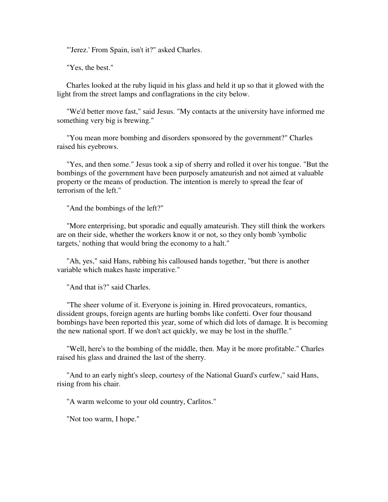"'Jerez.' From Spain, isn't it?" asked Charles.

"Yes, the best."

 Charles looked at the ruby liquid in his glass and held it up so that it glowed with the light from the street lamps and conflagrations in the city below.

 "We'd better move fast," said Jesus. "My contacts at the university have informed me something very big is brewing."

 "You mean more bombing and disorders sponsored by the government?" Charles raised his eyebrows.

 "Yes, and then some." Jesus took a sip of sherry and rolled it over his tongue. "But the bombings of the government have been purposely amateurish and not aimed at valuable property or the means of production. The intention is merely to spread the fear of terrorism of the left."

"And the bombings of the left?"

 "More enterprising, but sporadic and equally amateurish. They still think the workers are on their side, whether the workers know it or not, so they only bomb 'symbolic targets,' nothing that would bring the economy to a halt."

 "Ah, yes," said Hans, rubbing his calloused hands together, "but there is another variable which makes haste imperative."

"And that is?" said Charles.

 "The sheer volume of it. Everyone is joining in. Hired provocateurs, romantics, dissident groups, foreign agents are hurling bombs like confetti. Over four thousand bombings have been reported this year, some of which did lots of damage. It is becoming the new national sport. If we don't act quickly, we may be lost in the shuffle."

 "Well, here's to the bombing of the middle, then. May it be more profitable." Charles raised his glass and drained the last of the sherry.

 "And to an early night's sleep, courtesy of the National Guard's curfew," said Hans, rising from his chair.

"A warm welcome to your old country, Carlitos."

"Not too warm, I hope."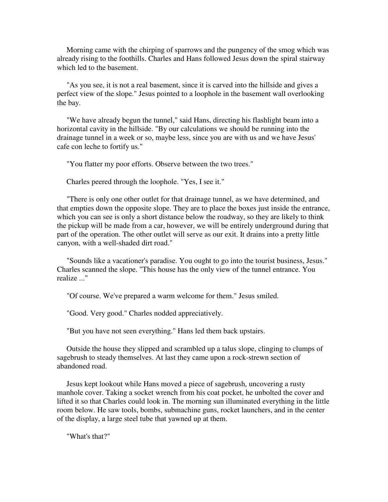Morning came with the chirping of sparrows and the pungency of the smog which was already rising to the foothills. Charles and Hans followed Jesus down the spiral stairway which led to the basement.

 "As you see, it is not a real basement, since it is carved into the hillside and gives a perfect view of the slope." Jesus pointed to a loophole in the basement wall overlooking the bay.

 "We have already begun the tunnel," said Hans, directing his flashlight beam into a horizontal cavity in the hillside. "By our calculations we should be running into the drainage tunnel in a week or so, maybe less, since you are with us and we have Jesus' cafe con leche to fortify us."

"You flatter my poor efforts. Observe between the two trees."

Charles peered through the loophole. "Yes, I see it."

 "There is only one other outlet for that drainage tunnel, as we have determined, and that empties down the opposite slope. They are to place the boxes just inside the entrance, which you can see is only a short distance below the roadway, so they are likely to think the pickup will be made from a car, however, we will be entirely underground during that part of the operation. The other outlet will serve as our exit. It drains into a pretty little canyon, with a well-shaded dirt road."

 "Sounds like a vacationer's paradise. You ought to go into the tourist business, Jesus." Charles scanned the slope. "This house has the only view of the tunnel entrance. You realize ..."

"Of course. We've prepared a warm welcome for them." Jesus smiled.

"Good. Very good." Charles nodded appreciatively.

"But you have not seen everything." Hans led them back upstairs.

 Outside the house they slipped and scrambled up a talus slope, clinging to clumps of sagebrush to steady themselves. At last they came upon a rock-strewn section of abandoned road.

 Jesus kept lookout while Hans moved a piece of sagebrush, uncovering a rusty manhole cover. Taking a socket wrench from his coat pocket, he unbolted the cover and lifted it so that Charles could look in. The morning sun illuminated everything in the little room below. He saw tools, bombs, submachine guns, rocket launchers, and in the center of the display, a large steel tube that yawned up at them.

"What's that?"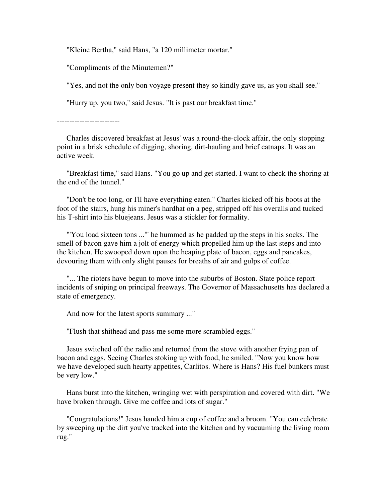"Kleine Bertha," said Hans, "a 120 millimeter mortar."

"Compliments of the Minutemen?"

"Yes, and not the only bon voyage present they so kindly gave us, as you shall see."

"Hurry up, you two," said Jesus. "It is past our breakfast time."

-------------------------

 Charles discovered breakfast at Jesus' was a round-the-clock affair, the only stopping point in a brisk schedule of digging, shoring, dirt-hauling and brief catnaps. It was an active week.

 "Breakfast time," said Hans. "You go up and get started. I want to check the shoring at the end of the tunnel."

 "Don't be too long, or I'll have everything eaten." Charles kicked off his boots at the foot of the stairs, hung his miner's hardhat on a peg, stripped off his overalls and tucked his T-shirt into his bluejeans. Jesus was a stickler for formality.

 "'You load sixteen tons ...'" he hummed as he padded up the steps in his socks. The smell of bacon gave him a jolt of energy which propelled him up the last steps and into the kitchen. He swooped down upon the heaping plate of bacon, eggs and pancakes, devouring them with only slight pauses for breaths of air and gulps of coffee.

 "... The rioters have begun to move into the suburbs of Boston. State police report incidents of sniping on principal freeways. The Governor of Massachusetts has declared a state of emergency.

And now for the latest sports summary ..."

"Flush that shithead and pass me some more scrambled eggs."

 Jesus switched off the radio and returned from the stove with another frying pan of bacon and eggs. Seeing Charles stoking up with food, he smiled. "Now you know how we have developed such hearty appetites, Carlitos. Where is Hans? His fuel bunkers must be very low."

 Hans burst into the kitchen, wringing wet with perspiration and covered with dirt. "We have broken through. Give me coffee and lots of sugar."

 "Congratulations!" Jesus handed him a cup of coffee and a broom. "You can celebrate by sweeping up the dirt you've tracked into the kitchen and by vacuuming the living room rug."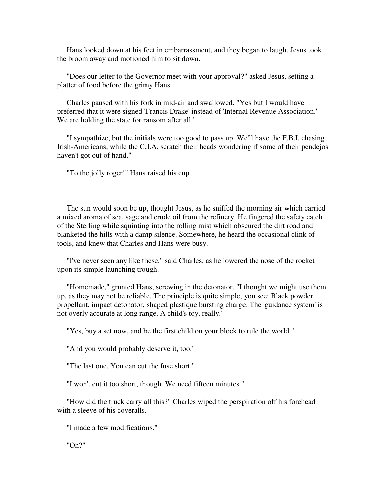Hans looked down at his feet in embarrassment, and they began to laugh. Jesus took the broom away and motioned him to sit down.

 "Does our letter to the Governor meet with your approval?" asked Jesus, setting a platter of food before the grimy Hans.

 Charles paused with his fork in mid-air and swallowed. "Yes but I would have preferred that it were signed 'Francis Drake' instead of 'Internal Revenue Association.' We are holding the state for ransom after all."

 "I sympathize, but the initials were too good to pass up. We'll have the F.B.I. chasing Irish-Americans, while the C.I.A. scratch their heads wondering if some of their pendejos haven't got out of hand."

"To the jolly roger!" Hans raised his cup.

-------------------------

 The sun would soon be up, thought Jesus, as he sniffed the morning air which carried a mixed aroma of sea, sage and crude oil from the refinery. He fingered the safety catch of the Sterling while squinting into the rolling mist which obscured the dirt road and blanketed the hills with a damp silence. Somewhere, he heard the occasional clink of tools, and knew that Charles and Hans were busy.

 "I've never seen any like these," said Charles, as he lowered the nose of the rocket upon its simple launching trough.

 "Homemade," grunted Hans, screwing in the detonator. "I thought we might use them up, as they may not be reliable. The principle is quite simple, you see: Black powder propellant, impact detonator, shaped plastique bursting charge. The 'guidance system' is not overly accurate at long range. A child's toy, really."

"Yes, buy a set now, and be the first child on your block to rule the world."

"And you would probably deserve it, too."

"The last one. You can cut the fuse short."

"I won't cut it too short, though. We need fifteen minutes."

 "How did the truck carry all this?" Charles wiped the perspiration off his forehead with a sleeve of his coveralls.

"I made a few modifications."

"Oh?"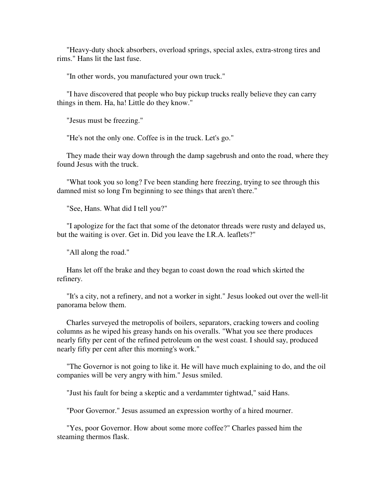"Heavy-duty shock absorbers, overload springs, special axles, extra-strong tires and rims." Hans lit the last fuse.

"In other words, you manufactured your own truck."

 "I have discovered that people who buy pickup trucks really believe they can carry things in them. Ha, ha! Little do they know."

"Jesus must be freezing."

"He's not the only one. Coffee is in the truck. Let's go."

 They made their way down through the damp sagebrush and onto the road, where they found Jesus with the truck.

 "What took you so long? I've been standing here freezing, trying to see through this damned mist so long I'm beginning to see things that aren't there."

"See, Hans. What did I tell you?"

 "I apologize for the fact that some of the detonator threads were rusty and delayed us, but the waiting is over. Get in. Did you leave the I.R.A. leaflets?"

"All along the road."

 Hans let off the brake and they began to coast down the road which skirted the refinery.

 "It's a city, not a refinery, and not a worker in sight." Jesus looked out over the well-lit panorama below them.

 Charles surveyed the metropolis of boilers, separators, cracking towers and cooling columns as he wiped his greasy hands on his overalls. "What you see there produces nearly fifty per cent of the refined petroleum on the west coast. I should say, produced nearly fifty per cent after this morning's work."

 "The Governor is not going to like it. He will have much explaining to do, and the oil companies will be very angry with him." Jesus smiled.

"Just his fault for being a skeptic and a verdammter tightwad," said Hans.

"Poor Governor." Jesus assumed an expression worthy of a hired mourner.

 "Yes, poor Governor. How about some more coffee?" Charles passed him the steaming thermos flask.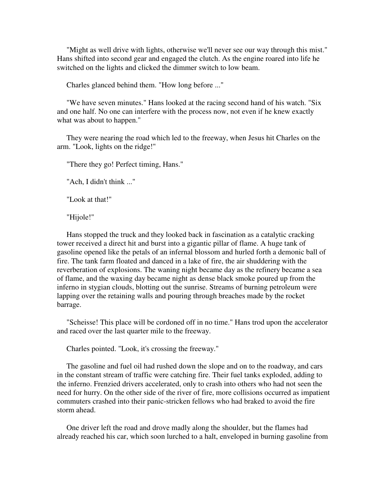"Might as well drive with lights, otherwise we'll never see our way through this mist." Hans shifted into second gear and engaged the clutch. As the engine roared into life he switched on the lights and clicked the dimmer switch to low beam.

Charles glanced behind them. "How long before ..."

 "We have seven minutes." Hans looked at the racing second hand of his watch. "Six and one half. No one can interfere with the process now, not even if he knew exactly what was about to happen."

 They were nearing the road which led to the freeway, when Jesus hit Charles on the arm. "Look, lights on the ridge!"

"There they go! Perfect timing, Hans."

"Ach, I didn't think ..."

"Look at that!"

"Hijole!"

 Hans stopped the truck and they looked back in fascination as a catalytic cracking tower received a direct hit and burst into a gigantic pillar of flame. A huge tank of gasoline opened like the petals of an infernal blossom and hurled forth a demonic ball of fire. The tank farm floated and danced in a lake of fire, the air shuddering with the reverberation of explosions. The waning night became day as the refinery became a sea of flame, and the waxing day became night as dense black smoke poured up from the inferno in stygian clouds, blotting out the sunrise. Streams of burning petroleum were lapping over the retaining walls and pouring through breaches made by the rocket barrage.

 "Scheisse! This place will be cordoned off in no time." Hans trod upon the accelerator and raced over the last quarter mile to the freeway.

Charles pointed. "Look, it's crossing the freeway."

 The gasoline and fuel oil had rushed down the slope and on to the roadway, and cars in the constant stream of traffic were catching fire. Their fuel tanks exploded, adding to the inferno. Frenzied drivers accelerated, only to crash into others who had not seen the need for hurry. On the other side of the river of fire, more collisions occurred as impatient commuters crashed into their panic-stricken fellows who had braked to avoid the fire storm ahead.

 One driver left the road and drove madly along the shoulder, but the flames had already reached his car, which soon lurched to a halt, enveloped in burning gasoline from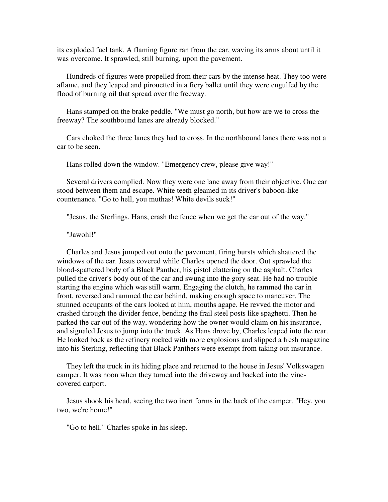its exploded fuel tank. A flaming figure ran from the car, waving its arms about until it was overcome. It sprawled, still burning, upon the pavement.

 Hundreds of figures were propelled from their cars by the intense heat. They too were aflame, and they leaped and pirouetted in a fiery ballet until they were engulfed by the flood of burning oil that spread over the freeway.

 Hans stamped on the brake peddle. "We must go north, but how are we to cross the freeway? The southbound lanes are already blocked."

 Cars choked the three lanes they had to cross. In the northbound lanes there was not a car to be seen.

Hans rolled down the window. "Emergency crew, please give way!"

 Several drivers complied. Now they were one lane away from their objective. One car stood between them and escape. White teeth gleamed in its driver's baboon-like countenance. "Go to hell, you muthas! White devils suck!"

"Jesus, the Sterlings. Hans, crash the fence when we get the car out of the way."

"Jawohl!"

 Charles and Jesus jumped out onto the pavement, firing bursts which shattered the windows of the car. Jesus covered while Charles opened the door. Out sprawled the blood-spattered body of a Black Panther, his pistol clattering on the asphalt. Charles pulled the driver's body out of the car and swung into the gory seat. He had no trouble starting the engine which was still warm. Engaging the clutch, he rammed the car in front, reversed and rammed the car behind, making enough space to maneuver. The stunned occupants of the cars looked at him, mouths agape. He revved the motor and crashed through the divider fence, bending the frail steel posts like spaghetti. Then he parked the car out of the way, wondering how the owner would claim on his insurance, and signaled Jesus to jump into the truck. As Hans drove by, Charles leaped into the rear. He looked back as the refinery rocked with more explosions and slipped a fresh magazine into his Sterling, reflecting that Black Panthers were exempt from taking out insurance.

 They left the truck in its hiding place and returned to the house in Jesus' Volkswagen camper. It was noon when they turned into the driveway and backed into the vinecovered carport.

 Jesus shook his head, seeing the two inert forms in the back of the camper. "Hey, you two, we're home!"

"Go to hell." Charles spoke in his sleep.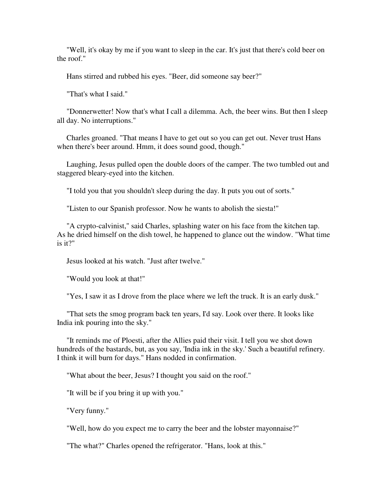"Well, it's okay by me if you want to sleep in the car. It's just that there's cold beer on the roof."

Hans stirred and rubbed his eyes. "Beer, did someone say beer?"

"That's what I said."

 "Donnerwetter! Now that's what I call a dilemma. Ach, the beer wins. But then I sleep all day. No interruptions."

 Charles groaned. "That means I have to get out so you can get out. Never trust Hans when there's beer around. Hmm, it does sound good, though."

 Laughing, Jesus pulled open the double doors of the camper. The two tumbled out and staggered bleary-eyed into the kitchen.

"I told you that you shouldn't sleep during the day. It puts you out of sorts."

"Listen to our Spanish professor. Now he wants to abolish the siesta!"

 "A crypto-calvinist," said Charles, splashing water on his face from the kitchen tap. As he dried himself on the dish towel, he happened to glance out the window. "What time is it?"

Jesus looked at his watch. "Just after twelve."

"Would you look at that!"

"Yes, I saw it as I drove from the place where we left the truck. It is an early dusk."

 "That sets the smog program back ten years, I'd say. Look over there. It looks like India ink pouring into the sky."

 "It reminds me of Ploesti, after the Allies paid their visit. I tell you we shot down hundreds of the bastards, but, as you say, 'India ink in the sky.' Such a beautiful refinery. I think it will burn for days." Hans nodded in confirmation.

"What about the beer, Jesus? I thought you said on the roof."

"It will be if you bring it up with you."

"Very funny."

"Well, how do you expect me to carry the beer and the lobster mayonnaise?"

"The what?" Charles opened the refrigerator. "Hans, look at this."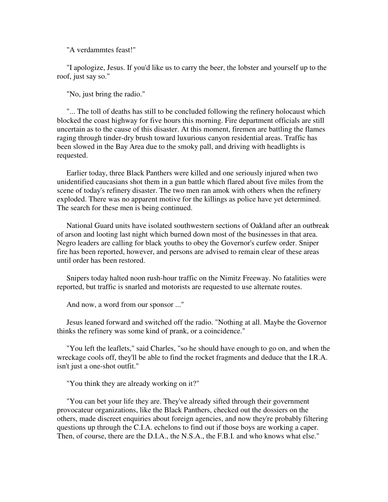"A verdammtes feast!"

 "I apologize, Jesus. If you'd like us to carry the beer, the lobster and yourself up to the roof, just say so."

"No, just bring the radio."

 "... The toll of deaths has still to be concluded following the refinery holocaust which blocked the coast highway for five hours this morning. Fire department officials are still uncertain as to the cause of this disaster. At this moment, firemen are battling the flames raging through tinder-dry brush toward luxurious canyon residential areas. Traffic has been slowed in the Bay Area due to the smoky pall, and driving with headlights is requested.

 Earlier today, three Black Panthers were killed and one seriously injured when two unidentified caucasians shot them in a gun battle which flared about five miles from the scene of today's refinery disaster. The two men ran amok with others when the refinery exploded. There was no apparent motive for the killings as police have yet determined. The search for these men is being continued.

 National Guard units have isolated southwestern sections of Oakland after an outbreak of arson and looting last night which burned down most of the businesses in that area. Negro leaders are calling for black youths to obey the Governor's curfew order. Sniper fire has been reported, however, and persons are advised to remain clear of these areas until order has been restored.

 Snipers today halted noon rush-hour traffic on the Nimitz Freeway. No fatalities were reported, but traffic is snarled and motorists are requested to use alternate routes.

And now, a word from our sponsor ..."

 Jesus leaned forward and switched off the radio. "Nothing at all. Maybe the Governor thinks the refinery was some kind of prank, or a coincidence."

 "You left the leaflets," said Charles, "so he should have enough to go on, and when the wreckage cools off, they'll be able to find the rocket fragments and deduce that the I.R.A. isn't just a one-shot outfit."

"You think they are already working on it?"

 "You can bet your life they are. They've already sifted through their government provocateur organizations, like the Black Panthers, checked out the dossiers on the others, made discreet enquiries about foreign agencies, and now they're probably filtering questions up through the C.I.A. echelons to find out if those boys are working a caper. Then, of course, there are the D.I.A., the N.S.A., the F.B.I. and who knows what else."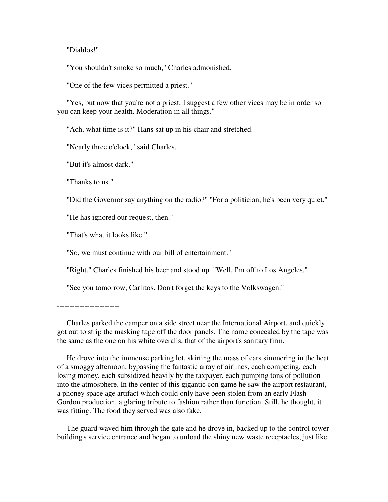"Diablos!"

"You shouldn't smoke so much," Charles admonished.

"One of the few vices permitted a priest."

 "Yes, but now that you're not a priest, I suggest a few other vices may be in order so you can keep your health. Moderation in all things."

"Ach, what time is it?" Hans sat up in his chair and stretched.

"Nearly three o'clock," said Charles.

"But it's almost dark."

"Thanks to us."

"Did the Governor say anything on the radio?" "For a politician, he's been very quiet."

"He has ignored our request, then."

"That's what it looks like."

"So, we must continue with our bill of entertainment."

"Right." Charles finished his beer and stood up. "Well, I'm off to Los Angeles."

"See you tomorrow, Carlitos. Don't forget the keys to the Volkswagen."

 Charles parked the camper on a side street near the International Airport, and quickly got out to strip the masking tape off the door panels. The name concealed by the tape was the same as the one on his white overalls, that of the airport's sanitary firm.

 He drove into the immense parking lot, skirting the mass of cars simmering in the heat of a smoggy afternoon, bypassing the fantastic array of airlines, each competing, each losing money, each subsidized heavily by the taxpayer, each pumping tons of pollution into the atmosphere. In the center of this gigantic con game he saw the airport restaurant, a phoney space age artifact which could only have been stolen from an early Flash Gordon production, a glaring tribute to fashion rather than function. Still, he thought, it was fitting. The food they served was also fake.

 The guard waved him through the gate and he drove in, backed up to the control tower building's service entrance and began to unload the shiny new waste receptacles, just like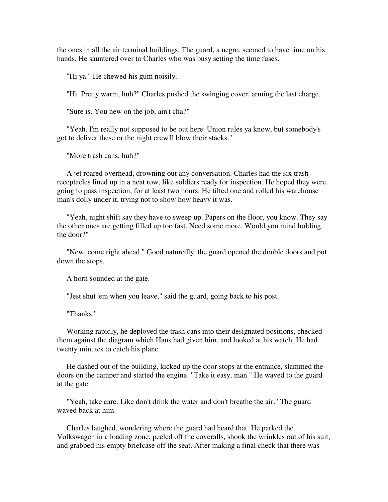the ones in all the air terminal buildings. The guard, a negro, seemed to have time on his hands. He sauntered over to Charles who was busy setting the time fuses.

"Hi ya." He chewed his gum noisily.

"Hi. Pretty warm, huh?" Charles pushed the swinging cover, arming the last charge.

"Sure is. You new on the job, ain't cha?"

 "Yeah. I'm really not supposed to be out here. Union rules ya know, but somebody's got to deliver these or the night crew'll blow their stacks."

"More trash cans, huh?"

 A jet roared overhead, drowning out any conversation. Charles had the six trash receptacles lined up in a neat row, like soldiers ready for inspection. He hoped they were going to pass inspection, for at least two hours. He tilted one and rolled his warehouse man's dolly under it, trying not to show how heavy it was.

 "Yeah, night shift say they have to sweep up. Papers on the floor, you know. They say the other ones are getting filled up too fast. Need some more. Would you mind holding the door?"

 "New, come right ahead." Good naturedly, the guard opened the double doors and put down the stops.

A horn sounded at the gate.

"Jest shut 'em when you leave," said the guard, going back to his post.

"Thanks."

 Working rapidly, he deployed the trash cans into their designated positions, checked them against the diagram which Hans had given him, and looked at his watch. He had twenty minutes to catch his plane.

 He dashed out of the building, kicked up the door stops at the entrance, slammed the doors on the camper and started the engine. "Take it easy, man." He waved to the guard at the gate.

 "Yeah, take care. Like don't drink the water and don't breathe the air." The guard waved back at him.

 Charles laughed, wondering where the guard had heard that. He parked the Volkswagen in a loading zone, peeled off the coveralls, shook the wrinkles out of his suit, and grabbed his empty briefcase off the seat. After making a final check that there was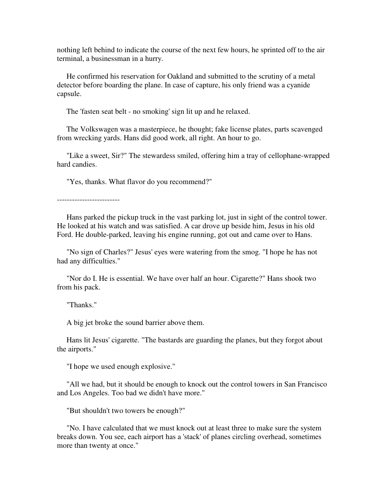nothing left behind to indicate the course of the next few hours, he sprinted off to the air terminal, a businessman in a hurry.

 He confirmed his reservation for Oakland and submitted to the scrutiny of a metal detector before boarding the plane. In case of capture, his only friend was a cyanide capsule.

The 'fasten seat belt - no smoking' sign lit up and he relaxed.

 The Volkswagen was a masterpiece, he thought; fake license plates, parts scavenged from wrecking yards. Hans did good work, all right. An hour to go.

 "Like a sweet, Sir?" The stewardess smiled, offering him a tray of cellophane-wrapped hard candies.

"Yes, thanks. What flavor do you recommend?"

-------------------------

 Hans parked the pickup truck in the vast parking lot, just in sight of the control tower. He looked at his watch and was satisfied. A car drove up beside him, Jesus in his old Ford. He double-parked, leaving his engine running, got out and came over to Hans.

 "No sign of Charles?" Jesus' eyes were watering from the smog. "I hope he has not had any difficulties."

 "Nor do I. He is essential. We have over half an hour. Cigarette?" Hans shook two from his pack.

"Thanks."

A big jet broke the sound barrier above them.

 Hans lit Jesus' cigarette. "The bastards are guarding the planes, but they forgot about the airports."

"I hope we used enough explosive."

 "All we had, but it should be enough to knock out the control towers in San Francisco and Los Angeles. Too bad we didn't have more."

"But shouldn't two towers be enough?"

 "No. I have calculated that we must knock out at least three to make sure the system breaks down. You see, each airport has a 'stack' of planes circling overhead, sometimes more than twenty at once."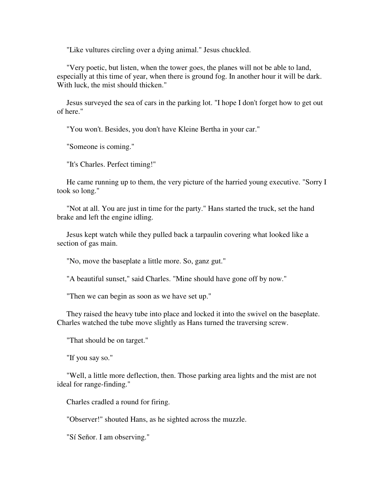"Like vultures circling over a dying animal." Jesus chuckled.

 "Very poetic, but listen, when the tower goes, the planes will not be able to land, especially at this time of year, when there is ground fog. In another hour it will be dark. With luck, the mist should thicken."

 Jesus surveyed the sea of cars in the parking lot. "I hope I don't forget how to get out of here."

"You won't. Besides, you don't have Kleine Bertha in your car."

"Someone is coming."

"It's Charles. Perfect timing!"

 He came running up to them, the very picture of the harried young executive. "Sorry I took so long."

 "Not at all. You are just in time for the party." Hans started the truck, set the hand brake and left the engine idling.

 Jesus kept watch while they pulled back a tarpaulin covering what looked like a section of gas main.

"No, move the baseplate a little more. So, ganz gut."

"A beautiful sunset," said Charles. "Mine should have gone off by now."

"Then we can begin as soon as we have set up."

 They raised the heavy tube into place and locked it into the swivel on the baseplate. Charles watched the tube move slightly as Hans turned the traversing screw.

"That should be on target."

"If you say so."

 "Well, a little more deflection, then. Those parking area lights and the mist are not ideal for range-finding."

Charles cradled a round for firing.

"Observer!" shouted Hans, as he sighted across the muzzle.

"Sí Señor. I am observing."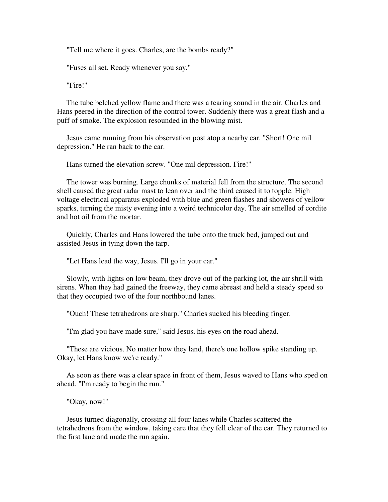"Tell me where it goes. Charles, are the bombs ready?"

"Fuses all set. Ready whenever you say."

"Fire!"

 The tube belched yellow flame and there was a tearing sound in the air. Charles and Hans peered in the direction of the control tower. Suddenly there was a great flash and a puff of smoke. The explosion resounded in the blowing mist.

 Jesus came running from his observation post atop a nearby car. "Short! One mil depression." He ran back to the car.

Hans turned the elevation screw. "One mil depression. Fire!"

 The tower was burning. Large chunks of material fell from the structure. The second shell caused the great radar mast to lean over and the third caused it to topple. High voltage electrical apparatus exploded with blue and green flashes and showers of yellow sparks, turning the misty evening into a weird technicolor day. The air smelled of cordite and hot oil from the mortar.

 Quickly, Charles and Hans lowered the tube onto the truck bed, jumped out and assisted Jesus in tying down the tarp.

"Let Hans lead the way, Jesus. I'll go in your car."

 Slowly, with lights on low beam, they drove out of the parking lot, the air shrill with sirens. When they had gained the freeway, they came abreast and held a steady speed so that they occupied two of the four northbound lanes.

"Ouch! These tetrahedrons are sharp." Charles sucked his bleeding finger.

"I'm glad you have made sure," said Jesus, his eyes on the road ahead.

 "These are vicious. No matter how they land, there's one hollow spike standing up. Okay, let Hans know we're ready."

 As soon as there was a clear space in front of them, Jesus waved to Hans who sped on ahead. "I'm ready to begin the run."

"Okay, now!"

 Jesus turned diagonally, crossing all four lanes while Charles scattered the tetrahedrons from the window, taking care that they fell clear of the car. They returned to the first lane and made the run again.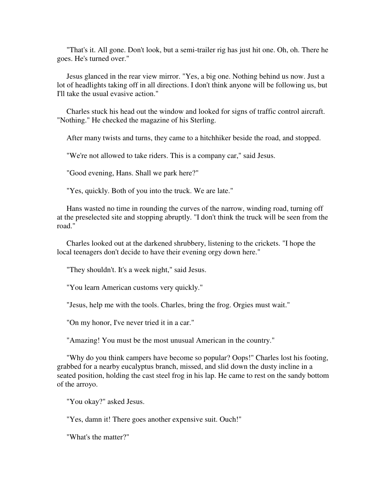"That's it. All gone. Don't look, but a semi-trailer rig has just hit one. Oh, oh. There he goes. He's turned over."

 Jesus glanced in the rear view mirror. "Yes, a big one. Nothing behind us now. Just a lot of headlights taking off in all directions. I don't think anyone will be following us, but I'll take the usual evasive action."

 Charles stuck his head out the window and looked for signs of traffic control aircraft. "Nothing." He checked the magazine of his Sterling.

After many twists and turns, they came to a hitchhiker beside the road, and stopped.

"We're not allowed to take riders. This is a company car," said Jesus.

"Good evening, Hans. Shall we park here?"

"Yes, quickly. Both of you into the truck. We are late."

 Hans wasted no time in rounding the curves of the narrow, winding road, turning off at the preselected site and stopping abruptly. "I don't think the truck will be seen from the road."

 Charles looked out at the darkened shrubbery, listening to the crickets. "I hope the local teenagers don't decide to have their evening orgy down here."

"They shouldn't. It's a week night," said Jesus.

"You learn American customs very quickly."

"Jesus, help me with the tools. Charles, bring the frog. Orgies must wait."

"On my honor, I've never tried it in a car."

"Amazing! You must be the most unusual American in the country."

 "Why do you think campers have become so popular? Oops!" Charles lost his footing, grabbed for a nearby eucalyptus branch, missed, and slid down the dusty incline in a seated position, holding the cast steel frog in his lap. He came to rest on the sandy bottom of the arroyo.

"You okay?" asked Jesus.

"Yes, damn it! There goes another expensive suit. Ouch!"

"What's the matter?"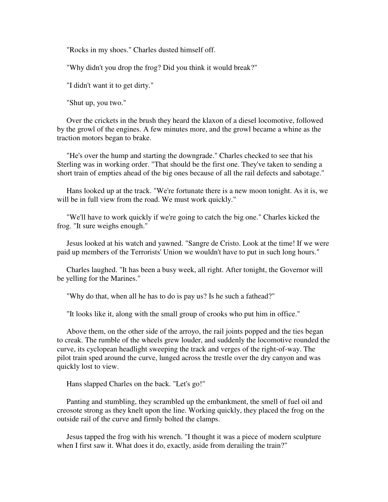"Rocks in my shoes." Charles dusted himself off.

"Why didn't you drop the frog? Did you think it would break?"

"I didn't want it to get dirty."

"Shut up, you two."

 Over the crickets in the brush they heard the klaxon of a diesel locomotive, followed by the growl of the engines. A few minutes more, and the growl became a whine as the traction motors began to brake.

 "He's over the hump and starting the downgrade." Charles checked to see that his Sterling was in working order. "That should be the first one. They've taken to sending a short train of empties ahead of the big ones because of all the rail defects and sabotage."

 Hans looked up at the track. "We're fortunate there is a new moon tonight. As it is, we will be in full view from the road. We must work quickly."

 "We'll have to work quickly if we're going to catch the big one." Charles kicked the frog. "It sure weighs enough."

 Jesus looked at his watch and yawned. "Sangre de Cristo. Look at the time! If we were paid up members of the Terrorists' Union we wouldn't have to put in such long hours."

 Charles laughed. "It has been a busy week, all right. After tonight, the Governor will be yelling for the Marines."

"Why do that, when all he has to do is pay us? Is he such a fathead?"

"It looks like it, along with the small group of crooks who put him in office."

 Above them, on the other side of the arroyo, the rail joints popped and the ties began to creak. The rumble of the wheels grew louder, and suddenly the locomotive rounded the curve, its cyclopean headlight sweeping the track and verges of the right-of-way. The pilot train sped around the curve, lunged across the trestle over the dry canyon and was quickly lost to view.

Hans slapped Charles on the back. "Let's go!"

 Panting and stumbling, they scrambled up the embankment, the smell of fuel oil and creosote strong as they knelt upon the line. Working quickly, they placed the frog on the outside rail of the curve and firmly bolted the clamps.

 Jesus tapped the frog with his wrench. "I thought it was a piece of modern sculpture when I first saw it. What does it do, exactly, aside from derailing the train?"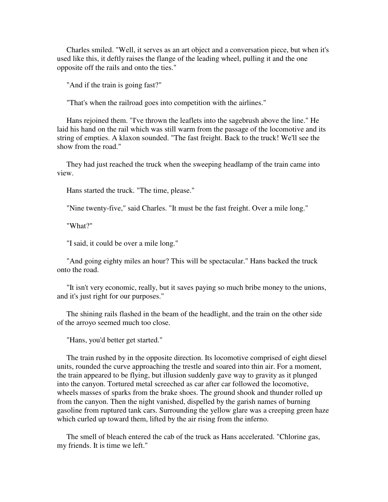Charles smiled. "Well, it serves as an art object and a conversation piece, but when it's used like this, it deftly raises the flange of the leading wheel, pulling it and the one opposite off the rails and onto the ties."

"And if the train is going fast?"

"That's when the railroad goes into competition with the airlines."

 Hans rejoined them. "I've thrown the leaflets into the sagebrush above the line." He laid his hand on the rail which was still warm from the passage of the locomotive and its string of empties. A klaxon sounded. "The fast freight. Back to the truck! We'll see the show from the road."

 They had just reached the truck when the sweeping headlamp of the train came into view.

Hans started the truck. "The time, please."

"Nine twenty-five," said Charles. "It must be the fast freight. Over a mile long."

"What?"

"I said, it could be over a mile long."

 "And going eighty miles an hour? This will be spectacular." Hans backed the truck onto the road.

 "It isn't very economic, really, but it saves paying so much bribe money to the unions, and it's just right for our purposes."

 The shining rails flashed in the beam of the headlight, and the train on the other side of the arroyo seemed much too close.

"Hans, you'd better get started."

 The train rushed by in the opposite direction. Its locomotive comprised of eight diesel units, rounded the curve approaching the trestle and soared into thin air. For a moment, the train appeared to be flying, but illusion suddenly gave way to gravity as it plunged into the canyon. Tortured metal screeched as car after car followed the locomotive, wheels masses of sparks from the brake shoes. The ground shook and thunder rolled up from the canyon. Then the night vanished, dispelled by the garish names of burning gasoline from ruptured tank cars. Surrounding the yellow glare was a creeping green haze which curled up toward them, lifted by the air rising from the inferno.

 The smell of bleach entered the cab of the truck as Hans accelerated. "Chlorine gas, my friends. It is time we left."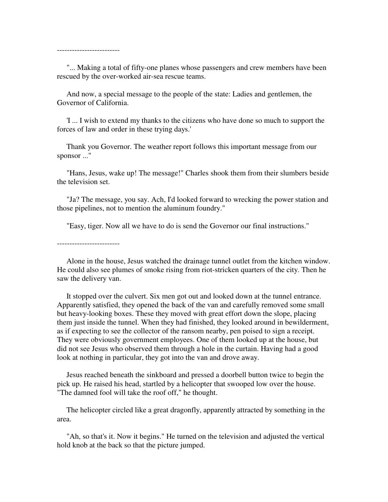-------------------------

 "... Making a total of fifty-one planes whose passengers and crew members have been rescued by the over-worked air-sea rescue teams.

 And now, a special message to the people of the state: Ladies and gentlemen, the Governor of California.

 'I ... I wish to extend my thanks to the citizens who have done so much to support the forces of law and order in these trying days.'

 Thank you Governor. The weather report follows this important message from our sponsor ..."

 "Hans, Jesus, wake up! The message!" Charles shook them from their slumbers beside the television set.

 "Ja? The message, you say. Ach, I'd looked forward to wrecking the power station and those pipelines, not to mention the aluminum foundry."

"Easy, tiger. Now all we have to do is send the Governor our final instructions."

 Alone in the house, Jesus watched the drainage tunnel outlet from the kitchen window. He could also see plumes of smoke rising from riot-stricken quarters of the city. Then he saw the delivery van.

 It stopped over the culvert. Six men got out and looked down at the tunnel entrance. Apparently satisfied, they opened the back of the van and carefully removed some small but heavy-looking boxes. These they moved with great effort down the slope, placing them just inside the tunnel. When they had finished, they looked around in bewilderment, as if expecting to see the collector of the ransom nearby, pen poised to sign a receipt. They were obviously government employees. One of them looked up at the house, but did not see Jesus who observed them through a hole in the curtain. Having had a good look at nothing in particular, they got into the van and drove away.

 Jesus reached beneath the sinkboard and pressed a doorbell button twice to begin the pick up. He raised his head, startled by a helicopter that swooped low over the house. "The damned fool will take the roof off," he thought.

 The helicopter circled like a great dragonfly, apparently attracted by something in the area.

 "Ah, so that's it. Now it begins." He turned on the television and adjusted the vertical hold knob at the back so that the picture jumped.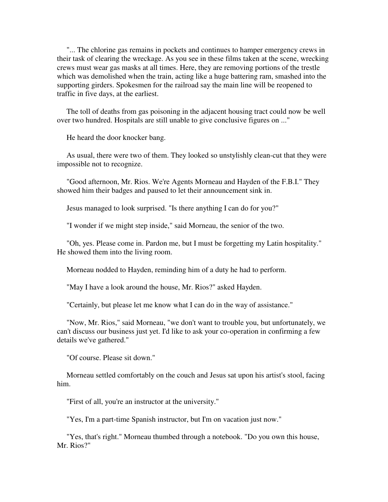"... The chlorine gas remains in pockets and continues to hamper emergency crews in their task of clearing the wreckage. As you see in these films taken at the scene, wrecking crews must wear gas masks at all times. Here, they are removing portions of the trestle which was demolished when the train, acting like a huge battering ram, smashed into the supporting girders. Spokesmen for the railroad say the main line will be reopened to traffic in five days, at the earliest.

 The toll of deaths from gas poisoning in the adjacent housing tract could now be well over two hundred. Hospitals are still unable to give conclusive figures on ..."

He heard the door knocker bang.

 As usual, there were two of them. They looked so unstylishly clean-cut that they were impossible not to recognize.

 "Good afternoon, Mr. Rios. We're Agents Morneau and Hayden of the F.B.I." They showed him their badges and paused to let their announcement sink in.

Jesus managed to look surprised. "Is there anything I can do for you?"

"I wonder if we might step inside," said Morneau, the senior of the two.

 "Oh, yes. Please come in. Pardon me, but I must be forgetting my Latin hospitality." He showed them into the living room.

Morneau nodded to Hayden, reminding him of a duty he had to perform.

"May I have a look around the house, Mr. Rios?" asked Hayden.

"Certainly, but please let me know what I can do in the way of assistance."

 "Now, Mr. Rios," said Morneau, "we don't want to trouble you, but unfortunately, we can't discuss our business just yet. I'd like to ask your co-operation in confirming a few details we've gathered."

"Of course. Please sit down."

 Morneau settled comfortably on the couch and Jesus sat upon his artist's stool, facing him.

"First of all, you're an instructor at the university."

"Yes, I'm a part-time Spanish instructor, but I'm on vacation just now."

 "Yes, that's right." Morneau thumbed through a notebook. "Do you own this house, Mr. Rios?"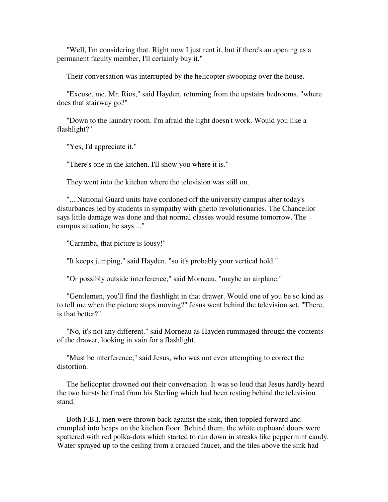"Well, I'm considering that. Right now I just rent it, but if there's an opening as a permanent faculty member, I'll certainly buy it."

Their conversation was interrupted by the helicopter swooping over the house.

 "Excuse, me, Mr. Rios," said Hayden, returning from the upstairs bedrooms, "where does that stairway go?"

 "Down to the laundry room. I'm afraid the light doesn't work. Would you like a flashlight?"

"Yes, I'd appreciate it."

"There's one in the kitchen. I'll show you where it is."

They went into the kitchen where the television was still on.

 "... National Guard units have cordoned off the university campus after today's disturbances led by students in sympathy with ghetto revolutionaries. The Chancellor says little damage was done and that normal classes would resume tomorrow. The campus situation, he says ..."

"Caramba, that picture is lousy!"

"It keeps jumping," said Hayden, "so it's probably your vertical hold."

"Or possibly outside interference," said Morneau, "maybe an airplane."

 "Gentlemen, you'll find the flashlight in that drawer. Would one of you be so kind as to tell me when the picture stops moving?" Jesus went behind the television set. "There, is that better?"

 "No, it's not any different." said Morneau as Hayden rummaged through the contents of the drawer, looking in vain for a flashlight.

 "Must be interference," said Jesus, who was not even attempting to correct the distortion.

 The helicopter drowned out their conversation. It was so loud that Jesus hardly heard the two bursts he fired from his Sterling which had been resting behind the television stand.

 Both F.B.I. men were thrown back against the sink, then toppled forward and crumpled into heaps on the kitchen floor. Behind them, the white cupboard doors were spattered with red polka-dots which started to run down in streaks like peppermint candy. Water sprayed up to the ceiling from a cracked faucet, and the tiles above the sink had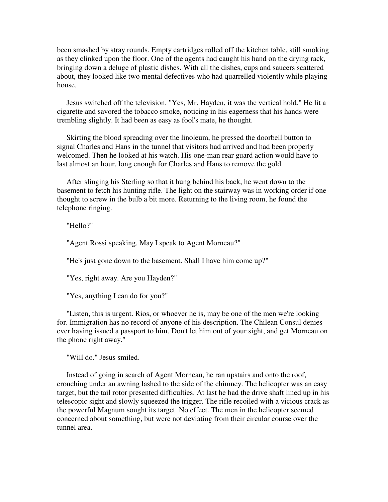been smashed by stray rounds. Empty cartridges rolled off the kitchen table, still smoking as they clinked upon the floor. One of the agents had caught his hand on the drying rack, bringing down a deluge of plastic dishes. With all the dishes, cups and saucers scattered about, they looked like two mental defectives who had quarrelled violently while playing house.

 Jesus switched off the television. "Yes, Mr. Hayden, it was the vertical hold." He lit a cigarette and savored the tobacco smoke, noticing in his eagerness that his hands were trembling slightly. It had been as easy as fool's mate, he thought.

 Skirting the blood spreading over the linoleum, he pressed the doorbell button to signal Charles and Hans in the tunnel that visitors had arrived and had been properly welcomed. Then he looked at his watch. His one-man rear guard action would have to last almost an hour, long enough for Charles and Hans to remove the gold.

 After slinging his Sterling so that it hung behind his back, he went down to the basement to fetch his hunting rifle. The light on the stairway was in working order if one thought to screw in the bulb a bit more. Returning to the living room, he found the telephone ringing.

"Hello?"

"Agent Rossi speaking. May I speak to Agent Morneau?"

"He's just gone down to the basement. Shall I have him come up?"

"Yes, right away. Are you Hayden?"

"Yes, anything I can do for you?"

 "Listen, this is urgent. Rios, or whoever he is, may be one of the men we're looking for. Immigration has no record of anyone of his description. The Chilean Consul denies ever having issued a passport to him. Don't let him out of your sight, and get Morneau on the phone right away."

"Will do." Jesus smiled.

 Instead of going in search of Agent Morneau, he ran upstairs and onto the roof, crouching under an awning lashed to the side of the chimney. The helicopter was an easy target, but the tail rotor presented difficulties. At last he had the drive shaft lined up in his telescopic sight and slowly squeezed the trigger. The rifle recoiled with a vicious crack as the powerful Magnum sought its target. No effect. The men in the helicopter seemed concerned about something, but were not deviating from their circular course over the tunnel area.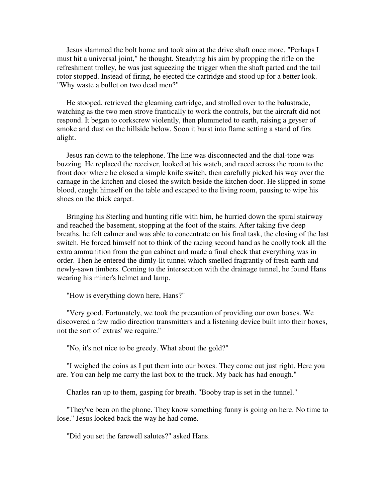Jesus slammed the bolt home and took aim at the drive shaft once more. "Perhaps I must hit a universal joint," he thought. Steadying his aim by propping the rifle on the refreshment trolley, he was just squeezing the trigger when the shaft parted and the tail rotor stopped. Instead of firing, he ejected the cartridge and stood up for a better look. "Why waste a bullet on two dead men?"

 He stooped, retrieved the gleaming cartridge, and strolled over to the balustrade, watching as the two men strove frantically to work the controls, but the aircraft did not respond. It began to corkscrew violently, then plummeted to earth, raising a geyser of smoke and dust on the hillside below. Soon it burst into flame setting a stand of firs alight.

 Jesus ran down to the telephone. The line was disconnected and the dial-tone was buzzing. He replaced the receiver, looked at his watch, and raced across the room to the front door where he closed a simple knife switch, then carefully picked his way over the carnage in the kitchen and closed the switch beside the kitchen door. He slipped in some blood, caught himself on the table and escaped to the living room, pausing to wipe his shoes on the thick carpet.

 Bringing his Sterling and hunting rifle with him, he hurried down the spiral stairway and reached the basement, stopping at the foot of the stairs. After taking five deep breaths, he felt calmer and was able to concentrate on his final task, the closing of the last switch. He forced himself not to think of the racing second hand as he coolly took all the extra ammunition from the gun cabinet and made a final check that everything was in order. Then he entered the dimly-lit tunnel which smelled fragrantly of fresh earth and newly-sawn timbers. Coming to the intersection with the drainage tunnel, he found Hans wearing his miner's helmet and lamp.

"How is everything down here, Hans?"

 "Very good. Fortunately, we took the precaution of providing our own boxes. We discovered a few radio direction transmitters and a listening device built into their boxes, not the sort of 'extras' we require."

"No, it's not nice to be greedy. What about the gold?"

 "I weighed the coins as I put them into our boxes. They come out just right. Here you are. You can help me carry the last box to the truck. My back has had enough."

Charles ran up to them, gasping for breath. "Booby trap is set in the tunnel."

 "They've been on the phone. They know something funny is going on here. No time to lose." Jesus looked back the way he had come.

"Did you set the farewell salutes?" asked Hans.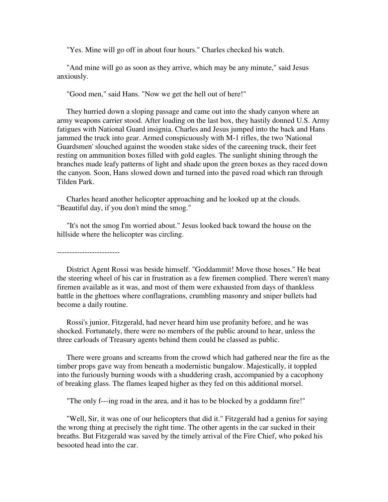"Yes. Mine will go off in about four hours." Charles checked his watch.

 "And mine will go as soon as they arrive, which may be any minute," said Jesus anxiously.

"Good men," said Hans. "Now we get the hell out of here!"

 They hurried down a sloping passage and came out into the shady canyon where an army weapons carrier stood. After loading on the last box, they hastily donned U.S. Army fatigues with National Guard insignia. Charles and Jesus jumped into the back and Hans jammed the truck into gear. Armed conspicuously with M-1 rifles, the two 'National Guardsmen' slouched against the wooden stake sides of the careening truck, their feet resting on ammunition boxes filled with gold eagles. The sunlight shining through the branches made leafy patterns of light and shade upon the green boxes as they raced down the canyon. Soon, Hans slowed down and turned into the paved road which ran through Tilden Park.

 Charles heard another helicopter approaching and he looked up at the clouds. "Beautiful day, if you don't mind the smog."

 "It's not the smog I'm worried about." Jesus looked back toward the house on the hillside where the helicopter was circling.

 District Agent Rossi was beside himself. "Goddammit! Move those hoses." He beat the steering wheel of his car in frustration as a few firemen complied. There weren't many firemen available as it was, and most of them were exhausted from days of thankless battle in the ghettoes where conflagrations, crumbling masonry and sniper bullets had become a daily routine.

 Rossi's junior, Fitzgerald, had never heard him use profanity before, and he was shocked. Fortunately, there were no members of the public around to hear, unless the three carloads of Treasury agents behind them could be classed as public.

 There were groans and screams from the crowd which had gathered near the fire as the timber props gave way from beneath a modernistic bungalow. Majestically, it toppled into the furiously burning woods with a shuddering crash, accompanied by a cacophony of breaking glass. The flames leaped higher as they fed on this additional morsel.

"The only f---ing road in the area, and it has to be blocked by a goddamn fire!"

 "Well, Sir, it was one of our helicopters that did it." Fitzgerald had a genius for saying the wrong thing at precisely the right time. The other agents in the car sucked in their breaths. But Fitzgerald was saved by the timely arrival of the Fire Chief, who poked his besooted head into the car.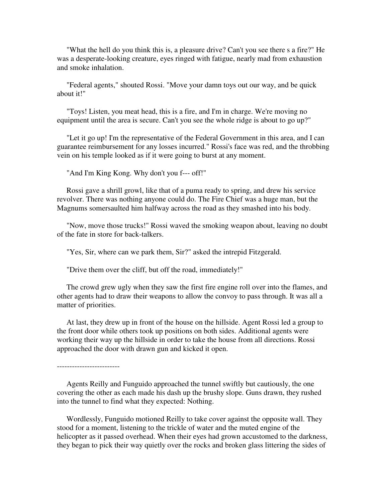"What the hell do you think this is, a pleasure drive? Can't you see there s a fire?" He was a desperate-looking creature, eyes ringed with fatigue, nearly mad from exhaustion and smoke inhalation.

 "Federal agents," shouted Rossi. "Move your damn toys out our way, and be quick about it!"

 "Toys! Listen, you meat head, this is a fire, and I'm in charge. We're moving no equipment until the area is secure. Can't you see the whole ridge is about to go up?"

 "Let it go up! I'm the representative of the Federal Government in this area, and I can guarantee reimbursement for any losses incurred." Rossi's face was red, and the throbbing vein on his temple looked as if it were going to burst at any moment.

"And I'm King Kong. Why don't you f--- off!"

 Rossi gave a shrill growl, like that of a puma ready to spring, and drew his service revolver. There was nothing anyone could do. The Fire Chief was a huge man, but the Magnums somersaulted him halfway across the road as they smashed into his body.

 "Now, move those trucks!" Rossi waved the smoking weapon about, leaving no doubt of the fate in store for back-talkers.

"Yes, Sir, where can we park them, Sir?" asked the intrepid Fitzgerald.

"Drive them over the cliff, but off the road, immediately!"

 The crowd grew ugly when they saw the first fire engine roll over into the flames, and other agents had to draw their weapons to allow the convoy to pass through. It was all a matter of priorities.

 At last, they drew up in front of the house on the hillside. Agent Rossi led a group to the front door while others took up positions on both sides. Additional agents were working their way up the hillside in order to take the house from all directions. Rossi approached the door with drawn gun and kicked it open.

-------------------------

 Agents Reilly and Funguido approached the tunnel swiftly but cautiously, the one covering the other as each made his dash up the brushy slope. Guns drawn, they rushed into the tunnel to find what they expected: Nothing.

 Wordlessly, Funguido motioned Reilly to take cover against the opposite wall. They stood for a moment, listening to the trickle of water and the muted engine of the helicopter as it passed overhead. When their eyes had grown accustomed to the darkness, they began to pick their way quietly over the rocks and broken glass littering the sides of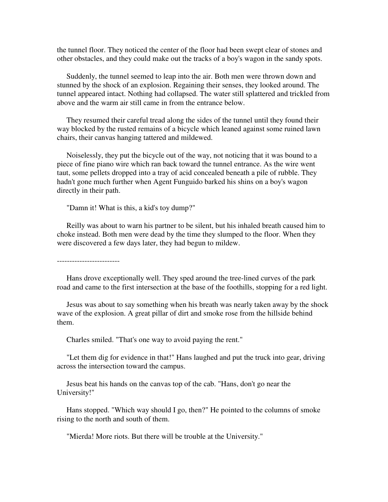the tunnel floor. They noticed the center of the floor had been swept clear of stones and other obstacles, and they could make out the tracks of a boy's wagon in the sandy spots.

 Suddenly, the tunnel seemed to leap into the air. Both men were thrown down and stunned by the shock of an explosion. Regaining their senses, they looked around. The tunnel appeared intact. Nothing had collapsed. The water still splattered and trickled from above and the warm air still came in from the entrance below.

 They resumed their careful tread along the sides of the tunnel until they found their way blocked by the rusted remains of a bicycle which leaned against some ruined lawn chairs, their canvas hanging tattered and mildewed.

 Noiselessly, they put the bicycle out of the way, not noticing that it was bound to a piece of fine piano wire which ran back toward the tunnel entrance. As the wire went taut, some pellets dropped into a tray of acid concealed beneath a pile of rubble. They hadn't gone much further when Agent Funguido barked his shins on a boy's wagon directly in their path.

"Damn it! What is this, a kid's toy dump?"

 Reilly was about to warn his partner to be silent, but his inhaled breath caused him to choke instead. Both men were dead by the time they slumped to the floor. When they were discovered a few days later, they had begun to mildew.

-------------------------

 Hans drove exceptionally well. They sped around the tree-lined curves of the park road and came to the first intersection at the base of the foothills, stopping for a red light.

 Jesus was about to say something when his breath was nearly taken away by the shock wave of the explosion. A great pillar of dirt and smoke rose from the hillside behind them.

Charles smiled. "That's one way to avoid paying the rent."

 "Let them dig for evidence in that!" Hans laughed and put the truck into gear, driving across the intersection toward the campus.

 Jesus beat his hands on the canvas top of the cab. "Hans, don't go near the University!"

 Hans stopped. "Which way should I go, then?" He pointed to the columns of smoke rising to the north and south of them.

"Mierda! More riots. But there will be trouble at the University."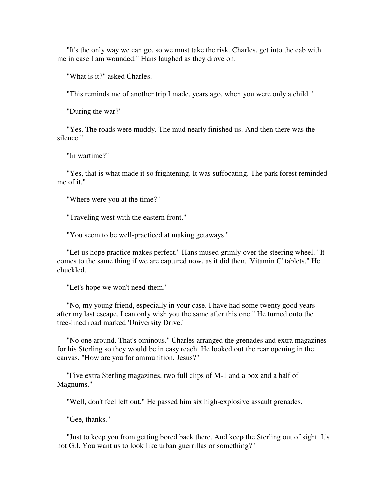"It's the only way we can go, so we must take the risk. Charles, get into the cab with me in case I am wounded." Hans laughed as they drove on.

"What is it?" asked Charles.

"This reminds me of another trip I made, years ago, when you were only a child."

"During the war?"

 "Yes. The roads were muddy. The mud nearly finished us. And then there was the silence."

"In wartime?"

 "Yes, that is what made it so frightening. It was suffocating. The park forest reminded me of it."

"Where were you at the time?"

"Traveling west with the eastern front."

"You seem to be well-practiced at making getaways."

 "Let us hope practice makes perfect." Hans mused grimly over the steering wheel. "It comes to the same thing if we are captured now, as it did then. 'Vitamin C' tablets." He chuckled.

"Let's hope we won't need them."

 "No, my young friend, especially in your case. I have had some twenty good years after my last escape. I can only wish you the same after this one." He turned onto the tree-lined road marked 'University Drive.'

 "No one around. That's ominous." Charles arranged the grenades and extra magazines for his Sterling so they would be in easy reach. He looked out the rear opening in the canvas. "How are you for ammunition, Jesus?"

 "Five extra Sterling magazines, two full clips of M-1 and a box and a half of Magnums."

"Well, don't feel left out." He passed him six high-explosive assault grenades.

"Gee, thanks."

 "Just to keep you from getting bored back there. And keep the Sterling out of sight. It's not G.I. You want us to look like urban guerrillas or something?"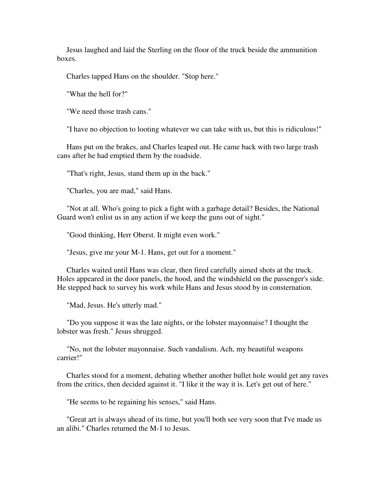Jesus laughed and laid the Sterling on the floor of the truck beside the ammunition boxes.

Charles tapped Hans on the shoulder. "Stop here."

"What the hell for?"

"We need those trash cans."

"I have no objection to looting whatever we can take with us, but this is ridiculous!"

 Hans put on the brakes, and Charles leaped out. He came back with two large trash cans after he had emptied them by the roadside.

"That's right, Jesus, stand them up in the back."

"Charles, you are mad," said Hans.

 "Not at all. Who's going to pick a fight with a garbage detail? Besides, the National Guard won't enlist us in any action if we keep the guns out of sight."

"Good thinking, Herr Oberst. It might even work."

"Jesus, give me your M-1. Hans, get out for a moment."

 Charles waited until Hans was clear, then fired carefully aimed shots at the truck. Holes appeared in the door panels, the hood, and the windshield on the passenger's side. He stepped back to survey his work while Hans and Jesus stood by in consternation.

"Mad, Jesus. He's utterly mad."

 "Do you suppose it was the late nights, or the lobster mayonnaise? I thought the lobster was fresh." Jesus shrugged.

 "No, not the lobster mayonnaise. Such vandalism. Ach, my beautiful weapons carrier!"

 Charles stood for a moment, debating whether another bullet hole would get any raves from the critics, then decided against it. "I like it the way it is. Let's get out of here."

"He seems to be regaining his senses," said Hans.

 "Great art is always ahead of its time, but you'll both see very soon that I've made us an alibi." Charles returned the M-1 to Jesus.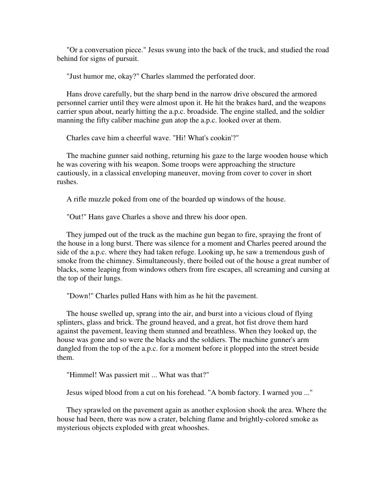"Or a conversation piece." Jesus swung into the back of the truck, and studied the road behind for signs of pursuit.

"Just humor me, okay?" Charles slammed the perforated door.

 Hans drove carefully, but the sharp bend in the narrow drive obscured the armored personnel carrier until they were almost upon it. He hit the brakes hard, and the weapons carrier spun about, nearly hitting the a.p.c. broadside. The engine stalled, and the soldier manning the fifty caliber machine gun atop the a.p.c. looked over at them.

Charles cave him a cheerful wave. "Hi! What's cookin'?"

 The machine gunner said nothing, returning his gaze to the large wooden house which he was covering with his weapon. Some troops were approaching the structure cautiously, in a classical enveloping maneuver, moving from cover to cover in short rushes.

A rifle muzzle poked from one of the boarded up windows of the house.

"Out!" Hans gave Charles a shove and threw his door open.

 They jumped out of the truck as the machine gun began to fire, spraying the front of the house in a long burst. There was silence for a moment and Charles peered around the side of the a.p.c. where they had taken refuge. Looking up, he saw a tremendous gush of smoke from the chimney. Simultaneously, there boiled out of the house a great number of blacks, some leaping from windows others from fire escapes, all screaming and cursing at the top of their lungs.

"Down!" Charles pulled Hans with him as he hit the pavement.

 The house swelled up, sprang into the air, and burst into a vicious cloud of flying splinters, glass and brick. The ground heaved, and a great, hot fist drove them hard against the pavement, leaving them stunned and breathless. When they looked up, the house was gone and so were the blacks and the soldiers. The machine gunner's arm dangled from the top of the a.p.c. for a moment before it plopped into the street beside them.

"Himmel! Was passiert mit ... What was that?"

Jesus wiped blood from a cut on his forehead. "A bomb factory. I warned you ..."

 They sprawled on the pavement again as another explosion shook the area. Where the house had been, there was now a crater, belching flame and brightly-colored smoke as mysterious objects exploded with great whooshes.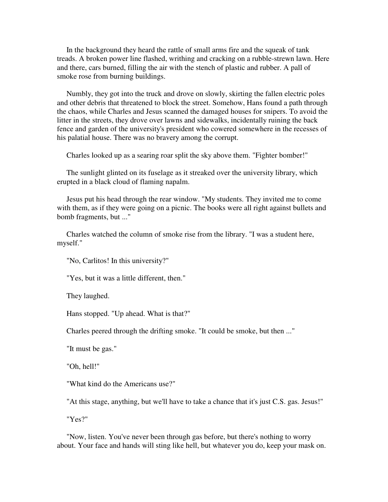In the background they heard the rattle of small arms fire and the squeak of tank treads. A broken power line flashed, writhing and cracking on a rubble-strewn lawn. Here and there, cars burned, filling the air with the stench of plastic and rubber. A pall of smoke rose from burning buildings.

 Numbly, they got into the truck and drove on slowly, skirting the fallen electric poles and other debris that threatened to block the street. Somehow, Hans found a path through the chaos, while Charles and Jesus scanned the damaged houses for snipers. To avoid the litter in the streets, they drove over lawns and sidewalks, incidentally ruining the back fence and garden of the university's president who cowered somewhere in the recesses of his palatial house. There was no bravery among the corrupt.

Charles looked up as a searing roar split the sky above them. "Fighter bomber!"

 The sunlight glinted on its fuselage as it streaked over the university library, which erupted in a black cloud of flaming napalm.

 Jesus put his head through the rear window. "My students. They invited me to come with them, as if they were going on a picnic. The books were all right against bullets and bomb fragments, but ..."

 Charles watched the column of smoke rise from the library. "I was a student here, myself."

"No, Carlitos! In this university?"

"Yes, but it was a little different, then."

They laughed.

Hans stopped. "Up ahead. What is that?"

Charles peered through the drifting smoke. "It could be smoke, but then ..."

"It must be gas."

"Oh, hell!"

"What kind do the Americans use?"

"At this stage, anything, but we'll have to take a chance that it's just C.S. gas. Jesus!"

"Yes?"

 "Now, listen. You've never been through gas before, but there's nothing to worry about. Your face and hands will sting like hell, but whatever you do, keep your mask on.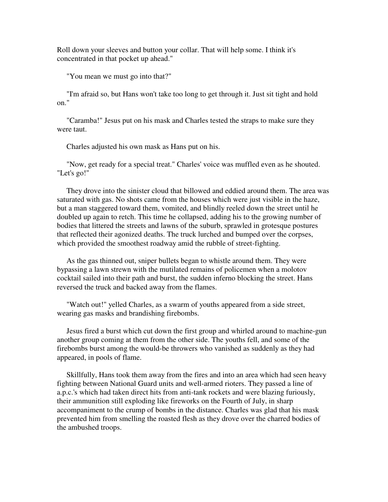Roll down your sleeves and button your collar. That will help some. I think it's concentrated in that pocket up ahead."

"You mean we must go into that?"

 "I'm afraid so, but Hans won't take too long to get through it. Just sit tight and hold on."

 "Caramba!" Jesus put on his mask and Charles tested the straps to make sure they were taut.

Charles adjusted his own mask as Hans put on his.

 "Now, get ready for a special treat." Charles' voice was muffled even as he shouted. "Let's go!"

 They drove into the sinister cloud that billowed and eddied around them. The area was saturated with gas. No shots came from the houses which were just visible in the haze, but a man staggered toward them, vomited, and blindly reeled down the street until he doubled up again to retch. This time he collapsed, adding his to the growing number of bodies that littered the streets and lawns of the suburb, sprawled in grotesque postures that reflected their agonized deaths. The truck lurched and bumped over the corpses, which provided the smoothest roadway amid the rubble of street-fighting.

 As the gas thinned out, sniper bullets began to whistle around them. They were bypassing a lawn strewn with the mutilated remains of policemen when a molotov cocktail sailed into their path and burst, the sudden inferno blocking the street. Hans reversed the truck and backed away from the flames.

 "Watch out!" yelled Charles, as a swarm of youths appeared from a side street, wearing gas masks and brandishing firebombs.

 Jesus fired a burst which cut down the first group and whirled around to machine-gun another group coming at them from the other side. The youths fell, and some of the firebombs burst among the would-be throwers who vanished as suddenly as they had appeared, in pools of flame.

 Skillfully, Hans took them away from the fires and into an area which had seen heavy fighting between National Guard units and well-armed rioters. They passed a line of a.p.c.'s which had taken direct hits from anti-tank rockets and were blazing furiously, their ammunition still exploding like fireworks on the Fourth of July, in sharp accompaniment to the crump of bombs in the distance. Charles was glad that his mask prevented him from smelling the roasted flesh as they drove over the charred bodies of the ambushed troops.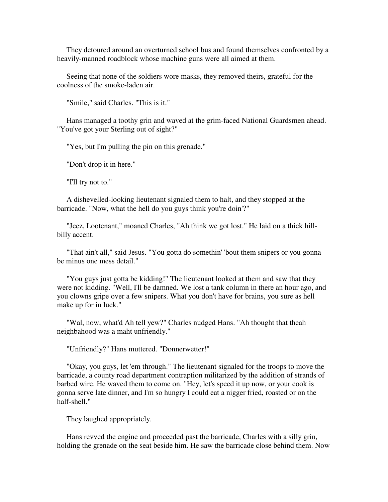They detoured around an overturned school bus and found themselves confronted by a heavily-manned roadblock whose machine guns were all aimed at them.

 Seeing that none of the soldiers wore masks, they removed theirs, grateful for the coolness of the smoke-laden air.

"Smile," said Charles. "This is it."

 Hans managed a toothy grin and waved at the grim-faced National Guardsmen ahead. "You've got your Sterling out of sight?"

"Yes, but I'm pulling the pin on this grenade."

"Don't drop it in here."

"I'll try not to."

 A dishevelled-looking lieutenant signaled them to halt, and they stopped at the barricade. "Now, what the hell do you guys think you're doin'?"

 "Jeez, Lootenant," moaned Charles, "Ah think we got lost." He laid on a thick hillbilly accent.

 "That ain't all," said Jesus. "You gotta do somethin' 'bout them snipers or you gonna be minus one mess detail."

 "You guys just gotta be kidding!" The lieutenant looked at them and saw that they were not kidding. "Well, I'll be damned. We lost a tank column in there an hour ago, and you clowns gripe over a few snipers. What you don't have for brains, you sure as hell make up for in luck."

 "Wal, now, what'd Ah tell yew?" Charles nudged Hans. "Ah thought that theah neighbahood was a maht unfriendly."

"Unfriendly?" Hans muttered. "Donnerwetter!"

 "Okay, you guys, let 'em through." The lieutenant signaled for the troops to move the barricade, a county road department contraption militarized by the addition of strands of barbed wire. He waved them to come on. "Hey, let's speed it up now, or your cook is gonna serve late dinner, and I'm so hungry I could eat a nigger fried, roasted or on the half-shell."

They laughed appropriately.

 Hans revved the engine and proceeded past the barricade, Charles with a silly grin, holding the grenade on the seat beside him. He saw the barricade close behind them. Now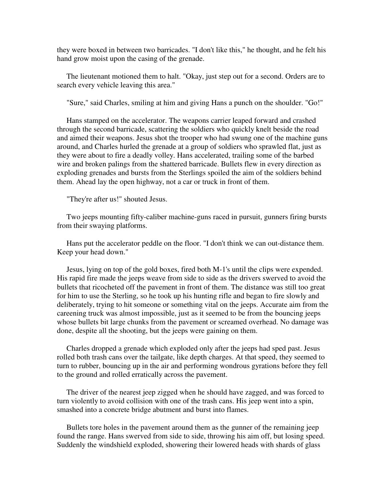they were boxed in between two barricades. "I don't like this," he thought, and he felt his hand grow moist upon the casing of the grenade.

 The lieutenant motioned them to halt. "Okay, just step out for a second. Orders are to search every vehicle leaving this area."

"Sure," said Charles, smiling at him and giving Hans a punch on the shoulder. "Go!"

 Hans stamped on the accelerator. The weapons carrier leaped forward and crashed through the second barricade, scattering the soldiers who quickly knelt beside the road and aimed their weapons. Jesus shot the trooper who had swung one of the machine guns around, and Charles hurled the grenade at a group of soldiers who sprawled flat, just as they were about to fire a deadly volley. Hans accelerated, trailing some of the barbed wire and broken palings from the shattered barricade. Bullets flew in every direction as exploding grenades and bursts from the Sterlings spoiled the aim of the soldiers behind them. Ahead lay the open highway, not a car or truck in front of them.

"They're after us!" shouted Jesus.

 Two jeeps mounting fifty-caliber machine-guns raced in pursuit, gunners firing bursts from their swaying platforms.

 Hans put the accelerator peddle on the floor. "I don't think we can out-distance them. Keep your head down."

 Jesus, lying on top of the gold boxes, fired both M-1's until the clips were expended. His rapid fire made the jeeps weave from side to side as the drivers swerved to avoid the bullets that ricocheted off the pavement in front of them. The distance was still too great for him to use the Sterling, so he took up his hunting rifle and began to fire slowly and deliberately, trying to hit someone or something vital on the jeeps. Accurate aim from the careening truck was almost impossible, just as it seemed to be from the bouncing jeeps whose bullets bit large chunks from the pavement or screamed overhead. No damage was done, despite all the shooting, but the jeeps were gaining on them.

 Charles dropped a grenade which exploded only after the jeeps had sped past. Jesus rolled both trash cans over the tailgate, like depth charges. At that speed, they seemed to turn to rubber, bouncing up in the air and performing wondrous gyrations before they fell to the ground and rolled erratically across the pavement.

 The driver of the nearest jeep zigged when he should have zagged, and was forced to turn violently to avoid collision with one of the trash cans. His jeep went into a spin, smashed into a concrete bridge abutment and burst into flames.

 Bullets tore holes in the pavement around them as the gunner of the remaining jeep found the range. Hans swerved from side to side, throwing his aim off, but losing speed. Suddenly the windshield exploded, showering their lowered heads with shards of glass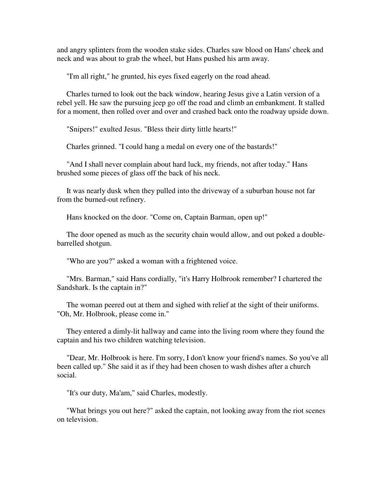and angry splinters from the wooden stake sides. Charles saw blood on Hans' cheek and neck and was about to grab the wheel, but Hans pushed his arm away.

"I'm all right," he grunted, his eyes fixed eagerly on the road ahead.

 Charles turned to look out the back window, hearing Jesus give a Latin version of a rebel yell. He saw the pursuing jeep go off the road and climb an embankment. It stalled for a moment, then rolled over and over and crashed back onto the roadway upside down.

"Snipers!" exulted Jesus. "Bless their dirty little hearts!"

Charles grinned. "I could hang a medal on every one of the bastards!"

 "And I shall never complain about hard luck, my friends, not after today." Hans brushed some pieces of glass off the back of his neck.

 It was nearly dusk when they pulled into the driveway of a suburban house not far from the burned-out refinery.

Hans knocked on the door. "Come on, Captain Barman, open up!"

 The door opened as much as the security chain would allow, and out poked a doublebarrelled shotgun.

"Who are you?" asked a woman with a frightened voice.

 "Mrs. Barman," said Hans cordially, "it's Harry Holbrook remember? I chartered the Sandshark. Is the captain in?"

 The woman peered out at them and sighed with relief at the sight of their uniforms. "Oh, Mr. Holbrook, please come in."

 They entered a dimly-lit hallway and came into the living room where they found the captain and his two children watching television.

 "Dear, Mr. Holbrook is here. I'm sorry, I don't know your friend's names. So you've all been called up." She said it as if they had been chosen to wash dishes after a church social.

"It's our duty, Ma'am," said Charles, modestly.

 "What brings you out here?" asked the captain, not looking away from the riot scenes on television.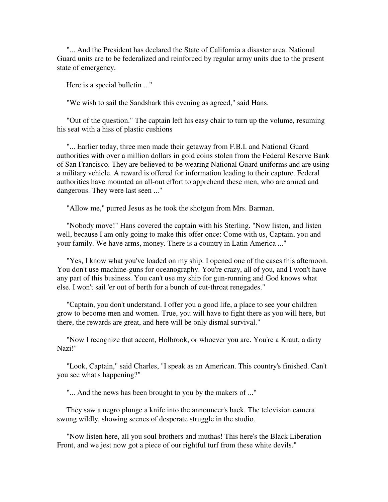"... And the President has declared the State of California a disaster area. National Guard units are to be federalized and reinforced by regular army units due to the present state of emergency.

Here is a special bulletin ..."

"We wish to sail the Sandshark this evening as agreed," said Hans.

 "Out of the question." The captain left his easy chair to turn up the volume, resuming his seat with a hiss of plastic cushions

 "... Earlier today, three men made their getaway from F.B.I. and National Guard authorities with over a million dollars in gold coins stolen from the Federal Reserve Bank of San Francisco. They are believed to be wearing National Guard uniforms and are using a military vehicle. A reward is offered for information leading to their capture. Federal authorities have mounted an all-out effort to apprehend these men, who are armed and dangerous. They were last seen ..."

"Allow me," purred Jesus as he took the shotgun from Mrs. Barman.

 "Nobody move!" Hans covered the captain with his Sterling. "Now listen, and listen well, because I am only going to make this offer once: Come with us, Captain, you and your family. We have arms, money. There is a country in Latin America ..."

 "Yes, I know what you've loaded on my ship. I opened one of the cases this afternoon. You don't use machine-guns for oceanography. You're crazy, all of you, and I won't have any part of this business. You can't use my ship for gun-running and God knows what else. I won't sail 'er out of berth for a bunch of cut-throat renegades."

 "Captain, you don't understand. I offer you a good life, a place to see your children grow to become men and women. True, you will have to fight there as you will here, but there, the rewards are great, and here will be only dismal survival."

 "Now I recognize that accent, Holbrook, or whoever you are. You're a Kraut, a dirty Nazi!"

 "Look, Captain," said Charles, "I speak as an American. This country's finished. Can't you see what's happening?"

"... And the news has been brought to you by the makers of ..."

 They saw a negro plunge a knife into the announcer's back. The television camera swung wildly, showing scenes of desperate struggle in the studio.

 "Now listen here, all you soul brothers and muthas! This here's the Black Liberation Front, and we jest now got a piece of our rightful turf from these white devils."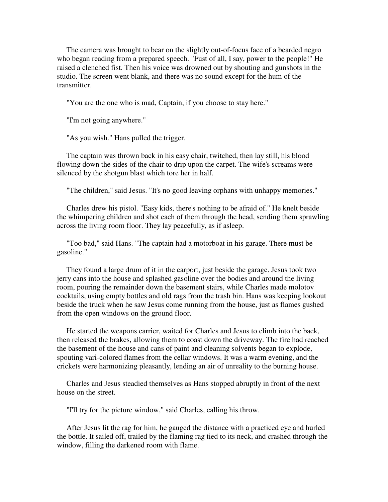The camera was brought to bear on the slightly out-of-focus face of a bearded negro who began reading from a prepared speech. "Fust of all, I say, power to the people!" He raised a clenched fist. Then his voice was drowned out by shouting and gunshots in the studio. The screen went blank, and there was no sound except for the hum of the transmitter.

"You are the one who is mad, Captain, if you choose to stay here."

"I'm not going anywhere."

"As you wish." Hans pulled the trigger.

 The captain was thrown back in his easy chair, twitched, then lay still, his blood flowing down the sides of the chair to drip upon the carpet. The wife's screams were silenced by the shotgun blast which tore her in half.

"The children," said Jesus. "It's no good leaving orphans with unhappy memories."

 Charles drew his pistol. "Easy kids, there's nothing to be afraid of." He knelt beside the whimpering children and shot each of them through the head, sending them sprawling across the living room floor. They lay peacefully, as if asleep.

 "Too bad," said Hans. "The captain had a motorboat in his garage. There must be gasoline."

 They found a large drum of it in the carport, just beside the garage. Jesus took two jerry cans into the house and splashed gasoline over the bodies and around the living room, pouring the remainder down the basement stairs, while Charles made molotov cocktails, using empty bottles and old rags from the trash bin. Hans was keeping lookout beside the truck when he saw Jesus come running from the house, just as flames gushed from the open windows on the ground floor.

 He started the weapons carrier, waited for Charles and Jesus to climb into the back, then released the brakes, allowing them to coast down the driveway. The fire had reached the basement of the house and cans of paint and cleaning solvents began to explode, spouting vari-colored flames from the cellar windows. It was a warm evening, and the crickets were harmonizing pleasantly, lending an air of unreality to the burning house.

 Charles and Jesus steadied themselves as Hans stopped abruptly in front of the next house on the street.

"I'll try for the picture window," said Charles, calling his throw.

 After Jesus lit the rag for him, he gauged the distance with a practiced eye and hurled the bottle. It sailed off, trailed by the flaming rag tied to its neck, and crashed through the window, filling the darkened room with flame.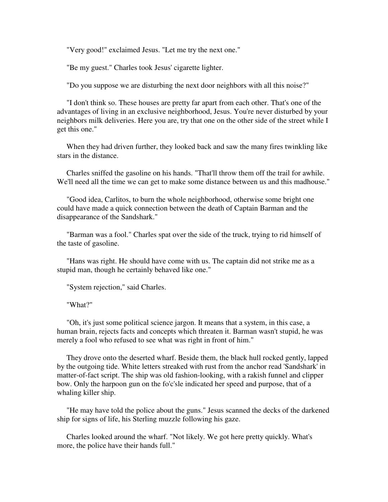"Very good!" exclaimed Jesus. "Let me try the next one."

"Be my guest." Charles took Jesus' cigarette lighter.

"Do you suppose we are disturbing the next door neighbors with all this noise?"

 "I don't think so. These houses are pretty far apart from each other. That's one of the advantages of living in an exclusive neighborhood, Jesus. You're never disturbed by your neighbors milk deliveries. Here you are, try that one on the other side of the street while I get this one."

 When they had driven further, they looked back and saw the many fires twinkling like stars in the distance.

 Charles sniffed the gasoline on his hands. "That'll throw them off the trail for awhile. We'll need all the time we can get to make some distance between us and this madhouse."

 "Good idea, Carlitos, to burn the whole neighborhood, otherwise some bright one could have made a quick connection between the death of Captain Barman and the disappearance of the Sandshark."

 "Barman was a fool." Charles spat over the side of the truck, trying to rid himself of the taste of gasoline.

 "Hans was right. He should have come with us. The captain did not strike me as a stupid man, though he certainly behaved like one."

"System rejection," said Charles.

"What?"

 "Oh, it's just some political science jargon. It means that a system, in this case, a human brain, rejects facts and concepts which threaten it. Barman wasn't stupid, he was merely a fool who refused to see what was right in front of him."

 They drove onto the deserted wharf. Beside them, the black hull rocked gently, lapped by the outgoing tide. White letters streaked with rust from the anchor read 'Sandshark' in matter-of-fact script. The ship was old fashion-looking, with a rakish funnel and clipper bow. Only the harpoon gun on the fo'c'sle indicated her speed and purpose, that of a whaling killer ship.

 "He may have told the police about the guns." Jesus scanned the decks of the darkened ship for signs of life, his Sterling muzzle following his gaze.

 Charles looked around the wharf. "Not likely. We got here pretty quickly. What's more, the police have their hands full."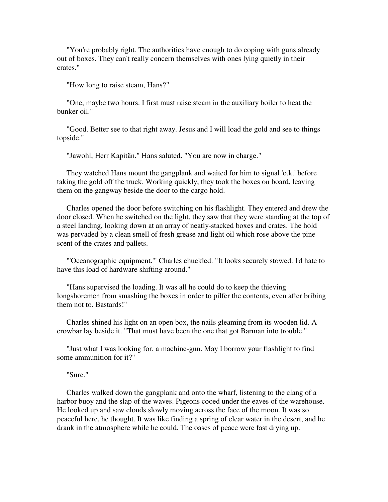"You're probably right. The authorities have enough to do coping with guns already out of boxes. They can't really concern themselves with ones lying quietly in their crates."

"How long to raise steam, Hans?"

 "One, maybe two hours. I first must raise steam in the auxiliary boiler to heat the bunker oil."

 "Good. Better see to that right away. Jesus and I will load the gold and see to things topside."

"Jawohl, Herr Kapitän." Hans saluted. "You are now in charge."

 They watched Hans mount the gangplank and waited for him to signal 'o.k.' before taking the gold off the truck. Working quickly, they took the boxes on board, leaving them on the gangway beside the door to the cargo hold.

 Charles opened the door before switching on his flashlight. They entered and drew the door closed. When he switched on the light, they saw that they were standing at the top of a steel landing, looking down at an array of neatly-stacked boxes and crates. The hold was pervaded by a clean smell of fresh grease and light oil which rose above the pine scent of the crates and pallets.

 "'Oceanographic equipment.'" Charles chuckled. "It looks securely stowed. I'd hate to have this load of hardware shifting around."

 "Hans supervised the loading. It was all he could do to keep the thieving longshoremen from smashing the boxes in order to pilfer the contents, even after bribing them not to. Bastards!"

 Charles shined his light on an open box, the nails gleaming from its wooden lid. A crowbar lay beside it. "That must have been the one that got Barman into trouble."

 "Just what I was looking for, a machine-gun. May I borrow your flashlight to find some ammunition for it?"

"Sure."

 Charles walked down the gangplank and onto the wharf, listening to the clang of a harbor buoy and the slap of the waves. Pigeons cooed under the eaves of the warehouse. He looked up and saw clouds slowly moving across the face of the moon. It was so peaceful here, he thought. It was like finding a spring of clear water in the desert, and he drank in the atmosphere while he could. The oases of peace were fast drying up.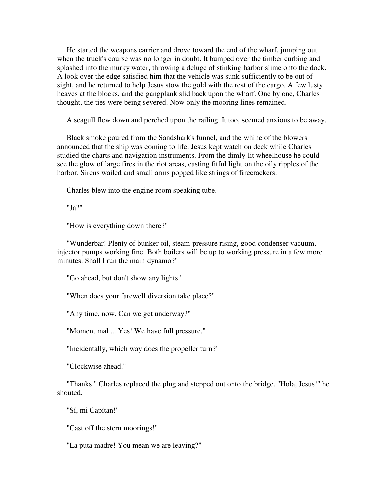He started the weapons carrier and drove toward the end of the wharf, jumping out when the truck's course was no longer in doubt. It bumped over the timber curbing and splashed into the murky water, throwing a deluge of stinking harbor slime onto the dock. A look over the edge satisfied him that the vehicle was sunk sufficiently to be out of sight, and he returned to help Jesus stow the gold with the rest of the cargo. A few lusty heaves at the blocks, and the gangplank slid back upon the wharf. One by one, Charles thought, the ties were being severed. Now only the mooring lines remained.

A seagull flew down and perched upon the railing. It too, seemed anxious to be away.

 Black smoke poured from the Sandshark's funnel, and the whine of the blowers announced that the ship was coming to life. Jesus kept watch on deck while Charles studied the charts and navigation instruments. From the dimly-lit wheelhouse he could see the glow of large fires in the riot areas, casting fitful light on the oily ripples of the harbor. Sirens wailed and small arms popped like strings of firecrackers.

Charles blew into the engine room speaking tube.

"Ja?"

"How is everything down there?"

 "Wunderbar! Plenty of bunker oil, steam-pressure rising, good condenser vacuum, injector pumps working fine. Both boilers will be up to working pressure in a few more minutes. Shall I run the main dynamo?"

"Go ahead, but don't show any lights."

"When does your farewell diversion take place?"

"Any time, now. Can we get underway?"

"Moment mal ... Yes! We have full pressure."

"Incidentally, which way does the propeller turn?"

"Clockwise ahead."

 "Thanks." Charles replaced the plug and stepped out onto the bridge. "Hola, Jesus!" he shouted.

"Sí, mi Capítan!"

"Cast off the stern moorings!"

"La puta madre! You mean we are leaving?"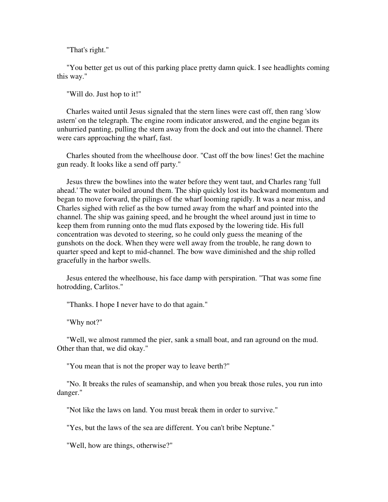"That's right."

 "You better get us out of this parking place pretty damn quick. I see headlights coming this way."

"Will do. Just hop to it!"

 Charles waited until Jesus signaled that the stern lines were cast off, then rang 'slow astern' on the telegraph. The engine room indicator answered, and the engine began its unhurried panting, pulling the stern away from the dock and out into the channel. There were cars approaching the wharf, fast.

 Charles shouted from the wheelhouse door. "Cast off the bow lines! Get the machine gun ready. It looks like a send off party."

 Jesus threw the bowlines into the water before they went taut, and Charles rang 'full ahead.' The water boiled around them. The ship quickly lost its backward momentum and began to move forward, the pilings of the wharf looming rapidly. It was a near miss, and Charles sighed with relief as the bow turned away from the wharf and pointed into the channel. The ship was gaining speed, and he brought the wheel around just in time to keep them from running onto the mud flats exposed by the lowering tide. His full concentration was devoted to steering, so he could only guess the meaning of the gunshots on the dock. When they were well away from the trouble, he rang down to quarter speed and kept to mid-channel. The bow wave diminished and the ship rolled gracefully in the harbor swells.

 Jesus entered the wheelhouse, his face damp with perspiration. "That was some fine hotrodding, Carlitos."

"Thanks. I hope I never have to do that again."

"Why not?"

 "Well, we almost rammed the pier, sank a small boat, and ran aground on the mud. Other than that, we did okay."

"You mean that is not the proper way to leave berth?"

 "No. It breaks the rules of seamanship, and when you break those rules, you run into danger."

"Not like the laws on land. You must break them in order to survive."

"Yes, but the laws of the sea are different. You can't bribe Neptune."

"Well, how are things, otherwise?"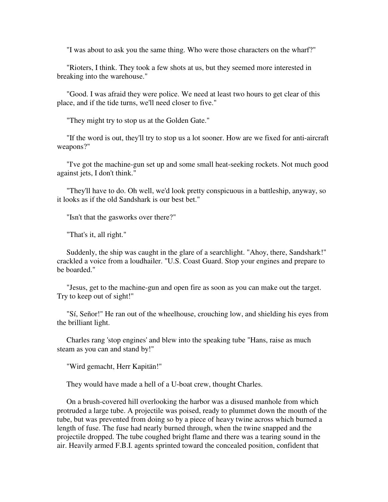"I was about to ask you the same thing. Who were those characters on the wharf?"

 "Rioters, I think. They took a few shots at us, but they seemed more interested in breaking into the warehouse."

 "Good. I was afraid they were police. We need at least two hours to get clear of this place, and if the tide turns, we'll need closer to five."

"They might try to stop us at the Golden Gate."

 "If the word is out, they'll try to stop us a lot sooner. How are we fixed for anti-aircraft weapons?"

 "I've got the machine-gun set up and some small heat-seeking rockets. Not much good against jets, I don't think."

 "They'll have to do. Oh well, we'd look pretty conspicuous in a battleship, anyway, so it looks as if the old Sandshark is our best bet."

"Isn't that the gasworks over there?"

"That's it, all right."

 Suddenly, the ship was caught in the glare of a searchlight. "Ahoy, there, Sandshark!" crackled a voice from a loudhailer. "U.S. Coast Guard. Stop your engines and prepare to be boarded."

 "Jesus, get to the machine-gun and open fire as soon as you can make out the target. Try to keep out of sight!"

 "Sí, Señor!" He ran out of the wheelhouse, crouching low, and shielding his eyes from the brilliant light.

 Charles rang 'stop engines' and blew into the speaking tube "Hans, raise as much steam as you can and stand by!"

"Wird gemacht, Herr Kapitän!"

They would have made a hell of a U-boat crew, thought Charles.

 On a brush-covered hill overlooking the harbor was a disused manhole from which protruded a large tube. A projectile was poised, ready to plummet down the mouth of the tube, but was prevented from doing so by a piece of heavy twine across which burned a length of fuse. The fuse had nearly burned through, when the twine snapped and the projectile dropped. The tube coughed bright flame and there was a tearing sound in the air. Heavily armed F.B.I. agents sprinted toward the concealed position, confident that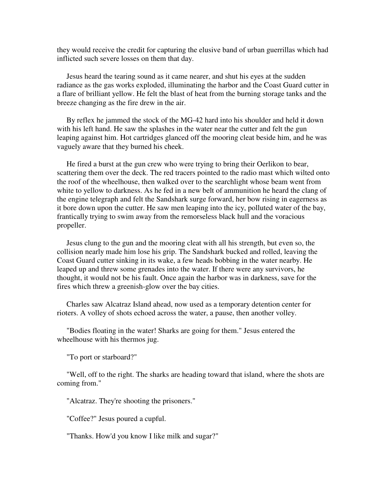they would receive the credit for capturing the elusive band of urban guerrillas which had inflicted such severe losses on them that day.

 Jesus heard the tearing sound as it came nearer, and shut his eyes at the sudden radiance as the gas works exploded, illuminating the harbor and the Coast Guard cutter in a flare of brilliant yellow. He felt the blast of heat from the burning storage tanks and the breeze changing as the fire drew in the air.

 By reflex he jammed the stock of the MG-42 hard into his shoulder and held it down with his left hand. He saw the splashes in the water near the cutter and felt the gun leaping against him. Hot cartridges glanced off the mooring cleat beside him, and he was vaguely aware that they burned his cheek.

 He fired a burst at the gun crew who were trying to bring their Oerlikon to bear, scattering them over the deck. The red tracers pointed to the radio mast which wilted onto the roof of the wheelhouse, then walked over to the searchlight whose beam went from white to yellow to darkness. As he fed in a new belt of ammunition he heard the clang of the engine telegraph and felt the Sandshark surge forward, her bow rising in eagerness as it bore down upon the cutter. He saw men leaping into the icy, polluted water of the bay, frantically trying to swim away from the remorseless black hull and the voracious propeller.

 Jesus clung to the gun and the mooring cleat with all his strength, but even so, the collision nearly made him lose his grip. The Sandshark bucked and rolled, leaving the Coast Guard cutter sinking in its wake, a few heads bobbing in the water nearby. He leaped up and threw some grenades into the water. If there were any survivors, he thought, it would not be his fault. Once again the harbor was in darkness, save for the fires which threw a greenish-glow over the bay cities.

 Charles saw Alcatraz Island ahead, now used as a temporary detention center for rioters. A volley of shots echoed across the water, a pause, then another volley.

 "Bodies floating in the water! Sharks are going for them." Jesus entered the wheelhouse with his thermos jug.

"To port or starboard?"

 "Well, off to the right. The sharks are heading toward that island, where the shots are coming from."

"Alcatraz. They're shooting the prisoners."

"Coffee?" Jesus poured a cupful.

"Thanks. How'd you know I like milk and sugar?"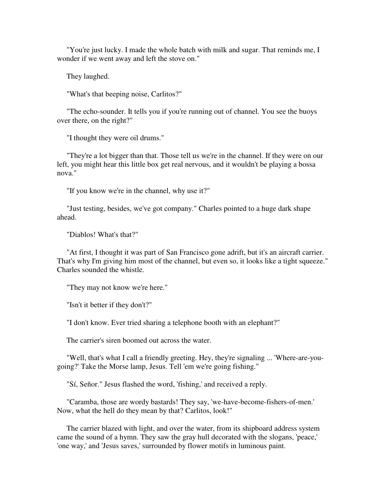"You're just lucky. I made the whole batch with milk and sugar. That reminds me, I wonder if we went away and left the stove on."

They laughed.

"What's that beeping noise, Carlitos?"

 "The echo-sounder. It tells you if you're running out of channel. You see the buoys over there, on the right?"

"I thought they were oil drums."

 "They're a lot bigger than that. Those tell us we're in the channel. If they were on our left, you might hear this little box get real nervous, and it wouldn't be playing a bossa nova."

"If you know we're in the channel, why use it?"

 "Just testing, besides, we've got company." Charles pointed to a huge dark shape ahead.

"Diablos! What's that?"

 "At first, I thought it was part of San Francisco gone adrift, but it's an aircraft carrier. That's why I'm giving him most of the channel, but even so, it looks like a tight squeeze." Charles sounded the whistle.

"They may not know we're here."

"Isn't it better if they don't?"

"I don't know. Ever tried sharing a telephone booth with an elephant?"

The carrier's siren boomed out across the water.

 "Well, that's what I call a friendly greeting. Hey, they're signaling ... 'Where-are-yougoing?' Take the Morse lamp, Jesus. Tell 'em we're going fishing."

"Sí, Señor." Jesus flashed the word, 'fishing,' and received a reply.

 "Caramba, those are wordy bastards! They say, 'we-have-become-fishers-of-men.' Now, what the hell do they mean by that? Carlitos, look!"

 The carrier blazed with light, and over the water, from its shipboard address system came the sound of a hymn. They saw the gray hull decorated with the slogans, 'peace,' 'one way,' and 'Jesus saves,' surrounded by flower motifs in luminous paint.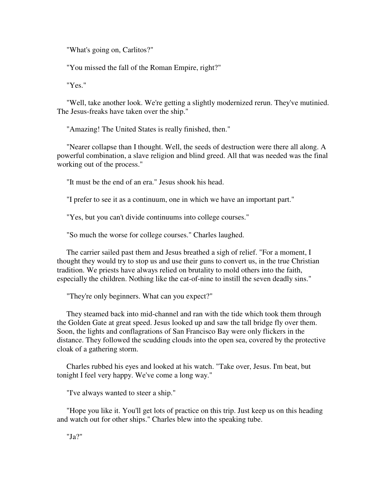"What's going on, Carlitos?"

"You missed the fall of the Roman Empire, right?"

"Yes."

 "Well, take another look. We're getting a slightly modernized rerun. They've mutinied. The Jesus-freaks have taken over the ship."

"Amazing! The United States is really finished, then."

 "Nearer collapse than I thought. Well, the seeds of destruction were there all along. A powerful combination, a slave religion and blind greed. All that was needed was the final working out of the process."

"It must be the end of an era." Jesus shook his head.

"I prefer to see it as a continuum, one in which we have an important part."

"Yes, but you can't divide continuums into college courses."

"So much the worse for college courses." Charles laughed.

 The carrier sailed past them and Jesus breathed a sigh of relief. "For a moment, I thought they would try to stop us and use their guns to convert us, in the true Christian tradition. We priests have always relied on brutality to mold others into the faith, especially the children. Nothing like the cat-of-nine to instill the seven deadly sins."

"They're only beginners. What can you expect?"

 They steamed back into mid-channel and ran with the tide which took them through the Golden Gate at great speed. Jesus looked up and saw the tall bridge fly over them. Soon, the lights and conflagrations of San Francisco Bay were only flickers in the distance. They followed the scudding clouds into the open sea, covered by the protective cloak of a gathering storm.

 Charles rubbed his eyes and looked at his watch. "Take over, Jesus. I'm beat, but tonight I feel very happy. We've come a long way."

"I've always wanted to steer a ship."

 "Hope you like it. You'll get lots of practice on this trip. Just keep us on this heading and watch out for other ships." Charles blew into the speaking tube.

"Ja?"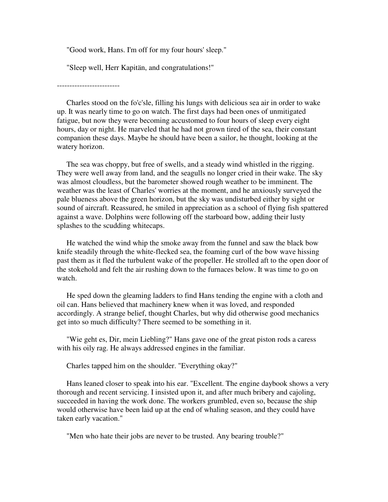"Good work, Hans. I'm off for my four hours' sleep."

"Sleep well, Herr Kapitän, and congratulations!"

-------------------------

 Charles stood on the fo'c'sle, filling his lungs with delicious sea air in order to wake up. It was nearly time to go on watch. The first days had been ones of unmitigated fatigue, but now they were becoming accustomed to four hours of sleep every eight hours, day or night. He marveled that he had not grown tired of the sea, their constant companion these days. Maybe he should have been a sailor, he thought, looking at the watery horizon.

 The sea was choppy, but free of swells, and a steady wind whistled in the rigging. They were well away from land, and the seagulls no longer cried in their wake. The sky was almost cloudless, but the barometer showed rough weather to be imminent. The weather was the least of Charles' worries at the moment, and he anxiously surveyed the pale blueness above the green horizon, but the sky was undisturbed either by sight or sound of aircraft. Reassured, he smiled in appreciation as a school of flying fish spattered against a wave. Dolphins were following off the starboard bow, adding their lusty splashes to the scudding whitecaps.

 He watched the wind whip the smoke away from the funnel and saw the black bow knife steadily through the white-flecked sea, the foaming curl of the bow wave hissing past them as it fled the turbulent wake of the propeller. He strolled aft to the open door of the stokehold and felt the air rushing down to the furnaces below. It was time to go on watch.

 He sped down the gleaming ladders to find Hans tending the engine with a cloth and oil can. Hans believed that machinery knew when it was loved, and responded accordingly. A strange belief, thought Charles, but why did otherwise good mechanics get into so much difficulty? There seemed to be something in it.

 "Wie geht es, Dir, mein Liebling?" Hans gave one of the great piston rods a caress with his oily rag. He always addressed engines in the familiar.

Charles tapped him on the shoulder. "Everything okay?"

 Hans leaned closer to speak into his ear. "Excellent. The engine daybook shows a very thorough and recent servicing. I insisted upon it, and after much bribery and cajoling, succeeded in having the work done. The workers grumbled, even so, because the ship would otherwise have been laid up at the end of whaling season, and they could have taken early vacation."

"Men who hate their jobs are never to be trusted. Any bearing trouble?"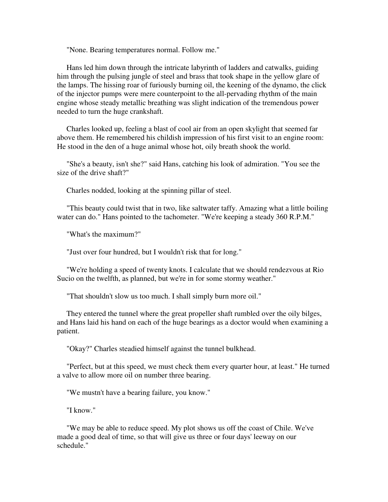"None. Bearing temperatures normal. Follow me."

 Hans led him down through the intricate labyrinth of ladders and catwalks, guiding him through the pulsing jungle of steel and brass that took shape in the yellow glare of the lamps. The hissing roar of furiously burning oil, the keening of the dynamo, the click of the injector pumps were mere counterpoint to the all-pervading rhythm of the main engine whose steady metallic breathing was slight indication of the tremendous power needed to turn the huge crankshaft.

 Charles looked up, feeling a blast of cool air from an open skylight that seemed far above them. He remembered his childish impression of his first visit to an engine room: He stood in the den of a huge animal whose hot, oily breath shook the world.

 "She's a beauty, isn't she?" said Hans, catching his look of admiration. "You see the size of the drive shaft?"

Charles nodded, looking at the spinning pillar of steel.

 "This beauty could twist that in two, like saltwater taffy. Amazing what a little boiling water can do." Hans pointed to the tachometer. "We're keeping a steady 360 R.P.M."

"What's the maximum?"

"Just over four hundred, but I wouldn't risk that for long."

 "We're holding a speed of twenty knots. I calculate that we should rendezvous at Rio Sucio on the twelfth, as planned, but we're in for some stormy weather."

"That shouldn't slow us too much. I shall simply burn more oil."

 They entered the tunnel where the great propeller shaft rumbled over the oily bilges, and Hans laid his hand on each of the huge bearings as a doctor would when examining a patient.

"Okay?" Charles steadied himself against the tunnel bulkhead.

 "Perfect, but at this speed, we must check them every quarter hour, at least." He turned a valve to allow more oil on number three bearing.

"We mustn't have a bearing failure, you know."

"I know."

 "We may be able to reduce speed. My plot shows us off the coast of Chile. We've made a good deal of time, so that will give us three or four days' leeway on our schedule."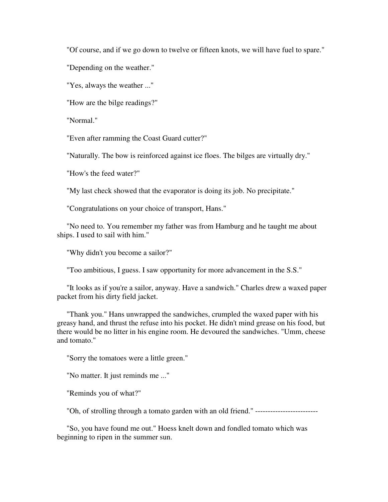"Of course, and if we go down to twelve or fifteen knots, we will have fuel to spare."

"Depending on the weather."

"Yes, always the weather ..."

"How are the bilge readings?"

"Normal."

"Even after ramming the Coast Guard cutter?"

"Naturally. The bow is reinforced against ice floes. The bilges are virtually dry."

"How's the feed water?"

"My last check showed that the evaporator is doing its job. No precipitate."

"Congratulations on your choice of transport, Hans."

 "No need to. You remember my father was from Hamburg and he taught me about ships. I used to sail with him."

"Why didn't you become a sailor?"

"Too ambitious, I guess. I saw opportunity for more advancement in the S.S."

 "It looks as if you're a sailor, anyway. Have a sandwich." Charles drew a waxed paper packet from his dirty field jacket.

 "Thank you." Hans unwrapped the sandwiches, crumpled the waxed paper with his greasy hand, and thrust the refuse into his pocket. He didn't mind grease on his food, but there would be no litter in his engine room. He devoured the sandwiches. "Umm, cheese and tomato."

"Sorry the tomatoes were a little green."

"No matter. It just reminds me ..."

"Reminds you of what?"

"Oh, of strolling through a tomato garden with an old friend." -------------------------

 "So, you have found me out." Hoess knelt down and fondled tomato which was beginning to ripen in the summer sun.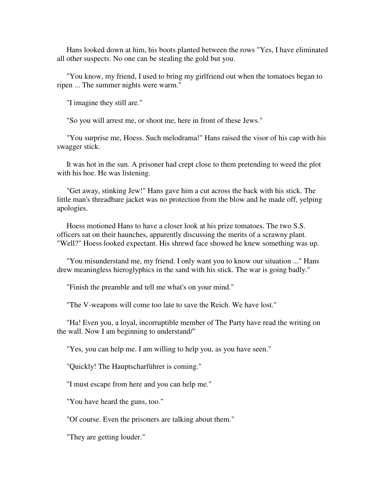Hans looked down at him, his boots planted between the rows "Yes, I have eliminated all other suspects. No one can be stealing the gold but you.

 "You know, my friend, I used to bring my girlfriend out when the tomatoes began to ripen ... The summer nights were warm."

"I imagine they still are."

"So you will arrest me, or shoot me, here in front of these Jews."

 "You surprise me, Hoess. Such melodrama!" Hans raised the visor of his cap with his swagger stick.

 It was hot in the sun. A prisoner had crept close to them pretending to weed the plot with his hoe. He was listening.

 "Get away, stinking Jew!" Hans gave him a cut across the back with his stick. The little man's threadbare jacket was no protection from the blow and he made off, yelping apologies.

 Hoess motioned Hans to have a closer look at his prize tomatoes. The two S.S. officers sat on their haunches, apparently discussing the merits of a scrawny plant. "Well?" Hoess looked expectant. His shrewd face showed he knew something was up.

 "You misunderstand me, my friend. I only want you to know our situation ..." Hans drew meaningless hieroglyphics in the sand with his stick. The war is going badly."

"Finish the preamble and tell me what's on your mind."

"The V-weapons will come too late to save the Reich. We have lost."

 "Ha! Even you, a loyal, incorruptible member of The Party have read the writing on the wall. Now I am beginning to understand/"

"Yes, you can help me. I am willing to help you, as you have seen."

"Quickly! The Hauptscharführer is coming."

"I must escape from here and you can help me."

"You have heard the guns, too."

"Of course. Even the prisoners are talking about them."

"They are getting louder."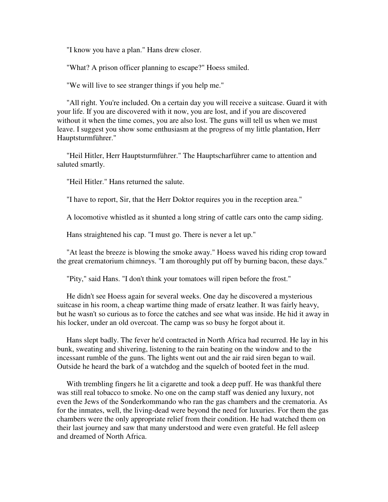"I know you have a plan." Hans drew closer.

"What? A prison officer planning to escape?" Hoess smiled.

"We will live to see stranger things if you help me."

 "All right. You're included. On a certain day you will receive a suitcase. Guard it with your life. If you are discovered with it now, you are lost, and if you are discovered without it when the time comes, you are also lost. The guns will tell us when we must leave. I suggest you show some enthusiasm at the progress of my little plantation, Herr Hauptsturmführer."

 "Heil Hitler, Herr Hauptsturmführer." The Hauptscharführer came to attention and saluted smartly.

"Heil Hitler." Hans returned the salute.

"I have to report, Sir, that the Herr Doktor requires you in the reception area."

A locomotive whistled as it shunted a long string of cattle cars onto the camp siding.

Hans straightened his cap. "I must go. There is never a let up."

 "At least the breeze is blowing the smoke away." Hoess waved his riding crop toward the great crematorium chimneys. "I am thoroughly put off by burning bacon, these days."

"Pity," said Hans. "I don't think your tomatoes will ripen before the frost."

 He didn't see Hoess again for several weeks. One day he discovered a mysterious suitcase in his room, a cheap wartime thing made of ersatz leather. It was fairly heavy, but he wasn't so curious as to force the catches and see what was inside. He hid it away in his locker, under an old overcoat. The camp was so busy he forgot about it.

 Hans slept badly. The fever he'd contracted in North Africa had recurred. He lay in his bunk, sweating and shivering, listening to the rain beating on the window and to the incessant rumble of the guns. The lights went out and the air raid siren began to wail. Outside he heard the bark of a watchdog and the squelch of booted feet in the mud.

With trembling fingers he lit a cigarette and took a deep puff. He was thankful there was still real tobacco to smoke. No one on the camp staff was denied any luxury, not even the Jews of the Sonderkommando who ran the gas chambers and the crematoria. As for the inmates, well, the living-dead were beyond the need for luxuries. For them the gas chambers were the only appropriate relief from their condition. He had watched them on their last journey and saw that many understood and were even grateful. He fell asleep and dreamed of North Africa.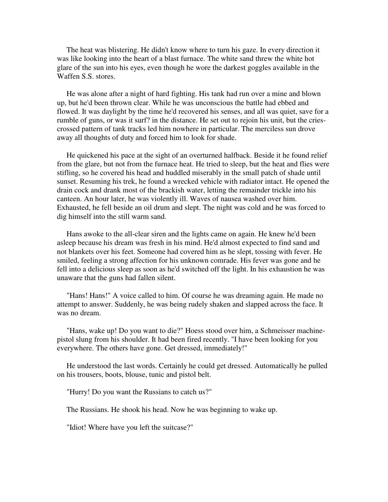The heat was blistering. He didn't know where to turn his gaze. In every direction it was like looking into the heart of a blast furnace. The white sand threw the white hot glare of the sun into his eyes, even though he wore the darkest goggles available in the Waffen S.S. stores.

 He was alone after a night of hard fighting. His tank had run over a mine and blown up, but he'd been thrown clear. While he was unconscious the battle had ebbed and flowed. It was daylight by the time he'd recovered his senses, and all was quiet, save for a rumble of guns, or was it surf? in the distance. He set out to rejoin his unit, but the criescrossed pattern of tank tracks led him nowhere in particular. The merciless sun drove away all thoughts of duty and forced him to look for shade.

 He quickened his pace at the sight of an overturned halfback. Beside it he found relief from the glare, but not from the furnace heat. He tried to sleep, but the heat and flies were stifling, so he covered his head and huddled miserably in the small patch of shade until sunset. Resuming his trek, he found a wrecked vehicle with radiator intact. He opened the drain cock and drank most of the brackish water, letting the remainder trickle into his canteen. An hour later, he was violently ill. Waves of nausea washed over him. Exhausted, he fell beside an oil drum and slept. The night was cold and he was forced to dig himself into the still warm sand.

 Hans awoke to the all-clear siren and the lights came on again. He knew he'd been asleep because his dream was fresh in his mind. He'd almost expected to find sand and not blankets over his feet. Someone had covered him as he slept, tossing with fever. He smiled, feeling a strong affection for his unknown comrade. His fever was gone and he fell into a delicious sleep as soon as he'd switched off the light. In his exhaustion he was unaware that the guns had fallen silent.

 "Hans! Hans!" A voice called to him. Of course he was dreaming again. He made no attempt to answer. Suddenly, he was being rudely shaken and slapped across the face. It was no dream.

 "Hans, wake up! Do you want to die?" Hoess stood over him, a Schmeisser machinepistol slung from his shoulder. It had been fired recently. "I have been looking for you everywhere. The others have gone. Get dressed, immediately!"

 He understood the last words. Certainly he could get dressed. Automatically he pulled on his trousers, boots, blouse, tunic and pistol belt.

"Hurry! Do you want the Russians to catch us?"

The Russians. He shook his head. Now he was beginning to wake up.

"Idiot! Where have you left the suitcase?"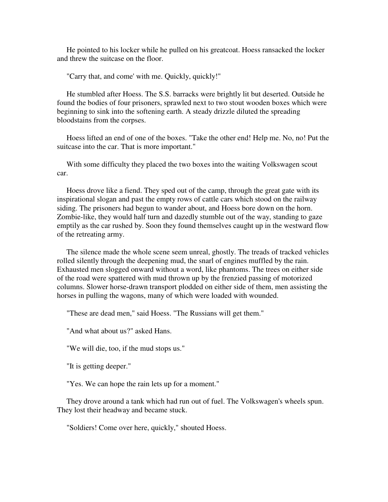He pointed to his locker while he pulled on his greatcoat. Hoess ransacked the locker and threw the suitcase on the floor.

"Carry that, and come' with me. Quickly, quickly!"

 He stumbled after Hoess. The S.S. barracks were brightly lit but deserted. Outside he found the bodies of four prisoners, sprawled next to two stout wooden boxes which were beginning to sink into the softening earth. A steady drizzle diluted the spreading bloodstains from the corpses.

 Hoess lifted an end of one of the boxes. "Take the other end! Help me. No, no! Put the suitcase into the car. That is more important."

 With some difficulty they placed the two boxes into the waiting Volkswagen scout car.

 Hoess drove like a fiend. They sped out of the camp, through the great gate with its inspirational slogan and past the empty rows of cattle cars which stood on the railway siding. The prisoners had begun to wander about, and Hoess bore down on the horn. Zombie-like, they would half turn and dazedly stumble out of the way, standing to gaze emptily as the car rushed by. Soon they found themselves caught up in the westward flow of the retreating army.

 The silence made the whole scene seem unreal, ghostly. The treads of tracked vehicles rolled silently through the deepening mud, the snarl of engines muffled by the rain. Exhausted men slogged onward without a word, like phantoms. The trees on either side of the road were spattered with mud thrown up by the frenzied passing of motorized columns. Slower horse-drawn transport plodded on either side of them, men assisting the horses in pulling the wagons, many of which were loaded with wounded.

"These are dead men," said Hoess. "The Russians will get them."

"And what about us?" asked Hans.

"We will die, too, if the mud stops us."

"It is getting deeper."

"Yes. We can hope the rain lets up for a moment."

 They drove around a tank which had run out of fuel. The Volkswagen's wheels spun. They lost their headway and became stuck.

"Soldiers! Come over here, quickly," shouted Hoess.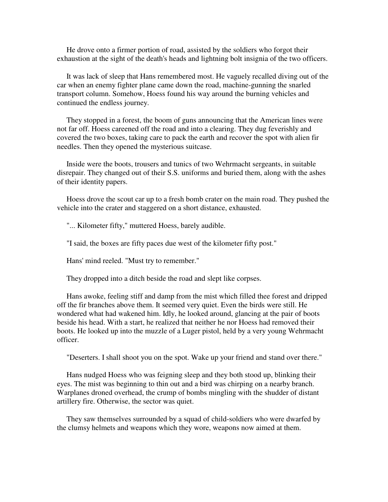He drove onto a firmer portion of road, assisted by the soldiers who forgot their exhaustion at the sight of the death's heads and lightning bolt insignia of the two officers.

 It was lack of sleep that Hans remembered most. He vaguely recalled diving out of the car when an enemy fighter plane came down the road, machine-gunning the snarled transport column. Somehow, Hoess found his way around the burning vehicles and continued the endless journey.

 They stopped in a forest, the boom of guns announcing that the American lines were not far off. Hoess careened off the road and into a clearing. They dug feverishly and covered the two boxes, taking care to pack the earth and recover the spot with alien fir needles. Then they opened the mysterious suitcase.

 Inside were the boots, trousers and tunics of two Wehrmacht sergeants, in suitable disrepair. They changed out of their S.S. uniforms and buried them, along with the ashes of their identity papers.

 Hoess drove the scout car up to a fresh bomb crater on the main road. They pushed the vehicle into the crater and staggered on a short distance, exhausted.

"... Kilometer fifty," muttered Hoess, barely audible.

"I said, the boxes are fifty paces due west of the kilometer fifty post."

Hans' mind reeled. "Must try to remember."

They dropped into a ditch beside the road and slept like corpses.

 Hans awoke, feeling stiff and damp from the mist which filled thee forest and dripped off the fir branches above them. It seemed very quiet. Even the birds were still. He wondered what had wakened him. Idly, he looked around, glancing at the pair of boots beside his head. With a start, he realized that neither he nor Hoess had removed their boots. He looked up into the muzzle of a Luger pistol, held by a very young Wehrmacht officer.

"Deserters. I shall shoot you on the spot. Wake up your friend and stand over there."

 Hans nudged Hoess who was feigning sleep and they both stood up, blinking their eyes. The mist was beginning to thin out and a bird was chirping on a nearby branch. Warplanes droned overhead, the crump of bombs mingling with the shudder of distant artillery fire. Otherwise, the sector was quiet.

 They saw themselves surrounded by a squad of child-soldiers who were dwarfed by the clumsy helmets and weapons which they wore, weapons now aimed at them.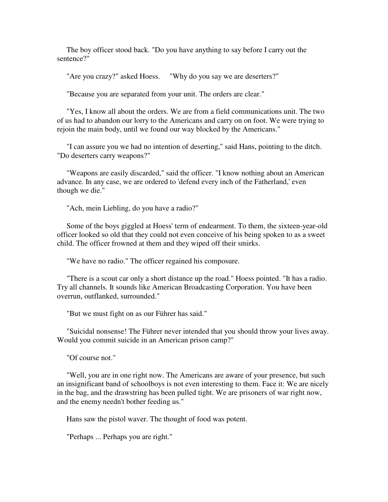The boy officer stood back. "Do you have anything to say before I carry out the sentence?"

"Are you crazy?" asked Hoess. "Why do you say we are deserters?"

"Because you are separated from your unit. The orders are clear."

 "Yes, I know all about the orders. We are from a field communications unit. The two of us had to abandon our lorry to the Americans and carry on on foot. We were trying to rejoin the main body, until we found our way blocked by the Americans."

 "I can assure you we had no intention of deserting," said Hans, pointing to the ditch. "Do deserters carry weapons?"

 "Weapons are easily discarded," said the officer. "I know nothing about an American advance. In any case, we are ordered to 'defend every inch of the Fatherland,' even though we die."

"Ach, mein Liebling, do you have a radio?"

 Some of the boys giggled at Hoess' term of endearment. To them, the sixteen-year-old officer looked so old that they could not even conceive of his being spoken to as a sweet child. The officer frowned at them and they wiped off their smirks.

"We have no radio." The officer regained his composure.

 "There is a scout car only a short distance up the road." Hoess pointed. "It has a radio. Try all channels. It sounds like American Broadcasting Corporation. You have been overrun, outflanked, surrounded."

"But we must fight on as our Führer has said."

 "Suicidal nonsense! The Führer never intended that you should throw your lives away. Would you commit suicide in an American prison camp?"

"Of course not."

 "Well, you are in one right now. The Americans are aware of your presence, but such an insignificant band of schoolboys is not even interesting to them. Face it: We are nicely in the bag, and the drawstring has been pulled tight. We are prisoners of war right now, and the enemy needn't bother feeding us."

Hans saw the pistol waver. The thought of food was potent.

"Perhaps ... Perhaps you are right."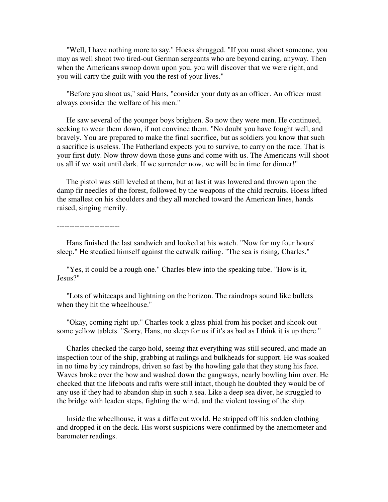"Well, I have nothing more to say." Hoess shrugged. "If you must shoot someone, you may as well shoot two tired-out German sergeants who are beyond caring, anyway. Then when the Americans swoop down upon you, you will discover that we were right, and you will carry the guilt with you the rest of your lives."

 "Before you shoot us," said Hans, "consider your duty as an officer. An officer must always consider the welfare of his men."

 He saw several of the younger boys brighten. So now they were men. He continued, seeking to wear them down, if not convince them. "No doubt you have fought well, and bravely. You are prepared to make the final sacrifice, but as soldiers you know that such a sacrifice is useless. The Fatherland expects you to survive, to carry on the race. That is your first duty. Now throw down those guns and come with us. The Americans will shoot us all if we wait until dark. If we surrender now, we will be in time for dinner!"

 The pistol was still leveled at them, but at last it was lowered and thrown upon the damp fir needles of the forest, followed by the weapons of the child recruits. Hoess lifted the smallest on his shoulders and they all marched toward the American lines, hands raised, singing merrily.

-------------------------

 Hans finished the last sandwich and looked at his watch. "Now for my four hours' sleep." He steadied himself against the catwalk railing. "The sea is rising, Charles."

 "Yes, it could be a rough one." Charles blew into the speaking tube. "How is it, Jesus?"

 "Lots of whitecaps and lightning on the horizon. The raindrops sound like bullets when they hit the wheelhouse."

 "Okay, coming right up." Charles took a glass phial from his pocket and shook out some yellow tablets. "Sorry, Hans, no sleep for us if it's as bad as I think it is up there."

 Charles checked the cargo hold, seeing that everything was still secured, and made an inspection tour of the ship, grabbing at railings and bulkheads for support. He was soaked in no time by icy raindrops, driven so fast by the howling gale that they stung his face. Waves broke over the bow and washed down the gangways, nearly bowling him over. He checked that the lifeboats and rafts were still intact, though he doubted they would be of any use if they had to abandon ship in such a sea. Like a deep sea diver, he struggled to the bridge with leaden steps, fighting the wind, and the violent tossing of the ship.

 Inside the wheelhouse, it was a different world. He stripped off his sodden clothing and dropped it on the deck. His worst suspicions were confirmed by the anemometer and barometer readings.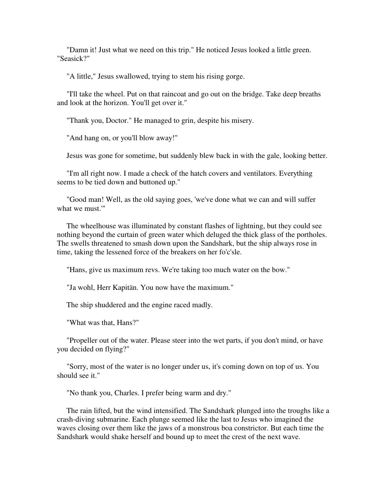"Damn it! Just what we need on this trip." He noticed Jesus looked a little green. "Seasick?"

"A little," Jesus swallowed, trying to stem his rising gorge.

 "I'll take the wheel. Put on that raincoat and go out on the bridge. Take deep breaths and look at the horizon. You'll get over it."

"Thank you, Doctor." He managed to grin, despite his misery.

"And hang on, or you'll blow away!"

Jesus was gone for sometime, but suddenly blew back in with the gale, looking better.

 "I'm all right now. I made a check of the hatch covers and ventilators. Everything seems to be tied down and buttoned up."

 "Good man! Well, as the old saying goes, 'we've done what we can and will suffer what we must.'"

 The wheelhouse was illuminated by constant flashes of lightning, but they could see nothing beyond the curtain of green water which deluged the thick glass of the portholes. The swells threatened to smash down upon the Sandshark, but the ship always rose in time, taking the lessened force of the breakers on her fo'c'sle.

"Hans, give us maximum revs. We're taking too much water on the bow."

"Ja wohl, Herr Kapitän. You now have the maximum."

The ship shuddered and the engine raced madly.

"What was that, Hans?"

 "Propeller out of the water. Please steer into the wet parts, if you don't mind, or have you decided on flying?"

 "Sorry, most of the water is no longer under us, it's coming down on top of us. You should see it."

"No thank you, Charles. I prefer being warm and dry."

 The rain lifted, but the wind intensified. The Sandshark plunged into the troughs like a crash-diving submarine. Each plunge seemed like the last to Jesus who imagined the waves closing over them like the jaws of a monstrous boa constrictor. But each time the Sandshark would shake herself and bound up to meet the crest of the next wave.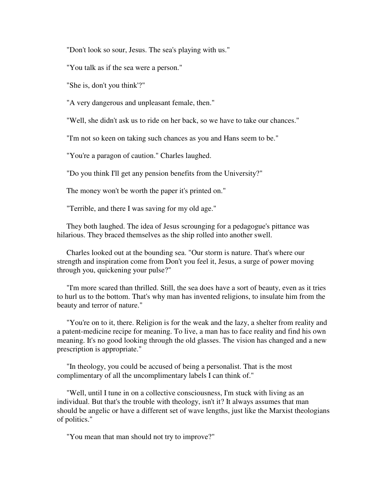"Don't look so sour, Jesus. The sea's playing with us."

"You talk as if the sea were a person."

"She is, don't you think'?"

"A very dangerous and unpleasant female, then."

"Well, she didn't ask us to ride on her back, so we have to take our chances."

"I'm not so keen on taking such chances as you and Hans seem to be."

"You're a paragon of caution." Charles laughed.

"Do you think I'll get any pension benefits from the University?"

The money won't be worth the paper it's printed on."

"Terrible, and there I was saving for my old age."

 They both laughed. The idea of Jesus scrounging for a pedagogue's pittance was hilarious. They braced themselves as the ship rolled into another swell.

 Charles looked out at the bounding sea. "Our storm is nature. That's where our strength and inspiration come from Don't you feel it, Jesus, a surge of power moving through you, quickening your pulse?"

 "I'm more scared than thrilled. Still, the sea does have a sort of beauty, even as it tries to hurl us to the bottom. That's why man has invented religions, to insulate him from the beauty and terror of nature."

 "You're on to it, there. Religion is for the weak and the lazy, a shelter from reality and a patent-medicine recipe for meaning. To live, a man has to face reality and find his own meaning. It's no good looking through the old glasses. The vision has changed and a new prescription is appropriate."

 "In theology, you could be accused of being a personalist. That is the most complimentary of all the uncomplimentary labels I can think of."

 "Well, until I tune in on a collective consciousness, I'm stuck with living as an individual. But that's the trouble with theology, isn't it? It always assumes that man should be angelic or have a different set of wave lengths, just like the Marxist theologians of politics."

"You mean that man should not try to improve?"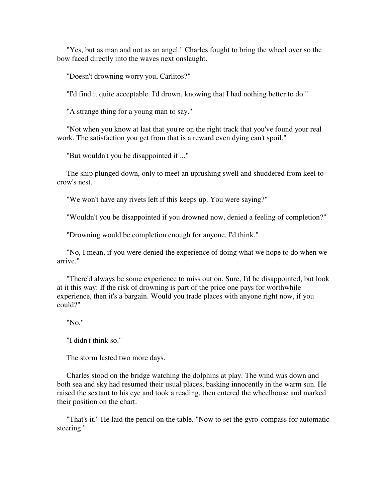"Yes, but as man and not as an angel." Charles fought to bring the wheel over so the bow faced directly into the waves next onslaught.

"Doesn't drowning worry you, Carlitos?"

"I'd find it quite acceptable. I'd drown, knowing that I had nothing better to do."

"A strange thing for a young man to say."

 "Not when you know at last that you're on the right track that you've found your real work. The satisfaction you get from that is a reward even dying can't spoil."

"But wouldn't you be disappointed if ..."

 The ship plunged down, only to meet an uprushing swell and shuddered from keel to crow's nest.

"We won't have any rivets left if this keeps up. You were saying?"

"Wouldn't you be disappointed if you drowned now, denied a feeling of completion?"

"Drowning would be completion enough for anyone, I'd think."

 "No, I mean, if you were denied the experience of doing what we hope to do when we arrive."

 "There'd always be some experience to miss out on. Sure, I'd be disappointed, but look at it this way: If the risk of drowning is part of the price one pays for worthwhile experience, then it's a bargain. Would you trade places with anyone right now, if you could?"

"No."

"I didn't think so."

The storm lasted two more days.

 Charles stood on the bridge watching the dolphins at play. The wind was down and both sea and sky had resumed their usual places, basking innocently in the warm sun. He raised the sextant to his eye and took a reading, then entered the wheelhouse and marked their position on the chart.

 "That's it." He laid the pencil on the table. "Now to set the gyro-compass for automatic steering."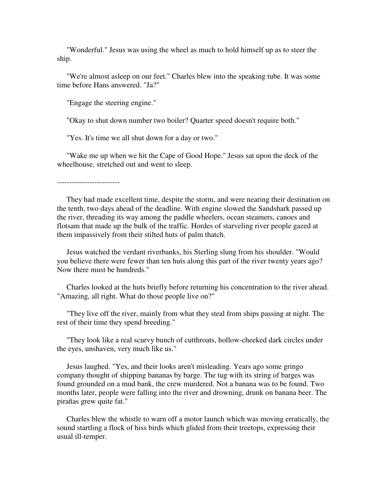"Wonderful." Jesus was using the wheel as much to hold himself up as to steer the ship.

 "We're almost asleep on our feet." Charles blew into the speaking tube. It was some time before Hans answered. "Ja?"

"Engage the steering engine."

"Okay to shut down number two boiler? Quarter speed doesn't require both."

"Yes. It's time we all shut down for a day or two."

 "Wake me up when we hit the Cape of Good Hope." Jesus sat upon the deck of the wheelhouse, stretched out and went to sleep.

-------------------------

 They had made excellent time, despite the storm, and were nearing their destination on the tenth, two days ahead of the deadline. With engine slowed the Sandshark passed up the river, threading its way among the paddle wheelers, ocean steamers, canoes and flotsam that made up the bulk of the traffic. Hordes of starveling river people gazed at them impassively from their stilted huts of palm thatch.

 Jesus watched the verdant riverbanks, his Sterling slung from his shoulder. "Would you believe there were fewer than ten huts along this part of the river twenty years ago? Now there must be hundreds."

 Charles looked at the huts briefly before returning his concentration to the river ahead. "Amazing, all right. What do those people live on?"

 "They live off the river, mainly from what they steal from ships passing at night. The rest of their time they spend breeding."

 "They look like a real scurvy bunch of cutthroats, hollow-cheeked dark circles under the eyes, unshaven, very much like us."

 Jesus laughed. "Yes, and their looks aren't misleading. Years ago some gringo company thought of shipping bananas by barge. The tug with its string of barges was found grounded on a mud bank, the crew murdered. Not a banana was to be found. Two months later, people were falling into the river and drowning, drunk on banana beer. The pirañas grew quite fat."

 Charles blew the whistle to warn off a motor launch which was moving erratically, the sound startling a flock of hiss birds which glided from their treetops, expressing their usual ill-temper.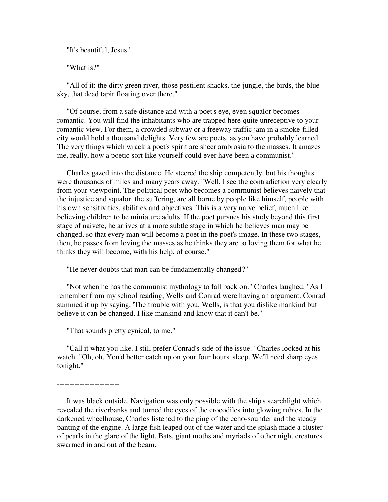"It's beautiful, Jesus."

"What is?"

 "All of it: the dirty green river, those pestilent shacks, the jungle, the birds, the blue sky, that dead tapir floating over there."

 "Of course, from a safe distance and with a poet's eye, even squalor becomes romantic. You will find the inhabitants who are trapped here quite unreceptive to your romantic view. For them, a crowded subway or a freeway traffic jam in a smoke-filled city would hold a thousand delights. Very few are poets, as you have probably learned. The very things which wrack a poet's spirit are sheer ambrosia to the masses. It amazes me, really, how a poetic sort like yourself could ever have been a communist."

 Charles gazed into the distance. He steered the ship competently, but his thoughts were thousands of miles and many years away. "Well, I see the contradiction very clearly from your viewpoint. The political poet who becomes a communist believes naively that the injustice and squalor, the suffering, are all borne by people like himself, people with his own sensitivities, abilities and objectives. This is a very naive belief, much like believing children to be miniature adults. If the poet pursues his study beyond this first stage of naivete, he arrives at a more subtle stage in which he believes man may be changed, so that every man will become a poet in the poet's image. In these two stages, then, he passes from loving the masses as he thinks they are to loving them for what he thinks they will become, with his help, of course."

"He never doubts that man can be fundamentally changed?"

 "Not when he has the communist mythology to fall back on." Charles laughed. "As I remember from my school reading, Wells and Conrad were having an argument. Conrad summed it up by saying, 'The trouble with you, Wells, is that you dislike mankind but believe it can be changed. I like mankind and know that it can't be.'"

"That sounds pretty cynical, to me."

 "Call it what you like. I still prefer Conrad's side of the issue." Charles looked at his watch. "Oh, oh. You'd better catch up on your four hours' sleep. We'll need sharp eyes tonight."

-------------------------

 It was black outside. Navigation was only possible with the ship's searchlight which revealed the riverbanks and turned the eyes of the crocodiles into glowing rubies. In the darkened wheelhouse, Charles listened to the ping of the echo-sounder and the steady panting of the engine. A large fish leaped out of the water and the splash made a cluster of pearls in the glare of the light. Bats, giant moths and myriads of other night creatures swarmed in and out of the beam.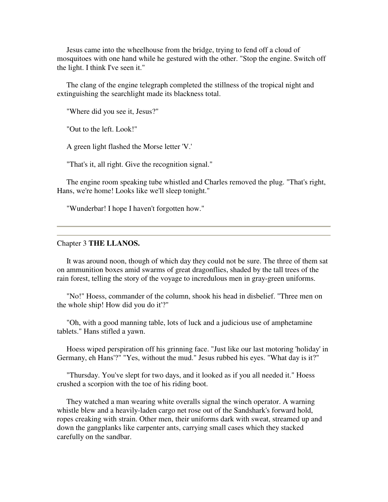Jesus came into the wheelhouse from the bridge, trying to fend off a cloud of mosquitoes with one hand while he gestured with the other. "Stop the engine. Switch off the light. I think I've seen it."

 The clang of the engine telegraph completed the stillness of the tropical night and extinguishing the searchlight made its blackness total.

"Where did you see it, Jesus?"

"Out to the left. Look!"

A green light flashed the Morse letter 'V.'

"That's it, all right. Give the recognition signal."

 The engine room speaking tube whistled and Charles removed the plug. "That's right, Hans, we're home! Looks like we'll sleep tonight."

"Wunderbar! I hope I haven't forgotten how."

## Chapter 3 **THE LLANOS.**

 It was around noon, though of which day they could not be sure. The three of them sat on ammunition boxes amid swarms of great dragonflies, shaded by the tall trees of the rain forest, telling the story of the voyage to incredulous men in gray-green uniforms.

 "No!" Hoess, commander of the column, shook his head in disbelief. "Three men on the whole ship! How did you do it'?"

 "Oh, with a good manning table, lots of luck and a judicious use of amphetamine tablets." Hans stifled a yawn.

 Hoess wiped perspiration off his grinning face. "Just like our last motoring 'holiday' in Germany, eh Hans'?" "Yes, without the mud." Jesus rubbed his eyes. "What day is it?"

 "Thursday. You've slept for two days, and it looked as if you all needed it." Hoess crushed a scorpion with the toe of his riding boot.

 They watched a man wearing white overalls signal the winch operator. A warning whistle blew and a heavily-laden cargo net rose out of the Sandshark's forward hold, ropes creaking with strain. Other men, their uniforms dark with sweat, streamed up and down the gangplanks like carpenter ants, carrying small cases which they stacked carefully on the sandbar.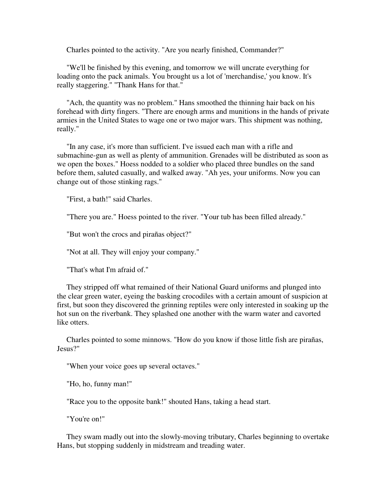Charles pointed to the activity. "Are you nearly finished, Commander?"

 "We'll be finished by this evening, and tomorrow we will uncrate everything for loading onto the pack animals. You brought us a lot of 'merchandise,' you know. It's really staggering." "Thank Hans for that."

 "Ach, the quantity was no problem." Hans smoothed the thinning hair back on his forehead with dirty fingers. "There are enough arms and munitions in the hands of private armies in the United States to wage one or two major wars. This shipment was nothing, really."

 "In any case, it's more than sufficient. I've issued each man with a rifle and submachine-gun as well as plenty of ammunition. Grenades will be distributed as soon as we open the boxes." Hoess nodded to a soldier who placed three bundles on the sand before them, saluted casually, and walked away. "Ah yes, your uniforms. Now you can change out of those stinking rags."

"First, a bath!" said Charles.

"There you are." Hoess pointed to the river. "Your tub has been filled already."

"But won't the crocs and pirañas object?"

"Not at all. They will enjoy your company."

"That's what I'm afraid of."

 They stripped off what remained of their National Guard uniforms and plunged into the clear green water, eyeing the basking crocodiles with a certain amount of suspicion at first, but soon they discovered the grinning reptiles were only interested in soaking up the hot sun on the riverbank. They splashed one another with the warm water and cavorted like otters.

 Charles pointed to some minnows. "How do you know if those little fish are pirañas, Jesus?"

"When your voice goes up several octaves."

"Ho, ho, funny man!"

"Race you to the opposite bank!" shouted Hans, taking a head start.

"You're on!"

 They swam madly out into the slowly-moving tributary, Charles beginning to overtake Hans, but stopping suddenly in midstream and treading water.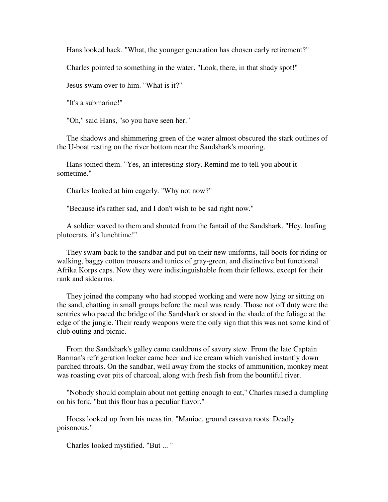Hans looked back. "What, the younger generation has chosen early retirement?"

Charles pointed to something in the water. "Look, there, in that shady spot!"

Jesus swam over to him. "What is it?"

"It's a submarine!"

"Oh," said Hans, "so you have seen her."

 The shadows and shimmering green of the water almost obscured the stark outlines of the U-boat resting on the river bottom near the Sandshark's mooring.

 Hans joined them. "Yes, an interesting story. Remind me to tell you about it sometime."

Charles looked at him eagerly. "Why not now?"

"Because it's rather sad, and I don't wish to be sad right now."

 A soldier waved to them and shouted from the fantail of the Sandshark. "Hey, loafing plutocrats, it's lunchtime!"

 They swam back to the sandbar and put on their new uniforms, tall boots for riding or walking, baggy cotton trousers and tunics of gray-green, and distinctive but functional Afrika Korps caps. Now they were indistinguishable from their fellows, except for their rank and sidearms.

 They joined the company who had stopped working and were now lying or sitting on the sand, chatting in small groups before the meal was ready. Those not off duty were the sentries who paced the bridge of the Sandshark or stood in the shade of the foliage at the edge of the jungle. Their ready weapons were the only sign that this was not some kind of club outing and picnic.

 From the Sandshark's galley came cauldrons of savory stew. From the late Captain Barman's refrigeration locker came beer and ice cream which vanished instantly down parched throats. On the sandbar, well away from the stocks of ammunition, monkey meat was roasting over pits of charcoal, along with fresh fish from the bountiful river.

 "Nobody should complain about not getting enough to eat," Charles raised a dumpling on his fork, "but this flour has a peculiar flavor."

 Hoess looked up from his mess tin. "Manioc, ground cassava roots. Deadly poisonous."

Charles looked mystified. "But ... "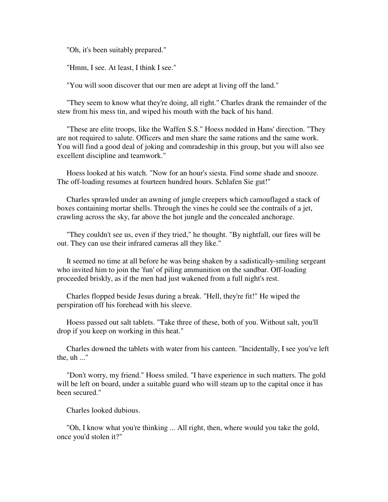"Oh, it's been suitably prepared."

"Hmm, I see. At least, I think I see."

"You will soon discover that our men are adept at living off the land."

 "They seem to know what they're doing, all right." Charles drank the remainder of the stew from his mess tin, and wiped his mouth with the back of his hand.

 "These are elite troops, like the Waffen S.S." Hoess nodded in Hans' direction. "They are not required to salute. Officers and men share the same rations and the same work. You will find a good deal of joking and comradeship in this group, but you will also see excellent discipline and teamwork."

 Hoess looked at his watch. "Now for an hour's siesta. Find some shade and snooze. The off-loading resumes at fourteen hundred hours. Schlafen Sie gut!"

 Charles sprawled under an awning of jungle creepers which camouflaged a stack of boxes containing mortar shells. Through the vines he could see the contrails of a jet, crawling across the sky, far above the hot jungle and the concealed anchorage.

 "They couldn't see us, even if they tried," he thought. "By nightfall, our fires will be out. They can use their infrared cameras all they like."

 It seemed no time at all before he was being shaken by a sadistically-smiling sergeant who invited him to join the 'fun' of piling ammunition on the sandbar. Off-loading proceeded briskly, as if the men had just wakened from a full night's rest.

 Charles flopped beside Jesus during a break. "Hell, they're fit!" He wiped the perspiration off his forehead with his sleeve.

 Hoess passed out salt tablets. "Take three of these, both of you. Without salt, you'll drop if you keep on working in this heat."

 Charles downed the tablets with water from his canteen. "Incidentally, I see you've left the, uh ..."

 "Don't worry, my friend." Hoess smiled. "I have experience in such matters. The gold will be left on board, under a suitable guard who will steam up to the capital once it has been secured."

Charles looked dubious.

 "Oh, I know what you're thinking ... All right, then, where would you take the gold, once you'd stolen it?"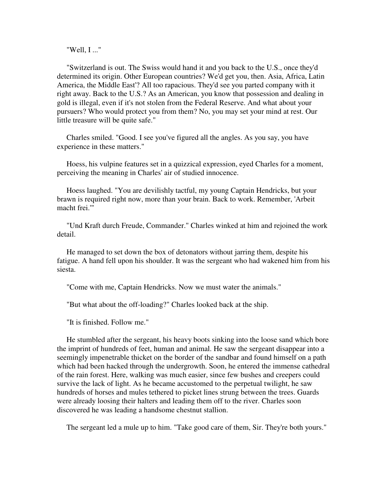"Well, I ..."

 "Switzerland is out. The Swiss would hand it and you back to the U.S., once they'd determined its origin. Other European countries? We'd get you, then. Asia, Africa, Latin America, the Middle East'? All too rapacious. They'd see you parted company with it right away. Back to the U.S.? As an American, you know that possession and dealing in gold is illegal, even if it's not stolen from the Federal Reserve. And what about your pursuers? Who would protect you from them? No, you may set your mind at rest. Our little treasure will be quite safe."

 Charles smiled. "Good. I see you've figured all the angles. As you say, you have experience in these matters."

 Hoess, his vulpine features set in a quizzical expression, eyed Charles for a moment, perceiving the meaning in Charles' air of studied innocence.

 Hoess laughed. "You are devilishly tactful, my young Captain Hendricks, but your brawn is required right now, more than your brain. Back to work. Remember, 'Arbeit macht frei.'"

 "Und Kraft durch Freude, Commander." Charles winked at him and rejoined the work detail.

 He managed to set down the box of detonators without jarring them, despite his fatigue. A hand fell upon his shoulder. It was the sergeant who had wakened him from his siesta.

"Come with me, Captain Hendricks. Now we must water the animals."

"But what about the off-loading?" Charles looked back at the ship.

"It is finished. Follow me."

 He stumbled after the sergeant, his heavy boots sinking into the loose sand which bore the imprint of hundreds of feet, human and animal. He saw the sergeant disappear into a seemingly impenetrable thicket on the border of the sandbar and found himself on a path which had been hacked through the undergrowth. Soon, he entered the immense cathedral of the rain forest. Here, walking was much easier, since few bushes and creepers could survive the lack of light. As he became accustomed to the perpetual twilight, he saw hundreds of horses and mules tethered to picket lines strung between the trees. Guards were already loosing their halters and leading them off to the river. Charles soon discovered he was leading a handsome chestnut stallion.

The sergeant led a mule up to him. "Take good care of them, Sir. They're both yours."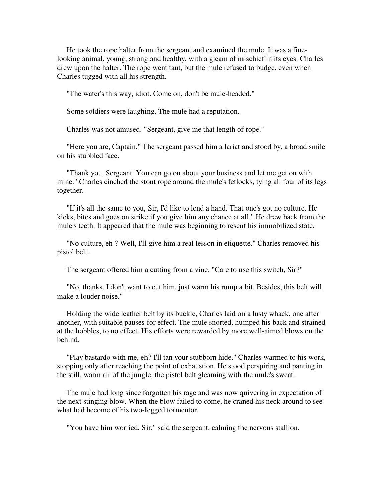He took the rope halter from the sergeant and examined the mule. It was a finelooking animal, young, strong and healthy, with a gleam of mischief in its eyes. Charles drew upon the halter. The rope went taut, but the mule refused to budge, even when Charles tugged with all his strength.

"The water's this way, idiot. Come on, don't be mule-headed."

Some soldiers were laughing. The mule had a reputation.

Charles was not amused. "Sergeant, give me that length of rope."

 "Here you are, Captain." The sergeant passed him a lariat and stood by, a broad smile on his stubbled face.

 "Thank you, Sergeant. You can go on about your business and let me get on with mine." Charles cinched the stout rope around the mule's fetlocks, tying all four of its legs together.

 "If it's all the same to you, Sir, I'd like to lend a hand. That one's got no culture. He kicks, bites and goes on strike if you give him any chance at all." He drew back from the mule's teeth. It appeared that the mule was beginning to resent his immobilized state.

 "No culture, eh ? Well, I'll give him a real lesson in etiquette." Charles removed his pistol belt.

The sergeant offered him a cutting from a vine. "Care to use this switch, Sir?"

 "No, thanks. I don't want to cut him, just warm his rump a bit. Besides, this belt will make a louder noise."

 Holding the wide leather belt by its buckle, Charles laid on a lusty whack, one after another, with suitable pauses for effect. The mule snorted, humped his back and strained at the hobbles, to no effect. His efforts were rewarded by more well-aimed blows on the behind.

 "Play bastardo with me, eh? I'll tan your stubborn hide." Charles warmed to his work, stopping only after reaching the point of exhaustion. He stood perspiring and panting in the still, warm air of the jungle, the pistol belt gleaming with the mule's sweat.

 The mule had long since forgotten his rage and was now quivering in expectation of the next stinging blow. When the blow failed to come, he craned his neck around to see what had become of his two-legged tormentor.

"You have him worried, Sir," said the sergeant, calming the nervous stallion.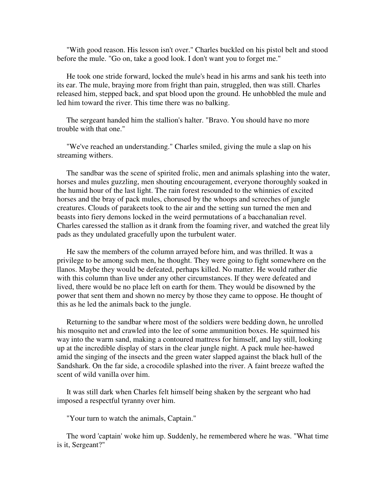"With good reason. His lesson isn't over." Charles buckled on his pistol belt and stood before the mule. "Go on, take a good look. I don't want you to forget me."

 He took one stride forward, locked the mule's head in his arms and sank his teeth into its ear. The mule, braying more from fright than pain, struggled, then was still. Charles released him, stepped back, and spat blood upon the ground. He unhobbled the mule and led him toward the river. This time there was no balking.

 The sergeant handed him the stallion's halter. "Bravo. You should have no more trouble with that one."

 "We've reached an understanding." Charles smiled, giving the mule a slap on his streaming withers.

 The sandbar was the scene of spirited frolic, men and animals splashing into the water, horses and mules guzzling, men shouting encouragement, everyone thoroughly soaked in the humid hour of the last light. The rain forest resounded to the whinnies of excited horses and the bray of pack mules, chorused by the whoops and screeches of jungle creatures. Clouds of parakeets took to the air and the setting sun turned the men and beasts into fiery demons locked in the weird permutations of a bacchanalian revel. Charles caressed the stallion as it drank from the foaming river, and watched the great lily pads as they undulated gracefully upon the turbulent water.

 He saw the members of the column arrayed before him, and was thrilled. It was a privilege to be among such men, he thought. They were going to fight somewhere on the llanos. Maybe they would be defeated, perhaps killed. No matter. He would rather die with this column than live under any other circumstances. If they were defeated and lived, there would be no place left on earth for them. They would be disowned by the power that sent them and shown no mercy by those they came to oppose. He thought of this as he led the animals back to the jungle.

 Returning to the sandbar where most of the soldiers were bedding down, he unrolled his mosquito net and crawled into the lee of some ammunition boxes. He squirmed his way into the warm sand, making a contoured mattress for himself, and lay still, looking up at the incredible display of stars in the clear jungle night. A pack mule hee-hawed amid the singing of the insects and the green water slapped against the black hull of the Sandshark. On the far side, a crocodile splashed into the river. A faint breeze wafted the scent of wild vanilla over him.

 It was still dark when Charles felt himself being shaken by the sergeant who had imposed a respectful tyranny over him.

"Your turn to watch the animals, Captain."

 The word 'captain' woke him up. Suddenly, he remembered where he was. "What time is it, Sergeant?"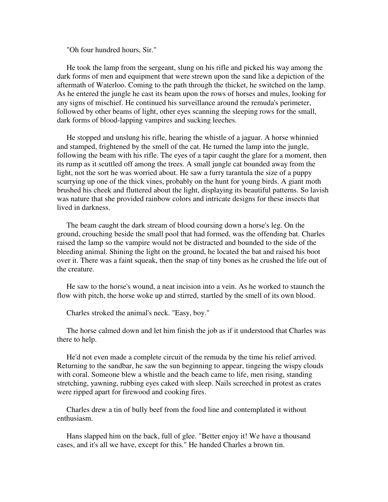"Oh four hundred hours, Sir."

 He took the lamp from the sergeant, slung on his rifle and picked his way among the dark forms of men and equipment that were strewn upon the sand like a depiction of the aftermath of Waterloo. Coming to the path through the thicket, he switched on the lamp. As he entered the jungle he cast its beam upon the rows of horses and mules, looking for any signs of mischief. He continued his surveillance around the remuda's perimeter, followed by other beams of light, other eyes scanning the sleeping rows for the small, dark forms of blood-lapping vampires and sucking leeches.

 He stopped and unslung his rifle, hearing the whistle of a jaguar. A horse whinnied and stamped, frightened by the smell of the cat. He turned the lamp into the jungle, following the beam with his rifle. The eyes of a tapir caught the glare for a moment, then its rump as it scuttled off among the trees. A small jungle cat bounded away from the light, not the sort he was worried about. He saw a furry tarantula the size of a puppy scurrying up one of the thick vines, probably on the hunt for young birds. A giant moth brushed his cheek and fluttered about the light, displaying its beautiful patterns. So lavish was nature that she provided rainbow colors and intricate designs for these insects that lived in darkness.

 The beam caught the dark stream of blood coursing down a horse's leg. On the ground, crouching beside the small pool that had formed, was the offending bat. Charles raised the lamp so the vampire would not be distracted and bounded to the side of the bleeding animal. Shining the light on the ground, he located the bat and raised his boot over it. There was a faint squeak, then the snap of tiny bones as he crushed the life out of the creature.

 He saw to the horse's wound, a neat incision into a vein. As he worked to staunch the flow with pitch, the horse woke up and stirred, startled by the smell of its own blood.

Charles stroked the animal's neck. "Easy, boy."

 The horse calmed down and let him finish the job as if it understood that Charles was there to help.

 He'd not even made a complete circuit of the remuda by the time his relief arrived. Returning to the sandbar, he saw the sun beginning to appear, tingeing the wispy clouds with coral. Someone blew a whistle and the beach came to life, men rising, standing stretching, yawning, rubbing eyes caked with sleep. Nails screeched in protest as crates were ripped apart for firewood and cooking fires.

 Charles drew a tin of bully beef from the food line and contemplated it without enthusiasm.

 Hans slapped him on the back, full of glee. "Better enjoy it! We have a thousand cases, and it's all we have, except for this." He handed Charles a brown tin.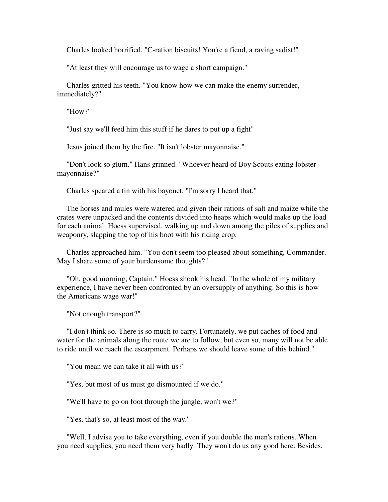Charles looked horrified. "C-ration biscuits! You're a fiend, a raving sadist!"

"At least they will encourage us to wage a short campaign."

 Charles gritted his teeth. "You know how we can make the enemy surrender, immediately?"

"How?"

"Just say we'll feed him this stuff if he dares to put up a fight"

Jesus joined them by the fire. "It isn't lobster mayonnaise."

 "Don't look so glum." Hans grinned. "Whoever heard of Boy Scouts eating lobster mayonnaise?"

Charles speared a tin with his bayonet. "I'm sorry I heard that."

 The horses and mules were watered and given their rations of salt and maize while the crates were unpacked and the contents divided into heaps which would make up the load for each animal. Hoess supervised, walking up and down among the piles of supplies and weaponry, slapping the top of his boot with his riding crop.

 Charles approached him. "You don't seem too pleased about something, Commander. May I share some of your burdensome thoughts?"

 "Oh, good morning, Captain." Hoess shook his head. "In the whole of my military experience, I have never been confronted by an oversupply of anything. So this is how the Americans wage war!"

"Not enough transport?"

 "I don't think so. There is so much to carry. Fortunately, we put caches of food and water for the animals along the route we are to follow, but even so, many will not be able to ride until we reach the escarpment. Perhaps we should leave some of this behind."

"You mean we can take it all with us?"

"Yes, but most of us must go dismounted if we do."

"We'll have to go on foot through the jungle, won't we?"

"Yes, that's so, at least most of the way.'

 "Well, I advise you to take everything, even if you double the men's rations. When you need supplies, you need them very badly. They won't do us any good here. Besides,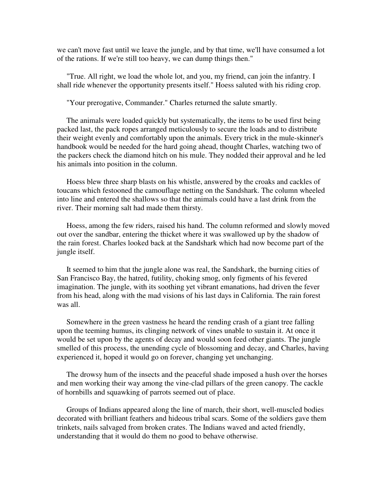we can't move fast until we leave the jungle, and by that time, we'll have consumed a lot of the rations. If we're still too heavy, we can dump things then."

 "True. All right, we load the whole lot, and you, my friend, can join the infantry. I shall ride whenever the opportunity presents itself." Hoess saluted with his riding crop.

"Your prerogative, Commander." Charles returned the salute smartly.

 The animals were loaded quickly but systematically, the items to be used first being packed last, the pack ropes arranged meticulously to secure the loads and to distribute their weight evenly and comfortably upon the animals. Every trick in the mule-skinner's handbook would be needed for the hard going ahead, thought Charles, watching two of the packers check the diamond hitch on his mule. They nodded their approval and he led his animals into position in the column.

 Hoess blew three sharp blasts on his whistle, answered by the croaks and cackles of toucans which festooned the camouflage netting on the Sandshark. The column wheeled into line and entered the shallows so that the animals could have a last drink from the river. Their morning salt had made them thirsty.

 Hoess, among the few riders, raised his hand. The column reformed and slowly moved out over the sandbar, entering the thicket where it was swallowed up by the shadow of the rain forest. Charles looked back at the Sandshark which had now become part of the jungle itself.

 It seemed to him that the jungle alone was real, the Sandshark, the burning cities of San Francisco Bay, the hatred, futility, choking smog, only figments of his fevered imagination. The jungle, with its soothing yet vibrant emanations, had driven the fever from his head, along with the mad visions of his last days in California. The rain forest was all.

 Somewhere in the green vastness he heard the rending crash of a giant tree falling upon the teeming humus, its clinging network of vines unable to sustain it. At once it would be set upon by the agents of decay and would soon feed other giants. The jungle smelled of this process, the unending cycle of blossoming and decay, and Charles, having experienced it, hoped it would go on forever, changing yet unchanging.

 The drowsy hum of the insects and the peaceful shade imposed a hush over the horses and men working their way among the vine-clad pillars of the green canopy. The cackle of hornbills and squawking of parrots seemed out of place.

 Groups of Indians appeared along the line of march, their short, well-muscled bodies decorated with brilliant feathers and hideous tribal scars. Some of the soldiers gave them trinkets, nails salvaged from broken crates. The Indians waved and acted friendly, understanding that it would do them no good to behave otherwise.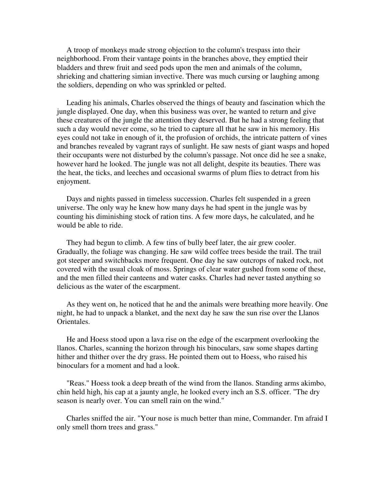A troop of monkeys made strong objection to the column's trespass into their neighborhood. From their vantage points in the branches above, they emptied their bladders and threw fruit and seed pods upon the men and animals of the column, shrieking and chattering simian invective. There was much cursing or laughing among the soldiers, depending on who was sprinkled or pelted.

 Leading his animals, Charles observed the things of beauty and fascination which the jungle displayed. One day, when this business was over, he wanted to return and give these creatures of the jungle the attention they deserved. But he had a strong feeling that such a day would never come, so he tried to capture all that he saw in his memory. His eyes could not take in enough of it, the profusion of orchids, the intricate pattern of vines and branches revealed by vagrant rays of sunlight. He saw nests of giant wasps and hoped their occupants were not disturbed by the column's passage. Not once did he see a snake, however hard he looked. The jungle was not all delight, despite its beauties. There was the heat, the ticks, and leeches and occasional swarms of plum flies to detract from his enjoyment.

 Days and nights passed in timeless succession. Charles felt suspended in a green universe. The only way he knew how many days he had spent in the jungle was by counting his diminishing stock of ration tins. A few more days, he calculated, and he would be able to ride.

 They had begun to climb. A few tins of bully beef later, the air grew cooler. Gradually, the foliage was changing. He saw wild coffee trees beside the trail. The trail got steeper and switchbacks more frequent. One day he saw outcrops of naked rock, not covered with the usual cloak of moss. Springs of clear water gushed from some of these, and the men filled their canteens and water casks. Charles had never tasted anything so delicious as the water of the escarpment.

 As they went on, he noticed that he and the animals were breathing more heavily. One night, he had to unpack a blanket, and the next day he saw the sun rise over the Llanos Orientales.

 He and Hoess stood upon a lava rise on the edge of the escarpment overlooking the llanos. Charles, scanning the horizon through his binoculars, saw some shapes darting hither and thither over the dry grass. He pointed them out to Hoess, who raised his binoculars for a moment and had a look.

 "Reas." Hoess took a deep breath of the wind from the llanos. Standing arms akimbo, chin held high, his cap at a jaunty angle, he looked every inch an S.S. officer. "The dry season is nearly over. You can smell rain on the wind."

 Charles sniffed the air. "Your nose is much better than mine, Commander. I'm afraid I only smell thorn trees and grass."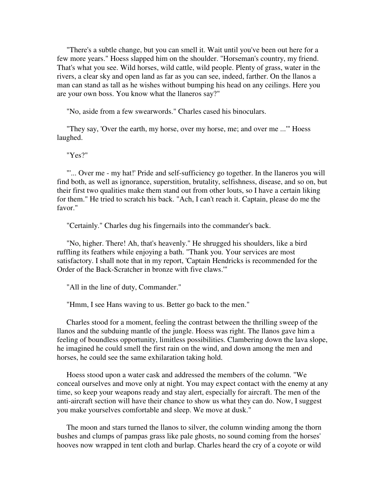"There's a subtle change, but you can smell it. Wait until you've been out here for a few more years." Hoess slapped him on the shoulder. "Horseman's country, my friend. That's what you see. Wild horses, wild cattle, wild people. Plenty of grass, water in the rivers, a clear sky and open land as far as you can see, indeed, farther. On the llanos a man can stand as tall as he wishes without bumping his head on any ceilings. Here you are your own boss. You know what the llaneros say?"

"No, aside from a few swearwords." Charles cased his binoculars.

 "They say, 'Over the earth, my horse, over my horse, me; and over me ...'" Hoess laughed.

"Yes?"

 "'... Over me - my hat!' Pride and self-sufficiency go together. In the llaneros you will find both, as well as ignorance, superstition, brutality, selfishness, disease, and so on, but their first two qualities make them stand out from other louts, so I have a certain liking for them." He tried to scratch his back. "Ach, I can't reach it. Captain, please do me the favor."

"Certainly." Charles dug his fingernails into the commander's back.

 "No, higher. There! Ah, that's heavenly." He shrugged his shoulders, like a bird ruffling its feathers while enjoying a bath. "Thank you. Your services are most satisfactory. I shall note that in my report, 'Captain Hendricks is recommended for the Order of the Back-Scratcher in bronze with five claws.'"

"All in the line of duty, Commander."

"Hmm, I see Hans waving to us. Better go back to the men."

 Charles stood for a moment, feeling the contrast between the thrilling sweep of the llanos and the subduing mantle of the jungle. Hoess was right. The llanos gave him a feeling of boundless opportunity, limitless possibilities. Clambering down the lava slope, he imagined he could smell the first rain on the wind, and down among the men and horses, he could see the same exhilaration taking hold.

 Hoess stood upon a water cask and addressed the members of the column. "We conceal ourselves and move only at night. You may expect contact with the enemy at any time, so keep your weapons ready and stay alert, especially for aircraft. The men of the anti-aircraft section will have their chance to show us what they can do. Now, I suggest you make yourselves comfortable and sleep. We move at dusk."

 The moon and stars turned the llanos to silver, the column winding among the thorn bushes and clumps of pampas grass like pale ghosts, no sound coming from the horses' hooves now wrapped in tent cloth and burlap. Charles heard the cry of a coyote or wild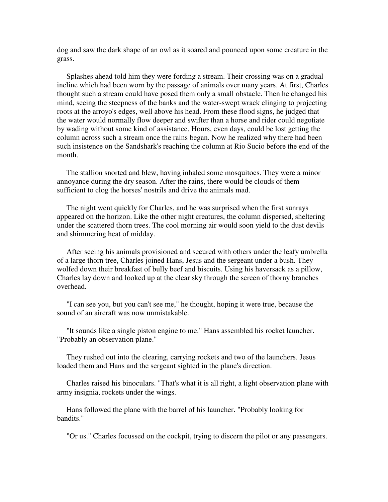dog and saw the dark shape of an owl as it soared and pounced upon some creature in the grass.

 Splashes ahead told him they were fording a stream. Their crossing was on a gradual incline which had been worn by the passage of animals over many years. At first, Charles thought such a stream could have posed them only a small obstacle. Then he changed his mind, seeing the steepness of the banks and the water-swept wrack clinging to projecting roots at the arroyo's edges, well above his head. From these flood signs, he judged that the water would normally flow deeper and swifter than a horse and rider could negotiate by wading without some kind of assistance. Hours, even days, could be lost getting the column across such a stream once the rains began. Now he realized why there had been such insistence on the Sandshark's reaching the column at Rio Sucio before the end of the month.

 The stallion snorted and blew, having inhaled some mosquitoes. They were a minor annoyance during the dry season. After the rains, there would be clouds of them sufficient to clog the horses' nostrils and drive the animals mad.

 The night went quickly for Charles, and he was surprised when the first sunrays appeared on the horizon. Like the other night creatures, the column dispersed, sheltering under the scattered thorn trees. The cool morning air would soon yield to the dust devils and shimmering heat of midday.

 After seeing his animals provisioned and secured with others under the leafy umbrella of a large thorn tree, Charles joined Hans, Jesus and the sergeant under a bush. They wolfed down their breakfast of bully beef and biscuits. Using his haversack as a pillow, Charles lay down and looked up at the clear sky through the screen of thorny branches overhead.

 "I can see you, but you can't see me," he thought, hoping it were true, because the sound of an aircraft was now unmistakable.

 "lt sounds like a single piston engine to me." Hans assembled his rocket launcher. "Probably an observation plane."

 They rushed out into the clearing, carrying rockets and two of the launchers. Jesus loaded them and Hans and the sergeant sighted in the plane's direction.

 Charles raised his binoculars. "That's what it is all right, a light observation plane with army insignia, rockets under the wings.

 Hans followed the plane with the barrel of his launcher. "Probably looking for bandits."

"Or us." Charles focussed on the cockpit, trying to discern the pilot or any passengers.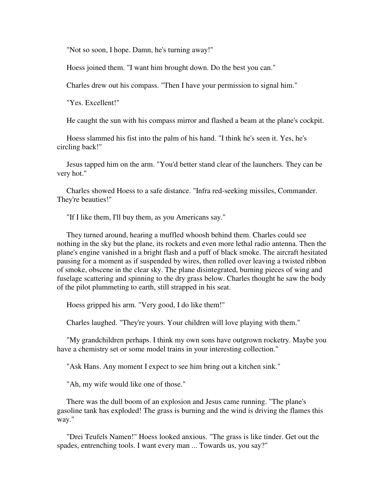"Not so soon, I hope. Damn, he's turning away!"

Hoess joined them. "I want him brought down. Do the best you can."

Charles drew out his compass. "Then I have your permission to signal him."

"Yes. Excellent!"

He caught the sun with his compass mirror and flashed a beam at the plane's cockpit.

 Hoess slammed his fist into the palm of his hand. "I think he's seen it. Yes, he's circling back!"

 Jesus tapped him on the arm. "You'd better stand clear of the launchers. They can be very hot."

 Charles showed Hoess to a safe distance. "Infra red-seeking missiles, Commander. They're beauties!"

"If I like them, I'll buy them, as you Americans say."

 They turned around, hearing a muffled whoosh behind them. Charles could see nothing in the sky but the plane, its rockets and even more lethal radio antenna. Then the plane's engine vanished in a bright flash and a puff of black smoke. The aircraft hesitated pausing for a moment as if suspended by wires, then rolled over leaving a twisted ribbon of smoke, obscene in the clear sky. The plane disintegrated, burning pieces of wing and fuselage scattering and spinning to the dry grass below. Charles thought he saw the body of the pilot plummeting to earth, still strapped in his seat.

Hoess gripped his arm. "Very good, I do like them!"

Charles laughed. "They're yours. Your children will love playing with them."

 "My grandchildren perhaps. I think my own sons have outgrown rocketry. Maybe you have a chemistry set or some model trains in your interesting collection."

"Ask Hans. Any moment I expect to see him bring out a kitchen sink."

"Ah, my wife would like one of those."

 There was the dull boom of an explosion and Jesus came running. "The plane's gasoline tank has exploded! The grass is burning and the wind is driving the flames this way."

 "Drei Teufels Namen!" Hoess looked anxious. "The grass is like tinder. Get out the spades, entrenching tools. I want every man ... Towards us, you say?"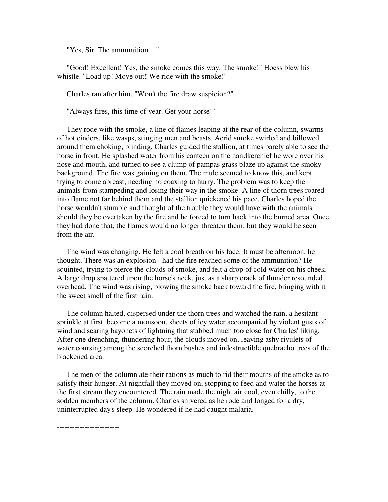"Yes, Sir. The ammunition ..."

 "Good! Excellent! Yes, the smoke comes this way. The smoke!" Hoess blew his whistle. "Load up! Move out! We ride with the smoke!"

Charles ran after him. "Won't the fire draw suspicion?"

"Always fires, this time of year. Get your horse!"

 They rode with the smoke, a line of flames leaping at the rear of the column, swarms of hot cinders, like wasps, stinging men and beasts. Acrid smoke swirled and billowed around them choking, blinding. Charles guided the stallion, at times barely able to see the horse in front. He splashed water from his canteen on the handkerchief he wore over his nose and mouth, and turned to see a clump of pampas grass blaze up against the smoky background. The fire was gaining on them. The mule seemed to know this, and kept trying to come abreast, needing no coaxing to hurry. The problem was to keep the animals from stampeding and losing their way in the smoke. A line of thorn trees roared into flame not far behind them and the stallion quickened his pace. Charles hoped the horse wouldn't stumble and thought of the trouble they would have with the animals should they be overtaken by the fire and be forced to turn back into the burned area. Once they had done that, the flames would no longer threaten them, but they would be seen from the air.

 The wind was changing. He felt a cool breath on his face. It must be afternoon, he thought. There was an explosion - had the fire reached some of the ammunition? He squinted, trying to pierce the clouds of smoke, and felt a drop of cold water on his cheek. A large drop spattered upon the horse's neck, just as a sharp crack of thunder resounded overhead. The wind was rising, blowing the smoke back toward the fire, bringing with it the sweet smell of the first rain.

 The column halted, dispersed under the thorn trees and watched the rain, a hesitant sprinkle at first, become a monsoon, sheets of icy water accompanied by violent gusts of wind and searing bayonets of lightning that stabbed much too close for Charles' liking. After one drenching, thundering hour, the clouds moved on, leaving ashy rivulets of water coursing among the scorched thorn bushes and indestructible quebracho trees of the blackened area.

 The men of the column ate their rations as much to rid their mouths of the smoke as to satisfy their hunger. At nightfall they moved on, stopping to feed and water the horses at the first stream they encountered. The rain made the night air cool, even chilly, to the sodden members of the column. Charles shivered as he rode and longed for a dry, uninterrupted day's sleep. He wondered if he had caught malaria.

-------------------------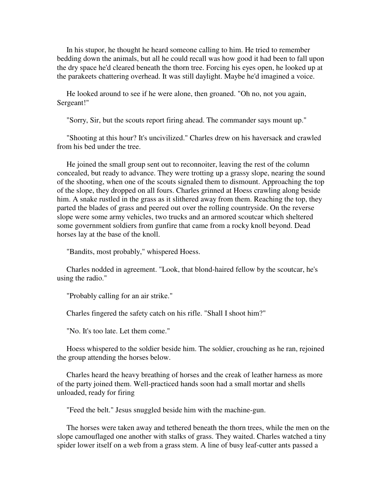In his stupor, he thought he heard someone calling to him. He tried to remember bedding down the animals, but all he could recall was how good it had been to fall upon the dry space he'd cleared beneath the thorn tree. Forcing his eyes open, he looked up at the parakeets chattering overhead. It was still daylight. Maybe he'd imagined a voice.

 He looked around to see if he were alone, then groaned. "Oh no, not you again, Sergeant!"

"Sorry, Sir, but the scouts report firing ahead. The commander says mount up."

 "Shooting at this hour? It's uncivilized." Charles drew on his haversack and crawled from his bed under the tree.

 He joined the small group sent out to reconnoiter, leaving the rest of the column concealed, but ready to advance. They were trotting up a grassy slope, nearing the sound of the shooting, when one of the scouts signaled them to dismount. Approaching the top of the slope, they dropped on all fours. Charles grinned at Hoess crawling along beside him. A snake rustled in the grass as it slithered away from them. Reaching the top, they parted the blades of grass and peered out over the rolling countryside. On the reverse slope were some army vehicles, two trucks and an armored scoutcar which sheltered some government soldiers from gunfire that came from a rocky knoll beyond. Dead horses lay at the base of the knoll.

"Bandits, most probably," whispered Hoess.

 Charles nodded in agreement. "Look, that blond-haired fellow by the scoutcar, he's using the radio."

"Probably calling for an air strike."

Charles fingered the safety catch on his rifle. "Shall I shoot him?"

"No. It's too late. Let them come."

 Hoess whispered to the soldier beside him. The soldier, crouching as he ran, rejoined the group attending the horses below.

 Charles heard the heavy breathing of horses and the creak of leather harness as more of the party joined them. Well-practiced hands soon had a small mortar and shells unloaded, ready for firing

"Feed the belt." Jesus snuggled beside him with the machine-gun.

 The horses were taken away and tethered beneath the thorn trees, while the men on the slope camouflaged one another with stalks of grass. They waited. Charles watched a tiny spider lower itself on a web from a grass stem. A line of busy leaf-cutter ants passed a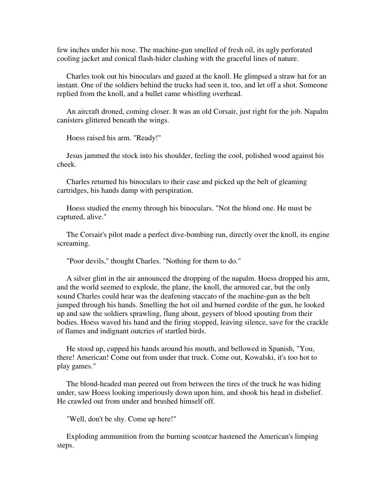few inches under his nose. The machine-gun smelled of fresh oil, its ugly perforated cooling jacket and conical flash-hider clashing with the graceful lines of nature.

 Charles took out his binoculars and gazed at the knoll. He glimpsed a straw hat for an instant. One of the soldiers behind the trucks had seen it, too, and let off a shot. Someone replied from the knoll, and a bullet came whistling overhead.

 An aircraft droned, coming closer. It was an old Corsair, just right for the job. Napalm canisters glittered beneath the wings.

Hoess raised his arm. "Ready!"

 Jesus jammed the stock into his shoulder, feeling the cool, polished wood against his cheek.

 Charles returned his binoculars to their case and picked up the belt of gleaming cartridges, his hands damp with perspiration.

 Hoess studied the enemy through his binoculars. "Not the blond one. He must be captured, alive."

 The Corsair's pilot made a perfect dive-bombing run, directly over the knoll, its engine screaming.

"Poor devils," thought Charles. "Nothing for them to do."

 A silver glint in the air announced the dropping of the napalm. Hoess dropped his arm, and the world seemed to explode, the plane, the knoll, the armored car, but the only sound Charles could hear was the deafening staccato of the machine-gun as the belt jumped through his hands. Smelling the hot oil and burned cordite of the gun, he looked up and saw the soldiers sprawling, flung about, geysers of blood spouting from their bodies. Hoess waved his hand and the firing stopped, leaving silence, save for the crackle of flames and indignant outcries of startled birds.

 He stood up, cupped his hands around his mouth, and bellowed in Spanish, "You, there! American! Come out from under that truck. Come out, Kowalski, it's too hot to play games."

 The blond-headed man peered out from between the tires of the truck he was hiding under, saw Hoess looking imperiously down upon him, and shook his head in disbelief. He crawled out from under and brushed himself off.

"Well, don't be shy. Come up here!"

 Exploding ammunition from the burning scoutcar hastened the American's limping steps.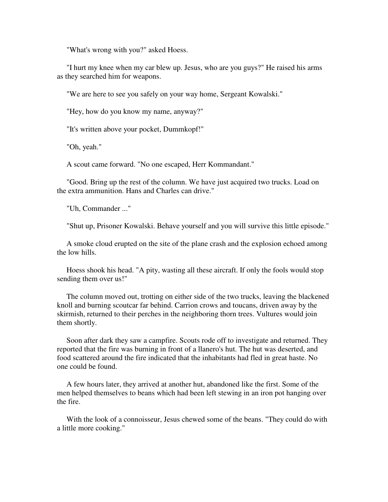"What's wrong with you?" asked Hoess.

 "I hurt my knee when my car blew up. Jesus, who are you guys?" He raised his arms as they searched him for weapons.

"We are here to see you safely on your way home, Sergeant Kowalski."

"Hey, how do you know my name, anyway?"

"It's written above your pocket, Dummkopf!"

"Oh, yeah."

A scout came forward. "No one escaped, Herr Kommandant."

 "Good. Bring up the rest of the column. We have just acquired two trucks. Load on the extra ammunition. Hans and Charles can drive."

"Uh, Commander ..."

"Shut up, Prisoner Kowalski. Behave yourself and you will survive this little episode."

 A smoke cloud erupted on the site of the plane crash and the explosion echoed among the low hills.

 Hoess shook his head. "A pity, wasting all these aircraft. If only the fools would stop sending them over us!"

 The column moved out, trotting on either side of the two trucks, leaving the blackened knoll and burning scoutcar far behind. Carrion crows and toucans, driven away by the skirmish, returned to their perches in the neighboring thorn trees. Vultures would join them shortly.

 Soon after dark they saw a campfire. Scouts rode off to investigate and returned. They reported that the fire was burning in front of a llanero's hut. The hut was deserted, and food scattered around the fire indicated that the inhabitants had fled in great haste. No one could be found.

 A few hours later, they arrived at another hut, abandoned like the first. Some of the men helped themselves to beans which had been left stewing in an iron pot hanging over the fire.

 With the look of a connoisseur, Jesus chewed some of the beans. "They could do with a little more cooking."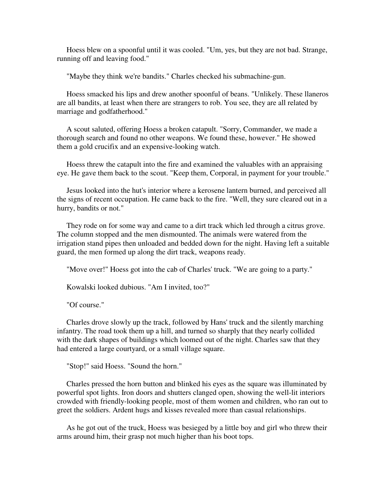Hoess blew on a spoonful until it was cooled. "Um, yes, but they are not bad. Strange, running off and leaving food."

"Maybe they think we're bandits." Charles checked his submachine-gun.

 Hoess smacked his lips and drew another spoonful of beans. "Unlikely. These llaneros are all bandits, at least when there are strangers to rob. You see, they are all related by marriage and godfatherhood."

 A scout saluted, offering Hoess a broken catapult. "Sorry, Commander, we made a thorough search and found no other weapons. We found these, however." He showed them a gold crucifix and an expensive-looking watch.

 Hoess threw the catapult into the fire and examined the valuables with an appraising eye. He gave them back to the scout. "Keep them, Corporal, in payment for your trouble."

 Jesus looked into the hut's interior where a kerosene lantern burned, and perceived all the signs of recent occupation. He came back to the fire. "Well, they sure cleared out in a hurry, bandits or not."

 They rode on for some way and came to a dirt track which led through a citrus grove. The column stopped and the men dismounted. The animals were watered from the irrigation stand pipes then unloaded and bedded down for the night. Having left a suitable guard, the men formed up along the dirt track, weapons ready.

"Move over!" Hoess got into the cab of Charles' truck. "We are going to a party."

Kowalski looked dubious. "Am I invited, too?"

"Of course."

 Charles drove slowly up the track, followed by Hans' truck and the silently marching infantry. The road took them up a hill, and turned so sharply that they nearly collided with the dark shapes of buildings which loomed out of the night. Charles saw that they had entered a large courtyard, or a small village square.

"Stop!" said Hoess. "Sound the horn."

 Charles pressed the horn button and blinked his eyes as the square was illuminated by powerful spot lights. Iron doors and shutters clanged open, showing the well-lit interiors crowded with friendly-looking people, most of them women and children, who ran out to greet the soldiers. Ardent hugs and kisses revealed more than casual relationships.

 As he got out of the truck, Hoess was besieged by a little boy and girl who threw their arms around him, their grasp not much higher than his boot tops.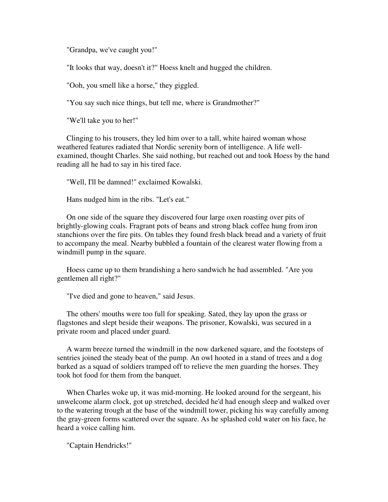"Grandpa, we've caught you!"

"It looks that way, doesn't it?" Hoess knelt and hugged the children.

"Ooh, you smell like a horse," they giggled.

"You say such nice things, but tell me, where is Grandmother?"

"We'll take you to her!"

 Clinging to his trousers, they led him over to a tall, white haired woman whose weathered features radiated that Nordic serenity born of intelligence. A life wellexamined, thought Charles. She said nothing, but reached out and took Hoess by the hand reading all he had to say in his tired face.

"Well, I'll be damned!" exclaimed Kowalski.

Hans nudged him in the ribs. "Let's eat."

 On one side of the square they discovered four large oxen roasting over pits of brightly-glowing coals. Fragrant pots of beans and strong black coffee hung from iron stanchions over the fire pits. On tables they found fresh black bread and a variety of fruit to accompany the meal. Nearby bubbled a fountain of the clearest water flowing from a windmill pump in the square.

 Hoess came up to them brandishing a hero sandwich he had assembled. "Are you gentlemen all right?"

"I've died and gone to heaven," said Jesus.

 The others' mouths were too full for speaking. Sated, they lay upon the grass or flagstones and slept beside their weapons. The prisoner, Kowalski, was secured in a private room and placed under guard.

 A warm breeze turned the windmill in the now darkened square, and the footsteps of sentries joined the steady beat of the pump. An owl hooted in a stand of trees and a dog barked as a squad of soldiers tramped off to relieve the men guarding the horses. They took hot food for them from the banquet.

 When Charles woke up, it was mid-morning. He looked around for the sergeant, his unwelcome alarm clock, got up stretched, decided he'd had enough sleep and walked over to the watering trough at the base of the windmill tower, picking his way carefully among the gray-green forms scattered over the square. As he splashed cold water on his face, he heard a voice calling him.

"Captain Hendricks!"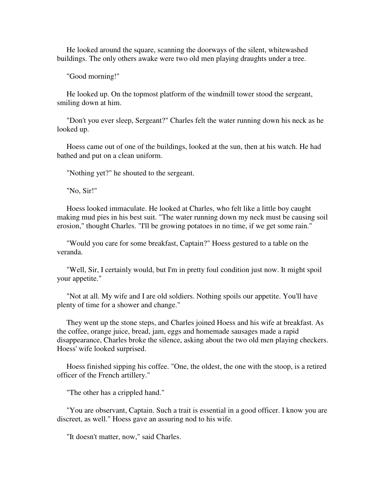He looked around the square, scanning the doorways of the silent, whitewashed buildings. The only others awake were two old men playing draughts under a tree.

"Good morning!"

 He looked up. On the topmost platform of the windmill tower stood the sergeant, smiling down at him.

 "Don't you ever sleep, Sergeant?" Charles felt the water running down his neck as he looked up.

 Hoess came out of one of the buildings, looked at the sun, then at his watch. He had bathed and put on a clean uniform.

"Nothing yet?" he shouted to the sergeant.

"No, Sir!"

 Hoess looked immaculate. He looked at Charles, who felt like a little boy caught making mud pies in his best suit. "The water running down my neck must be causing soil erosion," thought Charles. "I'll be growing potatoes in no time, if we get some rain."

 "Would you care for some breakfast, Captain?" Hoess gestured to a table on the veranda.

 "Well, Sir, I certainly would, but I'm in pretty foul condition just now. It might spoil your appetite."

 "Not at all. My wife and I are old soldiers. Nothing spoils our appetite. You'll have plenty of time for a shower and change."

 They went up the stone steps, and Charles joined Hoess and his wife at breakfast. As the coffee, orange juice, bread, jam, eggs and homemade sausages made a rapid disappearance, Charles broke the silence, asking about the two old men playing checkers. Hoess' wife looked surprised.

 Hoess finished sipping his coffee. "One, the oldest, the one with the stoop, is a retired officer of the French artillery."

"The other has a crippled hand."

 "You are observant, Captain. Such a trait is essential in a good officer. I know you are discreet, as well." Hoess gave an assuring nod to his wife.

"It doesn't matter, now," said Charles.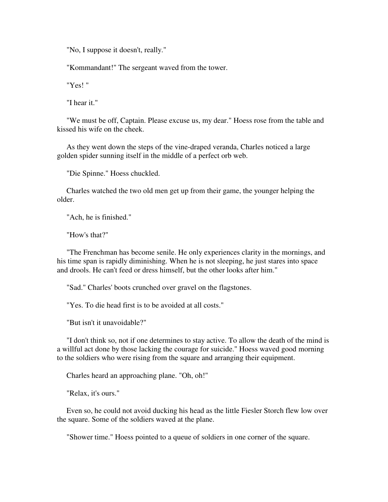"No, I suppose it doesn't, really."

"Kommandant!" The sergeant waved from the tower.

"Yes! "

"I hear it."

 "We must be off, Captain. Please excuse us, my dear." Hoess rose from the table and kissed his wife on the cheek.

 As they went down the steps of the vine-draped veranda, Charles noticed a large golden spider sunning itself in the middle of a perfect orb web.

"Die Spinne." Hoess chuckled.

 Charles watched the two old men get up from their game, the younger helping the older.

"Ach, he is finished."

"How's that?"

 "The Frenchman has become senile. He only experiences clarity in the mornings, and his time span is rapidly diminishing. When he is not sleeping, he just stares into space and drools. He can't feed or dress himself, but the other looks after him."

"Sad." Charles' boots crunched over gravel on the flagstones.

"Yes. To die head first is to be avoided at all costs."

"But isn't it unavoidable?"

 "I don't think so, not if one determines to stay active. To allow the death of the mind is a willful act done by those lacking the courage for suicide." Hoess waved good morning to the soldiers who were rising from the square and arranging their equipment.

Charles heard an approaching plane. "Oh, oh!"

"Relax, it's ours."

 Even so, he could not avoid ducking his head as the little Fiesler Storch flew low over the square. Some of the soldiers waved at the plane.

"Shower time." Hoess pointed to a queue of soldiers in one corner of the square.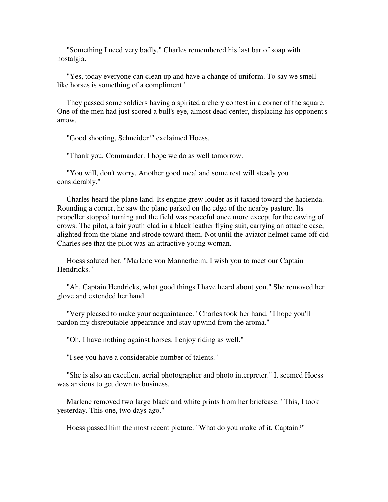"Something I need very badly." Charles remembered his last bar of soap with nostalgia.

 "Yes, today everyone can clean up and have a change of uniform. To say we smell like horses is something of a compliment."

 They passed some soldiers having a spirited archery contest in a corner of the square. One of the men had just scored a bull's eye, almost dead center, displacing his opponent's arrow.

"Good shooting, Schneider!" exclaimed Hoess.

"Thank you, Commander. I hope we do as well tomorrow.

 "You will, don't worry. Another good meal and some rest will steady you considerably."

 Charles heard the plane land. Its engine grew louder as it taxied toward the hacienda. Rounding a corner, he saw the plane parked on the edge of the nearby pasture. Its propeller stopped turning and the field was peaceful once more except for the cawing of crows. The pilot, a fair youth clad in a black leather flying suit, carrying an attache case, alighted from the plane and strode toward them. Not until the aviator helmet came off did Charles see that the pilot was an attractive young woman.

 Hoess saluted her. "Marlene von Mannerheim, I wish you to meet our Captain Hendricks."

 "Ah, Captain Hendricks, what good things I have heard about you." She removed her glove and extended her hand.

 "Very pleased to make your acquaintance." Charles took her hand. "I hope you'll pardon my disreputable appearance and stay upwind from the aroma."

"Oh, I have nothing against horses. I enjoy riding as well."

"I see you have a considerable number of talents."

 "She is also an excellent aerial photographer and photo interpreter." It seemed Hoess was anxious to get down to business.

 Marlene removed two large black and white prints from her briefcase. "This, I took yesterday. This one, two days ago."

Hoess passed him the most recent picture. "What do you make of it, Captain?"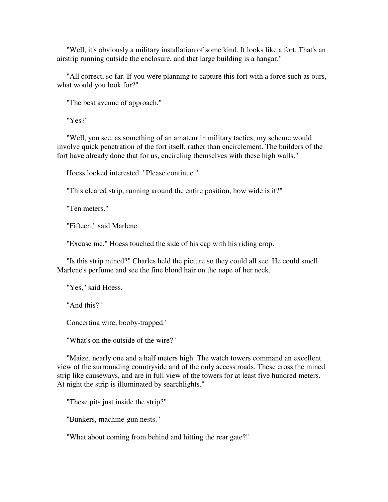"Well, it's obviously a military installation of some kind. It looks like a fort. That's an airstrip running outside the enclosure, and that large building is a hangar."

 "All correct, so far. If you were planning to capture this fort with a force such as ours, what would you look for?"

"The best avenue of approach."

"Yes?"

 "Well, you see, as something of an amateur in military tactics, my scheme would involve quick penetration of the fort itself, rather than encirclement. The builders of the fort have already done that for us, encircling themselves with these high walls."

Hoess looked interested. "Please continue."

"This cleared strip, running around the entire position, how wide is it?"

"Ten meters."

"Fifteen," said Marlene.

"Excuse me." Hoess touched the side of his cap with his riding crop.

 "Is this strip mined?" Charles held the picture so they could all see. He could smell Marlene's perfume and see the fine blond hair on the nape of her neck.

"Yes," said Hoess.

"And this?"

Concertina wire, booby-trapped."

"What's on the outside of the wire?"

 "Maize, nearly one and a half meters high. The watch towers command an excellent view of the surrounding countryside and of the only access roads. These cross the mined strip like causeways, and are in full view of the towers for at least five hundred meters. At night the strip is illuminated by searchlights."

"These pits just inside the strip?"

"Bunkers, machine-gun nests."

"What about coming from behind and hitting the rear gate?"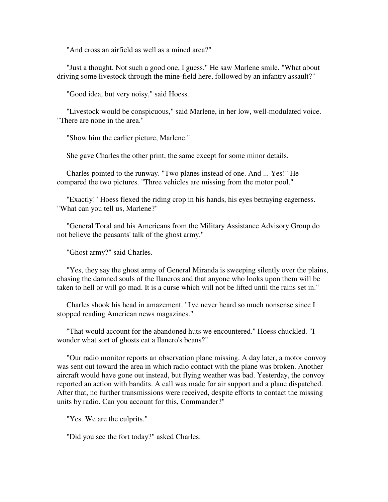"And cross an airfield as well as a mined area?"

 "Just a thought. Not such a good one, I guess." He saw Marlene smile. "What about driving some livestock through the mine-field here, followed by an infantry assault?"

"Good idea, but very noisy," said Hoess.

 "Livestock would be conspicuous," said Marlene, in her low, well-modulated voice. "There are none in the area."

"Show him the earlier picture, Marlene."

She gave Charles the other print, the same except for some minor details.

 Charles pointed to the runway. "Two planes instead of one. And ... Yes!" He compared the two pictures. "Three vehicles are missing from the motor pool."

 "Exactly!" Hoess flexed the riding crop in his hands, his eyes betraying eagerness. "What can you tell us, Marlene?"

 "General Toral and his Americans from the Military Assistance Advisory Group do not believe the peasants' talk of the ghost army."

"Ghost army?" said Charles.

 "Yes, they say the ghost army of General Miranda is sweeping silently over the plains, chasing the damned souls of the llaneros and that anyone who looks upon them will be taken to hell or will go mad. It is a curse which will not be lifted until the rains set in."

 Charles shook his head in amazement. "I've never heard so much nonsense since I stopped reading American news magazines."

 "That would account for the abandoned huts we encountered." Hoess chuckled. "I wonder what sort of ghosts eat a llanero's beans?"

 "Our radio monitor reports an observation plane missing. A day later, a motor convoy was sent out toward the area in which radio contact with the plane was broken. Another aircraft would have gone out instead, but flying weather was bad. Yesterday, the convoy reported an action with bandits. A call was made for air support and a plane dispatched. After that, no further transmissions were received, despite efforts to contact the missing units by radio. Can you account for this, Commander?"

"Yes. We are the culprits."

"Did you see the fort today?" asked Charles.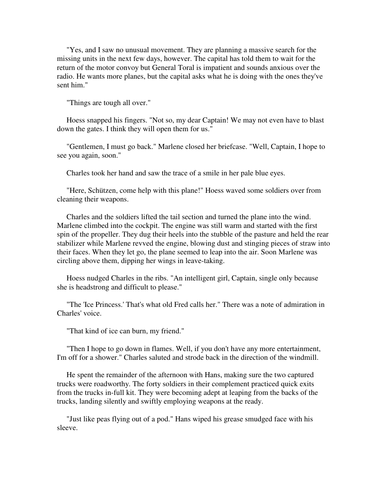"Yes, and I saw no unusual movement. They are planning a massive search for the missing units in the next few days, however. The capital has told them to wait for the return of the motor convoy but General Toral is impatient and sounds anxious over the radio. He wants more planes, but the capital asks what he is doing with the ones they've sent him."

"Things are tough all over."

 Hoess snapped his fingers. "Not so, my dear Captain! We may not even have to blast down the gates. I think they will open them for us."

 "Gentlemen, I must go back." Marlene closed her briefcase. "Well, Captain, I hope to see you again, soon."

Charles took her hand and saw the trace of a smile in her pale blue eyes.

 "Here, Schützen, come help with this plane!" Hoess waved some soldiers over from cleaning their weapons.

 Charles and the soldiers lifted the tail section and turned the plane into the wind. Marlene climbed into the cockpit. The engine was still warm and started with the first spin of the propeller. They dug their heels into the stubble of the pasture and held the rear stabilizer while Marlene revved the engine, blowing dust and stinging pieces of straw into their faces. When they let go, the plane seemed to leap into the air. Soon Marlene was circling above them, dipping her wings in leave-taking.

 Hoess nudged Charles in the ribs. "An intelligent girl, Captain, single only because she is headstrong and difficult to please."

 "The 'Ice Princess.' That's what old Fred calls her." There was a note of admiration in Charles' voice.

"That kind of ice can burn, my friend."

 "Then I hope to go down in flames. Well, if you don't have any more entertainment, I'm off for a shower." Charles saluted and strode back in the direction of the windmill.

 He spent the remainder of the afternoon with Hans, making sure the two captured trucks were roadworthy. The forty soldiers in their complement practiced quick exits from the trucks in-full kit. They were becoming adept at leaping from the backs of the trucks, landing silently and swiftly employing weapons at the ready.

 "Just like peas flying out of a pod." Hans wiped his grease smudged face with his sleeve.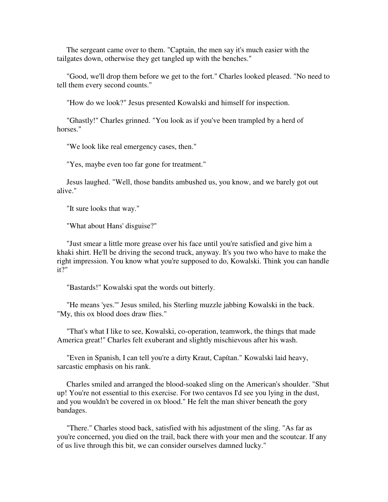The sergeant came over to them. "Captain, the men say it's much easier with the tailgates down, otherwise they get tangled up with the benches."

 "Good, we'll drop them before we get to the fort." Charles looked pleased. "No need to tell them every second counts."

"How do we look?" Jesus presented Kowalski and himself for inspection.

 "Ghastly!" Charles grinned. "You look as if you've been trampled by a herd of horses."

"We look like real emergency cases, then."

"Yes, maybe even too far gone for treatment."

 Jesus laughed. "Well, those bandits ambushed us, you know, and we barely got out alive."

"It sure looks that way."

"What about Hans' disguise?"

 "Just smear a little more grease over his face until you're satisfied and give him a khaki shirt. He'll be driving the second truck, anyway. It's you two who have to make the right impression. You know what you're supposed to do, Kowalski. Think you can handle it?"

"Bastards!" Kowalski spat the words out bitterly.

 "He means 'yes.'" Jesus smiled, his Sterling muzzle jabbing Kowalski in the back. "My, this ox blood does draw flies."

 "That's what I like to see, Kowalski, co-operation, teamwork, the things that made America great!" Charles felt exuberant and slightly mischievous after his wash.

 "Even in Spanish, I can tell you're a dirty Kraut, Capítan." Kowalski laid heavy, sarcastic emphasis on his rank.

 Charles smiled and arranged the blood-soaked sling on the American's shoulder. "Shut up! You're not essential to this exercise. For two centavos I'd see you lying in the dust, and you wouldn't be covered in ox blood." He felt the man shiver beneath the gory bandages.

 "There." Charles stood back, satisfied with his adjustment of the sling. "As far as you're concerned, you died on the trail, back there with your men and the scoutcar. If any of us live through this bit, we can consider ourselves damned lucky."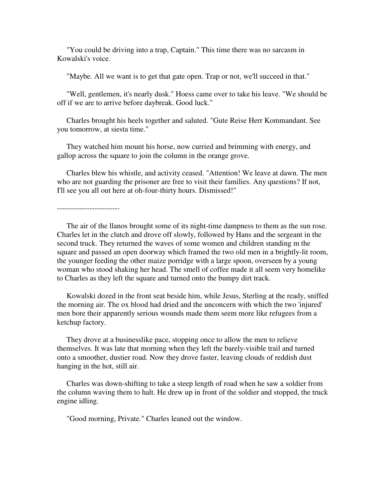"You could be driving into a trap, Captain." This time there was no sarcasm in Kowalski's voice.

"Maybe. All we want is to get that gate open. Trap or not, we'll succeed in that."

 "Well, gentlemen, it's nearly dusk." Hoess came over to take his leave. "We should be off if we are to arrive before daybreak. Good luck."

 Charles brought his heels together and saluted. "Gute Reise Herr Kommandant. See you tomorrow, at siesta time."

 They watched him mount his horse, now curried and brimming with energy, and gallop across the square to join the column in the orange grove.

 Charles blew his whistle, and activity ceased. "Attention! We leave at dawn. The men who are not guarding the prisoner are free to visit their families. Any questions? If not, I'll see you all out here at oh-four-thirty hours. Dismissed!"

-------------------------

 The air of the llanos brought some of its night-time dampness to them as the sun rose. Charles let in the clutch and drove off slowly, followed by Hans and the sergeant in the second truck. They returned the waves of some women and children standing m the square and passed an open doorway which framed the two old men in a brightly-lit room, the younger feeding the other maize porridge with a large spoon, overseen by a young woman who stood shaking her head. The smell of coffee made it all seem very homelike to Charles as they left the square and turned onto the bumpy dirt track.

 Kowalski dozed in the front seat beside him, while Jesus, Sterling at the ready, sniffed the morning air. The ox blood had dried and the unconcern with which the two 'injured' men bore their apparently serious wounds made them seem more like refugees from a ketchup factory.

 They drove at a businesslike pace, stopping once to allow the men to relieve themselves. It was late that morning when they left the barely-visible trail and turned onto a smoother, dustier road. Now they drove faster, leaving clouds of reddish dust hanging in the hot, still air.

 Charles was down-shifting to take a steep length of road when he saw a soldier from the column waving them to halt. He drew up in front of the soldier and stopped, the truck engine idling.

"Good morning, Private." Charles leaned out the window.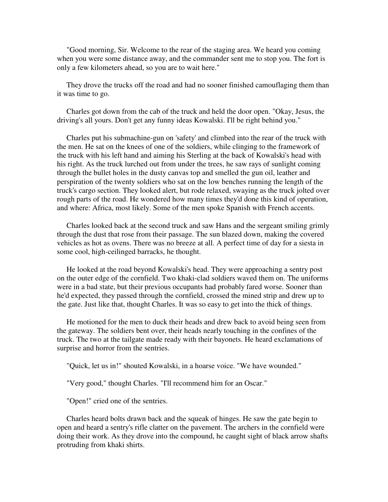"Good morning, Sir. Welcome to the rear of the staging area. We heard you coming when you were some distance away, and the commander sent me to stop you. The fort is only a few kilometers ahead, so you are to wait here."

 They drove the trucks off the road and had no sooner finished camouflaging them than it was time to go.

 Charles got down from the cab of the truck and held the door open. "Okay, Jesus, the driving's all yours. Don't get any funny ideas Kowalski. I'll be right behind you."

 Charles put his submachine-gun on 'safety' and climbed into the rear of the truck with the men. He sat on the knees of one of the soldiers, while clinging to the framework of the truck with his left hand and aiming his Sterling at the back of Kowalski's head with his right. As the truck lurched out from under the trees, he saw rays of sunlight coming through the bullet holes in the dusty canvas top and smelled the gun oil, leather and perspiration of the twenty soldiers who sat on the low benches running the length of the truck's cargo section. They looked alert, but rode relaxed, swaying as the truck jolted over rough parts of the road. He wondered how many times they'd done this kind of operation, and where: Africa, most likely. Some of the men spoke Spanish with French accents.

 Charles looked back at the second truck and saw Hans and the sergeant smiling grimly through the dust that rose from their passage. The sun blazed down, making the covered vehicles as hot as ovens. There was no breeze at all. A perfect time of day for a siesta in some cool, high-ceilinged barracks, he thought.

 He looked at the road beyond Kowalski's head. They were approaching a sentry post on the outer edge of the cornfield. Two khaki-clad soldiers waved them on. The uniforms were in a bad state, but their previous occupants had probably fared worse. Sooner than he'd expected, they passed through the cornfield, crossed the mined strip and drew up to the gate. Just like that, thought Charles. It was so easy to get into the thick of things.

 He motioned for the men to duck their heads and drew back to avoid being seen from the gateway. The soldiers bent over, their heads nearly touching in the confines of the truck. The two at the tailgate made ready with their bayonets. He heard exclamations of surprise and horror from the sentries.

"Quick, let us in!" shouted Kowalski, in a hoarse voice. "We have wounded."

"Very good," thought Charles. "I'll recommend him for an Oscar."

"Open!" cried one of the sentries.

 Charles heard bolts drawn back and the squeak of hinges. He saw the gate begin to open and heard a sentry's rifle clatter on the pavement. The archers in the cornfield were doing their work. As they drove into the compound, he caught sight of black arrow shafts protruding from khaki shirts.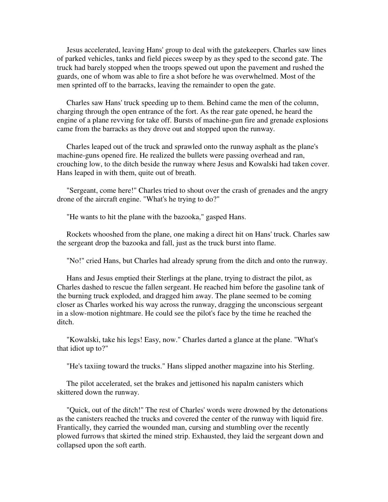Jesus accelerated, leaving Hans' group to deal with the gatekeepers. Charles saw lines of parked vehicles, tanks and field pieces sweep by as they sped to the second gate. The truck had barely stopped when the troops spewed out upon the pavement and rushed the guards, one of whom was able to fire a shot before he was overwhelmed. Most of the men sprinted off to the barracks, leaving the remainder to open the gate.

 Charles saw Hans' truck speeding up to them. Behind came the men of the column, charging through the open entrance of the fort. As the rear gate opened, he heard the engine of a plane revving for take off. Bursts of machine-gun fire and grenade explosions came from the barracks as they drove out and stopped upon the runway.

 Charles leaped out of the truck and sprawled onto the runway asphalt as the plane's machine-guns opened fire. He realized the bullets were passing overhead and ran, crouching low, to the ditch beside the runway where Jesus and Kowalski had taken cover. Hans leaped in with them, quite out of breath.

 "Sergeant, come here!" Charles tried to shout over the crash of grenades and the angry drone of the aircraft engine. "What's he trying to do?"

"He wants to hit the plane with the bazooka," gasped Hans.

 Rockets whooshed from the plane, one making a direct hit on Hans' truck. Charles saw the sergeant drop the bazooka and fall, just as the truck burst into flame.

"No!" cried Hans, but Charles had already sprung from the ditch and onto the runway.

 Hans and Jesus emptied their Sterlings at the plane, trying to distract the pilot, as Charles dashed to rescue the fallen sergeant. He reached him before the gasoline tank of the burning truck exploded, and dragged him away. The plane seemed to be coming closer as Charles worked his way across the runway, dragging the unconscious sergeant in a slow-motion nightmare. He could see the pilot's face by the time he reached the ditch.

 "Kowalski, take his legs! Easy, now." Charles darted a glance at the plane. "What's that idiot up to?"

"He's taxiing toward the trucks." Hans slipped another magazine into his Sterling.

 The pilot accelerated, set the brakes and jettisoned his napalm canisters which skittered down the runway.

 "Quick, out of the ditch!" The rest of Charles' words were drowned by the detonations as the canisters reached the trucks and covered the center of the runway with liquid fire. Frantically, they carried the wounded man, cursing and stumbling over the recently plowed furrows that skirted the mined strip. Exhausted, they laid the sergeant down and collapsed upon the soft earth.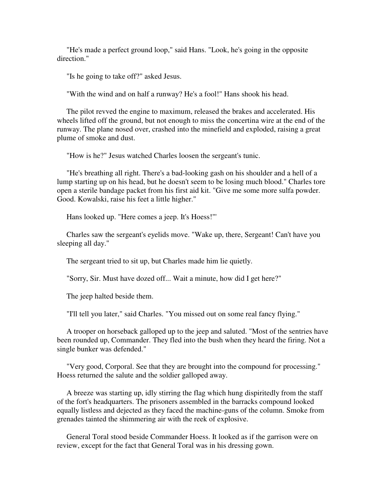"He's made a perfect ground loop," said Hans. "Look, he's going in the opposite direction."

"Is he going to take off?" asked Jesus.

"With the wind and on half a runway? He's a fool!" Hans shook his head.

 The pilot revved the engine to maximum, released the brakes and accelerated. His wheels lifted off the ground, but not enough to miss the concertina wire at the end of the runway. The plane nosed over, crashed into the minefield and exploded, raising a great plume of smoke and dust.

"How is he?" Jesus watched Charles loosen the sergeant's tunic.

 "He's breathing all right. There's a bad-looking gash on his shoulder and a hell of a lump starting up on his head, but he doesn't seem to be losing much blood." Charles tore open a sterile bandage packet from his first aid kit. "Give me some more sulfa powder. Good. Kowalski, raise his feet a little higher."

Hans looked up. "Here comes a jeep. It's Hoess!"'

 Charles saw the sergeant's eyelids move. "Wake up, there, Sergeant! Can't have you sleeping all day."

The sergeant tried to sit up, but Charles made him lie quietly.

"Sorry, Sir. Must have dozed off... Wait a minute, how did I get here?"

The jeep halted beside them.

"I'll tell you later," said Charles. "You missed out on some real fancy flying."

 A trooper on horseback galloped up to the jeep and saluted. "Most of the sentries have been rounded up, Commander. They fled into the bush when they heard the firing. Not a single bunker was defended."

 "Very good, Corporal. See that they are brought into the compound for processing." Hoess returned the salute and the soldier galloped away.

 A breeze was starting up, idly stirring the flag which hung dispiritedly from the staff of the fort's headquarters. The prisoners assembled in the barracks compound looked equally listless and dejected as they faced the machine-guns of the column. Smoke from grenades tainted the shimmering air with the reek of explosive.

 General Toral stood beside Commander Hoess. It looked as if the garrison were on review, except for the fact that General Toral was in his dressing gown.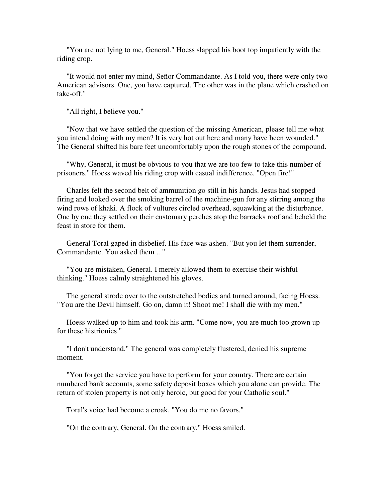"You are not lying to me, General." Hoess slapped his boot top impatiently with the riding crop.

 "It would not enter my mind, Señor Commandante. As I told you, there were only two American advisors. One, you have captured. The other was in the plane which crashed on take-off."

"All right, I believe you."

 "Now that we have settled the question of the missing American, please tell me what you intend doing with my men? lt is very hot out here and many have been wounded." The General shifted his bare feet uncomfortably upon the rough stones of the compound.

 "Why, General, it must be obvious to you that we are too few to take this number of prisoners." Hoess waved his riding crop with casual indifference. "Open fire!"

 Charles felt the second belt of ammunition go still in his hands. Jesus had stopped firing and looked over the smoking barrel of the machine-gun for any stirring among the wind rows of khaki. A flock of vultures circled overhead, squawking at the disturbance. One by one they settled on their customary perches atop the barracks roof and beheld the feast in store for them.

 General Toral gaped in disbelief. His face was ashen. "But you let them surrender, Commandante. You asked them ..."

 "You are mistaken, General. I merely allowed them to exercise their wishful thinking." Hoess calmly straightened his gloves.

 The general strode over to the outstretched bodies and turned around, facing Hoess. "You are the Devil himself. Go on, damn it! Shoot me! I shall die with my men."

 Hoess walked up to him and took his arm. "Come now, you are much too grown up for these histrionics."

 "I don't understand." The general was completely flustered, denied his supreme moment.

 "You forget the service you have to perform for your country. There are certain numbered bank accounts, some safety deposit boxes which you alone can provide. The return of stolen property is not only heroic, but good for your Catholic soul."

Toral's voice had become a croak. "You do me no favors."

"On the contrary, General. On the contrary." Hoess smiled.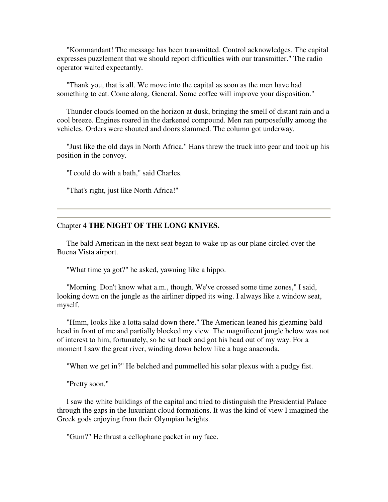"Kommandant! The message has been transmitted. Control acknowledges. The capital expresses puzzlement that we should report difficulties with our transmitter." The radio operator waited expectantly.

 "Thank you, that is all. We move into the capital as soon as the men have had something to eat. Come along, General. Some coffee will improve your disposition."

 Thunder clouds loomed on the horizon at dusk, bringing the smell of distant rain and a cool breeze. Engines roared in the darkened compound. Men ran purposefully among the vehicles. Orders were shouted and doors slammed. The column got underway.

 "Just like the old days in North Africa." Hans threw the truck into gear and took up his position in the convoy.

"I could do with a bath," said Charles.

"That's right, just like North Africa!"

## Chapter 4 **THE NIGHT OF THE LONG KNIVES.**

 The bald American in the next seat began to wake up as our plane circled over the Buena Vista airport.

"What time ya got?" he asked, yawning like a hippo.

 "Morning. Don't know what a.m., though. We've crossed some time zones," I said, looking down on the jungle as the airliner dipped its wing. I always like a window seat, myself.

 "Hmm, looks like a lotta salad down there." The American leaned his gleaming bald head in front of me and partially blocked my view. The magnificent jungle below was not of interest to him, fortunately, so he sat back and got his head out of my way. For a moment I saw the great river, winding down below like a huge anaconda.

"When we get in?" He belched and pummelled his solar plexus with a pudgy fist.

"Pretty soon."

 I saw the white buildings of the capital and tried to distinguish the Presidential Palace through the gaps in the luxuriant cloud formations. It was the kind of view I imagined the Greek gods enjoying from their Olympian heights.

"Gum?" He thrust a cellophane packet in my face.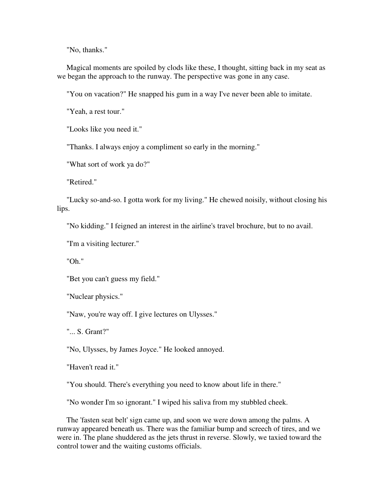"No, thanks."

 Magical moments are spoiled by clods like these, I thought, sitting back in my seat as we began the approach to the runway. The perspective was gone in any case.

"You on vacation?" He snapped his gum in a way I've never been able to imitate.

"Yeah, a rest tour."

"Looks like you need it."

"Thanks. I always enjoy a compliment so early in the morning."

"What sort of work ya do?"

"Retired."

 "Lucky so-and-so. I gotta work for my living." He chewed noisily, without closing his lips.

"No kidding." I feigned an interest in the airline's travel brochure, but to no avail.

"I'm a visiting lecturer."

"Oh."

"Bet you can't guess my field."

"Nuclear physics."

"Naw, you're way off. I give lectures on Ulysses."

"... S. Grant?"

"No, Ulysses, by James Joyce." He looked annoyed.

"Haven't read it."

"You should. There's everything you need to know about life in there."

"No wonder I'm so ignorant." I wiped his saliva from my stubbled cheek.

 The 'fasten seat belt' sign came up, and soon we were down among the palms. A runway appeared beneath us. There was the familiar bump and screech of tires, and we were in. The plane shuddered as the jets thrust in reverse. Slowly, we taxied toward the control tower and the waiting customs officials.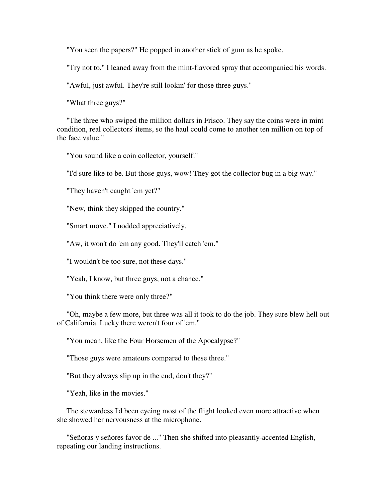"You seen the papers?" He popped in another stick of gum as he spoke.

"Try not to." I leaned away from the mint-flavored spray that accompanied his words.

"Awful, just awful. They're still lookin' for those three guys."

"What three guys?"

 "The three who swiped the million dollars in Frisco. They say the coins were in mint condition, real collectors' items, so the haul could come to another ten million on top of the face value."

"You sound like a coin collector, yourself."

"I'd sure like to be. But those guys, wow! They got the collector bug in a big way."

"They haven't caught 'em yet?"

"New, think they skipped the country."

"Smart move." I nodded appreciatively.

"Aw, it won't do 'em any good. They'll catch 'em."

"I wouldn't be too sure, not these days."

"Yeah, I know, but three guys, not a chance."

"You think there were only three?"

 "Oh, maybe a few more, but three was all it took to do the job. They sure blew hell out of California. Lucky there weren't four of 'em."

"You mean, like the Four Horsemen of the Apocalypse?"

"Those guys were amateurs compared to these three."

"But they always slip up in the end, don't they?"

"Yeah, like in the movies."

 The stewardess I'd been eyeing most of the flight looked even more attractive when she showed her nervousness at the microphone.

 "Señoras y señores favor de ..." Then she shifted into pleasantly-accented English, repeating our landing instructions.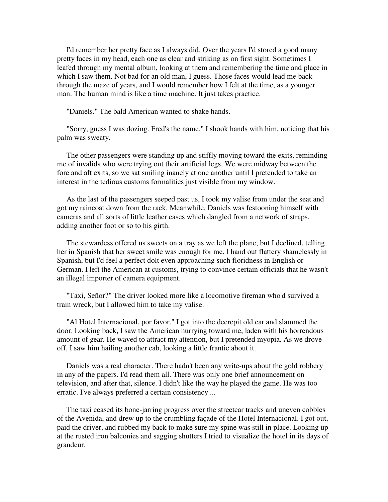I'd remember her pretty face as I always did. Over the years I'd stored a good many pretty faces in my head, each one as clear and striking as on first sight. Sometimes I leafed through my mental album, looking at them and remembering the time and place in which I saw them. Not bad for an old man, I guess. Those faces would lead me back through the maze of years, and I would remember how I felt at the time, as a younger man. The human mind is like a time machine. It just takes practice.

"Daniels." The bald American wanted to shake hands.

 "Sorry, guess I was dozing. Fred's the name." I shook hands with him, noticing that his palm was sweaty.

 The other passengers were standing up and stiffly moving toward the exits, reminding me of invalids who were trying out their artificial legs. We were midway between the fore and aft exits, so we sat smiling inanely at one another until I pretended to take an interest in the tedious customs formalities just visible from my window.

 As the last of the passengers seeped past us, I took my valise from under the seat and got my raincoat down from the rack. Meanwhile, Daniels was festooning himself with cameras and all sorts of little leather cases which dangled from a network of straps, adding another foot or so to his girth.

 The stewardess offered us sweets on a tray as we left the plane, but I declined, telling her in Spanish that her sweet smile was enough for me. I hand out flattery shamelessly in Spanish, but I'd feel a perfect dolt even approaching such floridness in English or German. I left the American at customs, trying to convince certain officials that he wasn't an illegal importer of camera equipment.

 "Taxi, Señor?" The driver looked more like a locomotive fireman who'd survived a train wreck, but I allowed him to take my valise.

 "Al Hotel Internacional, por favor." I got into the decrepit old car and slammed the door. Looking back, I saw the American hurrying toward me, laden with his horrendous amount of gear. He waved to attract my attention, but I pretended myopia. As we drove off, I saw him hailing another cab, looking a little frantic about it.

 Daniels was a real character. There hadn't been any write-ups about the gold robbery in any of the papers. I'd read them all. There was only one brief announcement on television, and after that, silence. I didn't like the way he played the game. He was too erratic. I've always preferred a certain consistency ...

 The taxi ceased its bone-jarring progress over the streetcar tracks and uneven cobbles of the Avenida, and drew up to the crumbling façade of the Hotel Internacional. I got out, paid the driver, and rubbed my back to make sure my spine was still in place. Looking up at the rusted iron balconies and sagging shutters I tried to visualize the hotel in its days of grandeur.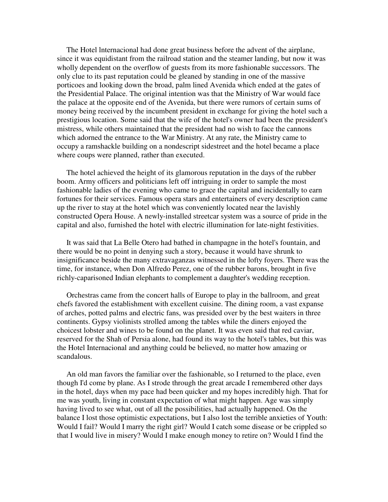The Hotel lnternacional had done great business before the advent of the airplane, since it was equidistant from the railroad station and the steamer landing, but now it was wholly dependent on the overflow of guests from its more fashionable successors. The only clue to its past reputation could be gleaned by standing in one of the massive porticoes and looking down the broad, palm lined Avenida which ended at the gates of the Presidential Palace. The original intention was that the Ministry of War would face the palace at the opposite end of the Avenida, but there were rumors of certain sums of money being received by the incumbent president in exchange for giving the hotel such a prestigious location. Some said that the wife of the hotel's owner had been the president's mistress, while others maintained that the president had no wish to face the cannons which adorned the entrance to the War Ministry. At any rate, the Ministry came to occupy a ramshackle building on a nondescript sidestreet and the hotel became a place where coups were planned, rather than executed.

 The hotel achieved the height of its glamorous reputation in the days of the rubber boom. Army officers and politicians left off intriguing in order to sample the most fashionable ladies of the evening who came to grace the capital and incidentally to earn fortunes for their services. Famous opera stars and entertainers of every description came up the river to stay at the hotel which was conveniently located near the lavishly constructed Opera House. A newly-installed streetcar system was a source of pride in the capital and also, furnished the hotel with electric illumination for late-night festivities.

 It was said that La Belle Otero had bathed in champagne in the hotel's fountain, and there would be no point in denying such a story, because it would have shrunk to insignificance beside the many extravaganzas witnessed in the lofty foyers. There was the time, for instance, when Don Alfredo Perez, one of the rubber barons, brought in five richly-caparisoned Indian elephants to complement a daughter's wedding reception.

 Orchestras came from the concert halls of Europe to play in the ballroom, and great chefs favored the establishment with excellent cuisine. The dining room, a vast expanse of arches, potted palms and electric fans, was presided over by the best waiters in three continents. Gypsy violinists strolled among the tables while the diners enjoyed the choicest lobster and wines to be found on the planet. It was even said that red caviar, reserved for the Shah of Persia alone, had found its way to the hotel's tables, but this was the Hotel Internacional and anything could be believed, no matter how amazing or scandalous.

 An old man favors the familiar over the fashionable, so I returned to the place, even though I'd come by plane. As I strode through the great arcade I remembered other days in the hotel, days when my pace had been quicker and my hopes incredibly high. That for me was youth, living in constant expectation of what might happen. Age was simply having lived to see what, out of all the possibilities, had actually happened. On the balance I lost those optimistic expectations, but I also lost the terrible anxieties of Youth: Would I fail? Would I marry the right girl? Would I catch some disease or be crippled so that I would live in misery? Would I make enough money to retire on? Would I find the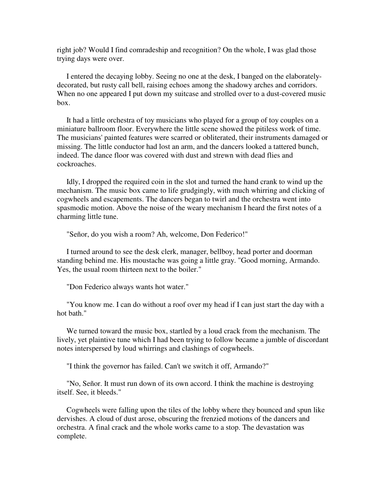right job? Would I find comradeship and recognition? On the whole, I was glad those trying days were over.

 I entered the decaying lobby. Seeing no one at the desk, I banged on the elaboratelydecorated, but rusty call bell, raising echoes among the shadowy arches and corridors. When no one appeared I put down my suitcase and strolled over to a dust-covered music box.

 It had a little orchestra of toy musicians who played for a group of toy couples on a miniature ballroom floor. Everywhere the little scene showed the pitiless work of time. The musicians' painted features were scarred or obliterated, their instruments damaged or missing. The little conductor had lost an arm, and the dancers looked a tattered bunch, indeed. The dance floor was covered with dust and strewn with dead flies and cockroaches.

 Idly, I dropped the required coin in the slot and turned the hand crank to wind up the mechanism. The music box came to life grudgingly, with much whirring and clicking of cogwheels and escapements. The dancers began to twirl and the orchestra went into spasmodic motion. Above the noise of the weary mechanism I heard the first notes of a charming little tune.

"Señor, do you wish a room? Ah, welcome, Don Federico!"

 I turned around to see the desk clerk, manager, bellboy, head porter and doorman standing behind me. His moustache was going a little gray. "Good morning, Armando. Yes, the usual room thirteen next to the boiler."

"Don Federico always wants hot water."

 "You know me. I can do without a roof over my head if I can just start the day with a hot bath."

 We turned toward the music box, startled by a loud crack from the mechanism. The lively, yet plaintive tune which I had been trying to follow became a jumble of discordant notes interspersed by loud whirrings and clashings of cogwheels.

"I think the governor has failed. Can't we switch it off, Armando?"

 "No, Señor. It must run down of its own accord. I think the machine is destroying itself. See, it bleeds."

 Cogwheels were falling upon the tiles of the lobby where they bounced and spun like dervishes. A cloud of dust arose, obscuring the frenzied motions of the dancers and orchestra. A final crack and the whole works came to a stop. The devastation was complete.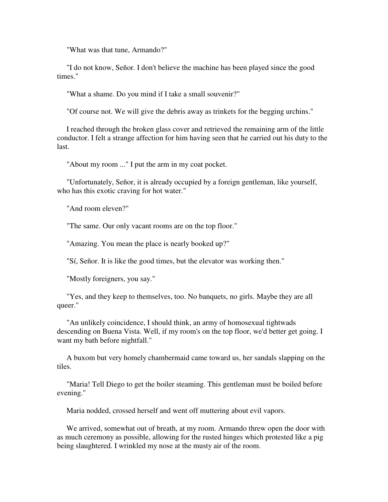"What was that tune, Armando?"

 "I do not know, Señor. I don't believe the machine has been played since the good times."

"What a shame. Do you mind if I take a small souvenir?"

"Of course not. We will give the debris away as trinkets for the begging urchins."

 I reached through the broken glass cover and retrieved the remaining arm of the little conductor. I felt a strange affection for him having seen that he carried out his duty to the last.

"About my room ..." I put the arm in my coat pocket.

 "Unfortunately, Señor, it is already occupied by a foreign gentleman, like yourself, who has this exotic craving for hot water."

"And room eleven?"

"The same. Our only vacant rooms are on the top floor."

"Amazing. You mean the place is nearly booked up?"

"Sí, Señor. It is like the good times, but the elevator was working then."

"Mostly foreigners, you say."

 "Yes, and they keep to themselves, too. No banquets, no girls. Maybe they are all queer."

 "An unlikely coincidence, I should think, an army of homosexual tightwads descending on Buena Vista. Well, if my room's on the top floor, we'd better get going. I want my bath before nightfall."

 A buxom but very homely chambermaid came toward us, her sandals slapping on the tiles.

 "Maria! Tell Diego to get the boiler steaming. This gentleman must be boiled before evening."

Maria nodded, crossed herself and went off muttering about evil vapors.

 We arrived, somewhat out of breath, at my room. Armando threw open the door with as much ceremony as possible, allowing for the rusted hinges which protested like a pig being slaughtered. I wrinkled my nose at the musty air of the room.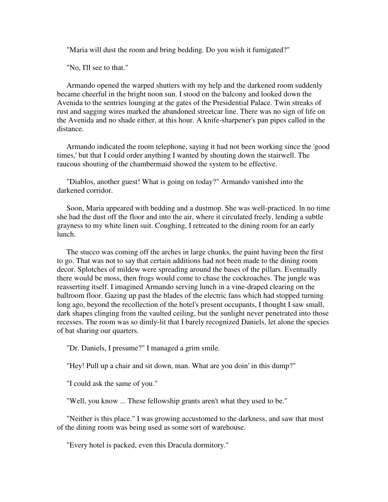"Maria will dust the room and bring bedding. Do you wish it fumigated?"

"No, I'll see to that."

 Armando opened the warped shutters with my help and the darkened room suddenly became cheerful in the bright noon sun. I stood on the balcony and looked down the Avenida to the sentries lounging at the gates of the Presidential Palace. Twin streaks of rust and sagging wires marked the abandoned streetcar line. There was no sign of life on the Avenida and no shade either, at this hour. A knife-sharpener's pan pipes called in the distance.

 Armando indicated the room telephone, saying it had not been working since the 'good times,' but that I could order anything I wanted by shouting down the stairwell. The raucous shouting of the chambermaid showed the system to be effective.

 "Diablos, another guest! What is going on today?" Armando vanished into the darkened corridor.

 Soon, Maria appeared with bedding and a dustmop. She was well-practiced. ln no time she had the dust off the floor and into the air, where it circulated freely, lending a subtle grayness to my white linen suit. Coughing, I retreated to the dining room for an early lunch.

 The stucco was coming off the arches in large chunks, the paint having been the first to go. That was not to say that certain additions had not been made to the dining room decor. Splotches of mildew were spreading around the bases of the pillars. Eventually there would be moss, then frogs would come to chase the cockroaches. The jungle was reasserting itself. I imagined Armando serving lunch in a vine-draped clearing on the ballroom floor. Gazing up past the blades of the electric fans which had stopped turning long ago, beyond the recollection of the hotel's present occupants, I thought I saw small, dark shapes clinging from the vaulted ceiling, but the sunlight never penetrated into those recesses. The room was so dimly-lit that I barely recognized Daniels, let alone the species of bat sharing our quarters.

"Dr. Daniels, I presume?" I managed a grim smile.

"Hey! Pull up a chair and sit down, man. What are you doin' in this dump?"

"I could ask the same of you."

"Well, you know ... These fellowship grants aren't what they used to be."

 "Neither is this place." I was growing accustomed to the darkness, and saw that most of the dining room was being used as some sort of warehouse.

"Every hotel is packed, even this Dracula dormitory."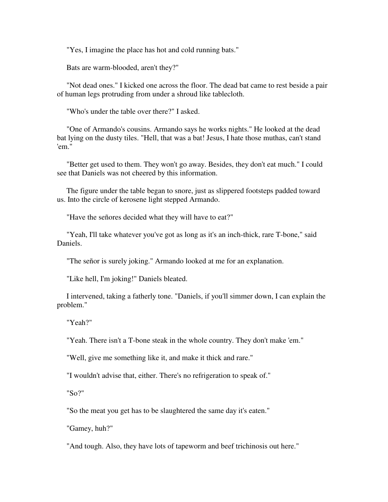"Yes, I imagine the place has hot and cold running bats."

Bats are warm-blooded, aren't they?"

 "Not dead ones." I kicked one across the floor. The dead bat came to rest beside a pair of human legs protruding from under a shroud like tablecloth.

"Who's under the table over there?" I asked.

 "One of Armando's cousins. Armando says he works nights." He looked at the dead bat lying on the dusty tiles. "Hell, that was a bat! Jesus, I hate those muthas, can't stand 'em."

 "Better get used to them. They won't go away. Besides, they don't eat much." I could see that Daniels was not cheered by this information.

 The figure under the table began to snore, just as slippered footsteps padded toward us. Into the circle of kerosene light stepped Armando.

"Have the señores decided what they will have to eat?"

 "Yeah, I'll take whatever you've got as long as it's an inch-thick, rare T-bone," said Daniels.

"The señor is surely joking." Armando looked at me for an explanation.

"Like hell, I'm joking!" Daniels bleated.

 I intervened, taking a fatherly tone. "Daniels, if you'll simmer down, I can explain the problem."

"Yeah?"

"Yeah. There isn't a T-bone steak in the whole country. They don't make 'em."

"Well, give me something like it, and make it thick and rare."

"I wouldn't advise that, either. There's no refrigeration to speak of."

"So?"

"So the meat you get has to be slaughtered the same day it's eaten."

"Gamey, huh?"

"And tough. Also, they have lots of tapeworm and beef trichinosis out here."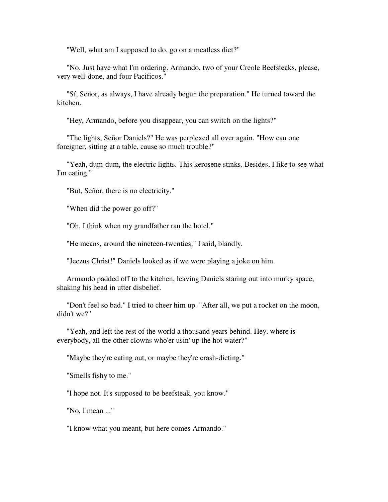"Well, what am I supposed to do, go on a meatless diet?"

 "No. Just have what I'm ordering. Armando, two of your Creole Beefsteaks, please, very well-done, and four Pacificos."

 "Sí, Señor, as always, I have already begun the preparation." He turned toward the kitchen.

"Hey, Armando, before you disappear, you can switch on the lights?"

 "The lights, Señor Daniels?" He was perplexed all over again. "How can one foreigner, sitting at a table, cause so much trouble?"

 "Yeah, dum-dum, the electric lights. This kerosene stinks. Besides, I like to see what I'm eating."

"But, Señor, there is no electricity."

"When did the power go off?"

"Oh, I think when my grandfather ran the hotel."

"He means, around the nineteen-twenties," I said, blandly.

"Jeezus Christ!" Daniels looked as if we were playing a joke on him.

 Armando padded off to the kitchen, leaving Daniels staring out into murky space, shaking his head in utter disbelief.

 "Don't feel so bad." I tried to cheer him up. "After all, we put a rocket on the moon, didn't we?"

 "Yeah, and left the rest of the world a thousand years behind. Hey, where is everybody, all the other clowns who'er usin' up the hot water?"

"Maybe they're eating out, or maybe they're crash-dieting."

"Smells fishy to me."

"l hope not. It's supposed to be beefsteak, you know."

"No, I mean ..."

"I know what you meant, but here comes Armando."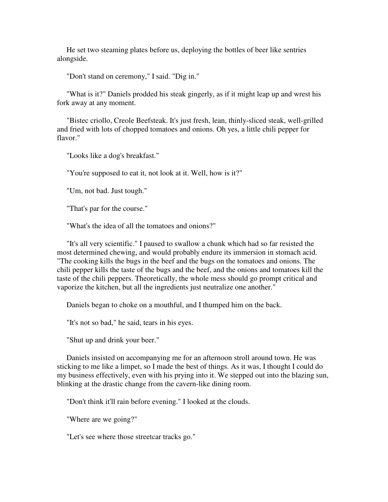He set two steaming plates before us, deploying the bottles of beer like sentries alongside.

"Don't stand on ceremony," I said. "Dig in."

 "What is it?" Daniels prodded his steak gingerly, as if it might leap up and wrest his fork away at any moment.

 "Bistec criollo, Creole Beefsteak. It's just fresh, lean, thinly-sliced steak, well-grilled and fried with lots of chopped tomatoes and onions. Oh yes, a little chili pepper for flavor."

"Looks like a dog's breakfast."

"You're supposed to eat it, not look at it. Well, how is it?"

"Um, not bad. Just tough."

"That's par for the course."

"What's the idea of all the tomatoes and onions?"

 "It's all very scientific." I paused to swallow a chunk which had so far resisted the most determined chewing, and would probably endure its immersion in stomach acid. "The cooking kills the bugs in the beef and the bugs on the tomatoes and onions. The chili pepper kills the taste of the bugs and the beef, and the onions and tomatoes kill the taste of the chili peppers. Theoretically, the whole mess should go prompt critical and vaporize the kitchen, but all the ingredients just neutralize one another."

Daniels began to choke on a mouthful, and I thumped him on the back.

"It's not so bad," he said, tears in his eyes.

"Shut up and drink your beer."

 Daniels insisted on accompanying me for an afternoon stroll around town. He was sticking to me like a limpet, so I made the best of things. As it was, I thought I could do my business effectively, even with his prying into it. We stepped out into the blazing sun, blinking at the drastic change from the cavern-like dining room.

"Don't think it'll rain before evening." I looked at the clouds.

"Where are we going?"

"Let's see where those streetcar tracks go."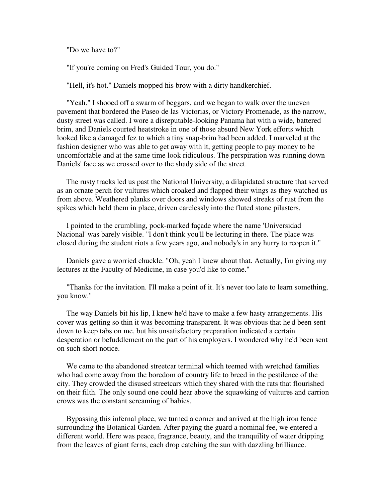"Do we have to?"

"If you're coming on Fred's Guided Tour, you do."

"Hell, it's hot." Daniels mopped his brow with a dirty handkerchief.

 "Yeah." I shooed off a swarm of beggars, and we began to walk over the uneven pavement that bordered the Paseo de las Victorias, or Victory Promenade, as the narrow, dusty street was called. I wore a disreputable-looking Panama hat with a wide, battered brim, and Daniels courted heatstroke in one of those absurd New York efforts which looked like a damaged fez to which a tiny snap-brim had been added. I marveled at the fashion designer who was able to get away with it, getting people to pay money to be uncomfortable and at the same time look ridiculous. The perspiration was running down Daniels' face as we crossed over to the shady side of the street.

 The rusty tracks led us past the National University, a dilapidated structure that served as an ornate perch for vultures which croaked and flapped their wings as they watched us from above. Weathered planks over doors and windows showed streaks of rust from the spikes which held them in place, driven carelessly into the fluted stone pilasters.

 I pointed to the crumbling, pock-marked façade where the name 'Universidad Nacional' was barely visible. "l don't think you'll be lecturing in there. The place was closed during the student riots a few years ago, and nobody's in any hurry to reopen it."

 Daniels gave a worried chuckle. "Oh, yeah I knew about that. Actually, I'm giving my lectures at the Faculty of Medicine, in case you'd like to come."

 "Thanks for the invitation. I'll make a point of it. It's never too late to learn something, you know."

 The way Daniels bit his lip, I knew he'd have to make a few hasty arrangements. His cover was getting so thin it was becoming transparent. It was obvious that he'd been sent down to keep tabs on me, but his unsatisfactory preparation indicated a certain desperation or befuddlement on the part of his employers. I wondered why he'd been sent on such short notice.

 We came to the abandoned streetcar terminal which teemed with wretched families who had come away from the boredom of country life to breed in the pestilence of the city. They crowded the disused streetcars which they shared with the rats that flourished on their filth. The only sound one could hear above the squawking of vultures and carrion crows was the constant screaming of babies.

 Bypassing this infernal place, we turned a corner and arrived at the high iron fence surrounding the Botanical Garden. After paying the guard a nominal fee, we entered a different world. Here was peace, fragrance, beauty, and the tranquility of water dripping from the leaves of giant ferns, each drop catching the sun with dazzling brilliance.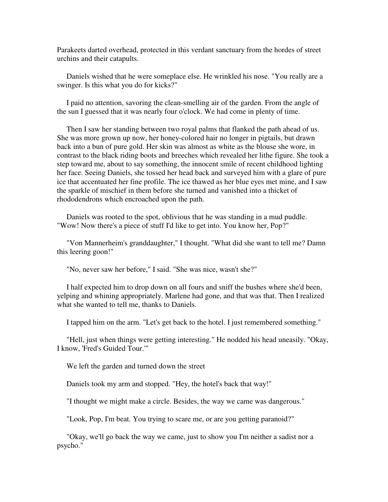Parakeets darted overhead, protected in this verdant sanctuary from the hordes of street urchins and their catapults.

 Daniels wished that he were someplace else. He wrinkled his nose. "You really are a swinger. Is this what you do for kicks?"

 I paid no attention, savoring the clean-smelling air of the garden. From the angle of the sun I guessed that it was nearly four o'clock. We had come in plenty of time.

 Then I saw her standing between two royal palms that flanked the path ahead of us. She was more grown up now, her honey-colored hair no longer in pigtails, but drawn back into a bun of pure gold. Her skin was almost as white as the blouse she wore, in contrast to the black riding boots and breeches which revealed her lithe figure. She took a step toward me, about to say something, the innocent smile of recent childhood lighting her face. Seeing Daniels, she tossed her head back and surveyed him with a glare of pure ice that accentuated her fine profile. The ice thawed as her blue eyes met mine, and I saw the sparkle of mischief in them before she turned and vanished into a thicket of rhododendrons which encroached upon the path.

 Daniels was rooted to the spot, oblivious that he was standing in a mud puddle. "Wow! Now there's a piece of stuff I'd like to get into. You know her, Pop?"

 "Von Mannerheim's granddaughter," I thought. "What did she want to tell me? Damn this leering goon!"

"No, never saw her before," I said. "She was nice, wasn't she?"

 I half expected him to drop down on all fours and sniff the bushes where she'd been, yelping and whining appropriately. Marlene had gone, and that was that. Then I realized what she wanted to tell me, thanks to Daniels.

I tapped him on the arm. "Let's get back to the hotel. I just remembered something."

 "Hell, just when things were getting interesting." He nodded his head uneasily. "Okay, I know, 'Fred's Guided Tour.'"

We left the garden and turned down the street

Daniels took my arm and stopped. "Hey, the hotel's back that way!"

"I thought we might make a circle. Besides, the way we came was dangerous."

"Look, Pop, I'm beat. You trying to scare me, or are you getting paranoid?"

 "Okay, we'll go back the way we came, just to show you I'm neither a sadist nor a psycho."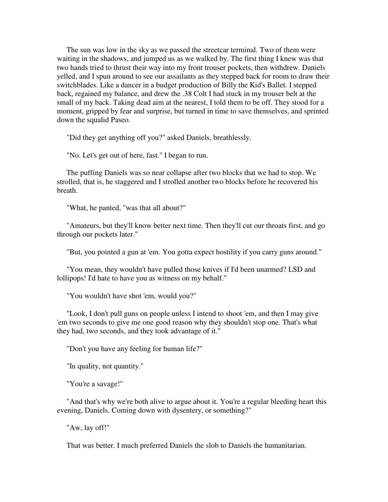The sun was low in the sky as we passed the streetcar terminal. Two of them were waiting in the shadows, and jumped us as we walked by. The first thing I knew was that two hands tried to thrust their way into my front trouser pockets, then withdrew. Daniels yelled, and I spun around to see our assailants as they stepped back for room to draw their switchblades. Like a dancer in a budget production of Billy the Kid's Ballet. I stepped back, regained my balance, and drew the .38 Colt I had stuck in my trouser belt at the small of my back. Taking dead aim at the nearest, I told them to be off. They stood for a moment, gripped by fear and surprise, but turned in time to save themselves, and sprinted down the squalid Paseo.

"Did they get anything off you?" asked Daniels, breathlessly.

"No. Let's get out of here, fast." I began to run.

 The puffing Daniels was so near collapse after two blocks that we had to stop. We strolled, that is, he staggered and I strolled another two blocks before he recovered his breath.

"What, he panted, "was that all about?"

 "Amateurs, but they'll know better next time. Then they'll cut our throats first, and go through our pockets later."

"But, you pointed a gun at 'em. You gotta expect hostility if you carry guns around."

 "You mean, they wouldn't have pulled those knives if I'd been unarmed? LSD and lollipops! I'd hate to have you as witness on my behalf."

"You wouldn't have shot 'em, would you?"

 "Look, I don't pull guns on people unless I intend to shoot 'em, and then I may give 'em two seconds to give me one good reason why they shouldn't stop one. That's what they had, two seconds, and they took advantage of it."

"Don't you have any feeling for human life?"

"In quality, not quantity."

"You're a savage!"

 "And that's why we're both alive to argue about it. You're a regular bleeding heart this evening, Daniels. Coming down with dysentery, or something?"

"Aw, lay off!"

That was better. I much preferred Daniels the slob to Daniels the humanitarian.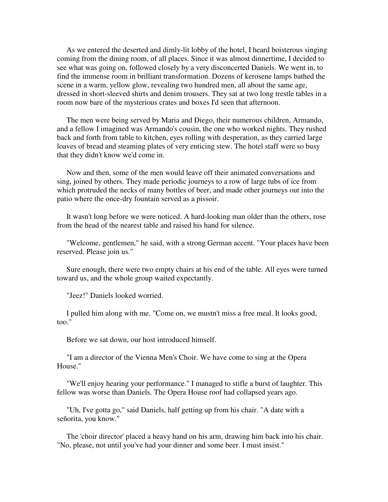As we entered the deserted and dimly-lit lobby of the hotel, I heard boisterous singing coming from the dining room, of all places. Since it was almost dinnertime, I decided to see what was going on, followed closely by a very disconcerted Daniels. We went in, to find the immense room in brilliant transformation. Dozens of kerosene lamps bathed the scene in a warm, yellow glow, revealing two hundred men, all about the same age, dressed in short-sleeved shirts and denim trousers. They sat at two long trestle tables in a room now bare of the mysterious crates and boxes I'd seen that afternoon.

 The men were being served by Maria and Diego, their numerous children, Armando, and a fellow I imagined was Armando's cousin, the one who worked nights. They rushed back and forth from table to kitchen, eyes rolling with desperation, as they carried large loaves of bread and steaming plates of very enticing stew. The hotel staff were so busy that they didn't know we'd come in.

 Now and then, some of the men would leave off their animated conversations and sing, joined by others. They made periodic journeys to a row of large tubs of ice from which protruded the necks of many bottles of beer, and made other journeys out into the patio where the once-dry fountain served as a pissoir.

 It wasn't long before we were noticed. A hard-looking man older than the others, rose from the head of the nearest table and raised his hand for silence.

 "Welcome, gentlemen," he said, with a strong German accent. "Your places have been reserved. Please join us."

 Sure enough, there were two empty chairs at his end of the table. All eyes were turned toward us, and the whole group waited expectantly.

"Jeez!" Daniels looked worried.

 I pulled him along with me. "Come on, we mustn't miss a free meal. It looks good, too."

Before we sat down, our host introduced himself.

 "I am a director of the Vienna Men's Choir. We have come to sing at the Opera House.''

 "We'll enjoy hearing your performance." I managed to stifle a burst of laughter. This fellow was worse than Daniels. The Opera House roof had collapsed years ago.

 "Uh, I've gotta go," said Daniels, half getting up from his chair. "A date with a señorita, you know."

 The 'choir director' placed a heavy hand on his arm, drawing him back into his chair. "No, please, not until you've had your dinner and some beer. I must insist."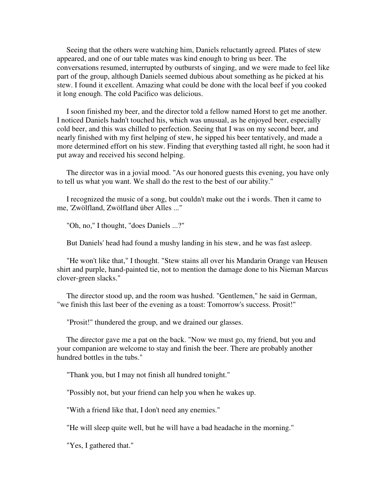Seeing that the others were watching him, Daniels reluctantly agreed. Plates of stew appeared, and one of our table mates was kind enough to bring us beer. The conversations resumed, interrupted by outbursts of singing, and we were made to feel like part of the group, although Daniels seemed dubious about something as he picked at his stew. I found it excellent. Amazing what could be done with the local beef if you cooked it long enough. The cold Pacifico was delicious.

 I soon finished my beer, and the director told a fellow named Horst to get me another. I noticed Daniels hadn't touched his, which was unusual, as he enjoyed beer, especially cold beer, and this was chilled to perfection. Seeing that I was on my second beer, and nearly finished with my first helping of stew, he sipped his beer tentatively, and made a more determined effort on his stew. Finding that everything tasted all right, he soon had it put away and received his second helping.

 The director was in a jovial mood. "As our honored guests this evening, you have only to tell us what you want. We shall do the rest to the best of our ability."

 I recognized the music of a song, but couldn't make out the i words. Then it came to me, 'Zwölfland, Zwölfland über Alles ..."

"Oh, no," I thought, "does Daniels ...?"

But Daniels' head had found a mushy landing in his stew, and he was fast asleep.

 "He won't like that," I thought. "Stew stains all over his Mandarin Orange van Heusen shirt and purple, hand-painted tie, not to mention the damage done to his Nieman Marcus clover-green slacks."

 The director stood up, and the room was hushed. "Gentlemen," he said in German, "we finish this last beer of the evening as a toast: Tomorrow's success. Prosit!"

"Prosit!" thundered the group, and we drained our glasses.

 The director gave me a pat on the back. "Now we must go, my friend, but you and your companion are welcome to stay and finish the beer. There are probably another hundred bottles in the tubs."

"Thank you, but I may not finish all hundred tonight."

"Possibly not, but your friend can help you when he wakes up.

"With a friend like that, I don't need any enemies."

"He will sleep quite well, but he will have a bad headache in the morning."

"Yes, I gathered that."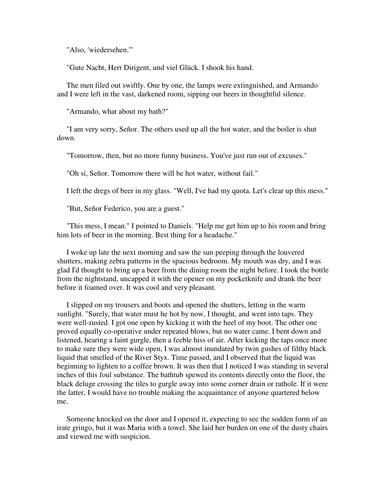"Also, 'wiedersehen.'"

"Gute Nacht, Herr Dirigent, und viel Glück. I shook his hand.

 The men filed out swiftly. One by one, the lamps were extinguished, and Armando and I were left in the vast, darkened room, sipping our beers in thoughtful silence.

"Armando, what about my bath?"

 "I am very sorry, Señor. The others used up all the hot water, and the boiler is shut down.

"Tomorrow, then, but no more funny business. You've just run out of excuses."

"Oh sí, Señor. Tomorrow there will be hot water, without fail."

I left the dregs of beer in my glass. "Well, I've had my quota. Let's clear up this mess."

"But, Señor Federico, you are a guest."

 "This mess, I mean." I pointed to Daniels. "Help me get him up to his room and bring him lots of beer in the morning. Best thing for a headache."

 I woke up late the next morning and saw the sun peeping through the louvered shutters, making zebra patterns in the spacious bedroom. My mouth was dry, and I was glad I'd thought to bring up a beer from the dining room the night before. I took the bottle from the nightstand, uncapped it with the opener on my pocketknife and drank the beer before it foamed over. It was cool and very pleasant.

 I slipped on my trousers and boots and opened the shutters, letting in the warm sunlight. "Surely, that water must he hot by now, I thought, and went into taps. They were well-rusted. I got one open by kicking it with the heel of my boot. The other one proved equally co-operative under repeated blows, but no water came. I bent down and listened, hearing a faint gurgle, then a feeble hiss of air. After kicking the taps once more to make sure they were wide open, I was almost inundated by twin gushes of filthy black liquid that smelled of the River Styx. Time passed, and I observed that the liquid was beginning to lighten to a coffee brown. It was then that I noticed I was standing in several inches of this foul substance. The bathtub spewed its contents directly onto the floor, the black deluge crossing the tiles to gurgle away into some corner drain or rathole. If it were the latter, I would have no trouble making the acquaintance of anyone quartered below me.

 Someone knocked on the door and I opened it, expecting to see the sodden form of an irate gringo, but it was Maria with a towel. She laid her burden on one of the dusty chairs and viewed me with suspicion.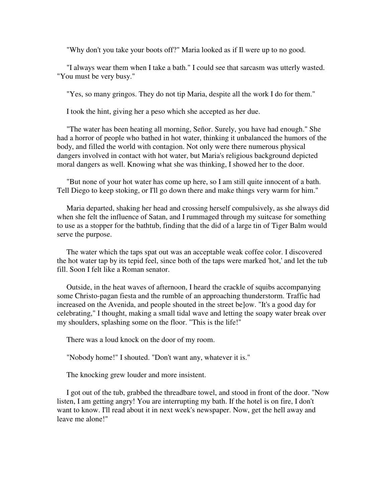"Why don't you take your boots off?" Maria looked as if Il were up to no good.

 "I always wear them when I take a bath." I could see that sarcasm was utterly wasted. "You must be very busy."

"Yes, so many gringos. They do not tip Maria, despite all the work I do for them."

I took the hint, giving her a peso which she accepted as her due.

 "The water has been heating all morning, Señor. Surely, you have had enough." She had a horror of people who bathed in hot water, thinking it unbalanced the humors of the body, and filled the world with contagion. Not only were there numerous physical dangers involved in contact with hot water, but Maria's religious background depicted moral dangers as well. Knowing what she was thinking, I showed her to the door.

 "But none of your hot water has come up here, so I am still quite innocent of a bath. Tell Diego to keep stoking, or I'll go down there and make things very warm for him."

 Maria departed, shaking her head and crossing herself compulsively, as she always did when she felt the influence of Satan, and I rummaged through my suitcase for something to use as a stopper for the bathtub, finding that the did of a large tin of Tiger Balm would serve the purpose.

 The water which the taps spat out was an acceptable weak coffee color. I discovered the hot water tap by its tepid feel, since both of the taps were marked 'hot,' and let the tub fill. Soon I felt like a Roman senator.

 Outside, in the heat waves of afternoon, I heard the crackle of squibs accompanying some Christo-pagan fiesta and the rumble of an approaching thunderstorm. Traffic had increased on the Avenida, and people shouted in the street be]ow. "It's a good day for celebrating," I thought, making a small tidal wave and letting the soapy water break over my shoulders, splashing some on the floor. "This is the life!"

There was a loud knock on the door of my room.

"Nobody home!" I shouted. "Don't want any, whatever it is."

The knocking grew louder and more insistent.

 I got out of the tub, grabbed the threadbare towel, and stood in front of the door. "Now listen, I am getting angry! You are interrupting my bath. If the hotel is on fire, I don't want to know. I'll read about it in next week's newspaper. Now, get the hell away and leave me alone!"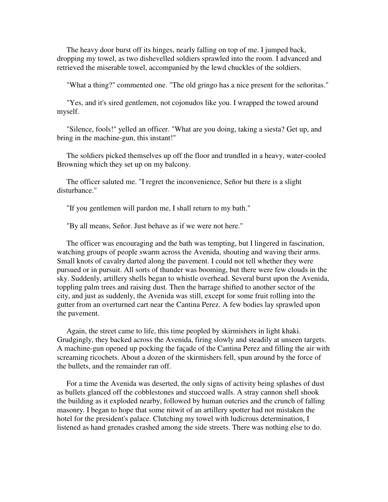The heavy door burst off its hinges, nearly falling on top of me. I jumped back, dropping my towel, as two dishevelled soldiers sprawled into the room. I advanced and retrieved the miserable towel, accompanied by the lewd chuckles of the soldiers.

"What a thing?" commented one. "The old gringo has a nice present for the señoritas."

 "Yes, and it's sired gentlemen, not cojonudos like you. I wrapped the towed around myself.

 "Silence, fools!" yelled an officer. "What are you doing, taking a siesta? Get up, and bring in the machine-gun, this instant!"

 The soldiers picked themselves up off the floor and trundled in a heavy, water-cooled Browning which they set up on my balcony.

 The officer saluted me. "I regret the inconvenience, Señor but there is a slight disturbance."

"If you gentlemen will pardon me, I shall return to my bath."

"By all means, Señor. Just behave as if we were not here."

 The officer was encouraging and the bath was tempting, but I lingered in fascination, watching groups of people swarm across the Avenida, shouting and waving their arms. Small knots of cavalry darted along the pavement. I could not tell whether they were pursued or in pursuit. All sorts of thunder was booming, but there were few clouds in the sky. Suddenly, artillery shells began to whistle overhead. Several burst upon the Avenida, toppling palm trees and raising dust. Then the barrage shifted to another sector of the city, and just as suddenly, the Avenida was still, except for some fruit rolling into the gutter from an overturned cart near the Cantina Perez. A few bodies lay sprawled upon the pavement.

 Again, the street came to life, this time peopled by skirmishers in light khaki. Grudgingly, they backed across the Avenida, firing slowly and steadily at unseen targets. A machine-gun opened up pocking the façade of the Cantina Perez and filling the air with screaming ricochets. About a dozen of the skirmishers fell, spun around by the force of the bullets, and the remainder ran off.

 For a time the Avenida was deserted, the only signs of activity being splashes of dust as bullets glanced off the cobblestones and stuccoed walls. A stray cannon shell shook the building as it exploded nearby, followed by human outcries and the crunch of falling masonry. I began to hope that some nitwit of an artillery spotter had not mistaken the hotel for the president's palace. Clutching my towel with ludicrous determination, I listened as hand grenades crashed among the side streets. There was nothing else to do.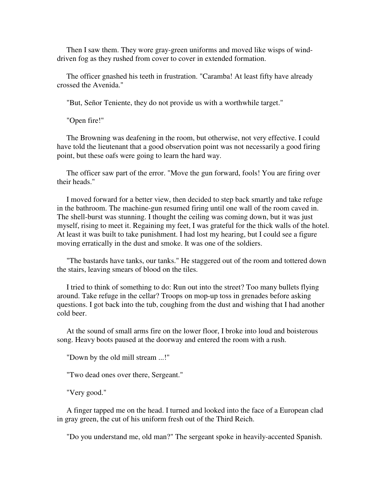Then I saw them. They wore gray-green uniforms and moved like wisps of winddriven fog as they rushed from cover to cover in extended formation.

 The officer gnashed his teeth in frustration. "Caramba! At least fifty have already crossed the Avenida."

"But, Señor Teniente, they do not provide us with a worthwhile target."

"Open fire!"

 The Browning was deafening in the room, but otherwise, not very effective. I could have told the lieutenant that a good observation point was not necessarily a good firing point, but these oafs were going to learn the hard way.

 The officer saw part of the error. "Move the gun forward, fools! You are firing over their heads."

 I moved forward for a better view, then decided to step back smartly and take refuge in the bathroom. The machine-gun resumed firing until one wall of the room caved in. The shell-burst was stunning. I thought the ceiling was coming down, but it was just myself, rising to meet it. Regaining my feet, I was grateful for the thick walls of the hotel. At least it was built to take punishment. I had lost my hearing, but I could see a figure moving erratically in the dust and smoke. It was one of the soldiers.

 "The bastards have tanks, our tanks." He staggered out of the room and tottered down the stairs, leaving smears of blood on the tiles.

 I tried to think of something to do: Run out into the street? Too many bullets flying around. Take refuge in the cellar? Troops on mop-up toss in grenades before asking questions. I got back into the tub, coughing from the dust and wishing that I had another cold beer.

 At the sound of small arms fire on the lower floor, I broke into loud and boisterous song. Heavy boots paused at the doorway and entered the room with a rush.

"Down by the old mill stream ...!"

"Two dead ones over there, Sergeant."

"Very good."

 A finger tapped me on the head. I turned and looked into the face of a European clad in gray green, the cut of his uniform fresh out of the Third Reich.

"Do you understand me, old man?" The sergeant spoke in heavily-accented Spanish.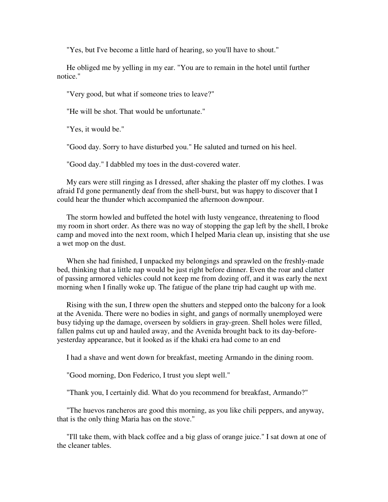"Yes, but I've become a little hard of hearing, so you'll have to shout."

 He obliged me by yelling in my ear. "You are to remain in the hotel until further notice."

"Very good, but what if someone tries to leave?"

"He will be shot. That would be unfortunate."

"Yes, it would be."

"Good day. Sorry to have disturbed you." He saluted and turned on his heel.

"Good day." I dabbled my toes in the dust-covered water.

 My ears were still ringing as I dressed, after shaking the plaster off my clothes. I was afraid I'd gone permanently deaf from the shell-burst, but was happy to discover that I could hear the thunder which accompanied the afternoon downpour.

 The storm howled and buffeted the hotel with lusty vengeance, threatening to flood my room in short order. As there was no way of stopping the gap left by the shell, I broke camp and moved into the next room, which I helped Maria clean up, insisting that she use a wet mop on the dust.

 When she had finished, I unpacked my belongings and sprawled on the freshly-made bed, thinking that a little nap would be just right before dinner. Even the roar and clatter of passing armored vehicles could not keep me from dozing off, and it was early the next morning when I finally woke up. The fatigue of the plane trip had caught up with me.

 Rising with the sun, I threw open the shutters and stepped onto the balcony for a look at the Avenida. There were no bodies in sight, and gangs of normally unemployed were busy tidying up the damage, overseen by soldiers in gray-green. Shell holes were filled, fallen palms cut up and hauled away, and the Avenida brought back to its day-beforeyesterday appearance, but it looked as if the khaki era had come to an end

I had a shave and went down for breakfast, meeting Armando in the dining room.

"Good morning, Don Federico, I trust you slept well."

"Thank you, I certainly did. What do you recommend for breakfast, Armando?"

 "The huevos rancheros are good this morning, as you like chili peppers, and anyway, that is the only thing Maria has on the stove."

 "I'll take them, with black coffee and a big glass of orange juice." I sat down at one of the cleaner tables.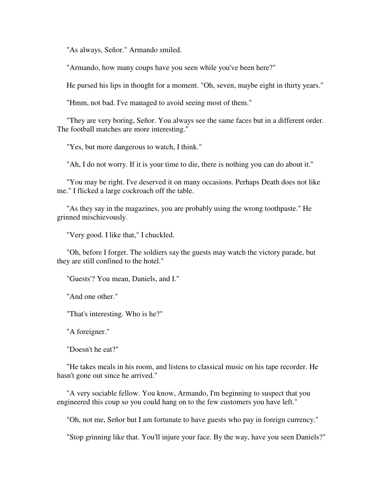"As always, Señor." Armando smiled.

"Armando, how many coups have you seen while you've been here?"

He pursed his lips in thought for a moment. "Oh, seven, maybe eight in thirty years."

"Hmm, not bad. I've managed to avoid seeing most of them."

 "They are very boring, Señor. You always see the same faces but in a different order. The football matches are more interesting."

"Yes, but more dangerous to watch, I think."

"Ah, I do not worry. If it is your time to die, there is nothing you can do about it."

 "You may be right. I've deserved it on many occasions. Perhaps Death does not like me." I flicked a large cockroach off the table.

 "As they say in the magazines, you are probably using the wrong toothpaste." He grinned mischievously.

"Very good. I like that," I chuckled.

 "Oh, before I forget. The soldiers say the guests may watch the victory parade, but they are still confined to the hotel."

"Guests'? You mean, Daniels, and I."

"And one other."

"That's interesting. Who is he?"

"A foreigner."

"Doesn't he eat?"

 "He takes meals in his room, and listens to classical music on his tape recorder. He hasn't gone out since he arrived."

 "A very sociable fellow. You know, Armando, I'm beginning to suspect that you engineered this coup so you could hang on to the few customers you have left."

"Oh, not me, Señor but I am fortunate to have guests who pay in foreign currency."

"Stop grinning like that. You'll injure your face. By the way, have you seen Daniels?"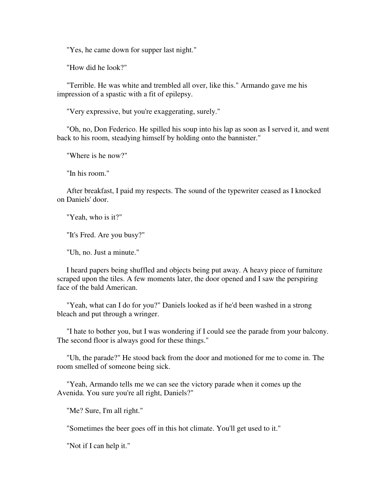"Yes, he came down for supper last night."

"How did he look?"

 "Terrible. He was white and trembled all over, like this." Armando gave me his impression of a spastic with a fit of epilepsy.

"Very expressive, but you're exaggerating, surely."

 "Oh, no, Don Federico. He spilled his soup into his lap as soon as I served it, and went back to his room, steadying himself by holding onto the bannister."

"Where is he now?"

"In his room."

 After breakfast, I paid my respects. The sound of the typewriter ceased as I knocked on Daniels' door.

"Yeah, who is it?"

"It's Fred. Are you busy?"

"Uh, no. Just a minute."

 I heard papers being shuffled and objects being put away. A heavy piece of furniture scraped upon the tiles. A few moments later, the door opened and I saw the perspiring face of the bald American.

 "Yeah, what can I do for you?" Daniels looked as if he'd been washed in a strong bleach and put through a wringer.

 "I hate to bother you, but I was wondering if I could see the parade from your balcony. The second floor is always good for these things."

 "Uh, the parade?" He stood back from the door and motioned for me to come in. The room smelled of someone being sick.

 "Yeah, Armando tells me we can see the victory parade when it comes up the Avenida. You sure you're all right, Daniels?"

"Me? Sure, I'm all right."

"Sometimes the beer goes off in this hot climate. You'll get used to it."

"Not if I can help it."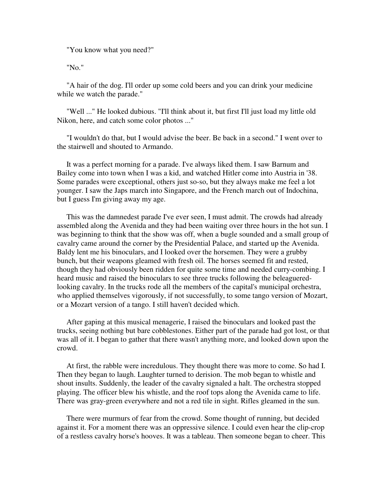"You know what you need?"

"No."

 "A hair of the dog. I'll order up some cold beers and you can drink your medicine while we watch the parade."

 "Well ..." He looked dubious. "I'll think about it, but first I'll just load my little old Nikon, here, and catch some color photos ..."

 "I wouldn't do that, but I would advise the beer. Be back in a second." I went over to the stairwell and shouted to Armando.

 It was a perfect morning for a parade. I've always liked them. I saw Barnum and Bailey come into town when I was a kid, and watched Hitler come into Austria in '38. Some parades were exceptional, others just so-so, but they always make me feel a lot younger. I saw the Japs march into Singapore, and the French march out of Indochina, but I guess I'm giving away my age.

 This was the damnedest parade I've ever seen, I must admit. The crowds had already assembled along the Avenida and they had been waiting over three hours in the hot sun. I was beginning to think that the show was off, when a bugle sounded and a small group of cavalry came around the corner by the Presidential Palace, and started up the Avenida. Baldy lent me his binoculars, and I looked over the horsemen. They were a grubby bunch, but their weapons gleamed with fresh oil. The horses seemed fit and rested, though they had obviously been ridden for quite some time and needed curry-combing. I heard music and raised the binoculars to see three trucks following the beleagueredlooking cavalry. In the trucks rode all the members of the capital's municipal orchestra, who applied themselves vigorously, if not successfully, to some tango version of Mozart, or a Mozart version of a tango. I still haven't decided which.

 After gaping at this musical menagerie, I raised the binoculars and looked past the trucks, seeing nothing but bare cobblestones. Either part of the parade had got lost, or that was all of it. I began to gather that there wasn't anything more, and looked down upon the crowd.

 At first, the rabble were incredulous. They thought there was more to come. So had I. Then they began to laugh. Laughter turned to derision. The mob began to whistle and shout insults. Suddenly, the leader of the cavalry signaled a halt. The orchestra stopped playing. The officer blew his whistle, and the roof tops along the Avenida came to life. There was gray-green everywhere and not a red tile in sight. Rifles gleamed in the sun.

 There were murmurs of fear from the crowd. Some thought of running, but decided against it. For a moment there was an oppressive silence. I could even hear the clip-crop of a restless cavalry horse's hooves. It was a tableau. Then someone began to cheer. This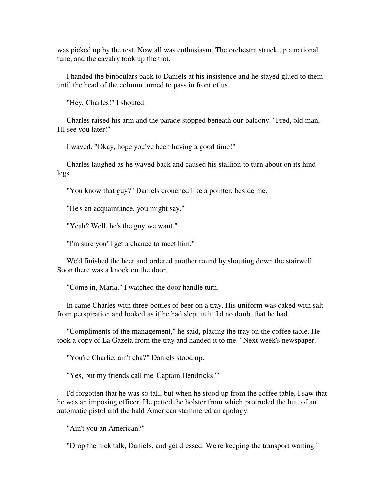was picked up by the rest. Now all was enthusiasm. The orchestra struck up a national tune, and the cavalry took up the trot.

 I handed the binoculars back to Daniels at his insistence and he stayed glued to them until the head of the column turned to pass in front of us.

"Hey, Charles!" I shouted.

 Charles raised his arm and the parade stopped beneath our balcony. "Fred, old man, I'll see you later!"

I waved. "Okay, hope you've been having a good time!"

 Charles laughed as he waved back and caused his stallion to turn about on its hind legs.

"You know that guy?" Daniels crouched like a pointer, beside me.

"He's an acquaintance, you might say."

"Yeah? Well, he's the guy we want."

"I'm sure you'll get a chance to meet him."

 We'd finished the beer and ordered another round by shouting down the stairwell. Soon there was a knock on the door.

"Come in, Maria." I watched the door handle turn.

 In came Charles with three bottles of beer on a tray. His uniform was caked with salt from perspiration and looked as if he had slept in it. I'd no doubt that he had.

 "Compliments of the management," he said, placing the tray on the coffee table. He took a copy of La Gazeta from the tray and handed it to me. "Next week's newspaper."

"You're Charlie, ain't cha?" Daniels stood up.

"Yes, but my friends call me 'Captain Hendricks.'"

 I'd forgotten that he was so tall, but when he stood up from the coffee table, I saw that he was an imposing officer. He patted the holster from which protruded the butt of an automatic pistol and the bald American stammered an apology.

"Ain't you an American?"

"Drop the hick talk, Daniels, and get dressed. We're keeping the transport waiting."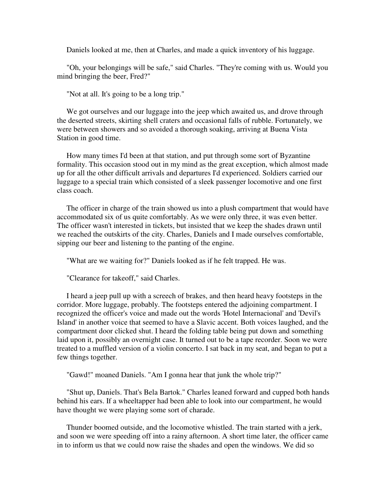Daniels looked at me, then at Charles, and made a quick inventory of his luggage.

 "Oh, your belongings will be safe," said Charles. "They're coming with us. Would you mind bringing the beer, Fred?"

"Not at all. It's going to be a long trip."

We got ourselves and our luggage into the jeep which awaited us, and drove through the deserted streets, skirting shell craters and occasional falls of rubble. Fortunately, we were between showers and so avoided a thorough soaking, arriving at Buena Vista Station in good time.

 How many times I'd been at that station, and put through some sort of Byzantine formality. This occasion stood out in my mind as the great exception, which almost made up for all the other difficult arrivals and departures I'd experienced. Soldiers carried our luggage to a special train which consisted of a sleek passenger locomotive and one first class coach.

 The officer in charge of the train showed us into a plush compartment that would have accommodated six of us quite comfortably. As we were only three, it was even better. The officer wasn't interested in tickets, but insisted that we keep the shades drawn until we reached the outskirts of the city. Charles, Daniels and I made ourselves comfortable, sipping our beer and listening to the panting of the engine.

"What are we waiting for?" Daniels looked as if he felt trapped. He was.

"Clearance for takeoff," said Charles.

 I heard a jeep pull up with a screech of brakes, and then heard heavy footsteps in the corridor. More luggage, probably. The footsteps entered the adjoining compartment. I recognized the officer's voice and made out the words 'Hotel Internacional' and 'Devil's Island' in another voice that seemed to have a Slavic accent. Both voices laughed, and the compartment door clicked shut. I heard the folding table being put down and something laid upon it, possibly an overnight case. It turned out to be a tape recorder. Soon we were treated to a muffled version of a violin concerto. I sat back in my seat, and began to put a few things together.

"Gawd!" moaned Daniels. "Am I gonna hear that junk the whole trip?"

 "Shut up, Daniels. That's Bela Bartok." Charles leaned forward and cupped both hands behind his ears. If a wheeltapper had been able to look into our compartment, he would have thought we were playing some sort of charade.

 Thunder boomed outside, and the locomotive whistled. The train started with a jerk, and soon we were speeding off into a rainy afternoon. A short time later, the officer came in to inform us that we could now raise the shades and open the windows. We did so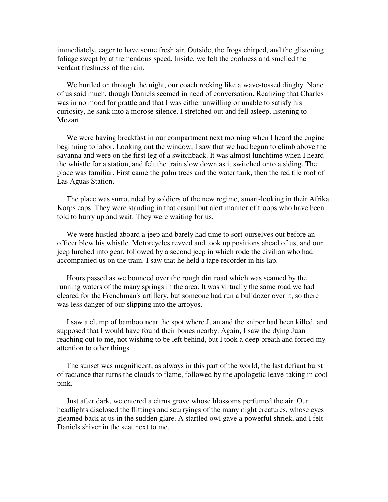immediately, eager to have some fresh air. Outside, the frogs chirped, and the glistening foliage swept by at tremendous speed. Inside, we felt the coolness and smelled the verdant freshness of the rain.

 We hurtled on through the night, our coach rocking like a wave-tossed dinghy. None of us said much, though Daniels seemed in need of conversation. Realizing that Charles was in no mood for prattle and that I was either unwilling or unable to satisfy his curiosity, he sank into a morose silence. I stretched out and fell asleep, listening to Mozart.

We were having breakfast in our compartment next morning when I heard the engine beginning to labor. Looking out the window, I saw that we had begun to climb above the savanna and were on the first leg of a switchback. It was almost lunchtime when I heard the whistle for a station, and felt the train slow down as it switched onto a siding. The place was familiar. First came the palm trees and the water tank, then the red tile roof of Las Aguas Station.

 The place was surrounded by soldiers of the new regime, smart-looking in their Afrika Korps caps. They were standing in that casual but alert manner of troops who have been told to hurry up and wait. They were waiting for us.

We were hustled aboard a jeep and barely had time to sort ourselves out before an officer blew his whistle. Motorcycles revved and took up positions ahead of us, and our jeep lurched into gear, followed by a second jeep in which rode the civilian who had accompanied us on the train. I saw that he held a tape recorder in his lap.

 Hours passed as we bounced over the rough dirt road which was seamed by the running waters of the many springs in the area. It was virtually the same road we had cleared for the Frenchman's artillery, but someone had run a bulldozer over it, so there was less danger of our slipping into the arroyos.

 I saw a clump of bamboo near the spot where Juan and the sniper had been killed, and supposed that I would have found their bones nearby. Again, I saw the dying Juan reaching out to me, not wishing to be left behind, but I took a deep breath and forced my attention to other things.

 The sunset was magnificent, as always in this part of the world, the last defiant burst of radiance that turns the clouds to flame, followed by the apologetic leave-taking in cool pink.

 Just after dark, we entered a citrus grove whose blossoms perfumed the air. Our headlights disclosed the flittings and scurryings of the many night creatures, whose eyes gleamed back at us in the sudden glare. A startled owl gave a powerful shriek, and I felt Daniels shiver in the seat next to me.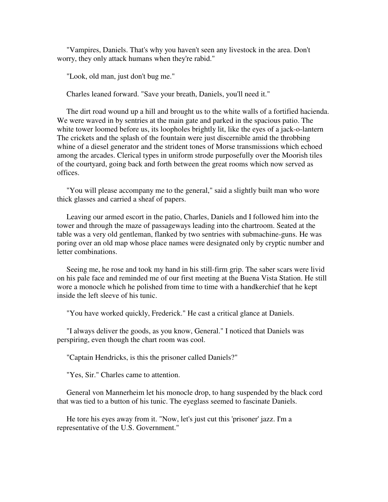"Vampires, Daniels. That's why you haven't seen any livestock in the area. Don't worry, they only attack humans when they're rabid."

"Look, old man, just don't bug me."

Charles leaned forward. "Save your breath, Daniels, you'll need it."

 The dirt road wound up a hill and brought us to the white walls of a fortified hacienda. We were waved in by sentries at the main gate and parked in the spacious patio. The white tower loomed before us, its loopholes brightly lit, like the eyes of a jack-o-lantern The crickets and the splash of the fountain were just discernible amid the throbbing whine of a diesel generator and the strident tones of Morse transmissions which echoed among the arcades. Clerical types in uniform strode purposefully over the Moorish tiles of the courtyard, going back and forth between the great rooms which now served as offices.

 "You will please accompany me to the general," said a slightly built man who wore thick glasses and carried a sheaf of papers.

 Leaving our armed escort in the patio, Charles, Daniels and I followed him into the tower and through the maze of passageways leading into the chartroom. Seated at the table was a very old gentleman, flanked by two sentries with submachine-guns. He was poring over an old map whose place names were designated only by cryptic number and letter combinations.

 Seeing me, he rose and took my hand in his still-firm grip. The saber scars were livid on his pale face and reminded me of our first meeting at the Buena Vista Station. He still wore a monocle which he polished from time to time with a handkerchief that he kept inside the left sleeve of his tunic.

"You have worked quickly, Frederick." He cast a critical glance at Daniels.

 "I always deliver the goods, as you know, General." I noticed that Daniels was perspiring, even though the chart room was cool.

"Captain Hendricks, is this the prisoner called Daniels?"

"Yes, Sir." Charles came to attention.

 General von Mannerheim let his monocle drop, to hang suspended by the black cord that was tied to a button of his tunic. The eyeglass seemed to fascinate Daniels.

 He tore his eyes away from it. "Now, let's just cut this 'prisoner' jazz. I'm a representative of the U.S. Government."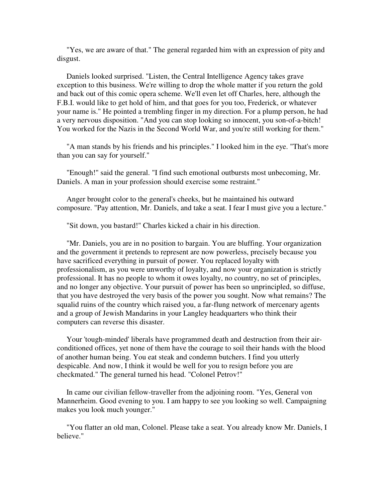"Yes, we are aware of that." The general regarded him with an expression of pity and disgust.

 Daniels looked surprised. "Listen, the Central Intelligence Agency takes grave exception to this business. We're willing to drop the whole matter if you return the gold and back out of this comic opera scheme. We'll even let off Charles, here, although the F.B.I. would like to get hold of him, and that goes for you too, Frederick, or whatever your name is." He pointed a trembling finger in my direction. For a plump person, he had a very nervous disposition. "And you can stop looking so innocent, you son-of-a-bitch! You worked for the Nazis in the Second World War, and you're still working for them."

 "A man stands by his friends and his principles." I looked him in the eye. "That's more than you can say for yourself."

 "Enough!" said the general. "I find such emotional outbursts most unbecoming, Mr. Daniels. A man in your profession should exercise some restraint."

 Anger brought color to the general's cheeks, but he maintained his outward composure. "Pay attention, Mr. Daniels, and take a seat. I fear I must give you a lecture."

"Sit down, you bastard!" Charles kicked a chair in his direction.

 "Mr. Daniels, you are in no position to bargain. You are bluffing. Your organization and the government it pretends to represent are now powerless, precisely because you have sacrificed everything in pursuit of power. You replaced loyalty with professionalism, as you were unworthy of loyalty, and now your organization is strictly professional. It has no people to whom it owes loyalty, no country, no set of principles, and no longer any objective. Your pursuit of power has been so unprincipled, so diffuse, that you have destroyed the very basis of the power you sought. Now what remains? The squalid ruins of the country which raised you, a far-flung network of mercenary agents and a group of Jewish Mandarins in your Langley headquarters who think their computers can reverse this disaster.

 Your 'tough-minded' liberals have programmed death and destruction from their airconditioned offices, yet none of them have the courage to soil their hands with the blood of another human being. You eat steak and condemn butchers. I find you utterly despicable. And now, I think it would be well for you to resign before you are checkmated." The general turned his head. "Colonel Petrov!"

 In came our civilian fellow-traveller from the adjoining room. "Yes, General von Mannerheim. Good evening to you. I am happy to see you looking so well. Campaigning makes you look much younger."

 "You flatter an old man, Colonel. Please take a seat. You already know Mr. Daniels, I believe."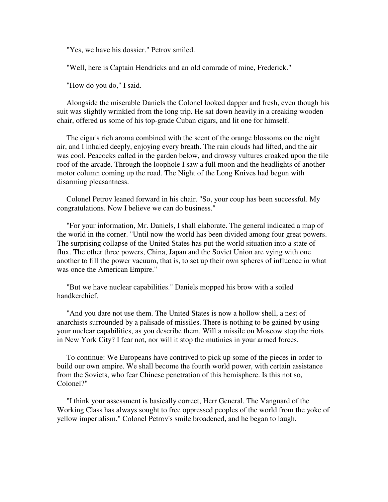"Yes, we have his dossier." Petrov smiled.

"Well, here is Captain Hendricks and an old comrade of mine, Frederick."

"How do you do," I said.

 Alongside the miserable Daniels the Colonel looked dapper and fresh, even though his suit was slightly wrinkled from the long trip. He sat down heavily in a creaking wooden chair, offered us some of his top-grade Cuban cigars, and lit one for himself.

 The cigar's rich aroma combined with the scent of the orange blossoms on the night air, and I inhaled deeply, enjoying every breath. The rain clouds had lifted, and the air was cool. Peacocks called in the garden below, and drowsy vultures croaked upon the tile roof of the arcade. Through the loophole I saw a full moon and the headlights of another motor column coming up the road. The Night of the Long Knives had begun with disarming pleasantness.

 Colonel Petrov leaned forward in his chair. "So, your coup has been successful. My congratulations. Now I believe we can do business."

 "For your information, Mr. Daniels, I shall elaborate. The general indicated a map of the world in the corner. "Until now the world has been divided among four great powers. The surprising collapse of the United States has put the world situation into a state of flux. The other three powers, China, Japan and the Soviet Union are vying with one another to fill the power vacuum, that is, to set up their own spheres of influence in what was once the American Empire."

 "But we have nuclear capabilities." Daniels mopped his brow with a soiled handkerchief.

 "And you dare not use them. The United States is now a hollow shell, a nest of anarchists surrounded by a palisade of missiles. There is nothing to be gained by using your nuclear capabilities, as you describe them. Will a missile on Moscow stop the riots in New York City? I fear not, nor will it stop the mutinies in your armed forces.

 To continue: We Europeans have contrived to pick up some of the pieces in order to build our own empire. We shall become the fourth world power, with certain assistance from the Soviets, who fear Chinese penetration of this hemisphere. Is this not so, Colonel?"

 "I think your assessment is basically correct, Herr General. The Vanguard of the Working Class has always sought to free oppressed peoples of the world from the yoke of yellow imperialism." Colonel Petrov's smile broadened, and he began to laugh.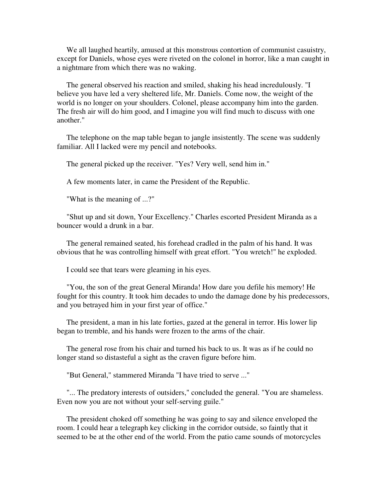We all laughed heartily, amused at this monstrous contortion of communist casuistry, except for Daniels, whose eyes were riveted on the colonel in horror, like a man caught in a nightmare from which there was no waking.

 The general observed his reaction and smiled, shaking his head incredulously. "I believe you have led a very sheltered life, Mr. Daniels. Come now, the weight of the world is no longer on your shoulders. Colonel, please accompany him into the garden. The fresh air will do him good, and I imagine you will find much to discuss with one another."

 The telephone on the map table began to jangle insistently. The scene was suddenly familiar. All I lacked were my pencil and notebooks.

The general picked up the receiver. "Yes? Very well, send him in."

A few moments later, in came the President of the Republic.

"What is the meaning of ...?"

 "Shut up and sit down, Your Excellency." Charles escorted President Miranda as a bouncer would a drunk in a bar.

 The general remained seated, his forehead cradled in the palm of his hand. It was obvious that he was controlling himself with great effort. "You wretch!" he exploded.

I could see that tears were gleaming in his eyes.

 "You, the son of the great General Miranda! How dare you defile his memory! He fought for this country. It took him decades to undo the damage done by his predecessors, and you betrayed him in your first year of office."

 The president, a man in his late forties, gazed at the general in terror. His lower lip began to tremble, and his hands were frozen to the arms of the chair.

 The general rose from his chair and turned his back to us. It was as if he could no longer stand so distasteful a sight as the craven figure before him.

"But General," stammered Miranda "I have tried to serve ..."

 "... The predatory interests of outsiders," concluded the general. "You are shameless. Even now you are not without your self-serving guile."

 The president choked off something he was going to say and silence enveloped the room. I could hear a telegraph key clicking in the corridor outside, so faintly that it seemed to be at the other end of the world. From the patio came sounds of motorcycles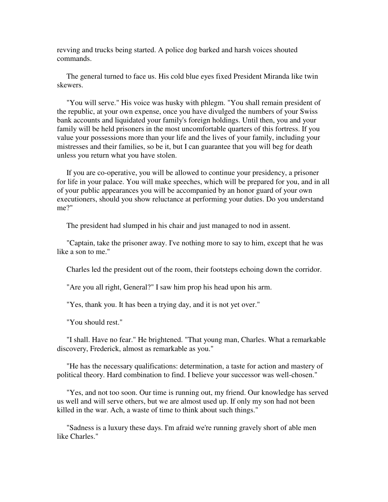revving and trucks being started. A police dog barked and harsh voices shouted commands.

 The general turned to face us. His cold blue eyes fixed President Miranda like twin skewers.

 "You will serve." His voice was husky with phlegm. "You shall remain president of the republic, at your own expense, once you have divulged the numbers of your Swiss bank accounts and liquidated your family's foreign holdings. Until then, you and your family will be held prisoners in the most uncomfortable quarters of this fortress. If you value your possessions more than your life and the lives of your family, including your mistresses and their families, so be it, but I can guarantee that you will beg for death unless you return what you have stolen.

 If you are co-operative, you will be allowed to continue your presidency, a prisoner for life in your palace. You will make speeches, which will be prepared for you, and in all of your public appearances you will be accompanied by an honor guard of your own executioners, should you show reluctance at performing your duties. Do you understand me?"

The president had slumped in his chair and just managed to nod in assent.

 "Captain, take the prisoner away. I've nothing more to say to him, except that he was like a son to me."

Charles led the president out of the room, their footsteps echoing down the corridor.

"Are you all right, General?" I saw him prop his head upon his arm.

"Yes, thank you. It has been a trying day, and it is not yet over."

"You should rest."

 "I shall. Have no fear." He brightened. "That young man, Charles. What a remarkable discovery, Frederick, almost as remarkable as you."

 "He has the necessary qualifications: determination, a taste for action and mastery of political theory. Hard combination to find. I believe your successor was well-chosen."

 "Yes, and not too soon. Our time is running out, my friend. Our knowledge has served us well and will serve others, but we are almost used up. If only my son had not been killed in the war. Ach, a waste of time to think about such things."

 "Sadness is a luxury these days. I'm afraid we're running gravely short of able men like Charles."